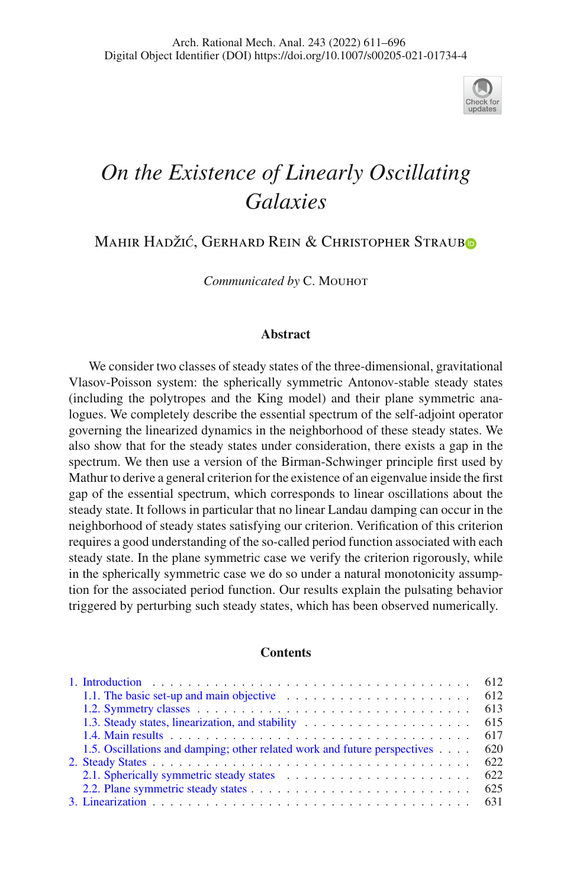

# *On the Existence of Linearly Oscillating Galaxies*

Mahir Hadžić, Gerhard Rein & Christopher Strau[b](http://orcid.org/0000-0003-2194-0256)o

Communicated by C. MOUHOT

#### **Abstract**

We consider two classes of steady states of the three-dimensional, gravitational Vlasov-Poisson system: the spherically symmetric Antonov-stable steady states (including the polytropes and the King model) and their plane symmetric analogues. We completely describe the essential spectrum of the self-adjoint operator governing the linearized dynamics in the neighborhood of these steady states. We also show that for the steady states under consideration, there exists a gap in the spectrum. We then use a version of the Birman-Schwinger principle first used by Mathur to derive a general criterion for the existence of an eigenvalue inside the first gap of the essential spectrum, which corresponds to linear oscillations about the steady state. It follows in particular that no linear Landau damping can occur in the neighborhood of steady states satisfying our criterion. Verification of this criterion requires a good understanding of the so-called period function associated with each steady state. In the plane symmetric case we verify the criterion rigorously, while in the spherically symmetric case we do so under a natural monotonicity assumption for the associated period function. Our results explain the pulsating behavior triggered by perturbing such steady states, which has been observed numerically.

### **Contents**

| 1.1. The basic set-up and main objective expansion of the set of the set of the set of the set of the set of the set of the set of the set of the set of the set of the set of the set of the set of the set of the set of the |     |
|--------------------------------------------------------------------------------------------------------------------------------------------------------------------------------------------------------------------------------|-----|
|                                                                                                                                                                                                                                | 613 |
| 1.3. Steady states, linearization, and stability                                                                                                                                                                               | 615 |
|                                                                                                                                                                                                                                |     |
| 1.5. Oscillations and damping; other related work and future perspectives                                                                                                                                                      | 620 |
|                                                                                                                                                                                                                                | 622 |
|                                                                                                                                                                                                                                |     |
|                                                                                                                                                                                                                                | 625 |
|                                                                                                                                                                                                                                |     |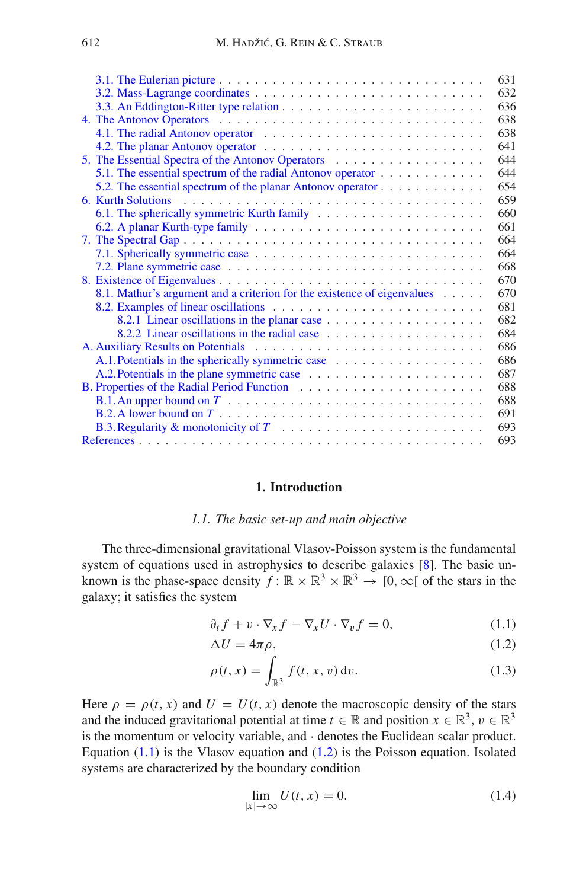| 631                                                                                                |
|----------------------------------------------------------------------------------------------------|
| 632                                                                                                |
| 636                                                                                                |
| 638                                                                                                |
| 638                                                                                                |
| 641                                                                                                |
| 5. The Essential Spectra of the Antonov Operators<br>644                                           |
| 5.1. The essential spectrum of the radial Antonov operator<br>644                                  |
| 654<br>5.2. The essential spectrum of the planar Antonov operator                                  |
| 6. Kurth Solutions<br>659                                                                          |
| 660                                                                                                |
| 661                                                                                                |
| 664                                                                                                |
| 664                                                                                                |
| 668                                                                                                |
| 670                                                                                                |
| 8.1. Mathur's argument and a criterion for the existence of eigenvalues<br>670                     |
| 681                                                                                                |
| 682                                                                                                |
| 8.2.2 Linear oscillations in the radial case<br>684                                                |
| 686                                                                                                |
| 686<br>A.1. Potentials in the spherically symmetric case                                           |
| 687                                                                                                |
| 688                                                                                                |
| 688                                                                                                |
| 691                                                                                                |
| 693<br>B.3. Regularity & monotonicity of $T_1, \ldots, T_n, \ldots, T_n, \ldots, T_n, \ldots, T_n$ |
| 693                                                                                                |

#### **1. Introduction**

## *1.1. The basic set-up and main objective*

<span id="page-1-1"></span><span id="page-1-0"></span>The three-dimensional gravitational Vlasov-Poisson system is the fundamental system of equations used in astrophysics to describe galaxies [\[8](#page-83-0)]. The basic unknown is the phase-space density  $f: \mathbb{R} \times \mathbb{R}^3 \times \mathbb{R}^3 \to [0, \infty]$  of the stars in the galaxy; it satisfies the system

<span id="page-1-2"></span>
$$
\partial_t f + v \cdot \nabla_x f - \nabla_x U \cdot \nabla_v f = 0, \qquad (1.1)
$$

$$
\Delta U = 4\pi \rho, \tag{1.2}
$$

$$
\rho(t,x) = \int_{\mathbb{R}^3} f(t,x,v) \, \mathrm{d}v. \tag{1.3}
$$

Here  $\rho = \rho(t, x)$  and  $U = U(t, x)$  denote the macroscopic density of the stars and the induced gravitational potential at time  $t \in \mathbb{R}$  and position  $x \in \mathbb{R}^3$ ,  $v \in \mathbb{R}^3$ is the momentum or velocity variable, and · denotes the Euclidean scalar product. Equation  $(1.1)$  is the Vlasov equation and  $(1.2)$  is the Poisson equation. Isolated systems are characterized by the boundary condition

<span id="page-1-3"></span>
$$
\lim_{|x| \to \infty} U(t, x) = 0. \tag{1.4}
$$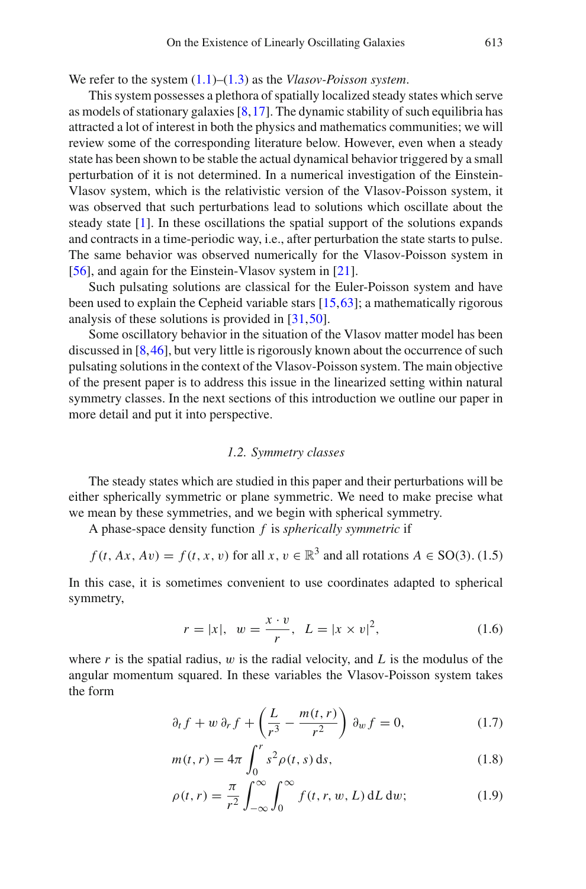## We refer to the system [\(1.1\)](#page-1-2)–[\(1.3\)](#page-1-2) as the *Vlasov-Poisson system*.

This system possesses a plethora of spatially localized steady states which serve as models of stationary galaxies [\[8](#page-83-0)[,17](#page-83-1)]. The dynamic stability of such equilibria has attracted a lot of interest in both the physics and mathematics communities; we will review some of the corresponding literature below. However, even when a steady state has been shown to be stable the actual dynamical behavior triggered by a small perturbation of it is not determined. In a numerical investigation of the Einstein-Vlasov system, which is the relativistic version of the Vlasov-Poisson system, it was observed that such perturbations lead to solutions which oscillate about the steady state [\[1\]](#page-82-2). In these oscillations the spatial support of the solutions expands and contracts in a time-periodic way, i.e., after perturbation the state starts to pulse. The same behavior was observed numerically for the Vlasov-Poisson system in [\[56\]](#page-84-0), and again for the Einstein-Vlasov system in [\[21](#page-83-2)].

Such pulsating solutions are classical for the Euler-Poisson system and have been used to explain the Cepheid variable stars [\[15](#page-83-3),[63\]](#page-85-0); a mathematically rigorous analysis of these solutions is provided in [\[31](#page-83-4)[,50](#page-84-1)].

Some oscillatory behavior in the situation of the Vlasov matter model has been discussed in [\[8,](#page-83-0)[46\]](#page-84-2), but very little is rigorously known about the occurrence of such pulsating solutions in the context of the Vlasov-Poisson system. The main objective of the present paper is to address this issue in the linearized setting within natural symmetry classes. In the next sections of this introduction we outline our paper in more detail and put it into perspective.

#### *1.2. Symmetry classes*

<span id="page-2-0"></span>The steady states which are studied in this paper and their perturbations will be either spherically symmetric or plane symmetric. We need to make precise what we mean by these symmetries, and we begin with spherical symmetry.

A phase-space density function *f* is *spherically symmetric* if

<span id="page-2-3"></span>
$$
f(t, Ax, Av) = f(t, x, v)
$$
 for all  $x, v \in \mathbb{R}^3$  and all rotations  $A \in SO(3)$ . (1.5)

In this case, it is sometimes convenient to use coordinates adapted to spherical symmetry,

<span id="page-2-2"></span>
$$
r = |x|, w = \frac{x \cdot v}{r}, L = |x \times v|^2,
$$
 (1.6)

where  $r$  is the spatial radius,  $w$  is the radial velocity, and  $L$  is the modulus of the angular momentum squared. In these variables the Vlasov-Poisson system takes the form

<span id="page-2-1"></span>
$$
\partial_t f + w \partial_r f + \left(\frac{L}{r^3} - \frac{m(t, r)}{r^2}\right) \partial_w f = 0, \tag{1.7}
$$

$$
m(t, r) = 4\pi \int_0^r s^2 \rho(t, s) \, ds,\tag{1.8}
$$

$$
\rho(t,r) = \frac{\pi}{r^2} \int_{-\infty}^{\infty} \int_0^{\infty} f(t,r,w,L) \, dL \, dw; \tag{1.9}
$$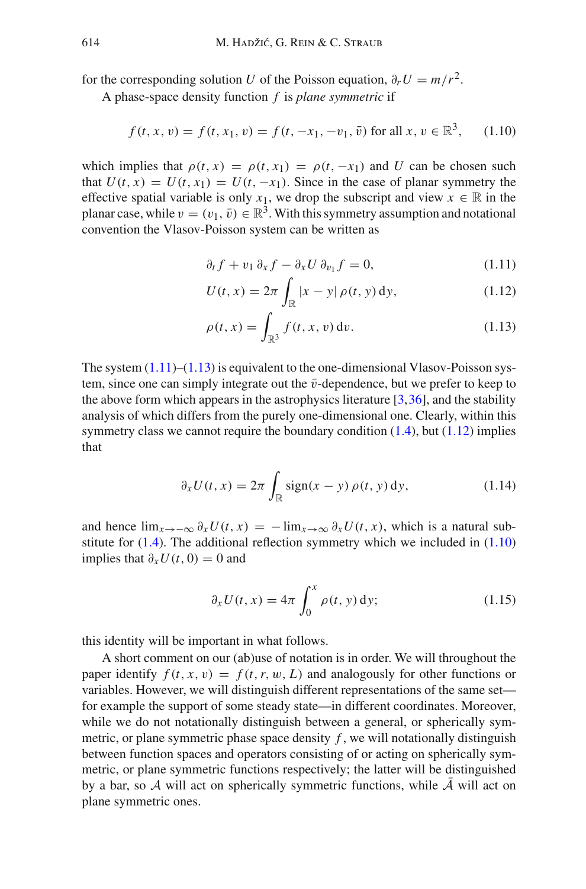for the corresponding solution *U* of the Poisson equation,  $\partial_r U = m/r^2$ .

A phase-space density function *f* is *plane symmetric* if

<span id="page-3-1"></span>
$$
f(t, x, v) = f(t, x_1, v) = f(t, -x_1, -v_1, \bar{v}) \text{ for all } x, v \in \mathbb{R}^3, \qquad (1.10)
$$

which implies that  $\rho(t, x) = \rho(t, x_1) = \rho(t, -x_1)$  and *U* can be chosen such that  $U(t, x) = U(t, x_1) = U(t, -x_1)$ . Since in the case of planar symmetry the effective spatial variable is only  $x_1$ , we drop the subscript and view  $x \in \mathbb{R}$  in the planar case, while  $v = (v_1, \bar{v}) \in \mathbb{R}^3$ . With this symmetry assumption and notational convention the Vlasov-Poisson system can be written as

<span id="page-3-0"></span>
$$
\partial_t f + v_1 \partial_x f - \partial_x U \partial_{v_1} f = 0, \qquad (1.11)
$$

$$
U(t, x) = 2\pi \int_{\mathbb{R}} |x - y| \, \rho(t, y) \, dy,\tag{1.12}
$$

$$
\rho(t,x) = \int_{\mathbb{R}^3} f(t,x,v) \, \mathrm{d}v. \tag{1.13}
$$

The system  $(1.11)$ – $(1.13)$  is equivalent to the one-dimensional Vlasov-Poisson system, since one can simply integrate out the  $\bar{v}$ -dependence, but we prefer to keep to the above form which appears in the astrophysics literature  $[3,36]$  $[3,36]$  $[3,36]$ , and the stability analysis of which differs from the purely one-dimensional one. Clearly, within this symmetry class we cannot require the boundary condition  $(1.4)$ , but  $(1.12)$  implies that

$$
\partial_x U(t, x) = 2\pi \int_{\mathbb{R}} \operatorname{sign}(x - y) \, \rho(t, y) \, \mathrm{d}y,\tag{1.14}
$$

and hence  $\lim_{x\to-\infty} \partial_x U(t, x) = -\lim_{x\to\infty} \partial_x U(t, x)$ , which is a natural substitute for  $(1.4)$ . The additional reflection symmetry which we included in  $(1.10)$ implies that  $\partial_x U(t, 0) = 0$  and

<span id="page-3-2"></span>
$$
\partial_x U(t, x) = 4\pi \int_0^x \rho(t, y) \, dy;
$$
\n(1.15)

this identity will be important in what follows.

A short comment on our (ab)use of notation is in order. We will throughout the paper identify  $f(t, x, v) = f(t, r, w, L)$  and analogously for other functions or variables. However, we will distinguish different representations of the same set for example the support of some steady state—in different coordinates. Moreover, while we do not notationally distinguish between a general, or spherically symmetric, or plane symmetric phase space density *f* , we will notationally distinguish between function spaces and operators consisting of or acting on spherically symmetric, or plane symmetric functions respectively; the latter will be distinguished by a bar, so  $A$  will act on spherically symmetric functions, while  $A$  will act on plane symmetric ones.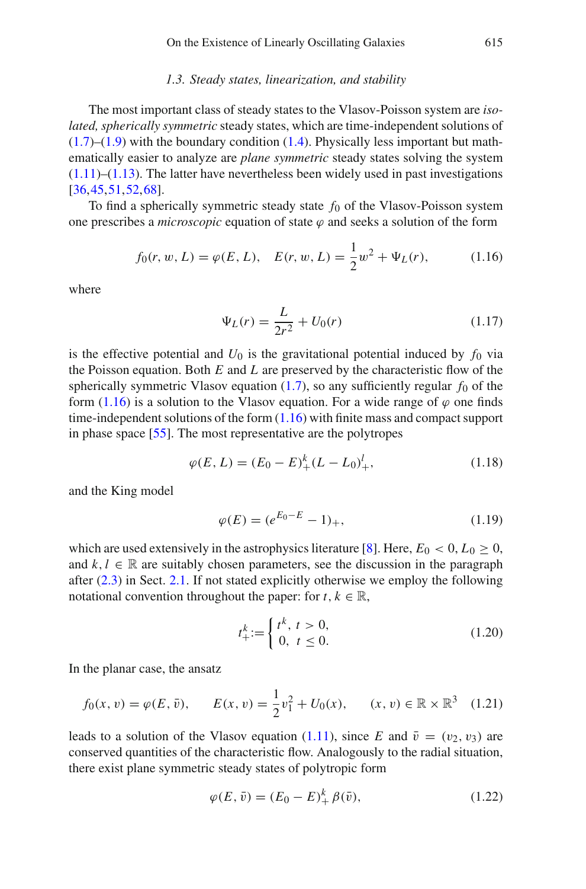#### *1.3. Steady states, linearization, and stability*

<span id="page-4-0"></span>The most important class of steady states to the Vlasov-Poisson system are *isolated, spherically symmetric* steady states, which are time-independent solutions of  $(1.7)$ – $(1.9)$  with the boundary condition  $(1.4)$ . Physically less important but mathematically easier to analyze are *plane symmetric* steady states solving the system  $(1.11)$ – $(1.13)$ . The latter have nevertheless been widely used in past investigations [\[36](#page-84-3)[,45](#page-84-4)[,51](#page-84-5),[52,](#page-84-6)[68\]](#page-85-1).

To find a spherically symmetric steady state  $f_0$  of the Vlasov-Poisson system one prescribes a *microscopic* equation of state  $\varphi$  and seeks a solution of the form

<span id="page-4-1"></span>
$$
f_0(r, w, L) = \varphi(E, L), \quad E(r, w, L) = \frac{1}{2}w^2 + \Psi_L(r), \quad (1.16)
$$

where

<span id="page-4-3"></span>
$$
\Psi_L(r) = \frac{L}{2r^2} + U_0(r) \tag{1.17}
$$

is the effective potential and  $U_0$  is the gravitational potential induced by  $f_0$  via the Poisson equation. Both *E* and *L* are preserved by the characteristic flow of the spherically symmetric Vlasov equation  $(1.7)$ , so any sufficiently regular  $f_0$  of the form [\(1.16\)](#page-4-1) is a solution to the Vlasov equation. For a wide range of  $\varphi$  one finds time-independent solutions of the form [\(1.16\)](#page-4-1) with finite mass and compact support in phase space [\[55\]](#page-84-7). The most representative are the polytropes

$$
\varphi(E, L) = (E_0 - E)^k_+(L - L_0)^l_+, \tag{1.18}
$$

and the King model

$$
\varphi(E) = (e^{E_0 - E} - 1)_+, \tag{1.19}
$$

which are used extensively in the astrophysics literature [\[8\]](#page-83-0). Here,  $E_0 < 0, L_0 \ge 0$ , and  $k, l \in \mathbb{R}$  are suitably chosen parameters, see the discussion in the paragraph after [\(2.3\)](#page-11-2) in Sect. [2.1.](#page-11-1) If not stated explicitly otherwise we employ the following notational convention throughout the paper: for  $t, k \in \mathbb{R}$ ,

<span id="page-4-4"></span>
$$
t^k_+ := \begin{cases} t^k, & t > 0, \\ 0, & t \le 0. \end{cases}
$$
 (1.20)

In the planar case, the ansatz

$$
f_0(x, v) = \varphi(E, \bar{v}), \qquad E(x, v) = \frac{1}{2}v_1^2 + U_0(x), \qquad (x, v) \in \mathbb{R} \times \mathbb{R}^3 \quad (1.21)
$$

leads to a solution of the Vlasov equation [\(1.11\)](#page-3-0), since *E* and  $\bar{v} = (v_2, v_3)$  are conserved quantities of the characteristic flow. Analogously to the radial situation, there exist plane symmetric steady states of polytropic form

<span id="page-4-2"></span>
$$
\varphi(E,\bar{v}) = (E_0 - E)^k_+ \beta(\bar{v}), \qquad (1.22)
$$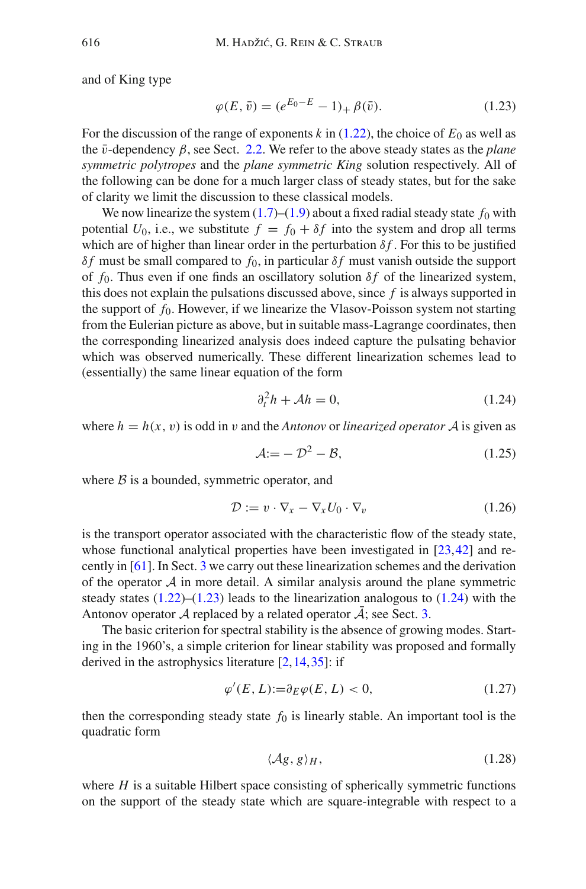and of King type

<span id="page-5-0"></span>
$$
\varphi(E,\bar{v}) = (e^{E_0 - E} - 1)_+ \beta(\bar{v}). \tag{1.23}
$$

For the discussion of the range of exponents  $k$  in [\(1.22\)](#page-4-2), the choice of  $E_0$  as well as the  $\bar{v}$ -dependency  $\beta$ , see Sect. [2.2.](#page-14-0) We refer to the above steady states as the *plane symmetric polytropes* and the *plane symmetric King* solution respectively. All of the following can be done for a much larger class of steady states, but for the sake of clarity we limit the discussion to these classical models.

We now linearize the system  $(1.7)$ – $(1.9)$  about a fixed radial steady state  $f_0$  with potential  $U_0$ , i.e., we substitute  $f = f_0 + \delta f$  into the system and drop all terms which are of higher than linear order in the perturbation  $\delta f$ . For this to be justified δ*f* must be small compared to  $f_0$ , in particular δ*f* must vanish outside the support of  $f_0$ . Thus even if one finds an oscillatory solution  $\delta f$  of the linearized system, this does not explain the pulsations discussed above, since *f* is always supported in the support of  $f_0$ . However, if we linearize the Vlasov-Poisson system not starting from the Eulerian picture as above, but in suitable mass-Lagrange coordinates, then the corresponding linearized analysis does indeed capture the pulsating behavior which was observed numerically. These different linearization schemes lead to (essentially) the same linear equation of the form

<span id="page-5-1"></span>
$$
\partial_t^2 h + \mathcal{A}h = 0,\tag{1.24}
$$

where  $h = h(x, y)$  is odd in v and the *Antonov* or *linearized operator* A is given as

<span id="page-5-5"></span><span id="page-5-4"></span>
$$
\mathcal{A} := -\mathcal{D}^2 - \mathcal{B},\tag{1.25}
$$

where  $\beta$  is a bounded, symmetric operator, and

$$
\mathcal{D} := v \cdot \nabla_x - \nabla_x U_0 \cdot \nabla_v \tag{1.26}
$$

is the transport operator associated with the characteristic flow of the steady state, whose functional analytical properties have been investigated in [\[23,](#page-83-5)[42\]](#page-84-8) and recently in [\[61\]](#page-85-2). In Sect. [3](#page-20-0) we carry out these linearization schemes and the derivation of the operator  $A$  in more detail. A similar analysis around the plane symmetric steady states  $(1.22)$ – $(1.23)$  leads to the linearization analogous to  $(1.24)$  with the Antonov operator  $\mathcal A$  replaced by a related operator  $\overline{\mathcal A}$ ; see Sect. [3.](#page-20-0)

The basic criterion for spectral stability is the absence of growing modes. Starting in the 1960's, a simple criterion for linear stability was proposed and formally derived in the astrophysics literature  $[2,14,35]$  $[2,14,35]$  $[2,14,35]$  $[2,14,35]$ : if

$$
\varphi'(E, L) := \partial_E \varphi(E, L) < 0,\tag{1.27}
$$

then the corresponding steady state  $f_0$  is linearly stable. An important tool is the quadratic form

<span id="page-5-3"></span><span id="page-5-2"></span>
$$
\langle \mathcal{A}\mathfrak{g}, \mathfrak{g} \rangle_H,\tag{1.28}
$$

where *H* is a suitable Hilbert space consisting of spherically symmetric functions on the support of the steady state which are square-integrable with respect to a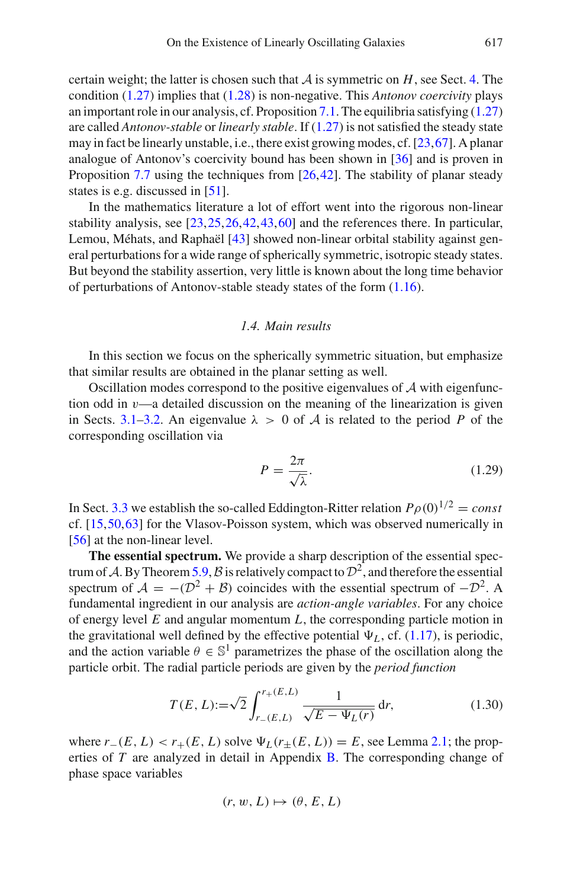certain weight; the latter is chosen such that  $A$  is symmetric on  $H$ , see Sect. [4.](#page-27-0) The condition [\(1.27\)](#page-5-2) implies that [\(1.28\)](#page-5-3) is non-negative. This *Antonov coercivity* plays an important role in our analysis, cf. Proposition [7.1.](#page-53-2) The equilibria satisfying  $(1.27)$ are called *Antonov-stable* or *linearly stable*. If [\(1.27\)](#page-5-2) is not satisfied the steady state may in fact be linearly unstable, i.e., there exist growing modes, cf. [\[23](#page-83-5)[,67](#page-85-3)]. A planar analogue of Antonov's coercivity bound has been shown in [\[36](#page-84-3)] and is proven in Proposition [7.7](#page-57-1) using the techniques from [\[26](#page-83-7)[,42](#page-84-8)]. The stability of planar steady states is e.g. discussed in [\[51](#page-84-5)].

In the mathematics literature a lot of effort went into the rigorous non-linear stability analysis, see [\[23,](#page-83-5)[25](#page-83-8)[,26](#page-83-7)[,42](#page-84-8),[43,](#page-84-10)[60\]](#page-84-11) and the references there. In particular, Lemou, Méhats, and Raphaël [\[43](#page-84-10)] showed non-linear orbital stability against general perturbations for a wide range of spherically symmetric, isotropic steady states. But beyond the stability assertion, very little is known about the long time behavior of perturbations of Antonov-stable steady states of the form [\(1.16\)](#page-4-1).

## *1.4. Main results*

<span id="page-6-0"></span>In this section we focus on the spherically symmetric situation, but emphasize that similar results are obtained in the planar setting as well.

Oscillation modes correspond to the positive eigenvalues of *A* with eigenfunction odd in  $\nu$ —a detailed discussion on the meaning of the linearization is given in Sects. [3.1–](#page-20-1)[3.2.](#page-21-0) An eigenvalue  $\lambda > 0$  of A is related to the period P of the corresponding oscillation via

$$
P = \frac{2\pi}{\sqrt{\lambda}}.\tag{1.29}
$$

In Sect. [3.3](#page-25-0) we establish the so-called Eddington-Ritter relation  $P_{\rho}(0)^{1/2} = const$ cf. [\[15,](#page-83-3)[50](#page-84-1)[,63](#page-85-0)] for the Vlasov-Poisson system, which was observed numerically in [\[56\]](#page-84-0) at the non-linear level.

**The essential spectrum.** We provide a sharp description of the essential spec-trum of A. By Theorem [5.9,](#page-41-0)  $\beta$  is relatively compact to  $\mathcal{D}^2$ , and therefore the essential spectrum of  $A = -(\mathcal{D}^2 + \mathcal{B})$  coincides with the essential spectrum of  $-\mathcal{D}^2$ . A fundamental ingredient in our analysis are *action-angle variables*. For any choice of energy level *E* and angular momentum *L*, the corresponding particle motion in the gravitational well defined by the effective potential  $\Psi_L$ , cf. [\(1.17\)](#page-4-3), is periodic, and the action variable  $\theta \in \mathbb{S}^1$  parametrizes the phase of the oscillation along the particle orbit. The radial particle periods are given by the *period function*

$$
T(E, L) := \sqrt{2} \int_{r_{-}(E, L)}^{r_{+}(E, L)} \frac{1}{\sqrt{E - \Psi_L(r)}} dr,
$$
\n(1.30)

where  $r_-(E, L) < r_+(E, L)$  solve  $\Psi_L(r_+(E, L)) = E$ , see Lemma [2.1;](#page-13-0) the properties of *T* are analyzed in detail in Appendix [B.](#page-11-0) The corresponding change of phase space variables

$$
(r, w, L) \mapsto (\theta, E, L)
$$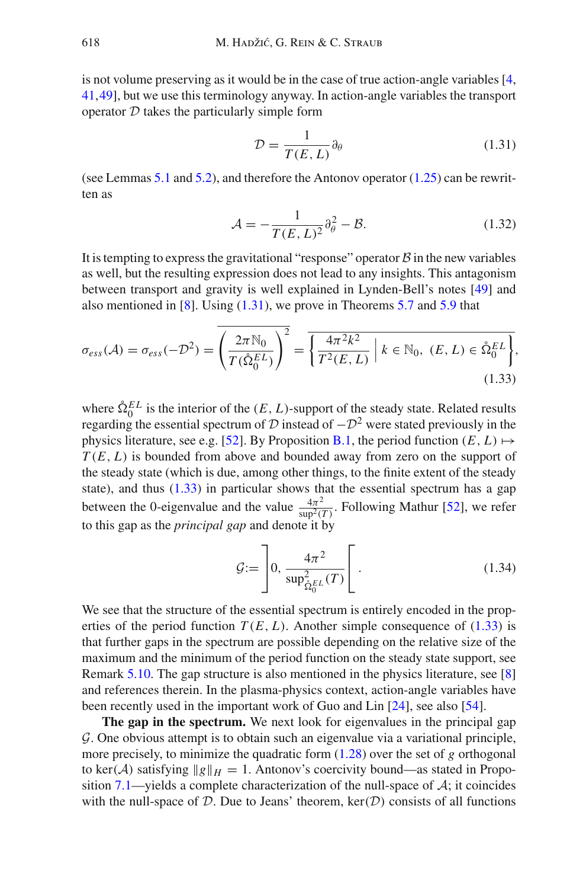is not volume preserving as it would be in the case of true action-angle variables [\[4,](#page-82-5) [41](#page-84-12),[49\]](#page-84-13), but we use this terminology anyway. In action-angle variables the transport operator *D* takes the particularly simple form

<span id="page-7-0"></span>
$$
\mathcal{D} = \frac{1}{T(E, L)} \partial_{\theta} \tag{1.31}
$$

(see Lemmas [5.1](#page-34-0) and [5.2\)](#page-34-1), and therefore the Antonov operator [\(1.25\)](#page-5-4) can be rewritten as

<span id="page-7-1"></span>
$$
\mathcal{A} = -\frac{1}{T(E, L)^2} \partial_{\theta}^2 - \mathcal{B}.\tag{1.32}
$$

It is tempting to express the gravitational "response" operator  $\beta$  in the new variables as well, but the resulting expression does not lead to any insights. This antagonism between transport and gravity is well explained in Lynden-Bell's notes [\[49](#page-84-13)] and also mentioned in [\[8](#page-83-0)]. Using  $(1.31)$ , we prove in Theorems [5.7](#page-38-0) and [5.9](#page-41-0) that

$$
\sigma_{ess}(\mathcal{A}) = \sigma_{ess}(-\mathcal{D}^2) = \left(\frac{2\pi \mathbb{N}_0}{T(\mathring{\Omega}_0^{EL})}\right)^2 = \overline{\left\{\frac{4\pi^2 k^2}{T^2(E, L)} \middle| k \in \mathbb{N}_0, (E, L) \in \mathring{\Omega}_0^{EL}\right\}},\tag{1.33}
$$

where  $\hat{\Omega}_0^{EL}$  is the interior of the  $(E, L)$ -support of the steady state. Related results regarding the essential spectrum of  $\overline{D}$  instead of  $-\overline{D}^2$  were stated previously in the physics literature, see e.g. [\[52](#page-84-6)]. By Proposition [B.1,](#page-77-0) the period function  $(E, L) \mapsto$ *T* (*E*, *L*) is bounded from above and bounded away from zero on the support of the steady state (which is due, among other things, to the finite extent of the steady state), and thus  $(1.33)$  in particular shows that the essential spectrum has a gap between the 0-eigenvalue and the value  $\frac{4\pi^2}{\text{sup}^2(T)}$ . Following Mathur [\[52](#page-84-6)], we refer to this gap as the *principal gap* and denote it by

$$
\mathcal{G} := \left[ 0, \frac{4\pi^2}{\sup_{\hat{\Omega}_0^{KL}}^2(T)} \right[ . \tag{1.34}
$$

We see that the structure of the essential spectrum is entirely encoded in the properties of the period function  $T(E, L)$ . Another simple consequence of [\(1.33\)](#page-7-1) is that further gaps in the spectrum are possible depending on the relative size of the maximum and the minimum of the period function on the steady state support, see Remark [5.10.](#page-42-0) The gap structure is also mentioned in the physics literature, see [\[8\]](#page-83-0) and references therein. In the plasma-physics context, action-angle variables have been recently used in the important work of Guo and Lin [\[24](#page-83-9)], see also [\[54](#page-84-14)].

**The gap in the spectrum.** We next look for eigenvalues in the principal gap *G*. One obvious attempt is to obtain such an eigenvalue via a variational principle, more precisely, to minimize the quadratic form [\(1.28\)](#page-5-3) over the set of *g* orthogonal to ker(*A*) satisfying  $\|g\|_H = 1$ . Antonov's coercivity bound—as stated in Propo-sition [7.1—](#page-53-2)yields a complete characterization of the null-space of  $A$ ; it coincides with the null-space of  $D$ . Due to Jeans' theorem,  $\text{ker}(D)$  consists of all functions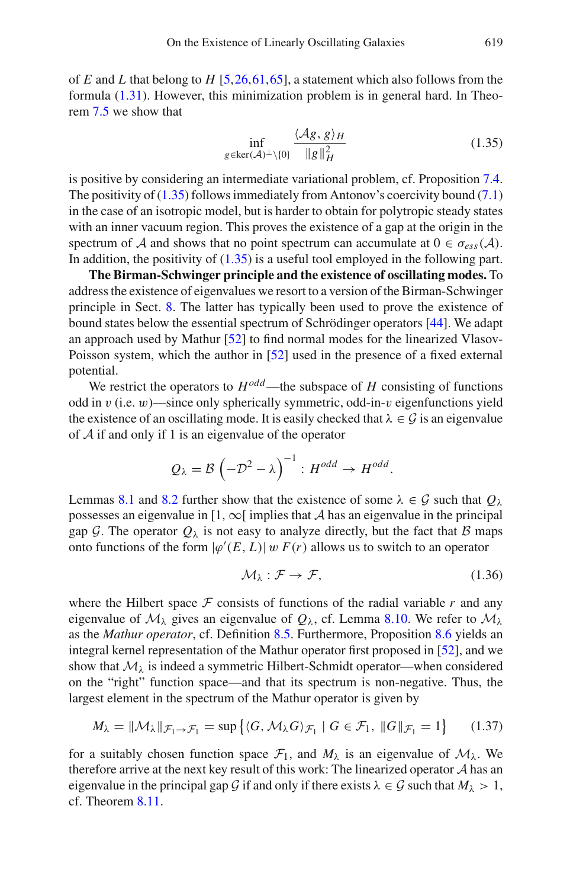of *E* and *L* that belong to *H* [\[5](#page-82-6)[,26](#page-83-7)[,61](#page-85-2),[65\]](#page-85-4), a statement which also follows from the formula [\(1.31\)](#page-7-0). However, this minimization problem is in general hard. In Theorem [7.5](#page-56-0) we show that

<span id="page-8-0"></span>
$$
\inf_{g \in \ker(\mathcal{A})^{\perp} \setminus \{0\}} \frac{\langle \mathcal{A}g, g \rangle_H}{\|g\|_H^2}
$$
(1.35)

is positive by considering an intermediate variational problem, cf. Proposition [7.4.](#page-54-0) The positivity of [\(1.35\)](#page-8-0) follows immediately from Antonov's coercivity bound [\(7.1\)](#page-53-3) in the case of an isotropic model, but is harder to obtain for polytropic steady states with an inner vacuum region. This proves the existence of a gap at the origin in the spectrum of *A* and shows that no point spectrum can accumulate at  $0 \in \sigma_{ess}(A)$ . In addition, the positivity of [\(1.35\)](#page-8-0) is a useful tool employed in the following part.

**The Birman-Schwinger principle and the existence of oscillating modes.** To address the existence of eigenvalues we resort to a version of the Birman-Schwinger principle in Sect. [8.](#page-59-0) The latter has typically been used to prove the existence of bound states below the essential spectrum of Schrödinger operators [\[44\]](#page-84-15). We adapt an approach used by Mathur [\[52](#page-84-6)] to find normal modes for the linearized Vlasov-Poisson system, which the author in [\[52](#page-84-6)] used in the presence of a fixed external potential.

We restrict the operators to  $H^{odd}$ —the subspace of *H* consisting of functions odd in v (i.e.  $w$ )—since only spherically symmetric, odd-in-v eigenfunctions yield the existence of an oscillating mode. It is easily checked that  $\lambda \in \mathcal{G}$  is an eigenvalue of *A* if and only if 1 is an eigenvalue of the operator

$$
Q_{\lambda} = \mathcal{B} \left( -\mathcal{D}^2 - \lambda \right)^{-1} : H^{odd} \to H^{odd}.
$$

Lemmas [8.1](#page-60-0) and [8.2](#page-60-1) further show that the existence of some  $\lambda \in \mathcal{G}$  such that  $Q_{\lambda}$ possesses an eigenvalue in  $[1, \infty)$  implies that *A* has an eigenvalue in the principal gap *G*. The operator  $Q_{\lambda}$  is not easy to analyze directly, but the fact that *B* maps onto functions of the form  $|\varphi'(E, L)|$  w  $F(r)$  allows us to switch to an operator

$$
\mathcal{M}_{\lambda} : \mathcal{F} \to \mathcal{F}, \tag{1.36}
$$

where the Hilbert space  $F$  consists of functions of the radial variable  $r$  and any eigenvalue of  $M_{\lambda}$  gives an eigenvalue of  $Q_{\lambda}$ , cf. Lemma [8.10.](#page-68-0) We refer to  $M_{\lambda}$ as the *Mathur operator*, cf. Definition [8.5.](#page-62-0) Furthermore, Proposition [8.6](#page-62-1) yields an integral kernel representation of the Mathur operator first proposed in [\[52](#page-84-6)], and we show that  $\mathcal{M}_{\lambda}$  is indeed a symmetric Hilbert-Schmidt operator—when considered on the "right" function space—and that its spectrum is non-negative. Thus, the largest element in the spectrum of the Mathur operator is given by

$$
M_{\lambda} = \|\mathcal{M}_{\lambda}\|_{\mathcal{F}_{1}\to\mathcal{F}_{1}} = \sup\left\{ \langle G, \mathcal{M}_{\lambda}G \rangle_{\mathcal{F}_{1}} \mid G \in \mathcal{F}_{1}, \|G\|_{\mathcal{F}_{1}} = 1 \right\} \tag{1.37}
$$

for a suitably chosen function space  $\mathcal{F}_1$ , and  $M_\lambda$  is an eigenvalue of  $\mathcal{M}_\lambda$ . We therefore arrive at the next key result of this work: The linearized operator *A* has an eigenvalue in the principal gap *G* if and only if there exists  $\lambda \in G$  such that  $M_{\lambda} > 1$ , cf. Theorem [8.11.](#page-69-0)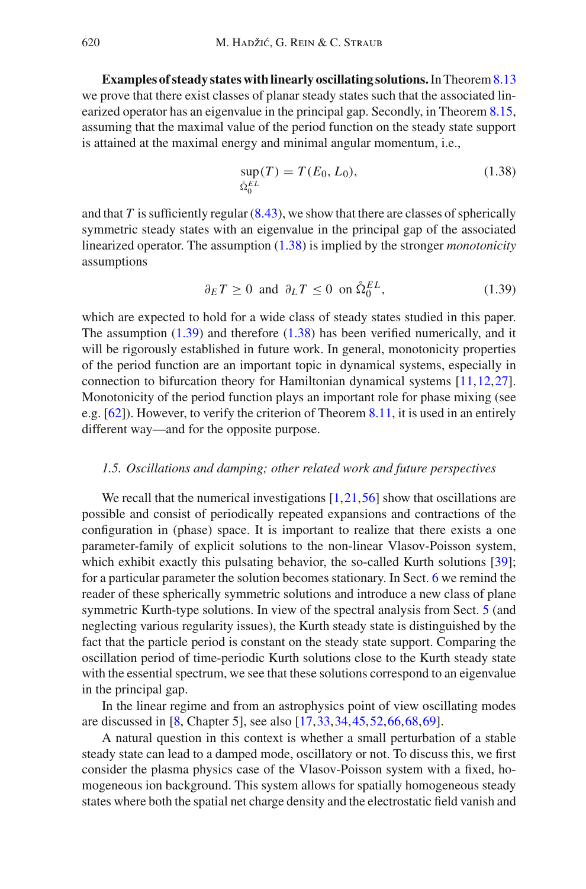**Examples of steady states with linearly oscillating solutions.** In Theorem [8.13](#page-71-1) we prove that there exist classes of planar steady states such that the associated linearized operator has an eigenvalue in the principal gap. Secondly, in Theorem [8.15,](#page-73-1) assuming that the maximal value of the period function on the steady state support is attained at the maximal energy and minimal angular momentum, i.e.,

<span id="page-9-1"></span>
$$
\sup_{\hat{\Omega}_0^{EL}}(T) = T(E_0, L_0),\tag{1.38}
$$

and that  $T$  is sufficiently regular  $(8.43)$ , we show that there are classes of spherically symmetric steady states with an eigenvalue in the principal gap of the associated linearized operator. The assumption [\(1.38\)](#page-9-1) is implied by the stronger *monotonicity* assumptions

<span id="page-9-2"></span>
$$
\partial_E T \ge 0 \text{ and } \partial_L T \le 0 \text{ on } \mathring{\Omega}_0^{EL}, \tag{1.39}
$$

which are expected to hold for a wide class of steady states studied in this paper. The assumption [\(1.39\)](#page-9-2) and therefore [\(1.38\)](#page-9-1) has been verified numerically, and it will be rigorously established in future work. In general, monotonicity properties of the period function are an important topic in dynamical systems, especially in connection to bifurcation theory for Hamiltonian dynamical systems [\[11](#page-83-10)[,12](#page-83-11)[,27](#page-83-12)]. Monotonicity of the period function plays an important role for phase mixing (see e.g. [\[62](#page-85-5)]). However, to verify the criterion of Theorem [8.11,](#page-69-0) it is used in an entirely different way—and for the opposite purpose.

## <span id="page-9-0"></span>*1.5. Oscillations and damping; other related work and future perspectives*

We recall that the numerical investigations  $[1,21,56]$  $[1,21,56]$  $[1,21,56]$  $[1,21,56]$  show that oscillations are possible and consist of periodically repeated expansions and contractions of the configuration in (phase) space. It is important to realize that there exists a one parameter-family of explicit solutions to the non-linear Vlasov-Poisson system, which exhibit exactly this pulsating behavior, the so-called Kurth solutions [\[39](#page-84-16)]; for a particular parameter the solution becomes stationary. In Sect. [6](#page-48-0) we remind the reader of these spherically symmetric solutions and introduce a new class of plane symmetric Kurth-type solutions. In view of the spectral analysis from Sect. [5](#page-33-0) (and neglecting various regularity issues), the Kurth steady state is distinguished by the fact that the particle period is constant on the steady state support. Comparing the oscillation period of time-periodic Kurth solutions close to the Kurth steady state with the essential spectrum, we see that these solutions correspond to an eigenvalue in the principal gap.

In the linear regime and from an astrophysics point of view oscillating modes are discussed in [\[8](#page-83-0), Chapter 5], see also [\[17,](#page-83-1)[33](#page-83-13)[,34](#page-83-14)[,45](#page-84-4),[52,](#page-84-6)[66](#page-85-6)[,68](#page-85-1)[,69](#page-85-7)].

A natural question in this context is whether a small perturbation of a stable steady state can lead to a damped mode, oscillatory or not. To discuss this, we first consider the plasma physics case of the Vlasov-Poisson system with a fixed, homogeneous ion background. This system allows for spatially homogeneous steady states where both the spatial net charge density and the electrostatic field vanish and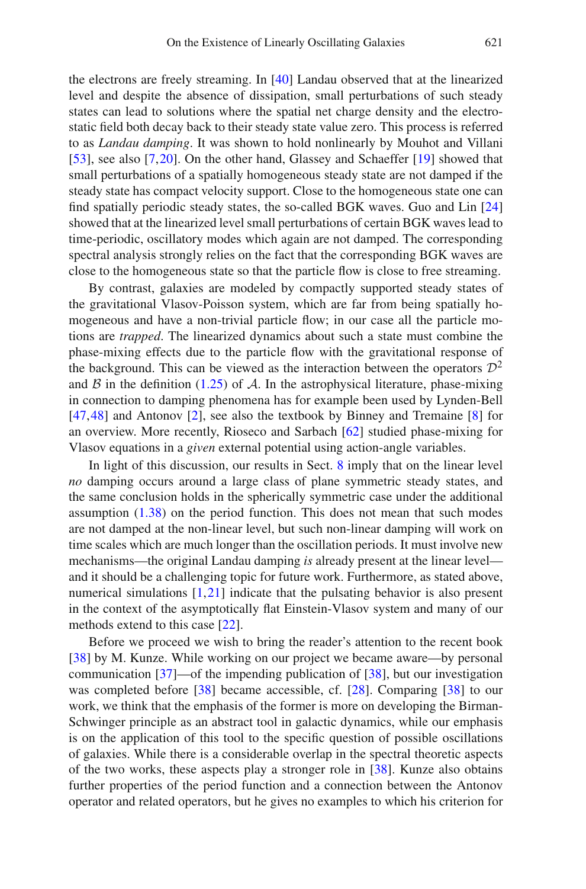the electrons are freely streaming. In [\[40\]](#page-84-17) Landau observed that at the linearized level and despite the absence of dissipation, small perturbations of such steady states can lead to solutions where the spatial net charge density and the electrostatic field both decay back to their steady state value zero. This process is referred to as *Landau damping*. It was shown to hold nonlinearly by Mouhot and Villani [\[53\]](#page-84-18), see also [\[7,](#page-82-7)[20\]](#page-83-15). On the other hand, Glassey and Schaeffer [\[19\]](#page-83-16) showed that small perturbations of a spatially homogeneous steady state are not damped if the steady state has compact velocity support. Close to the homogeneous state one can find spatially periodic steady states, the so-called BGK waves. Guo and Lin [\[24](#page-83-9)] showed that at the linearized level small perturbations of certain BGK waves lead to time-periodic, oscillatory modes which again are not damped. The corresponding spectral analysis strongly relies on the fact that the corresponding BGK waves are close to the homogeneous state so that the particle flow is close to free streaming.

By contrast, galaxies are modeled by compactly supported steady states of the gravitational Vlasov-Poisson system, which are far from being spatially homogeneous and have a non-trivial particle flow; in our case all the particle motions are *trapped*. The linearized dynamics about such a state must combine the phase-mixing effects due to the particle flow with the gravitational response of the background. This can be viewed as the interaction between the operators  $\mathcal{D}^2$ and  $\beta$  in the definition [\(1.25\)](#page-5-4) of  $\lambda$ . In the astrophysical literature, phase-mixing in connection to damping phenomena has for example been used by Lynden-Bell [\[47](#page-84-19)[,48](#page-84-20)] and Antonov [\[2\]](#page-82-4), see also the textbook by Binney and Tremaine [\[8](#page-83-0)] for an overview. More recently, Rioseco and Sarbach [\[62\]](#page-85-5) studied phase-mixing for Vlasov equations in a *given* external potential using action-angle variables.

In light of this discussion, our results in Sect. [8](#page-59-0) imply that on the linear level *no* damping occurs around a large class of plane symmetric steady states, and the same conclusion holds in the spherically symmetric case under the additional assumption  $(1.38)$  on the period function. This does not mean that such modes are not damped at the non-linear level, but such non-linear damping will work on time scales which are much longer than the oscillation periods. It must involve new mechanisms—the original Landau damping *is* already present at the linear level and it should be a challenging topic for future work. Furthermore, as stated above, numerical simulations [\[1](#page-82-2),[21\]](#page-83-2) indicate that the pulsating behavior is also present in the context of the asymptotically flat Einstein-Vlasov system and many of our methods extend to this case [\[22\]](#page-83-17).

Before we proceed we wish to bring the reader's attention to the recent book [\[38\]](#page-84-21) by M. Kunze. While working on our project we became aware—by personal communication [\[37\]](#page-84-22)—of the impending publication of [\[38](#page-84-21)], but our investigation was completed before [\[38\]](#page-84-21) became accessible, cf. [\[28\]](#page-83-18). Comparing [\[38](#page-84-21)] to our work, we think that the emphasis of the former is more on developing the Birman-Schwinger principle as an abstract tool in galactic dynamics, while our emphasis is on the application of this tool to the specific question of possible oscillations of galaxies. While there is a considerable overlap in the spectral theoretic aspects of the two works, these aspects play a stronger role in [\[38\]](#page-84-21). Kunze also obtains further properties of the period function and a connection between the Antonov operator and related operators, but he gives no examples to which his criterion for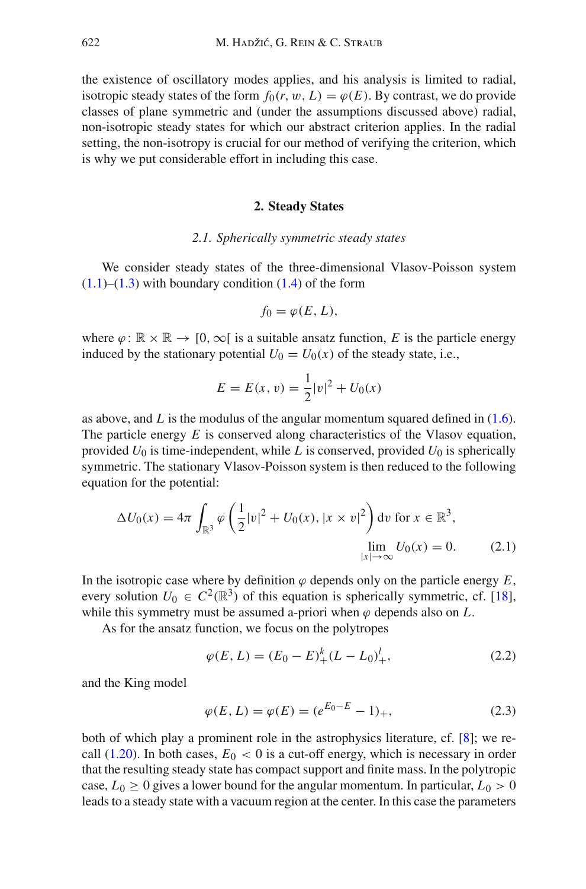the existence of oscillatory modes applies, and his analysis is limited to radial, isotropic steady states of the form  $f_0(r, w, L) = \varphi(E)$ . By contrast, we do provide classes of plane symmetric and (under the assumptions discussed above) radial, non-isotropic steady states for which our abstract criterion applies. In the radial setting, the non-isotropy is crucial for our method of verifying the criterion, which is why we put considerable effort in including this case.

#### **2. Steady States**

#### *2.1. Spherically symmetric steady states*

<span id="page-11-1"></span><span id="page-11-0"></span>We consider steady states of the three-dimensional Vlasov-Poisson system  $(1.1)$ – $(1.3)$  with boundary condition  $(1.4)$  of the form

$$
f_0=\varphi(E,L),
$$

where  $\varphi: \mathbb{R} \times \mathbb{R} \to [0, \infty)$  is a suitable ansatz function, E is the particle energy induced by the stationary potential  $U_0 = U_0(x)$  of the steady state, i.e.,

$$
E = E(x, v) = \frac{1}{2}|v|^2 + U_0(x)
$$

as above, and *L* is the modulus of the angular momentum squared defined in [\(1.6\)](#page-2-2). The particle energy *E* is conserved along characteristics of the Vlasov equation, provided  $U_0$  is time-independent, while  $L$  is conserved, provided  $U_0$  is spherically symmetric. The stationary Vlasov-Poisson system is then reduced to the following equation for the potential:

$$
\Delta U_0(x) = 4\pi \int_{\mathbb{R}^3} \varphi \left( \frac{1}{2} |v|^2 + U_0(x), |x \times v|^2 \right) dv \text{ for } x \in \mathbb{R}^3,
$$
  

$$
\lim_{|x| \to \infty} U_0(x) = 0.
$$
 (2.1)

In the isotropic case where by definition  $\varphi$  depends only on the particle energy  $E$ , every solution  $U_0 \in C^2(\mathbb{R}^3)$  of this equation is spherically symmetric, cf. [\[18](#page-83-19)], while this symmetry must be assumed a-priori when  $\varphi$  depends also on  $L$ .

As for the ansatz function, we focus on the polytropes

<span id="page-11-4"></span><span id="page-11-3"></span>
$$
\varphi(E, L) = (E_0 - E)^k_+(L - L_0)^l_+, \tag{2.2}
$$

and the King model

<span id="page-11-2"></span>
$$
\varphi(E, L) = \varphi(E) = (e^{E_0 - E} - 1)_+, \tag{2.3}
$$

both of which play a prominent role in the astrophysics literature, cf. [\[8](#page-83-0)]; we recall  $(1.20)$ . In both cases,  $E_0 < 0$  is a cut-off energy, which is necessary in order that the resulting steady state has compact support and finite mass. In the polytropic case,  $L_0 \ge 0$  gives a lower bound for the angular momentum. In particular,  $L_0 > 0$ leads to a steady state with a vacuum region at the center. In this case the parameters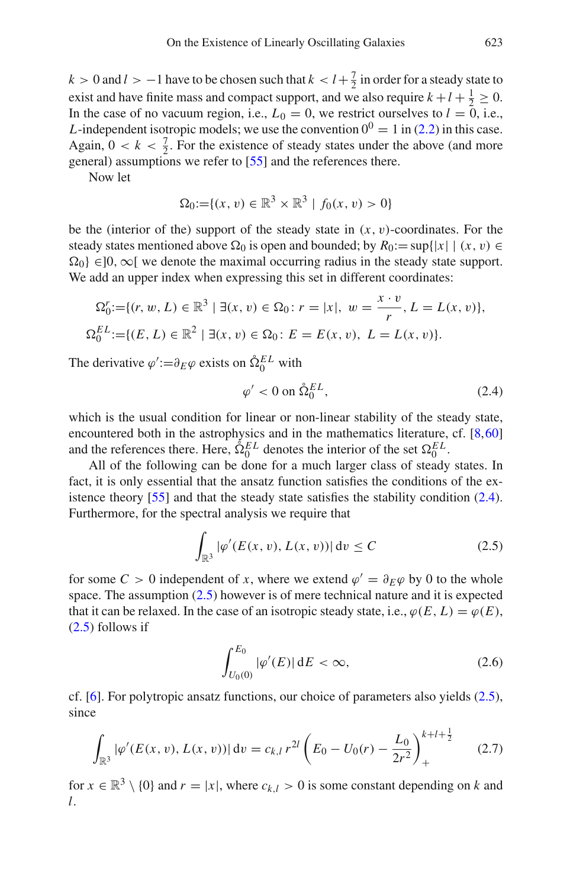$k > 0$  and  $l > -1$  have to be chosen such that  $k < l + \frac{7}{2}$  in order for a steady state to exist and have finite mass and compact support, and we also require  $k + l + \frac{1}{2} \ge 0$ . In the case of no vacuum region, i.e.,  $L_0 = 0$ , we restrict ourselves to  $l = 0$ , i.e., *L*-independent isotropic models; we use the convention  $0^0 = 1$  in [\(2.2\)](#page-11-3) in this case. Again,  $0 < k < \frac{7}{2}$ . For the existence of steady states under the above (and more general) assumptions we refer to [\[55](#page-84-7)] and the references there.

Now let

$$
\Omega_0 := \{(x, v) \in \mathbb{R}^3 \times \mathbb{R}^3 \mid f_0(x, v) > 0\}
$$

be the (interior of the) support of the steady state in  $(x, v)$ -coordinates. For the steady states mentioned above  $\Omega_0$  is open and bounded; by  $R_0 := \sup\{|x| \mid (x, v) \in$  $\Omega_0$ } ∈]0,  $\infty$ [ we denote the maximal occurring radius in the steady state support. We add an upper index when expressing this set in different coordinates:

$$
\Omega_0^r := \{ (r, w, L) \in \mathbb{R}^3 \mid \exists (x, v) \in \Omega_0 : r = |x|, w = \frac{x \cdot v}{r}, L = L(x, v) \},\
$$
  

$$
\Omega_0^{EL} := \{ (E, L) \in \mathbb{R}^2 \mid \exists (x, v) \in \Omega_0 : E = E(x, v), L = L(x, v) \}.
$$

The derivative  $\varphi' := \partial_E \varphi$  exists on  $\hat{\Omega}_0^{EL}$  with

<span id="page-12-0"></span>
$$
\varphi' < 0 \text{ on } \mathring{\Omega}_0^{EL},\tag{2.4}
$$

which is the usual condition for linear or non-linear stability of the steady state, encountered both in the astrophysics and in the mathematics literature, cf. [\[8](#page-83-0)[,60](#page-84-11)] and the references there. Here,  $\hat{\Omega}_0^{EL}$  denotes the interior of the set  $\Omega_0^{EL}$ .

All of the following can be done for a much larger class of steady states. In fact, it is only essential that the ansatz function satisfies the conditions of the existence theory  $[55]$  and that the steady state satisfies the stability condition [\(2.4\)](#page-12-0). Furthermore, for the spectral analysis we require that

$$
\int_{\mathbb{R}^3} |\varphi'(E(x, v), L(x, v))| \, dv \le C \tag{2.5}
$$

for some  $C > 0$  independent of x, where we extend  $\varphi' = \partial_F \varphi$  by 0 to the whole space. The assumption [\(2.5\)](#page-12-1) however is of mere technical nature and it is expected that it can be relaxed. In the case of an isotropic steady state, i.e.,  $\varphi(E, L) = \varphi(E)$ ,  $(2.5)$  follows if

<span id="page-12-1"></span>
$$
\int_{U_0(0)}^{E_0} |\varphi'(E)| \, dE < \infty,\tag{2.6}
$$

cf. [\[6\]](#page-82-8). For polytropic ansatz functions, our choice of parameters also yields [\(2.5\)](#page-12-1), since

$$
\int_{\mathbb{R}^3} |\varphi'(E(x,v), L(x,v))| \, dv = c_{k,l} r^{2l} \left( E_0 - U_0(r) - \frac{L_0}{2r^2} \right)_+^{k+l+\frac{1}{2}} \tag{2.7}
$$

for  $x \in \mathbb{R}^3 \setminus \{0\}$  and  $r = |x|$ , where  $c_{k,l} > 0$  is some constant depending on k and *l*.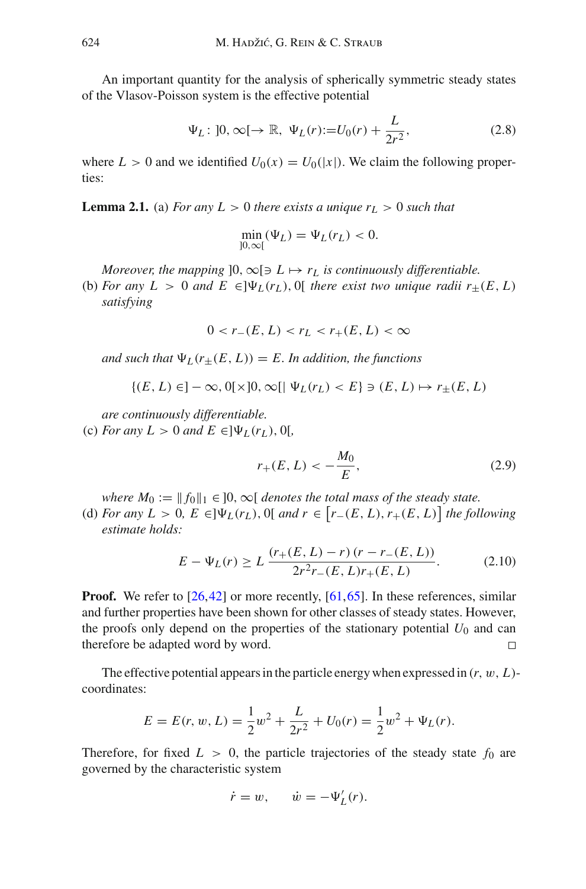An important quantity for the analysis of spherically symmetric steady states of the Vlasov-Poisson system is the effective potential

$$
\Psi_L: ]0, \infty[ \to \mathbb{R}, \ \Psi_L(r) := U_0(r) + \frac{L}{2r^2},
$$
\n(2.8)

<span id="page-13-0"></span>where  $L > 0$  and we identified  $U_0(x) = U_0(|x|)$ . We claim the following properties:

**Lemma 2.1.** (a) *For any L* > 0 *there exists a unique*  $r<sub>L</sub>$  > 0 *such that* 

$$
\min_{]0,\infty[}(\Psi_L) = \Psi_L(r_L) < 0.
$$

*Moreover, the mapping*  $]0, \infty[ \ni L \mapsto r_L$  *is continuously differentiable.* 

(b) *For any*  $L > 0$  *and*  $E \in ]\Psi_L(r_L), 0[$  *there exist two unique radii*  $r_+(E, L)$ *satisfying*

$$
0 < r_{-}(E, L) < r_L < r_{+}(E, L) < \infty
$$

*and such that*  $\Psi_L(r_{\pm}(E, L)) = E$ . In addition, the functions

$$
\{(E, L) \in ]-\infty, 0[ \times ]0, \infty[ \mid \Psi_L(r_L) < E \} \ni (E, L) \mapsto r_{\pm}(E, L)
$$

*are continuously differentiable.*

(c) *For any L* > 0 *and E*  $\in$ ] $\Psi_L(r_L)$ , 0[*,* 

$$
r_{+}(E, L) < -\frac{M_0}{E},\tag{2.9}
$$

*where*  $M_0 := ||f_0||_1 \in ]0, \infty[$  *denotes the total mass of the steady state.* 

(d) *For any*  $L > 0$ ,  $E \in ]\Psi_L(r_L), 0[$  *and*  $r \in [r_-(E, L), r_+(E, L)]$  *the following estimate holds:*

$$
E - \Psi_L(r) \ge L \frac{(r_+(E, L) - r)(r - r_-(E, L))}{2r^2 r_-(E, L)r_+(E, L)}.
$$
 (2.10)

**Proof.** We refer to [\[26,](#page-83-7)[42\]](#page-84-8) or more recently, [\[61](#page-85-2)[,65](#page-85-4)]. In these references, similar and further properties have been shown for other classes of steady states. However, the proofs only depend on the properties of the stationary potential  $U_0$  and can therefore be adapted word by word.  $\Box$ 

The effective potential appears in the particle energy when expressed in (*r*, w, *L*) coordinates:

$$
E = E(r, w, L) = \frac{1}{2}w^{2} + \frac{L}{2r^{2}} + U_{0}(r) = \frac{1}{2}w^{2} + \Psi_{L}(r).
$$

Therefore, for fixed  $L > 0$ , the particle trajectories of the steady state  $f_0$  are governed by the characteristic system

$$
\dot{r} = w, \qquad \dot{w} = -\Psi_L'(r).
$$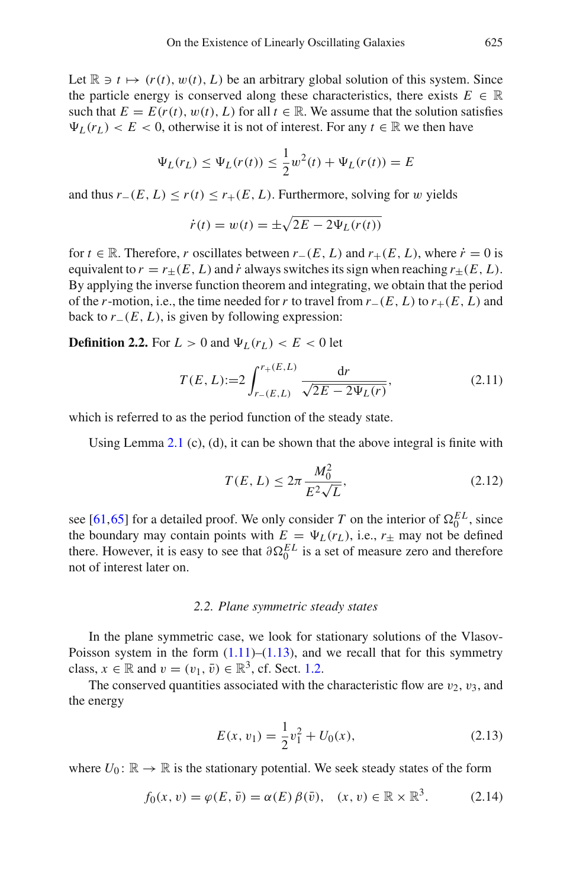Let  $\mathbb{R} \ni t \mapsto (r(t), w(t), L)$  be an arbitrary global solution of this system. Since the particle energy is conserved along these characteristics, there exists  $E \in \mathbb{R}$ such that  $E = E(r(t), w(t), L)$  for all  $t \in \mathbb{R}$ . We assume that the solution satisfies  $\Psi_L(r_L) < E < 0$ , otherwise it is not of interest. For any  $t \in \mathbb{R}$  we then have

$$
\Psi_L(r_L) \le \Psi_L(r(t)) \le \frac{1}{2}w^2(t) + \Psi_L(r(t)) = E
$$

and thus  $r_-(E, L) \le r(t) \le r_+(E, L)$ . Furthermore, solving for w yields

$$
\dot{r}(t) = w(t) = \pm \sqrt{2E - 2\Psi_L(r(t))}
$$

for  $t \in \mathbb{R}$ . Therefore, *r* oscillates between  $r_-(E, L)$  and  $r_+(E, L)$ , where  $\dot{r} = 0$  is equivalent to  $r = r_{+}(E, L)$  and  $\dot{r}$  always switches its sign when reaching  $r_{+}(E, L)$ . By applying the inverse function theorem and integrating, we obtain that the period of the *r*-motion, i.e., the time needed for *r* to travel from  $r_-(E, L)$  to  $r_+(E, L)$  and back to  $r_-(E, L)$ , is given by following expression:

**Definition 2.2.** For  $L > 0$  and  $\Psi_L(r_L) < E < 0$  let

$$
T(E, L) := 2 \int_{r_{-}(E, L)}^{r_{+}(E, L)} \frac{dr}{\sqrt{2E - 2\Psi_L(r)}},
$$
\n(2.11)

which is referred to as the period function of the steady state.

Using Lemma [2.1](#page-13-0) (c), (d), it can be shown that the above integral is finite with

$$
T(E, L) \le 2\pi \frac{M_0^2}{E^2 \sqrt{L}},
$$
\n(2.12)

see [\[61](#page-85-2)[,65](#page-85-4)] for a detailed proof. We only consider *T* on the interior of  $\Omega_0^{EL}$ , since the boundary may contain points with  $E = \Psi_L(r_L)$ , i.e.,  $r_{\pm}$  may not be defined there. However, it is easy to see that  $\partial \Omega_0^{EL}$  is a set of measure zero and therefore not of interest later on.

#### *2.2. Plane symmetric steady states*

<span id="page-14-0"></span>In the plane symmetric case, we look for stationary solutions of the Vlasov-Poisson system in the form  $(1.11)$ – $(1.13)$ , and we recall that for this symmetry class,  $x \in \mathbb{R}$  and  $v = (v_1, \bar{v}) \in \mathbb{R}^3$ , cf. Sect. [1.2.](#page-2-0)

The conserved quantities associated with the characteristic flow are  $v_2$ ,  $v_3$ , and the energy

<span id="page-14-1"></span>
$$
E(x, v_1) = \frac{1}{2}v_1^2 + U_0(x),
$$
\n(2.13)

where  $U_0: \mathbb{R} \to \mathbb{R}$  is the stationary potential. We seek steady states of the form

$$
f_0(x, v) = \varphi(E, \bar{v}) = \alpha(E) \beta(\bar{v}), \quad (x, v) \in \mathbb{R} \times \mathbb{R}^3. \tag{2.14}
$$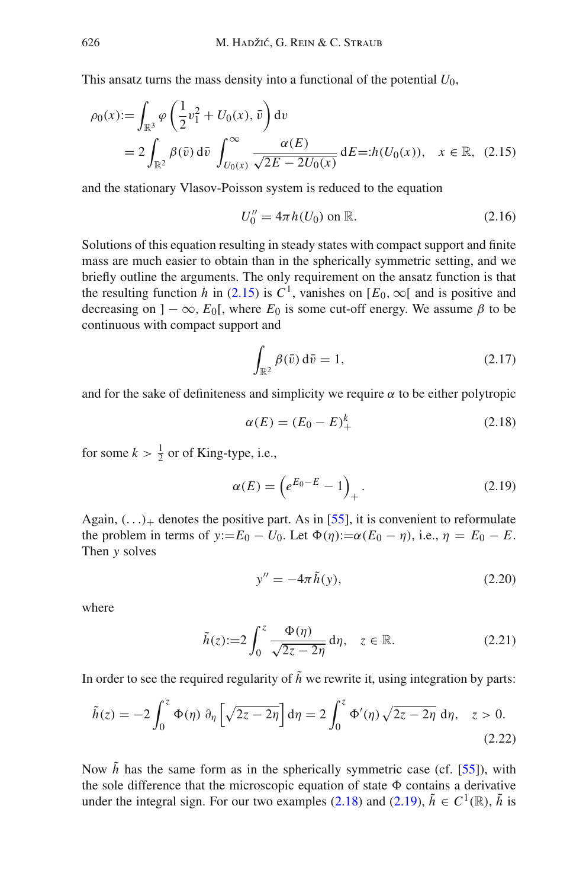This ansatz turns the mass density into a functional of the potential  $U_0$ ,

$$
\rho_0(x) := \int_{\mathbb{R}^3} \varphi \left( \frac{1}{2} v_1^2 + U_0(x), \bar{v} \right) dv
$$
  
=  $2 \int_{\mathbb{R}^2} \beta(\bar{v}) d\bar{v} \int_{U_0(x)}^{\infty} \frac{\alpha(E)}{\sqrt{2E - 2U_0(x)}} dE =: h(U_0(x)), \quad x \in \mathbb{R}, \tag{2.15}$ 

and the stationary Vlasov-Poisson system is reduced to the equation

<span id="page-15-0"></span>
$$
U_0'' = 4\pi h(U_0) \text{ on } \mathbb{R}.
$$
 (2.16)

Solutions of this equation resulting in steady states with compact support and finite mass are much easier to obtain than in the spherically symmetric setting, and we briefly outline the arguments. The only requirement on the ansatz function is that the resulting function *h* in [\(2.15\)](#page-15-0) is  $C^1$ , vanishes on [ $E_0$ , ∞[ and is positive and decreasing on  $]-\infty$ ,  $E_0[$ , where  $E_0$  is some cut-off energy. We assume  $\beta$  to be continuous with compact support and

$$
\int_{\mathbb{R}^2} \beta(\bar{v}) d\bar{v} = 1,
$$
\n(2.17)

and for the sake of definiteness and simplicity we require  $\alpha$  to be either polytropic

<span id="page-15-2"></span><span id="page-15-1"></span>
$$
\alpha(E) = (E_0 - E)^k_+ \tag{2.18}
$$

for some  $k > \frac{1}{2}$  or of King-type, i.e.,

$$
\alpha(E) = \left(e^{E_0 - E} - 1\right)_+.
$$
\n(2.19)

Again,  $(\ldots)_+$  denotes the positive part. As in [\[55\]](#page-84-7), it is convenient to reformulate the problem in terms of *y*:= $E_0 - U_0$ . Let  $\Phi(\eta) := \alpha(E_0 - \eta)$ , i.e.,  $\eta = E_0 - E$ . Then *y* solves

<span id="page-15-3"></span>
$$
y'' = -4\pi \tilde{h}(y),\tag{2.20}
$$

where

$$
\tilde{h}(z) := 2 \int_0^z \frac{\Phi(\eta)}{\sqrt{2z - 2\eta}} d\eta, \quad z \in \mathbb{R}.
$$
 (2.21)

In order to see the required regularity of  $\tilde{h}$  we rewrite it, using integration by parts:

$$
\tilde{h}(z) = -2 \int_0^z \Phi(\eta) \ \partial_{\eta} \left[ \sqrt{2z - 2\eta} \right] d\eta = 2 \int_0^z \Phi'(\eta) \sqrt{2z - 2\eta} \ d\eta, \quad z > 0.
$$
\n(2.22)

Now  $\tilde{h}$  has the same form as in the spherically symmetric case (cf. [\[55\]](#page-84-7)), with the sole difference that the microscopic equation of state  $\Phi$  contains a derivative under the integral sign. For our two examples [\(2.18\)](#page-15-1) and [\(2.19\)](#page-15-2),  $\tilde{h} \in C^1(\mathbb{R})$ ,  $\tilde{h}$  is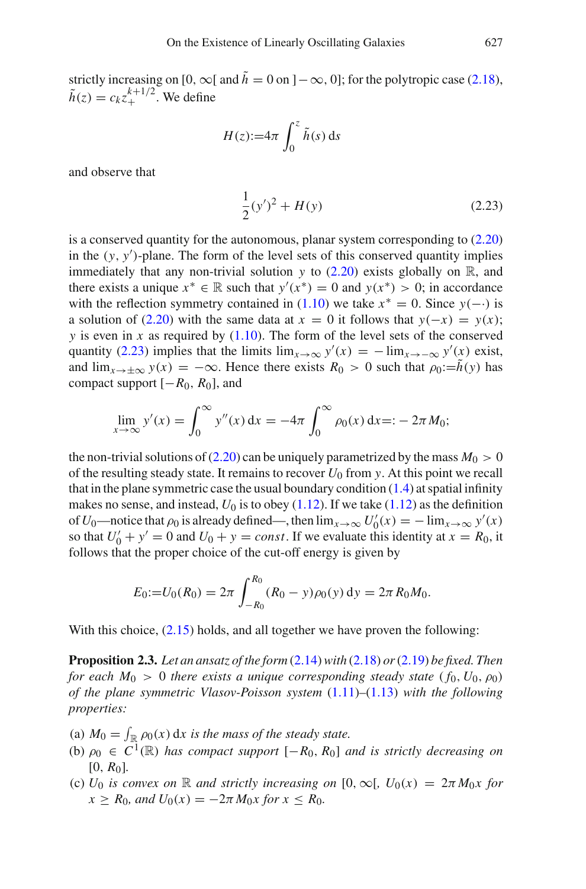strictly increasing on [0,  $\infty$ [ and  $\tilde{h} = 0$  on ]  $-\infty$ , 0]; for the polytropic case [\(2.18\)](#page-15-1),  $\tilde{h}(z) = c_k z_+^{k+1/2}$ . We define

$$
H(z) := 4\pi \int_0^z \tilde{h}(s) \, \mathrm{d}s
$$

and observe that

<span id="page-16-0"></span>
$$
\frac{1}{2}(y')^2 + H(y) \tag{2.23}
$$

is a conserved quantity for the autonomous, planar system corresponding to [\(2.20\)](#page-15-3) in the (*y*, *y* )-plane. The form of the level sets of this conserved quantity implies immediately that any non-trivial solution  $y$  to  $(2.20)$  exists globally on  $\mathbb{R}$ , and there exists a unique  $x^* \in \mathbb{R}$  such that  $y'(x^*) = 0$  and  $y(x^*) > 0$ ; in accordance with the reflection symmetry contained in  $(1.10)$  we take  $x^* = 0$ . Since *y*(-·) is a solution of [\(2.20\)](#page-15-3) with the same data at  $x = 0$  it follows that  $y(-x) = y(x)$ ; *y* is even in *x* as required by  $(1.10)$ . The form of the level sets of the conserved quantity [\(2.23\)](#page-16-0) implies that the limits  $\lim_{x\to\infty} y'(x) = -\lim_{x\to-\infty} y'(x)$  exist, and  $\lim_{x\to\pm\infty} y(x) = -\infty$ . Hence there exists  $R_0 > 0$  such that  $\rho_0 := h(y)$  has compact support [−*R*0, *R*0], and

$$
\lim_{x \to \infty} y'(x) = \int_0^\infty y''(x) dx = -4\pi \int_0^\infty \rho_0(x) dx =: -2\pi M_0;
$$

the non-trivial solutions of  $(2.20)$  can be uniquely parametrized by the mass  $M_0 > 0$ of the resulting steady state. It remains to recover  $U_0$  from y. At this point we recall that in the plane symmetric case the usual boundary condition  $(1.4)$  at spatial infinity makes no sense, and instead,  $U_0$  is to obey  $(1.12)$ . If we take  $(1.12)$  as the definition of *U*<sup>0</sup>—notice that  $\rho_0$  is already defined—, then  $\lim_{x\to\infty} U'_0(x) = -\lim_{x\to\infty} y'(x)$ so that  $U'_0 + y' = 0$  and  $U_0 + y = const$ . If we evaluate this identity at  $x = R_0$ , it follows that the proper choice of the cut-off energy is given by

$$
E_0:=U_0(R_0)=2\pi\int_{-R_0}^{R_0} (R_0-y)\rho_0(y)\,dy=2\pi R_0M_0.
$$

With this choice,  $(2.15)$  holds, and all together we have proven the following:

**Proposition 2.3.** *Let an ansatz of the form* [\(2.14\)](#page-14-1)*with* [\(2.18\)](#page-15-1) *or*[\(2.19\)](#page-15-2) *be fixed. Then for each*  $M_0 > 0$  *there exists a unique corresponding steady state*  $(f_0, U_0, \rho_0)$ *of the plane symmetric Vlasov-Poisson system* [\(1.11\)](#page-3-0)*–*[\(1.13\)](#page-3-0) *with the following properties:*

- (a)  $M_0 = \int_{\mathbb{R}} \rho_0(x) dx$  is the mass of the steady state.
- (b)  $\rho_0 \in C^1(\mathbb{R})$  *has compact support*  $[-R_0, R_0]$  *and is strictly decreasing on*  $[0, R_0]$ .
- (c) *U*<sub>0</sub> *is convex on* R *and strictly increasing on* [0,  $\infty$ [,  $U_0(x) = 2\pi M_0x$  for  $x \ge R_0$ *, and*  $U_0(x) = -2\pi M_0 x$  for  $x \le R_0$ *.*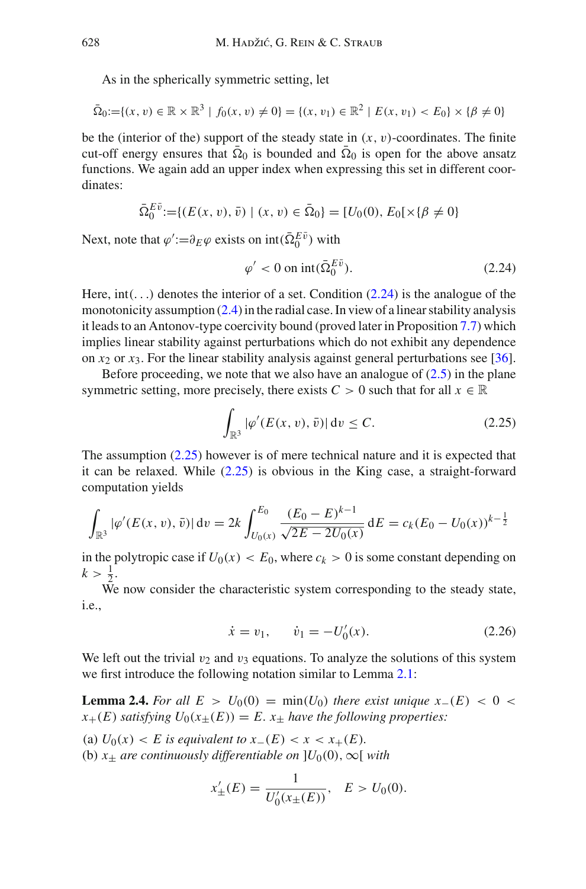As in the spherically symmetric setting, let

$$
\bar{\Omega}_0 := \{ (x, v) \in \mathbb{R} \times \mathbb{R}^3 \mid f_0(x, v) \neq 0 \} = \{ (x, v_1) \in \mathbb{R}^2 \mid E(x, v_1) < E_0 \} \times \{ \beta \neq 0 \}
$$

be the (interior of the) support of the steady state in  $(x, y)$ -coordinates. The finite cut-off energy ensures that  $\overline{Q}_0$  is bounded and  $\overline{Q}_0$  is open for the above ansatz functions. We again add an upper index when expressing this set in different coordinates:

$$
\bar{\Omega}_0^{E\bar{v}} := \{ (E(x, v), \bar{v}) \mid (x, v) \in \bar{\Omega}_0 \} = [U_0(0), E_0[x \{\beta \neq 0\}]
$$

Next, note that  $\varphi' := \partial_E \varphi$  exists on  $\text{int}(\bar{\Omega}_0^{E\bar{\nu}})$  with

<span id="page-17-0"></span>
$$
\varphi' < 0 \text{ on } \text{int}(\bar{\Omega}_0^{E\bar{\upsilon}}). \tag{2.24}
$$

Here,  $int(\ldots)$  denotes the interior of a set. Condition [\(2.24\)](#page-17-0) is the analogue of the monotonicity assumption [\(2.4\)](#page-12-0) in the radial case. In view of a linear stability analysis it leads to an Antonov-type coercivity bound (proved later in Proposition [7.7\)](#page-57-1) which implies linear stability against perturbations which do not exhibit any dependence on  $x_2$  or  $x_3$ . For the linear stability analysis against general perturbations see [\[36](#page-84-3)].

Before proceeding, we note that we also have an analogue of  $(2.5)$  in the plane symmetric setting, more precisely, there exists  $C > 0$  such that for all  $x \in \mathbb{R}$ 

<span id="page-17-1"></span>
$$
\int_{\mathbb{R}^3} |\varphi'(E(x,v),\bar{v})| \, \mathrm{d}v \le C. \tag{2.25}
$$

The assumption [\(2.25\)](#page-17-1) however is of mere technical nature and it is expected that it can be relaxed. While [\(2.25\)](#page-17-1) is obvious in the King case, a straight-forward computation yields

$$
\int_{\mathbb{R}^3} |\varphi'(E(x, v), \bar{v})| dv = 2k \int_{U_0(x)}^{E_0} \frac{(E_0 - E)^{k-1}}{\sqrt{2E - 2U_0(x)}} dE = c_k (E_0 - U_0(x))^{k-\frac{1}{2}}
$$

in the polytropic case if  $U_0(x) < E_0$ , where  $c_k > 0$  is some constant depending on  $k > \frac{1}{2}$ .

We now consider the characteristic system corresponding to the steady state, i.e.,

<span id="page-17-2"></span>
$$
\dot{x} = v_1, \qquad \dot{v}_1 = -U'_0(x). \tag{2.26}
$$

We left out the trivial  $v_2$  and  $v_3$  equations. To analyze the solutions of this system we first introduce the following notation similar to Lemma [2.1:](#page-13-0)

**Lemma 2.4.** *For all*  $E > U_0(0) = \min(U_0)$  *there exist unique x*−(*E*) < 0 <  $x_{+}(E)$  *satisfying*  $U_0(x_{\pm}(E)) = E$ .  $x_{\pm}$  *have the following properties:* 

(a)  $U_0(x) < E$  is equivalent to  $x_-(E) < x < x_+(E)$ .

(b)  $x_{\pm}$  *are continuously differentiable on* ] $U_0(0)$ ,  $\infty$ [*with* 

$$
x'_{\pm}(E) = \frac{1}{U'_0(x_{\pm}(E))}, \quad E > U_0(0).
$$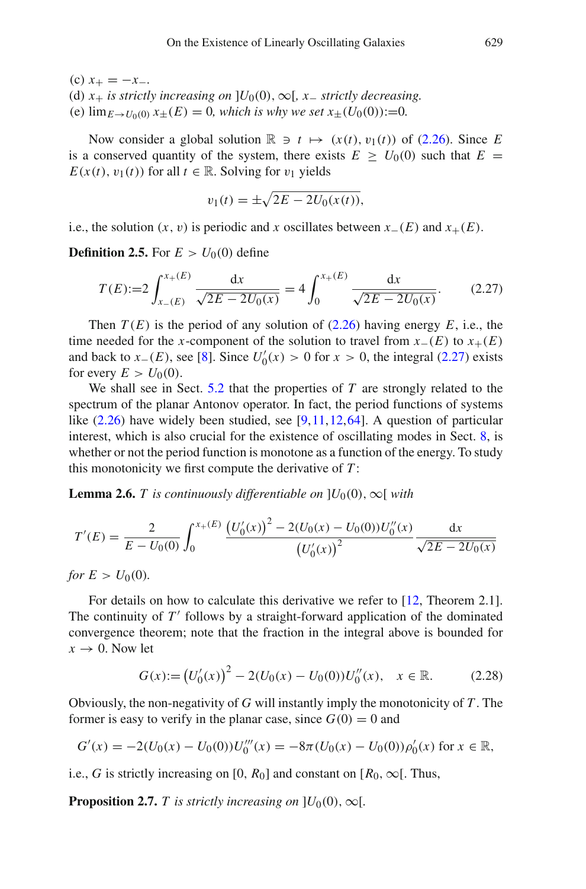(c)  $x_{+} = -x_{-}$ .

(d)  $x_+$  *is strictly increasing on* ] $U_0(0)$ ,  $\infty$ [*, x*<sub>−</sub> *strictly decreasing.* 

(e)  $\lim_{E \to U_0(0)} x_+(E) = 0$ , which is why we set  $x_+(U_0(0)) := 0$ .

Now consider a global solution  $\mathbb{R} \ni t \mapsto (x(t), v_1(t))$  of [\(2.26\)](#page-17-2). Since *E* is a conserved quantity of the system, there exists  $E > U_0(0)$  such that  $E =$  $E(x(t), v_1(t))$  for all  $t \in \mathbb{R}$ . Solving for  $v_1$  yields

<span id="page-18-0"></span>
$$
v_1(t) = \pm \sqrt{2E - 2U_0(x(t))},
$$

i.e., the solution  $(x, v)$  is periodic and *x* oscillates between  $x_-(E)$  and  $x_+(E)$ .

**Definition 2.5.** For  $E > U_0(0)$  define

$$
T(E) := 2 \int_{x_{-}(E)}^{x_{+}(E)} \frac{\mathrm{d}x}{\sqrt{2E - 2U_{0}(x)}} = 4 \int_{0}^{x_{+}(E)} \frac{\mathrm{d}x}{\sqrt{2E - 2U_{0}(x)}}. \tag{2.27}
$$

Then  $T(E)$  is the period of any solution of  $(2.26)$  having energy *E*, i.e., the time needed for the *x*-component of the solution to travel from  $x_-(E)$  to  $x_+(E)$ and back to *x*−(*E*), see [\[8](#page-83-0)]. Since  $U'_0(x) > 0$  for  $x > 0$ , the integral [\(2.27\)](#page-18-0) exists for every  $E > U_0(0)$ .

We shall see in Sect. [5.2](#page-43-0) that the properties of *T* are strongly related to the spectrum of the planar Antonov operator. In fact, the period functions of systems like  $(2.26)$  have widely been studied, see [\[9](#page-83-20)[,11](#page-83-10)[,12](#page-83-11),[64\]](#page-85-8). A question of particular interest, which is also crucial for the existence of oscillating modes in Sect. [8,](#page-59-0) is whether or not the period function is monotone as a function of the energy. To study this monotonicity we first compute the derivative of *T* :

**Lemma 2.6.** *T* is continuously differentiable on  $]U_0(0), \infty[$  with

$$
T'(E) = \frac{2}{E - U_0(0)} \int_0^{x_+(E)} \frac{(U'_0(x))^2 - 2(U_0(x) - U_0(0))U''_0(x)}{(U'_0(x))^2} \frac{dx}{\sqrt{2E - 2U_0(x)}}
$$

*for*  $E > U_0(0)$ .

For details on how to calculate this derivative we refer to [\[12,](#page-83-11) Theorem 2.1]. The continuity of  $T'$  follows by a straight-forward application of the dominated convergence theorem; note that the fraction in the integral above is bounded for  $x \rightarrow 0$ . Now let

$$
G(x) := (U_0'(x))^2 - 2(U_0(x) - U_0(0))U_0''(x), \quad x \in \mathbb{R}.
$$
 (2.28)

Obviously, the non-negativity of *G* will instantly imply the monotonicity of *T* . The former is easy to verify in the planar case, since  $G(0) = 0$  and

$$
G'(x) = -2(U_0(x) - U_0(0))U_0'''(x) = -8\pi (U_0(x) - U_0(0))\rho'_0(x) \text{ for } x \in \mathbb{R},
$$

i.e., *G* is strictly increasing on [0,  $R_0$ ] and constant on [ $R_0$ ,  $\infty$ [. Thus,

**Proposition 2.7.** *T is strictly increasing on*  $]U_0(0), \infty[$ *.*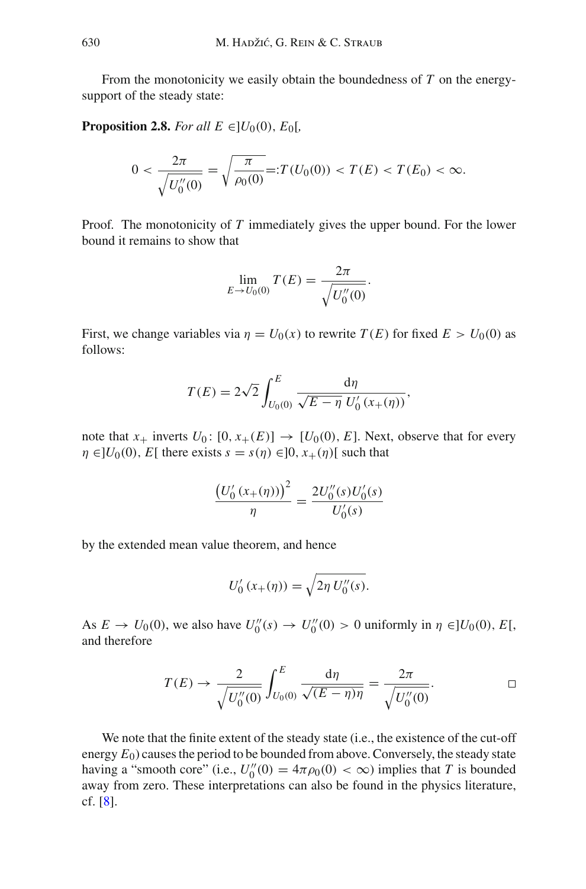From the monotonicity we easily obtain the boundedness of *T* on the energysupport of the steady state:

**Proposition 2.8.** *For all*  $E \in ]U_0(0), E_0[$ ,

$$
0 < \frac{2\pi}{\sqrt{U_0''(0)}} = \sqrt{\frac{\pi}{\rho_0(0)}} =: T(U_0(0)) < T(E) < T(E_0) < \infty.
$$

Proof*.* The monotonicity of *T* immediately gives the upper bound. For the lower bound it remains to show that

$$
\lim_{E \to U_0(0)} T(E) = \frac{2\pi}{\sqrt{U_0''(0)}}.
$$

First, we change variables via  $\eta = U_0(x)$  to rewrite  $T(E)$  for fixed  $E > U_0(0)$  as follows:

$$
T(E) = 2\sqrt{2} \int_{U_0(0)}^{E} \frac{d\eta}{\sqrt{E - \eta}} \frac{d\eta}{U'_0(x_+(\eta))},
$$

note that  $x_+$  inverts  $U_0$ :  $[0, x_+(E)] \rightarrow [U_0(0), E]$ . Next, observe that for every  $\eta \in ]U_0(0), E[$  there exists  $s = s(\eta) \in ]0, x_+(\eta)]$  such that

$$
\frac{(U'_0(s_+(\eta)))^2}{\eta} = \frac{2U''_0(s)U'_0(s)}{U'_0(s)}
$$

by the extended mean value theorem, and hence

$$
U_0'(x_+(\eta)) = \sqrt{2\eta \, U_0''(s)}.
$$

As  $E \to U_0(0)$ , we also have  $U_0''(s) \to U_0''(0) > 0$  uniformly in  $\eta \in ]U_0(0), E[$ , and therefore

$$
T(E) \to \frac{2}{\sqrt{U''_0(0)}} \int_{U_0(0)}^{E} \frac{d\eta}{\sqrt{(E-\eta)\eta}} = \frac{2\pi}{\sqrt{U''_0(0)}}.
$$

We note that the finite extent of the steady state (i.e., the existence of the cut-off energy  $E_0$ ) causes the period to be bounded from above. Conversely, the steady state having a "smooth core" (i.e.,  $U_0''(0) = 4\pi \rho_0(0) < \infty$ ) implies that *T* is bounded away from zero. These interpretations can also be found in the physics literature, cf. [\[8](#page-83-0)].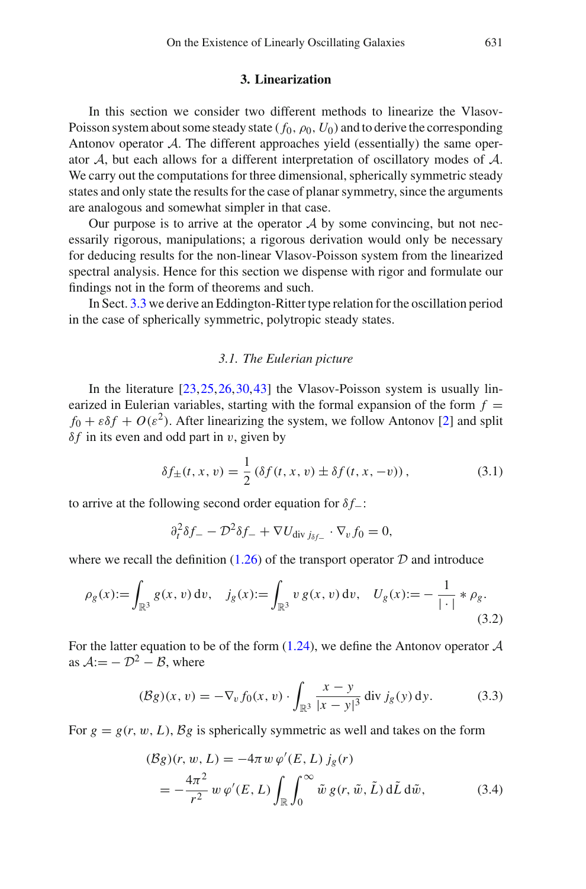## **3. Linearization**

<span id="page-20-0"></span>In this section we consider two different methods to linearize the Vlasov-Poisson system about some steady state  $(f_0, \rho_0, U_0)$  and to derive the corresponding Antonov operator *A*. The different approaches yield (essentially) the same operator *A*, but each allows for a different interpretation of oscillatory modes of *A*. We carry out the computations for three dimensional, spherically symmetric steady states and only state the results for the case of planar symmetry, since the arguments are analogous and somewhat simpler in that case.

Our purpose is to arrive at the operator *A* by some convincing, but not necessarily rigorous, manipulations; a rigorous derivation would only be necessary for deducing results for the non-linear Vlasov-Poisson system from the linearized spectral analysis. Hence for this section we dispense with rigor and formulate our findings not in the form of theorems and such.

<span id="page-20-1"></span>In Sect. [3.3](#page-25-0) we derive an Eddington-Ritter type relation for the oscillation period in the case of spherically symmetric, polytropic steady states.

#### *3.1. The Eulerian picture*

In the literature  $[23, 25, 26, 30, 43]$  $[23, 25, 26, 30, 43]$  $[23, 25, 26, 30, 43]$  $[23, 25, 26, 30, 43]$  $[23, 25, 26, 30, 43]$  $[23, 25, 26, 30, 43]$  the Vlasov-Poisson system is usually linearized in Eulerian variables, starting with the formal expansion of the form  $f =$  $f_0 + \varepsilon \delta f + O(\varepsilon^2)$ . After linearizing the system, we follow Antonov [\[2](#page-82-4)] and split  $\delta f$  in its even and odd part in v, given by

$$
\delta f_{\pm}(t, x, v) = \frac{1}{2} (\delta f(t, x, v) \pm \delta f(t, x, -v)),
$$
\n(3.1)

to arrive at the following second order equation for δ *f*−:

$$
\partial_t^2 \delta f_- - \mathcal{D}^2 \delta f_- + \nabla U_{\text{div } j_{\delta f_-}} \cdot \nabla_v f_0 = 0,
$$

where we recall the definition  $(1.26)$  of the transport operator  $D$  and introduce

$$
\rho_g(x) := \int_{\mathbb{R}^3} g(x, v) dv, \quad j_g(x) := \int_{\mathbb{R}^3} v g(x, v) dv, \quad U_g(x) := -\frac{1}{|\cdot|} * \rho_g.
$$
\n(3.2)

For the latter equation to be of the form [\(1.24\)](#page-5-1), we define the Antonov operator *A* as  $A = -D^2 - B$ , where

$$
(\mathcal{B}g)(x,v) = -\nabla_v f_0(x,v) \cdot \int_{\mathbb{R}^3} \frac{x-y}{|x-y|^3} \, \text{div } j_g(y) \, \text{d}y. \tag{3.3}
$$

For  $g = g(r, w, L)$ ,  $\beta g$  is spherically symmetric as well and takes on the form

<span id="page-20-2"></span>
$$
(\mathcal{B}g)(r, w, L) = -4\pi w \, \varphi'(E, L) \, j_g(r)
$$
  
=  $-\frac{4\pi^2}{r^2} w \, \varphi'(E, L) \int_{\mathbb{R}} \int_0^\infty \tilde{w} \, g(r, \tilde{w}, \tilde{L}) \, d\tilde{L} \, d\tilde{w},$  (3.4)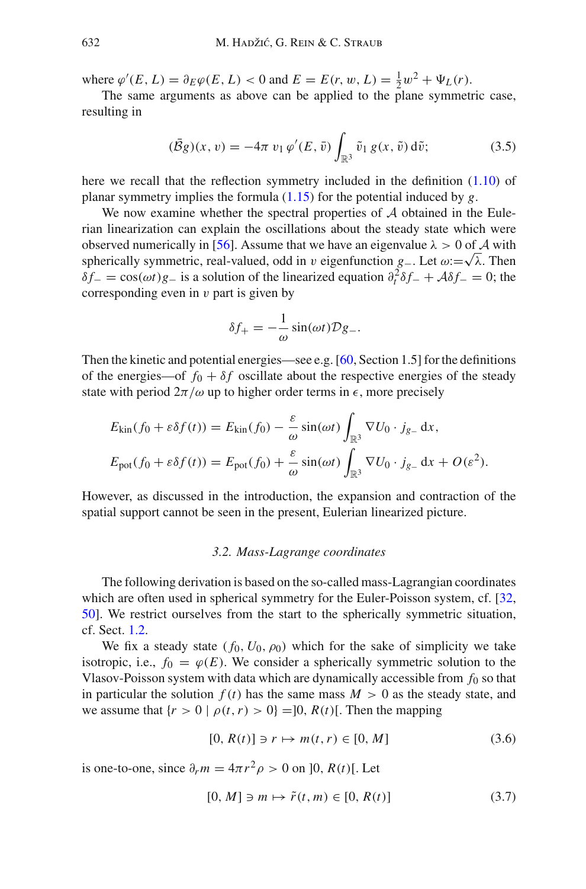where  $\varphi'(E, L) = \partial_E \varphi(E, L) < 0$  and  $E = E(r, w, L) = \frac{1}{2}w^2 + \Psi_L(r)$ .

The same arguments as above can be applied to the plane symmetric case, resulting in

$$
(\bar{B}g)(x,v) = -4\pi v_1 \varphi'(E,\bar{v}) \int_{\mathbb{R}^3} \tilde{v}_1 g(x,\tilde{v}) d\tilde{v};
$$
 (3.5)

here we recall that the reflection symmetry included in the definition [\(1.10\)](#page-3-1) of planar symmetry implies the formula [\(1.15\)](#page-3-2) for the potential induced by *g*.

We now examine whether the spectral properties of *A* obtained in the Eulerian linearization can explain the oscillations about the steady state which were observed numerically in [\[56\]](#page-84-0). Assume that we have an eigenvalue  $\lambda > 0$  of A with spherically symmetric, real-valued, odd in v eigenfunction *g*<sub>−</sub>. Let  $\omega$ :  $\sqrt{\lambda}$ . Then  $\delta f$ <sub>−</sub> = cos( $\omega t$ )*g*− is a solution of the linearized equation  $\partial_t^2 \delta f$ <sub>−</sub> +  $\mathcal{A} \delta f$ <sub>−</sub> = 0; the corresponding even in  $\nu$  part is given by

$$
\delta f_+ = -\frac{1}{\omega} \sin(\omega t) \mathcal{D} g_-.
$$

Then the kinetic and potential energies—see e.g.  $[60, \text{Section 1.5}]$  $[60, \text{Section 1.5}]$  for the definitions of the energies—of  $f_0 + \delta f$  oscillate about the respective energies of the steady state with period  $2\pi/\omega$  up to higher order terms in  $\epsilon$ , more precisely

$$
E_{\text{kin}}(f_0 + \varepsilon \delta f(t)) = E_{\text{kin}}(f_0) - \frac{\varepsilon}{\omega} \sin(\omega t) \int_{\mathbb{R}^3} \nabla U_0 \cdot j_{g_-} \, \mathrm{d}x,
$$
  

$$
E_{\text{pot}}(f_0 + \varepsilon \delta f(t)) = E_{\text{pot}}(f_0) + \frac{\varepsilon}{\omega} \sin(\omega t) \int_{\mathbb{R}^3} \nabla U_0 \cdot j_{g_-} \, \mathrm{d}x + O(\varepsilon^2).
$$

<span id="page-21-0"></span>However, as discussed in the introduction, the expansion and contraction of the spatial support cannot be seen in the present, Eulerian linearized picture.

## *3.2. Mass-Lagrange coordinates*

The following derivation is based on the so-called mass-Lagrangian coordinates which are often used in spherical symmetry for the Euler-Poisson system, cf. [\[32,](#page-83-22) [50](#page-84-1)]. We restrict ourselves from the start to the spherically symmetric situation, cf. Sect. [1.2.](#page-2-0)

We fix a steady state  $(f_0, U_0, \rho_0)$  which for the sake of simplicity we take isotropic, i.e.,  $f_0 = \varphi(E)$ . We consider a spherically symmetric solution to the Vlasov-Poisson system with data which are dynamically accessible from  $f_0$  so that in particular the solution  $f(t)$  has the same mass  $M > 0$  as the steady state, and we assume that  $\{r > 0 \mid \rho(t, r) > 0\} = ]0, R(t)]$ . Then the mapping

$$
[0, R(t)] \ni r \mapsto m(t, r) \in [0, M] \tag{3.6}
$$

is one-to-one, since  $\partial_r m = 4\pi r^2 \rho > 0$  on [0, *R*(*t*)[. Let

$$
[0, M] \ni m \mapsto \tilde{r}(t, m) \in [0, R(t)] \tag{3.7}
$$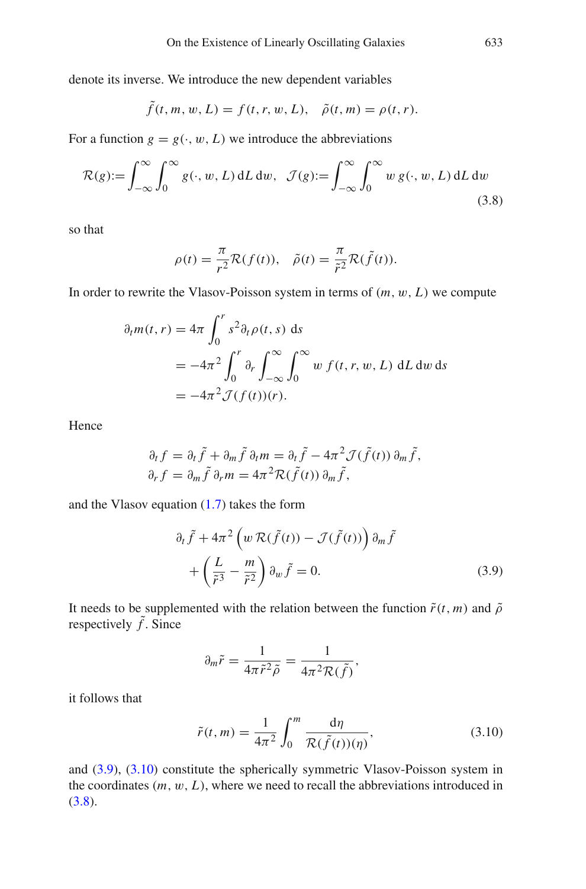denote its inverse. We introduce the new dependent variables

$$
\tilde{f}(t, m, w, L) = f(t, r, w, L), \quad \tilde{\rho}(t, m) = \rho(t, r).
$$

For a function  $g = g(\cdot, w, L)$  we introduce the abbreviations

$$
\mathcal{R}(g) := \int_{-\infty}^{\infty} \int_{0}^{\infty} g(\cdot, w, L) dL dw, \quad \mathcal{J}(g) := \int_{-\infty}^{\infty} \int_{0}^{\infty} w g(\cdot, w, L) dL dw
$$
\n(3.8)

so that

<span id="page-22-2"></span>
$$
\rho(t) = \frac{\pi}{r^2} \mathcal{R}(f(t)), \quad \tilde{\rho}(t) = \frac{\pi}{\tilde{r}^2} \mathcal{R}(\tilde{f}(t)).
$$

In order to rewrite the Vlasov-Poisson system in terms of  $(m, w, L)$  we compute

$$
\partial_t m(t, r) = 4\pi \int_0^r s^2 \partial_t \rho(t, s) ds
$$
  
=  $-4\pi^2 \int_0^r \partial_r \int_{-\infty}^\infty \int_0^\infty w f(t, r, w, L) dL dw ds$   
=  $-4\pi^2 \mathcal{J}(f(t))(r).$ 

Hence

$$
\partial_t f = \partial_t \tilde{f} + \partial_m \tilde{f} \partial_t m = \partial_t \tilde{f} - 4\pi^2 \mathcal{J}(\tilde{f}(t)) \partial_m \tilde{f}, \n\partial_r f = \partial_m \tilde{f} \partial_r m = 4\pi^2 \mathcal{R}(\tilde{f}(t)) \partial_m \tilde{f},
$$

and the Vlasov equation  $(1.7)$  takes the form

$$
\partial_t \tilde{f} + 4\pi^2 \left( w \mathcal{R}(\tilde{f}(t)) - \mathcal{J}(\tilde{f}(t)) \right) \partial_m \tilde{f} + \left( \frac{L}{\tilde{r}^3} - \frac{m}{\tilde{r}^2} \right) \partial_w \tilde{f} = 0.
$$
 (3.9)

It needs to be supplemented with the relation between the function  $\tilde{r}(t, m)$  and  $\tilde{\rho}$ respectively  $\tilde{f}$ . Since

<span id="page-22-0"></span>
$$
\partial_m \tilde{r} = \frac{1}{4\pi \tilde{r}^2 \tilde{\rho}} = \frac{1}{4\pi^2 \mathcal{R}(\tilde{f})},
$$

it follows that

<span id="page-22-1"></span>
$$
\tilde{r}(t,m) = \frac{1}{4\pi^2} \int_0^m \frac{\mathrm{d}\eta}{\mathcal{R}(\tilde{f}(t))(\eta)},\tag{3.10}
$$

and [\(3.9\)](#page-22-0), [\(3.10\)](#page-22-1) constitute the spherically symmetric Vlasov-Poisson system in the coordinates (*m*, w, *L*), where we need to recall the abbreviations introduced in  $(3.8).$  $(3.8).$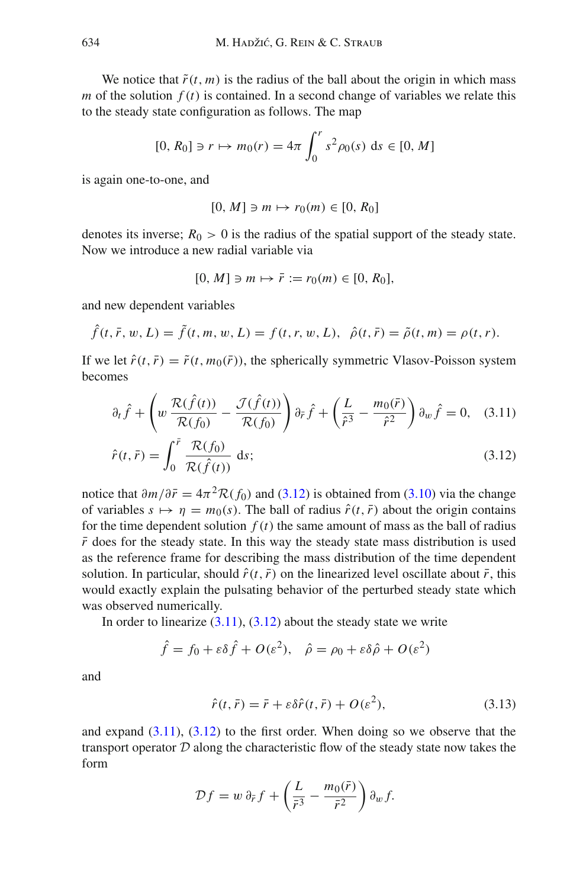We notice that  $\tilde{r}(t, m)$  is the radius of the ball about the origin in which mass *m* of the solution  $f(t)$  is contained. In a second change of variables we relate this to the steady state configuration as follows. The map

$$
[0, R_0] \ni r \mapsto m_0(r) = 4\pi \int_0^r s^2 \rho_0(s) \, ds \in [0, M]
$$

is again one-to-one, and

$$
[0, M] \ni m \mapsto r_0(m) \in [0, R_0]
$$

denotes its inverse;  $R_0 > 0$  is the radius of the spatial support of the steady state. Now we introduce a new radial variable via

$$
[0, M] \ni m \mapsto \bar{r} := r_0(m) \in [0, R_0],
$$

and new dependent variables

$$
\hat{f}(t, \bar{r}, w, L) = \tilde{f}(t, m, w, L) = f(t, r, w, L), \ \hat{\rho}(t, \bar{r}) = \tilde{\rho}(t, m) = \rho(t, r).
$$

If we let  $\hat{r}(t, \bar{r}) = \tilde{r}(t, m_0(\bar{r}))$ , the spherically symmetric Vlasov-Poisson system becomes

<span id="page-23-0"></span>
$$
\partial_t \hat{f} + \left( w \frac{\mathcal{R}(\hat{f}(t))}{\mathcal{R}(f_0)} - \frac{\mathcal{J}(\hat{f}(t))}{\mathcal{R}(f_0)} \right) \partial_{\tilde{r}} \hat{f} + \left( \frac{L}{\hat{r}^3} - \frac{m_0(\tilde{r})}{\hat{r}^2} \right) \partial_w \hat{f} = 0, \quad (3.11)
$$

$$
\hat{r}(t,\bar{r}) = \int_0^{\bar{r}} \frac{\mathcal{R}(f_0)}{\mathcal{R}(\hat{f}(t))} ds; \tag{3.12}
$$

notice that  $\partial m/\partial \bar{r} = 4\pi^2 \mathcal{R}(f_0)$  and [\(3.12\)](#page-23-0) is obtained from [\(3.10\)](#page-22-1) via the change of variables  $s \mapsto \eta = m_0(s)$ . The ball of radius  $\hat{r}(t, \bar{r})$  about the origin contains for the time dependent solution  $f(t)$  the same amount of mass as the ball of radius  $\bar{r}$  does for the steady state. In this way the steady state mass distribution is used as the reference frame for describing the mass distribution of the time dependent solution. In particular, should  $\hat{r}(t, \bar{r})$  on the linearized level oscillate about  $\bar{r}$ , this would exactly explain the pulsating behavior of the perturbed steady state which was observed numerically.

In order to linearize  $(3.11)$ ,  $(3.12)$  about the steady state we write

$$
\hat{f} = f_0 + \varepsilon \delta \hat{f} + O(\varepsilon^2), \quad \hat{\rho} = \rho_0 + \varepsilon \delta \hat{\rho} + O(\varepsilon^2)
$$

and

<span id="page-23-1"></span>
$$
\hat{r}(t,\bar{r}) = \bar{r} + \varepsilon \delta \hat{r}(t,\bar{r}) + O(\varepsilon^2), \tag{3.13}
$$

and expand  $(3.11)$ ,  $(3.12)$  to the first order. When doing so we observe that the transport operator *D* along the characteristic flow of the steady state now takes the form

$$
\mathcal{D}f = w \partial_{\bar{r}} f + \left(\frac{L}{\bar{r}^3} - \frac{m_0(\bar{r})}{\bar{r}^2}\right) \partial_w f.
$$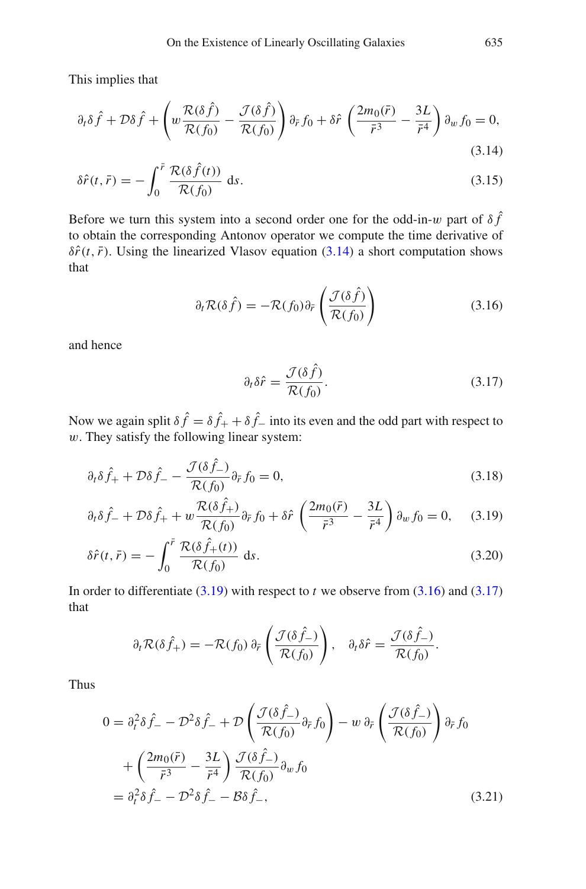This implies that

<span id="page-24-0"></span>
$$
\partial_t \delta \hat{f} + \mathcal{D}\delta \hat{f} + \left( w \frac{\mathcal{R}(\delta \hat{f})}{\mathcal{R}(f_0)} - \frac{\mathcal{J}(\delta \hat{f})}{\mathcal{R}(f_0)} \right) \partial_{\tilde{r}} f_0 + \delta \hat{r} \left( \frac{2m_0(\tilde{r})}{\tilde{r}^3} - \frac{3L}{\tilde{r}^4} \right) \partial_w f_0 = 0,
$$
\n(3.14)

$$
\delta \hat{r}(t, \bar{r}) = -\int_0^{\bar{r}} \frac{\mathcal{R}(\delta \hat{f}(t))}{\mathcal{R}(f_0)} ds.
$$
\n(3.15)

Before we turn this system into a second order one for the odd-in-w part of  $\delta \hat{f}$ to obtain the corresponding Antonov operator we compute the time derivative of  $\delta \hat{r}(t, \bar{r})$ . Using the linearized Vlasov equation [\(3.14\)](#page-24-0) a short computation shows that

$$
\partial_t \mathcal{R}(\delta \hat{f}) = -\mathcal{R}(f_0) \partial_{\bar{r}} \left( \frac{\mathcal{J}(\delta \hat{f})}{\mathcal{R}(f_0)} \right) \tag{3.16}
$$

and hence

<span id="page-24-3"></span><span id="page-24-2"></span>
$$
\partial_t \delta \hat{r} = \frac{\mathcal{J}(\delta \hat{f})}{\mathcal{R}(f_0)}.
$$
\n(3.17)

Now we again split  $\delta \hat{f} = \delta \hat{f}_+ + \delta \hat{f}_-$  into its even and the odd part with respect to  $w$ . They satisfy the following linear system:

<span id="page-24-1"></span> $\overline{\phantom{a}}$ 

$$
\partial_t \delta \hat{f}_+ + \mathcal{D} \delta \hat{f}_- - \frac{\mathcal{J}(\delta \hat{f}_-)}{\mathcal{R}(f_0)} \partial_{\tilde{r}} f_0 = 0, \qquad (3.18)
$$

$$
\partial_t \delta \hat{f}_- + \mathcal{D} \delta \hat{f}_+ + w \frac{\mathcal{R}(\delta \hat{f}_+)}{\mathcal{R}(f_0)} \partial_{\tilde{r}} f_0 + \delta \hat{r} \left( \frac{2m_0(\tilde{r})}{\tilde{r}^3} - \frac{3L}{\tilde{r}^4} \right) \partial_w f_0 = 0, \quad (3.19)
$$

$$
\delta \hat{r}(t, \bar{r}) = -\int_0^{\bar{r}} \frac{\mathcal{R}(\delta \hat{f}_+(t))}{\mathcal{R}(f_0)} \, \mathrm{d}s. \tag{3.20}
$$

In order to differentiate  $(3.19)$  with respect to *t* we observe from  $(3.16)$  and  $(3.17)$ that

<span id="page-24-4"></span>
$$
\partial_t \mathcal{R}(\delta \hat{f}_+) = -\mathcal{R}(f_0) \partial_{\tilde{r}} \left( \frac{\mathcal{J}(\delta \hat{f}_-)}{\mathcal{R}(f_0)} \right), \quad \partial_t \delta \hat{r} = \frac{\mathcal{J}(\delta \hat{f}_-)}{\mathcal{R}(f_0)}.
$$

Thus

$$
0 = \partial_t^2 \delta \hat{f} - \mathcal{D}^2 \delta \hat{f} + \mathcal{D} \left( \frac{\mathcal{J}(\delta \hat{f})}{\mathcal{R}(f_0)} \partial_{\bar{r}} f_0 \right) - w \partial_{\bar{r}} \left( \frac{\mathcal{J}(\delta \hat{f})}{\mathcal{R}(f_0)} \right) \partial_{\bar{r}} f_0
$$
  
+ 
$$
\left( \frac{2m_0(\bar{r})}{\bar{r}^3} - \frac{3L}{\bar{r}^4} \right) \frac{\mathcal{J}(\delta \hat{f})}{\mathcal{R}(f_0)} \partial_w f_0
$$
  
= 
$$
\partial_t^2 \delta \hat{f} - \mathcal{D}^2 \delta \hat{f} - \mathcal{B} \delta \hat{f}^-,
$$
(3.21)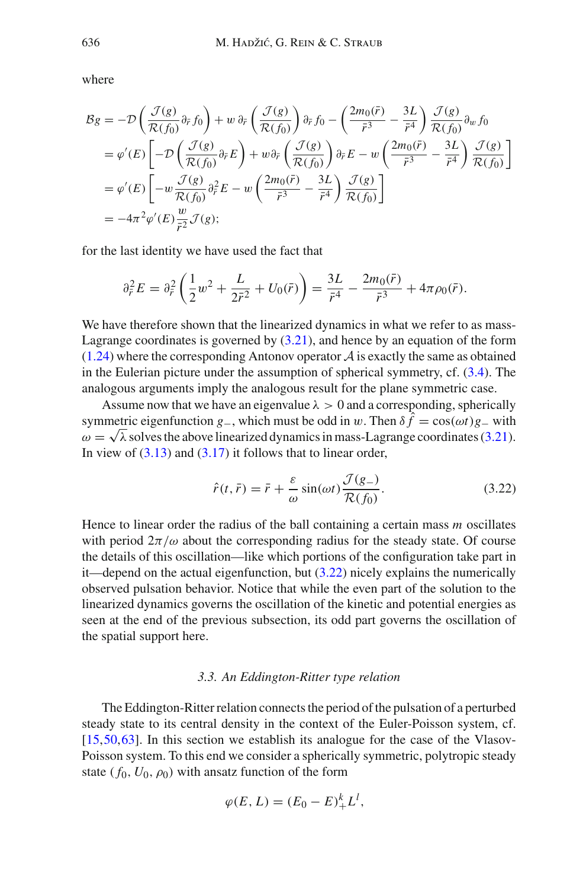where

$$
\mathcal{B}g = -\mathcal{D}\left(\frac{\mathcal{J}(g)}{\mathcal{R}(f_0)}\partial_{\tilde{r}}f_0\right) + w \partial_{\tilde{r}}\left(\frac{\mathcal{J}(g)}{\mathcal{R}(f_0)}\right)\partial_{\tilde{r}}f_0 - \left(\frac{2m_0(\tilde{r})}{\tilde{r}^3} - \frac{3L}{\tilde{r}^4}\right)\frac{\mathcal{J}(g)}{\mathcal{R}(f_0)}\partial_{w}f_0
$$
  
\n
$$
= \varphi'(E)\left[-\mathcal{D}\left(\frac{\mathcal{J}(g)}{\mathcal{R}(f_0)}\partial_{\tilde{r}}E\right) + w \partial_{\tilde{r}}\left(\frac{\mathcal{J}(g)}{\mathcal{R}(f_0)}\right)\partial_{\tilde{r}}E - w\left(\frac{2m_0(\tilde{r})}{\tilde{r}^3} - \frac{3L}{\tilde{r}^4}\right)\frac{\mathcal{J}(g)}{\mathcal{R}(f_0)}\right]
$$
  
\n
$$
= \varphi'(E)\left[-w\frac{\mathcal{J}(g)}{\mathcal{R}(f_0)}\partial_{\tilde{r}}^2E - w\left(\frac{2m_0(\tilde{r})}{\tilde{r}^3} - \frac{3L}{\tilde{r}^4}\right)\frac{\mathcal{J}(g)}{\mathcal{R}(f_0)}\right]
$$
  
\n
$$
= -4\pi^2\varphi'(E)\frac{w}{\tilde{r}^2}\mathcal{J}(g);
$$

for the last identity we have used the fact that

$$
\partial_{\bar{r}}^2 E = \partial_{\bar{r}}^2 \left( \frac{1}{2} w^2 + \frac{L}{2\bar{r}^2} + U_0(\bar{r}) \right) = \frac{3L}{\bar{r}^4} - \frac{2m_0(\bar{r})}{\bar{r}^3} + 4\pi \rho_0(\bar{r}).
$$

We have therefore shown that the linearized dynamics in what we refer to as mass-Lagrange coordinates is governed by  $(3.21)$ , and hence by an equation of the form  $(1.24)$  where the corresponding Antonov operator  $A$  is exactly the same as obtained in the Eulerian picture under the assumption of spherical symmetry, cf. [\(3.4\)](#page-20-2). The analogous arguments imply the analogous result for the plane symmetric case.

Assume now that we have an eigenvalue  $\lambda > 0$  and a corresponding, spherically symmetric eigenfunction  $g_-,$  which must be odd in w. Then  $\delta \hat{f} = \cos(\omega t)g_-\omega t$  $\omega = \sqrt{\lambda}$  solves the above linearized dynamics in mass-Lagrange coordinates [\(3.21\)](#page-24-4). In view of  $(3.13)$  and  $(3.17)$  it follows that to linear order,

<span id="page-25-1"></span>
$$
\hat{r}(t,\bar{r}) = \bar{r} + \frac{\varepsilon}{\omega} \sin(\omega t) \frac{\mathcal{J}(g_{-})}{\mathcal{R}(f_0)}.
$$
\n(3.22)

Hence to linear order the radius of the ball containing a certain mass *m* oscillates with period  $2\pi/\omega$  about the corresponding radius for the steady state. Of course the details of this oscillation—like which portions of the configuration take part in it—depend on the actual eigenfunction, but  $(3.22)$  nicely explains the numerically observed pulsation behavior. Notice that while the even part of the solution to the linearized dynamics governs the oscillation of the kinetic and potential energies as seen at the end of the previous subsection, its odd part governs the oscillation of the spatial support here.

## *3.3. An Eddington-Ritter type relation*

<span id="page-25-0"></span>The Eddington-Ritter relation connects the period of the pulsation of a perturbed steady state to its central density in the context of the Euler-Poisson system, cf.  $[15,50,63]$  $[15,50,63]$  $[15,50,63]$  $[15,50,63]$ . In this section we establish its analogue for the case of the Vlasov-Poisson system. To this end we consider a spherically symmetric, polytropic steady state ( $f_0$ ,  $U_0$ ,  $\rho_0$ ) with ansatz function of the form

$$
\varphi(E, L) = (E_0 - E)^k_+ L^l,
$$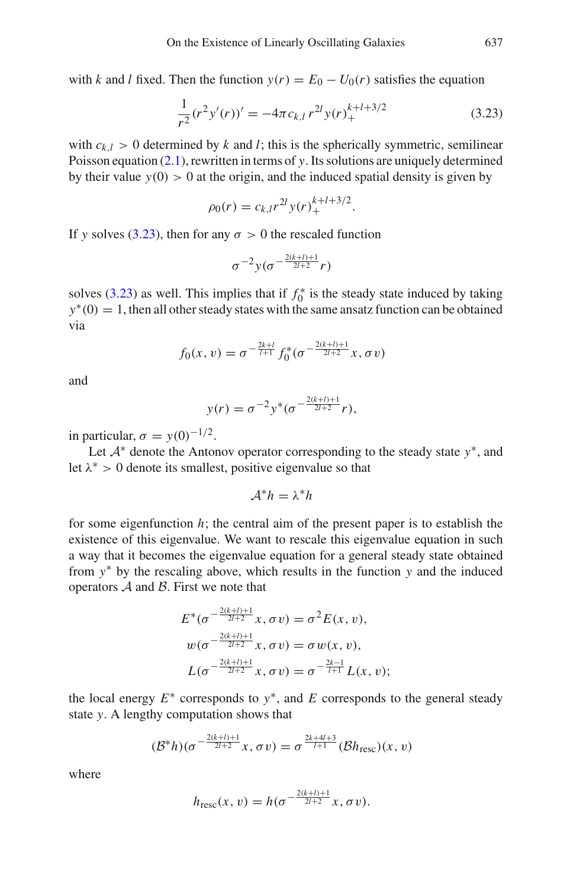with *k* and *l* fixed. Then the function  $y(r) = E_0 - U_0(r)$  satisfies the equation

<span id="page-26-0"></span>
$$
\frac{1}{r^2}(r^2y'(r))' = -4\pi c_{k,l} r^{2l}y(r)_+^{k+l+3/2}
$$
\n(3.23)

with  $c_{k,l} > 0$  determined by k and l; this is the spherically symmetric, semilinear Poisson equation [\(2.1\)](#page-11-4), rewritten in terms of *y*. Its solutions are uniquely determined by their value  $y(0) > 0$  at the origin, and the induced spatial density is given by

$$
\rho_0(r) = c_{k,l} r^{2l} y(r)_+^{k+l+3/2}.
$$

If *y* solves [\(3.23\)](#page-26-0), then for any  $\sigma > 0$  the rescaled function

$$
\sigma^{-2}y(\sigma^{-\frac{2(k+l)+1}{2l+2}}r)
$$

solves  $(3.23)$  as well. This implies that if  $f_0^*$  is the steady state induced by taking *y*<sup>∗</sup>(0) = 1, then all other steady states with the same ansatz function can be obtained via

$$
f_0(x, v) = \sigma^{-\frac{2k+l}{l+1}} f_0^*(\sigma^{-\frac{2(k+l)+1}{2l+2}} x, \sigma v)
$$

and

$$
y(r) = \sigma^{-2} y^* (\sigma^{-\frac{2(k+l)+1}{2l+2}} r),
$$

in particular,  $\sigma = y(0)^{-1/2}$ .

Let *A*<sup>∗</sup> denote the Antonov operator corresponding to the steady state *y*∗, and let  $\lambda^* > 0$  denote its smallest, positive eigenvalue so that

$$
\mathcal{A}^*h=\lambda^*h
$$

for some eigenfunction  $h$ ; the central aim of the present paper is to establish the existence of this eigenvalue. We want to rescale this eigenvalue equation in such a way that it becomes the eigenvalue equation for a general steady state obtained from *y*∗ by the rescaling above, which results in the function *y* and the induced operators *A* and *B*. First we note that

$$
E^*(\sigma^{-\frac{2(k+l)+1}{2l+2}}x, \sigma v) = \sigma^2 E(x, v),
$$
  
\n
$$
w(\sigma^{-\frac{2(k+l)+1}{2l+2}}x, \sigma v) = \sigma w(x, v),
$$
  
\n
$$
L(\sigma^{-\frac{2(k+l)+1}{2l+2}}x, \sigma v) = \sigma^{-\frac{2k-l}{l+1}}L(x, v);
$$

the local energy  $E^*$  corresponds to  $y^*$ , and  $E$  corresponds to the general steady state *y*. A lengthy computation shows that

$$
(\mathcal{B}^*h)(\sigma^{-\frac{2(k+l)+1}{2l+2}}x,\sigma v)=\sigma^{\frac{2k+4l+3}{l+1}}(\mathcal{B}h_{\text{resc}})(x,v)
$$

where

$$
h_{\text{resc}}(x, v) = h(\sigma^{-\frac{2(k+l)+1}{2l+2}}x, \sigma v).
$$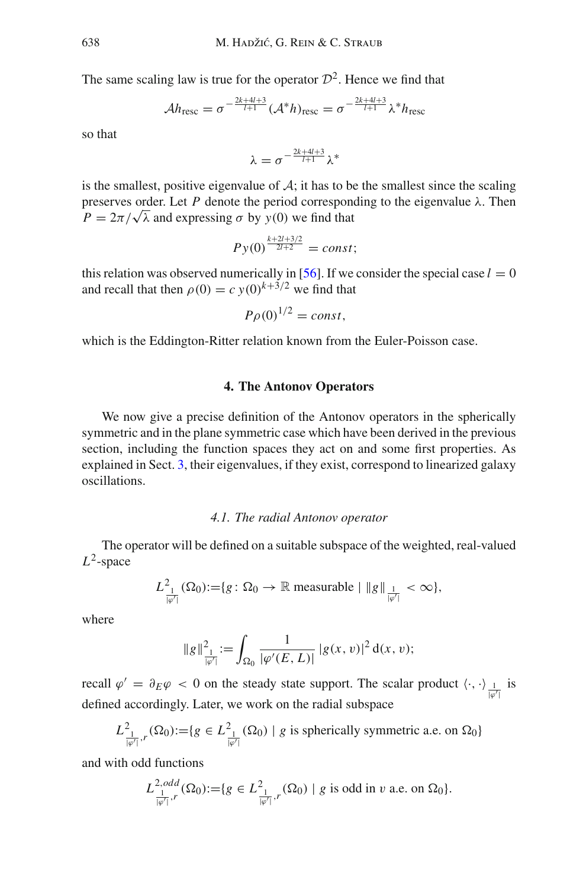The same scaling law is true for the operator  $\mathcal{D}^2$ . Hence we find that

$$
\mathcal{A}h_{\text{resc}} = \sigma^{-\frac{2k+4l+3}{l+1}} (\mathcal{A}^*h)_{\text{resc}} = \sigma^{-\frac{2k+4l+3}{l+1}} \lambda^*h_{\text{resc}}
$$

so that

$$
\lambda=\sigma^{-\frac{2k+4l+3}{l+1}}\lambda^*
$$

is the smallest, positive eigenvalue of  $A$ ; it has to be the smallest since the scaling preserves order. Let  $P$  denote the period corresponding to the eigenvalue  $\lambda$ . Then  $P = 2\pi/\sqrt{\lambda}$  and expressing  $\sigma$  by  $y(0)$  we find that

$$
Py(0)^{\frac{k+2l+3/2}{2l+2}} = const;
$$

this relation was observed numerically in [\[56\]](#page-84-0). If we consider the special case  $l = 0$ and recall that then  $\rho(0) = c y(0)^{k+3/2}$  we find that

$$
P\rho(0)^{1/2} = const,
$$

<span id="page-27-0"></span>which is the Eddington-Ritter relation known from the Euler-Poisson case.

## **4. The Antonov Operators**

We now give a precise definition of the Antonov operators in the spherically symmetric and in the plane symmetric case which have been derived in the previous section, including the function spaces they act on and some first properties. As explained in Sect. [3,](#page-20-0) their eigenvalues, if they exist, correspond to linearized galaxy oscillations.

#### *4.1. The radial Antonov operator*

<span id="page-27-1"></span>The operator will be defined on a suitable subspace of the weighted, real-valued *L*2-space

$$
L^2_{\frac{1}{|\varphi'|}}(\Omega_0) := \{ g \colon \Omega_0 \to \mathbb{R} \text{ measurable } | \|g\|_{\frac{1}{|\varphi'|}} < \infty \},
$$

where

$$
\|g\|_{\frac{1}{|\varphi'|}}^2 := \int_{\Omega_0} \frac{1}{|\varphi'(E, L)|} |g(x, v)|^2 d(x, v);
$$

recall  $\varphi' = \partial_E \varphi < 0$  on the steady state support. The scalar product  $\langle \cdot, \cdot \rangle \frac{1}{|\varphi'|}$  is defined accordingly. Later, we work on the radial subspace

$$
L^2_{\frac{1}{|\varphi'|},r}(\Omega_0) := \{ g \in L^2_{\frac{1}{|\varphi'|}}(\Omega_0) \mid g \text{ is spherically symmetric a.e. on } \Omega_0 \}
$$

and with odd functions

$$
L^{2,odd}_{\frac{1}{|\varphi'|},r}(\Omega_0) := \{ g \in L^2_{\frac{1}{|\varphi'|},r}(\Omega_0) \mid g \text{ is odd in } v \text{ a.e. on } \Omega_0 \}.
$$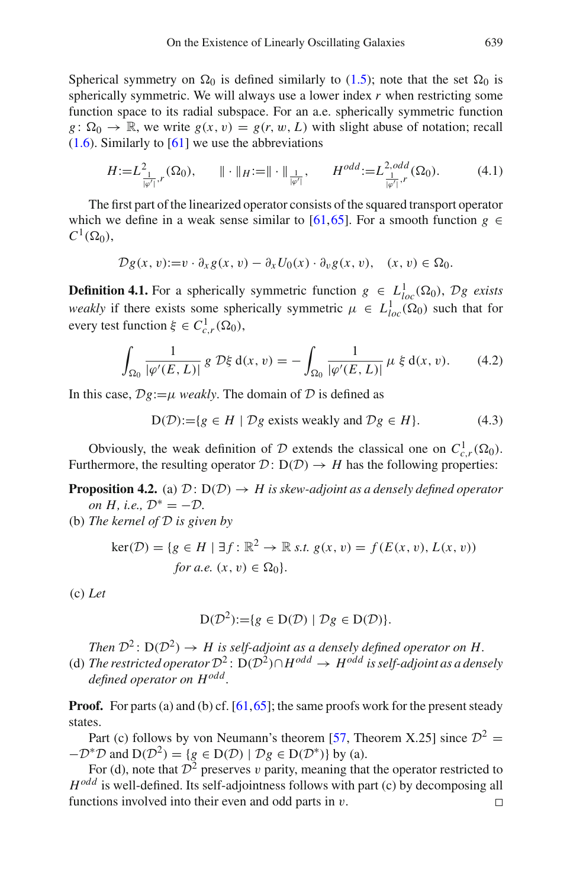Spherical symmetry on  $\Omega_0$  is defined similarly to [\(1.5\)](#page-2-3); note that the set  $\Omega_0$  is spherically symmetric. We will always use a lower index *r* when restricting some function space to its radial subspace. For an a.e. spherically symmetric function  $g: \Omega_0 \to \mathbb{R}$ , we write  $g(x, v) = g(r, w, L)$  with slight abuse of notation; recall  $(1.6)$ . Similarly to  $[61]$  we use the abbreviations

$$
H := L^2_{\frac{1}{|\varphi'|},r}(\Omega_0), \qquad \|\cdot\|_H := \|\cdot\|_{\frac{1}{|\varphi'|}}, \qquad H^{odd} := L^{2,odd}_{\frac{1}{|\varphi'|},r}(\Omega_0). \tag{4.1}
$$

The first part of the linearized operator consists of the squared transport operator which we define in a weak sense similar to [\[61](#page-85-2)[,65](#page-85-4)]. For a smooth function  $g \in$  $C^1(\Omega_0)$ ,

$$
\mathcal{D}g(x,v) := v \cdot \partial_x g(x,v) - \partial_x U_0(x) \cdot \partial_v g(x,v), \quad (x,v) \in \Omega_0.
$$

<span id="page-28-1"></span>**Definition 4.1.** For a spherically symmetric function  $g \in L^1_{loc}(\Omega_0)$ ,  $\mathcal{D}g$  exists *weakly* if there exists some spherically symmetric  $\mu \in L^1_{loc}(\Omega_0)$  such that for every test function  $\xi \in C^1_{c,r}(\Omega_0)$ ,

$$
\int_{\Omega_0} \frac{1}{|\varphi'(E, L)|} g \, \mathcal{D}\xi \, \mathrm{d}(x, v) = -\int_{\Omega_0} \frac{1}{|\varphi'(E, L)|} \, \mu \, \xi \, \mathrm{d}(x, v). \tag{4.2}
$$

In this case,  $\mathcal{D}g:=\mu$  *weakly*. The domain of  $\mathcal D$  is defined as

$$
D(D) := \{ g \in H \mid \mathcal{D}g \text{ exists weakly and } \mathcal{D}g \in H \}. \tag{4.3}
$$

Obviously, the weak definition of *D* extends the classical one on  $C_{c,r}^1(\Omega_0)$ . Furthermore, the resulting operator  $\mathcal{D}: D(\mathcal{D}) \to H$  has the following properties:

**Proposition 4.2.** (a)  $\mathcal{D}: D(\mathcal{D}) \rightarrow H$  is skew-adjoint as a densely defined operator *on H, i.e.,*  $\mathcal{D}^* = -\mathcal{D}$ *.* 

(b) *The kernel of D is given by*

$$
\ker(\mathcal{D}) = \{ g \in H \mid \exists f : \mathbb{R}^2 \to \mathbb{R} \text{ s.t. } g(x, v) = f(E(x, v), L(x, v))
$$
  
for a.e.  $(x, v) \in \Omega_0 \}.$ 

(c) *Let*

<span id="page-28-0"></span>
$$
D(\mathcal{D}^2) := \{ g \in D(\mathcal{D}) \mid \mathcal{D}g \in D(\mathcal{D}) \}.
$$

*Then*  $\mathcal{D}^2$ :  $D(\mathcal{D}^2) \rightarrow H$  is self-adjoint as a densely defined operator on H. (d) *The restricted operator*  $\mathcal{D}^2$ : D( $\mathcal{D}^2$ )∩*H*<sup>*odd*</sup> → *H*<sup>*odd*</sup> *is self-adjoint as a densely defined operator on Hodd .*

**Proof.** For parts (a) and (b) cf. [\[61](#page-85-2)[,65](#page-85-4)]; the same proofs work for the present steady states.

Part (c) follows by von Neumann's theorem [\[57,](#page-84-23) Theorem X.25] since  $\mathcal{D}^2$  =  $-D^*D$  and  $D(\mathcal{D}^2) = \{g \in D(\mathcal{D}) \mid \mathcal{D}g \in D(\mathcal{D}^*)\}$  by (a).

For (d), note that  $\mathcal{D}^2$  preserves v parity, meaning that the operator restricted to *Hodd* is well-defined. Its self-adjointness follows with part (c) by decomposing all functions involved into their even and odd parts in  $v$ .  $\Box$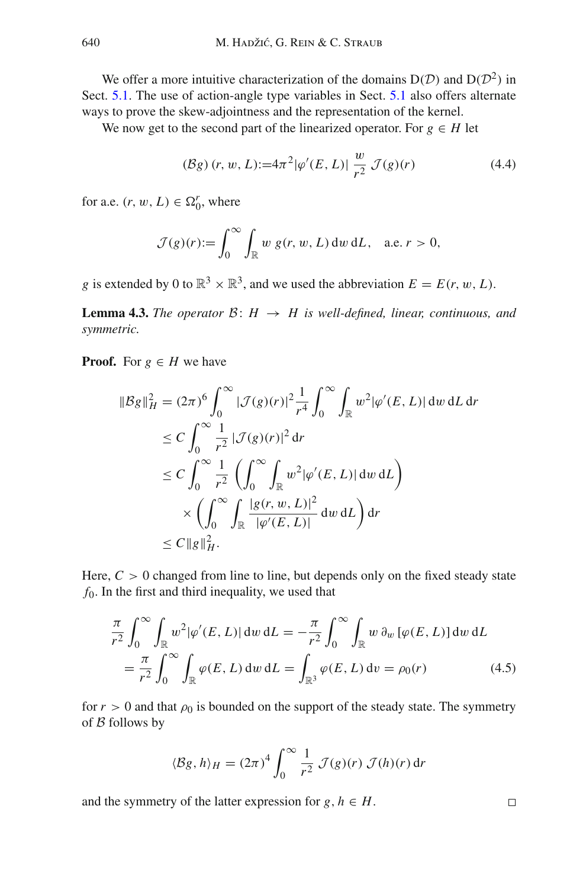We offer a more intuitive characterization of the domains  $D(D)$  and  $D(D^2)$  in Sect. [5.1.](#page-33-1) The use of action-angle type variables in Sect. [5.1](#page-33-1) also offers alternate ways to prove the skew-adjointness and the representation of the kernel.

We now get to the second part of the linearized operator. For  $g \in H$  let

<span id="page-29-0"></span>
$$
(\mathcal{B}g)(r, w, L) := 4\pi^2 |\varphi'(E, L)| \frac{w}{r^2} \mathcal{J}(g)(r)
$$
 (4.4)

for a.e.  $(r, w, L) \in \Omega_0^r$ , where

$$
\mathcal{J}(g)(r) := \int_0^\infty \int_{\mathbb{R}} w g(r, w, L) dw dL, \quad \text{a.e. } r > 0,
$$

*g* is extended by 0 to  $\mathbb{R}^3 \times \mathbb{R}^3$ , and we used the abbreviation  $E = E(r, w, L)$ .

**Lemma 4.3.** *The operator*  $\mathcal{B}: H \rightarrow H$  *is well-defined, linear, continuous, and symmetric.*

**Proof.** For  $g \in H$  we have

$$
\|\mathcal{B}g\|_{H}^{2} = (2\pi)^{6} \int_{0}^{\infty} |\mathcal{J}(g)(r)|^{2} \frac{1}{r^{4}} \int_{0}^{\infty} \int_{\mathbb{R}} w^{2} |\varphi'(E, L)| \, dw \, dL \, dr
$$
  
\n
$$
\leq C \int_{0}^{\infty} \frac{1}{r^{2}} |\mathcal{J}(g)(r)|^{2} \, dr
$$
  
\n
$$
\leq C \int_{0}^{\infty} \frac{1}{r^{2}} \left( \int_{0}^{\infty} \int_{\mathbb{R}} w^{2} |\varphi'(E, L)| \, dw \, dL \right)
$$
  
\n
$$
\times \left( \int_{0}^{\infty} \int_{\mathbb{R}} \frac{|g(r, w, L)|^{2}}{|\varphi'(E, L)|} \, dw \, dL \right) dr
$$
  
\n
$$
\leq C \|\mathcal{g}\|_{H}^{2}.
$$

Here,  $C > 0$  changed from line to line, but depends only on the fixed steady state *f*0. In the first and third inequality, we used that

$$
\frac{\pi}{r^2} \int_0^\infty \int_{\mathbb{R}} w^2 |\varphi'(E, L)| \, dw \, dL = -\frac{\pi}{r^2} \int_0^\infty \int_{\mathbb{R}} w \, \partial_w \left[ \varphi(E, L) \right] dw \, dL
$$
\n
$$
= \frac{\pi}{r^2} \int_0^\infty \int_{\mathbb{R}} \varphi(E, L) \, dw \, dL = \int_{\mathbb{R}^3} \varphi(E, L) \, dv = \rho_0(r) \tag{4.5}
$$

for  $r > 0$  and that  $\rho_0$  is bounded on the support of the steady state. The symmetry of *B* follows by

$$
\langle \mathcal{B}g, h \rangle_H = (2\pi)^4 \int_0^\infty \frac{1}{r^2} \mathcal{J}(g)(r) \mathcal{J}(h)(r) dr
$$

and the symmetry of the latter expression for  $g, h \in H$ .

 $\Box$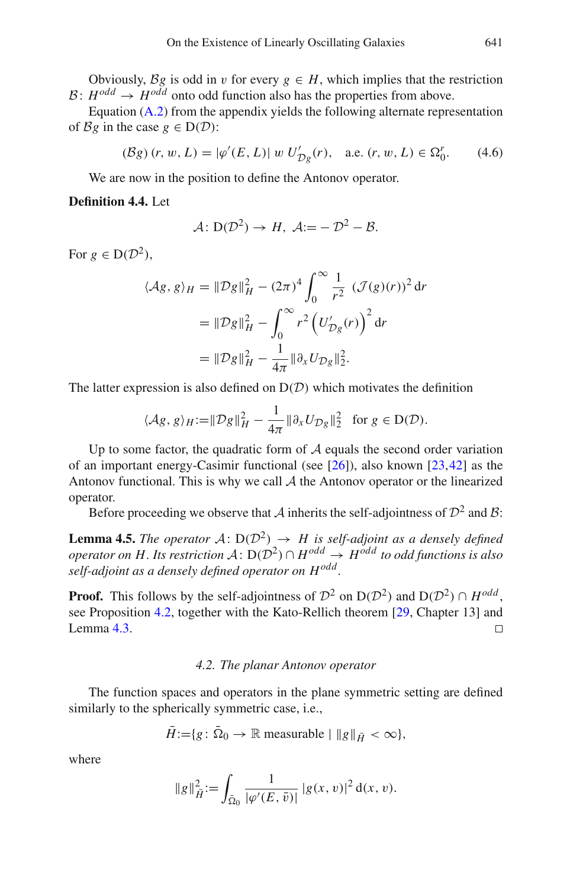Obviously,  $\mathcal{B}g$  is odd in v for every  $g \in H$ , which implies that the restriction  $B: H^{odd} \rightarrow H^{odd}$  onto odd function also has the properties from above.

Equation [\(A.2\)](#page-76-0) from the appendix yields the following alternate representation of *Bg* in the case  $g \in D(D)$ :

$$
(\mathcal{B}g)(r, w, L) = |\varphi'(E, L)| \ w \ U'_{\mathcal{D}g}(r), \quad \text{a.e. } (r, w, L) \in \Omega_0^r. \tag{4.6}
$$

We are now in the position to define the Antonov operator.

## **Definition 4.4.** Let

<span id="page-30-1"></span>
$$
\mathcal{A}: D(\mathcal{D}^2) \to H, \ \mathcal{A}:=-\mathcal{D}^2-\mathcal{B}.
$$

For  $g \in D(\mathcal{D}^2)$ ,

$$
\langle Ag, g \rangle_H = ||Dg||_H^2 - (2\pi)^4 \int_0^\infty \frac{1}{r^2} \left( \mathcal{J}(g)(r) \right)^2 dr
$$
  
=  $||Dg||_H^2 - \int_0^\infty r^2 \left( U'_{Dg}(r) \right)^2 dr$   
=  $||Dg||_H^2 - \frac{1}{4\pi} ||\partial_x U_{Dg}||_2^2$ .

The latter expression is also defined on  $D(D)$  which motivates the definition

$$
\langle \mathcal{A}g, g \rangle_H := \|\mathcal{D}g\|_H^2 - \frac{1}{4\pi} \|\partial_x U_{\mathcal{D}g}\|_2^2 \text{ for } g \in \mathcal{D}(\mathcal{D}).
$$

Up to some factor, the quadratic form of *A* equals the second order variation of an important energy-Casimir functional (see  $[26]$ ), also known  $[23,42]$  $[23,42]$  $[23,42]$  as the Antonov functional. This is why we call *A* the Antonov operator or the linearized operator.

Before proceeding we observe that *A* inherits the self-adjointness of  $\mathcal{D}^2$  and *B*:

**Lemma 4.5.** *The operator*  $A: D(D^2) \rightarrow H$  *is self-adjoint as a densely defined operator on H. Its restriction*  $A: D(D^2) \cap H^{odd} \rightarrow H^{odd}$  *to odd functions is also self-adjoint as a densely defined operator on Hodd .*

**Proof.** This follows by the self-adjointness of  $\mathcal{D}^2$  on  $D(\mathcal{D}^2)$  and  $D(\mathcal{D}^2) \cap H^{odd}$ , see Proposition [4.2,](#page-28-0) together with the Kato-Rellich theorem [\[29](#page-83-23), Chapter 13] and Lemma  $4.3$ .  $\Box$ 

## *4.2. The planar Antonov operator*

<span id="page-30-0"></span>The function spaces and operators in the plane symmetric setting are defined similarly to the spherically symmetric case, i.e.,

$$
\bar{H} \mathop{:=}\nolimits \{g \colon \bar{\Omega}_0 \to \mathbb{R} \text{ measurable } | \, \|g\|_{\bar{H}} < \infty \},
$$

where

$$
\|g\|_{\tilde{H}}^2 := \int_{\bar{\Omega}_0} \frac{1}{|\varphi'(E,\bar{v})|} |g(x,v)|^2 d(x,v).
$$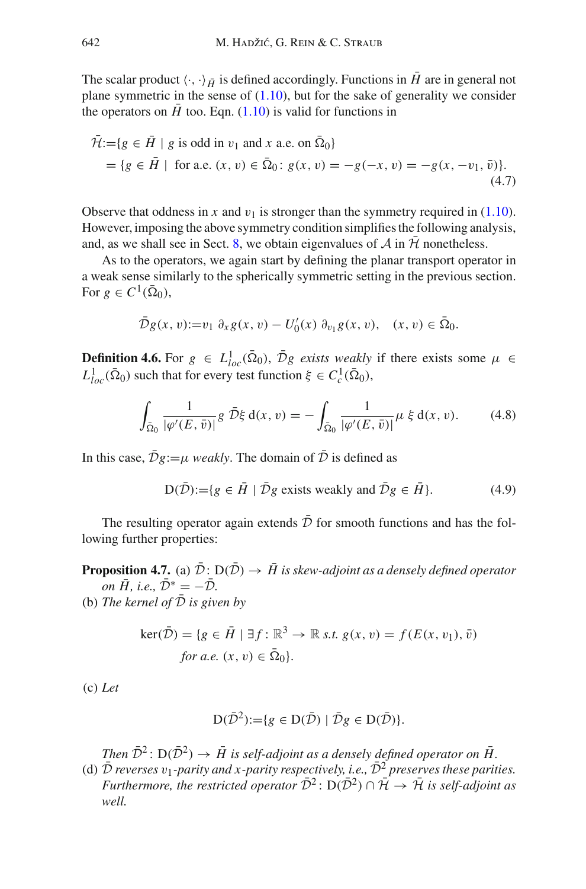The scalar product  $\langle \cdot, \cdot \rangle_{\bar{H}}$  is defined accordingly. Functions in *H* are in general not plane symmetric in the sense of  $(1.10)$ , but for the sake of generality we consider the operators on  $\bar{H}$  too. Eqn. [\(1.10\)](#page-3-1) is valid for functions in

$$
\tilde{\mathcal{H}} := \{ g \in \tilde{H} \mid g \text{ is odd in } v_1 \text{ and } x \text{ a.e. on } \bar{\Omega}_0 \}
$$
  
=  $\{ g \in \tilde{H} \mid \text{ for a.e. } (x, v) \in \bar{\Omega}_0 : g(x, v) = -g(-x, v) = -g(x, -v_1, \bar{v}) \}.$  (4.7)

Observe that oddness in x and  $v_1$  is stronger than the symmetry required in [\(1.10\)](#page-3-1). However, imposing the above symmetry condition simplifies the following analysis, and, as we shall see in Sect. [8,](#page-59-0) we obtain eigenvalues of  $\mathcal A$  in  $\mathcal H$  nonetheless.

As to the operators, we again start by defining the planar transport operator in a weak sense similarly to the spherically symmetric setting in the previous section. For  $g \in C^1(\overline{\Omega}_0)$ ,

$$
\bar{D}g(x,v) := v_1 \partial_x g(x,v) - U'_0(x) \partial_{v_1} g(x,v), \quad (x,v) \in \bar{\Omega}_0.
$$

**Definition 4.6.** For  $g \in L^1_{loc}(\bar{\Omega}_0)$ ,  $\bar{\mathcal{D}}g$  *exists weakly* if there exists some  $\mu \in$  $L^1_{loc}(\bar{\Omega}_0)$  such that for every test function  $\xi \in C^1_c(\bar{\Omega}_0)$ ,

$$
\int_{\bar{\Omega}_0} \frac{1}{|\varphi'(E,\bar{v})|} g \,\bar{\mathcal{D}}\xi \,d(x,v) = -\int_{\bar{\Omega}_0} \frac{1}{|\varphi'(E,\bar{v})|} \mu \,\xi \,d(x,v). \tag{4.8}
$$

In this case,  $\bar{\mathcal{D}}g := \mu$  *weakly*. The domain of  $\bar{\mathcal{D}}$  is defined as

$$
D(\bar{\mathcal{D}}) := \{ g \in \bar{H} \mid \bar{\mathcal{D}}g \text{ exists weakly and } \bar{\mathcal{D}}g \in \bar{H} \}. \tag{4.9}
$$

<span id="page-31-0"></span>The resulting operator again extends  $\bar{\mathcal{D}}$  for smooth functions and has the following further properties:

**Proposition 4.7.** (a)  $\bar{\mathcal{D}}$ :  $D(\bar{\mathcal{D}}) \rightarrow \bar{H}$  is skew-adjoint as a densely defined operator *on*  $\overline{H}$ *, i.e.*,  $\overline{D}^* = -\overline{D}$ *.* 

(b) *The kernel of*  $D$  *is given by* 

$$
\ker(\bar{D}) = \{ g \in \bar{H} \mid \exists f : \mathbb{R}^3 \to \mathbb{R} \text{ s.t. } g(x, v) = f(E(x, v_1), \bar{v})
$$
  
for a.e.  $(x, v) \in \bar{\Omega}_0 \}.$ 

(c) *Let*

$$
D(\bar{\mathcal{D}}^2) := \{ g \in D(\bar{\mathcal{D}}) \mid \bar{\mathcal{D}}g \in D(\bar{\mathcal{D}}) \}.
$$

*Then*  $\bar{\mathcal{D}}^2$ :  $D(\bar{\mathcal{D}}^2) \rightarrow \bar{H}$  is self-adjoint as a densely defined operator on  $\bar{H}$ .

(d)  $\bar{\mathcal{D}}$  *reverses*  $v_1$ *-parity and x-parity respectively, i.e.,*  $\bar{\mathcal{D}}^2$  *preserves these parities. Furthermore, the restricted operator*  $\bar{\mathcal{D}}^2$ :  $D(\bar{\mathcal{D}}^2) \cap \bar{\mathcal{H}} \rightarrow \bar{\mathcal{H}}$  *is self-adjoint as well.*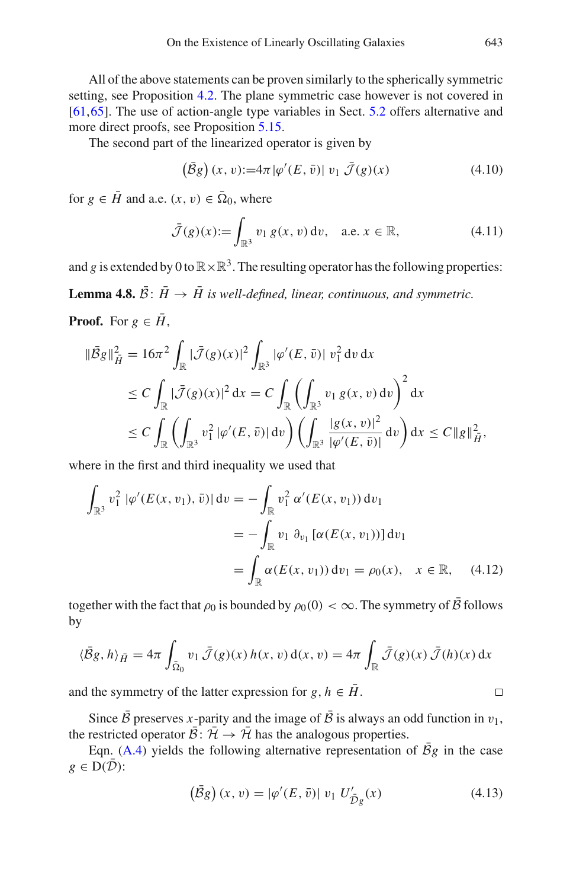All of the above statements can be proven similarly to the spherically symmetric setting, see Proposition [4.2.](#page-28-0) The plane symmetric case however is not covered in [\[61](#page-85-2)[,65](#page-85-4)]. The use of action-angle type variables in Sect. [5.2](#page-43-0) offers alternative and more direct proofs, see Proposition [5.15.](#page-44-0)

The second part of the linearized operator is given by

$$
\left(\overline{\mathcal{B}}g\right)(x,v) := 4\pi |\varphi'(E,\overline{v})| \ v_1 \ \overline{\mathcal{J}}(g)(x) \tag{4.10}
$$

for  $g \in \overline{H}$  and a.e.  $(x, v) \in \overline{\Omega}_0$ , where

$$
\bar{\mathcal{J}}(g)(x) := \int_{\mathbb{R}^3} v_1 g(x, v) dv, \quad \text{a.e. } x \in \mathbb{R},
$$
 (4.11)

<span id="page-32-0"></span>and *g* is extended by 0 to  $\mathbb{R} \times \mathbb{R}^3$ . The resulting operator has the following properties:

**Lemma 4.8.**  $\bar{B}$ :  $\bar{H} \rightarrow \bar{H}$  is well-defined, linear, continuous, and symmetric. **Proof.** For  $g \in \overline{H}$ .

$$
\|\bar{\mathcal{B}}g\|_{\bar{H}}^{2} = 16\pi^{2} \int_{\mathbb{R}} |\bar{\mathcal{J}}(g)(x)|^{2} \int_{\mathbb{R}^{3}} |\varphi'(E, \bar{v})| v_{1}^{2} dv dx
$$
  
\n
$$
\leq C \int_{\mathbb{R}} |\bar{\mathcal{J}}(g)(x)|^{2} dx = C \int_{\mathbb{R}} \left( \int_{\mathbb{R}^{3}} v_{1} g(x, v) dv \right)^{2} dx
$$
  
\n
$$
\leq C \int_{\mathbb{R}} \left( \int_{\mathbb{R}^{3}} v_{1}^{2} |\varphi'(E, \bar{v})| dv \right) \left( \int_{\mathbb{R}^{3}} \frac{|g(x, v)|^{2}}{|\varphi'(E, \bar{v})|} dv \right) dx \leq C \|g\|_{\bar{H}}^{2},
$$

where in the first and third inequality we used that

$$
\int_{\mathbb{R}^3} v_1^2 |\varphi'(E(x, v_1), \bar{v})| dv = -\int_{\mathbb{R}} v_1^2 \alpha'(E(x, v_1)) dv_1
$$
  
= 
$$
-\int_{\mathbb{R}} v_1 \partial_{v_1} [\alpha(E(x, v_1))] dv_1
$$
  
= 
$$
\int_{\mathbb{R}} \alpha(E(x, v_1)) dv_1 = \rho_0(x), \quad x \in \mathbb{R}, \quad (4.12)
$$

together with the fact that  $\rho_0$  is bounded by  $\rho_0(0) < \infty$ . The symmetry of  $\bar{\beta}$  follows by

$$
\langle \bar{B}g, h \rangle_{\bar{H}} = 4\pi \int_{\bar{\Omega}_0} v_1 \, \bar{\mathcal{J}}(g)(x) \, h(x, v) \, d(x, v) = 4\pi \int_{\mathbb{R}} \bar{\mathcal{J}}(g)(x) \, \bar{\mathcal{J}}(h)(x) \, dx
$$

and the symmetry of the latter expression for  $g, h \in \overline{H}$ .

Since  $\bar{\mathcal{B}}$  preserves *x*-parity and the image of  $\bar{\mathcal{B}}$  is always an odd function in  $v_1$ , the restricted operator  $\overline{\mathcal{B}}: \overline{\mathcal{H}} \to \overline{\mathcal{H}}$  has the analogous properties.

Eqn. [\(A.4\)](#page-1-3) yields the following alternative representation of  $\bar{B}g$  in the case  $g \in D(\mathcal{D})$ :

$$
(\bar{B}g)(x,v) = |\varphi'(E,\bar{v})| \ v_1 \ U'_{\bar{D}g}(x) \tag{4.13}
$$

 $\Box$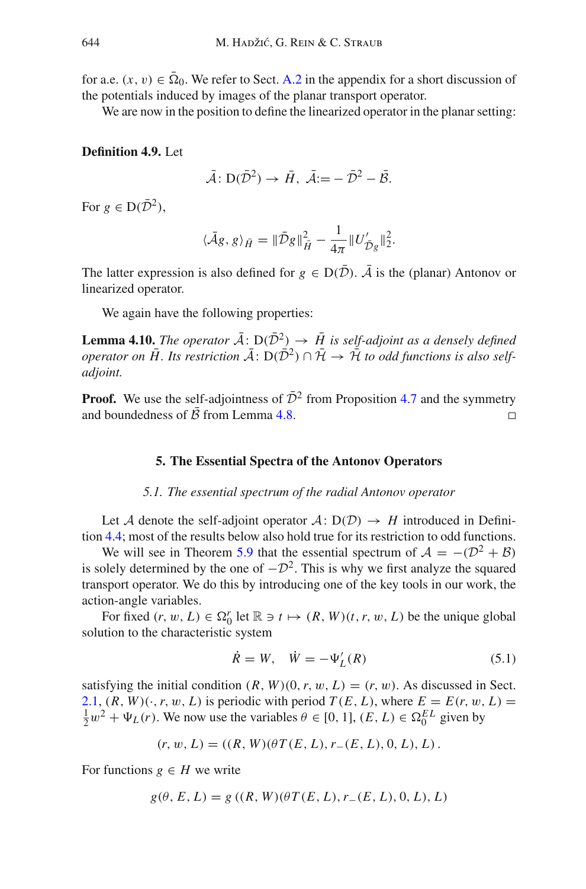for a.e.  $(x, v) \in \overline{\Omega}_0$ . We refer to Sect. [A.2](#page-2-0) in the appendix for a short discussion of the potentials induced by images of the planar transport operator.

We are now in the position to define the linearized operator in the planar setting:

## **Definition 4.9.** Let

$$
\bar{A}: D(\bar{D}^2) \to \bar{H}, \ \bar{A}:=-\bar{D}^2-\bar{B}.
$$

For  $g \in D(\bar{D}^2)$ ,

$$
\langle \bar{A}g, g \rangle_{\bar{H}} = \|\bar{\mathcal{D}}g\|_{\bar{H}}^2 - \frac{1}{4\pi} \|U'_{\bar{\mathcal{D}}g}\|_2^2.
$$

The latter expression is also defined for  $g \in D(\overline{D})$ .  $\overline{A}$  is the (planar) Antonov or linearized operator.

We again have the following properties:

**Lemma 4.10.** *The operator*  $\bar{A}$ :  $D(\bar{D}^2) \rightarrow \bar{H}$  *is self-adjoint as a densely defined operator on*  $\overline{H}$ . Its restriction  $\overline{A}$ :  $D(\overline{D}^2) \cap \overline{H} \to \overline{H}$  to odd functions is also self*adjoint.*

<span id="page-33-0"></span>**Proof.** We use the self-adjointness of  $\overline{D}^2$  from Proposition [4.7](#page-31-0) and the symmetry and boundedness of  $\overline{B}$  from Lemma 4.8 and boundedness of  $\bar{\mathcal{B}}$  from Lemma [4.8.](#page-32-0)

#### **5. The Essential Spectra of the Antonov Operators**

## *5.1. The essential spectrum of the radial Antonov operator*

<span id="page-33-1"></span>Let *A* denote the self-adjoint operator  $A: D(D) \rightarrow H$  introduced in Definition [4.4;](#page-30-1) most of the results below also hold true for its restriction to odd functions.

We will see in Theorem [5.9](#page-41-0) that the essential spectrum of  $A = -(\mathcal{D}^2 + \mathcal{B})$ is solely determined by the one of  $-D^2$ . This is why we first analyze the squared transport operator. We do this by introducing one of the key tools in our work, the action-angle variables.

For fixed  $(r, w, L) \in \Omega_0^r$  let  $\mathbb{R} \ni t \mapsto (R, W)(t, r, w, L)$  be the unique global solution to the characteristic system

$$
\dot{R} = W, \quad \dot{W} = -\Psi_L'(R) \tag{5.1}
$$

satisfying the initial condition  $(R, W)(0, r, w, L) = (r, w)$ . As discussed in Sect. [2.1,](#page-11-1)  $(R, W) (\cdot, r, w, L)$  is periodic with period  $T(E, L)$ , where  $E = E(r, w, L)$  $\frac{1}{2}w^2 + \Psi_L(r)$ . We now use the variables  $\theta \in [0, 1]$ ,  $(E, L) \in \Omega_0^{EL}$  given by

$$
(r, w, L) = ((R, W)(\theta T(E, L), r_{-}(E, L), 0, L), L).
$$

For functions  $g \in H$  we write

$$
g(\theta, E, L) = g((R, W)(\theta T(E, L), r_{-}(E, L), 0, L), L)
$$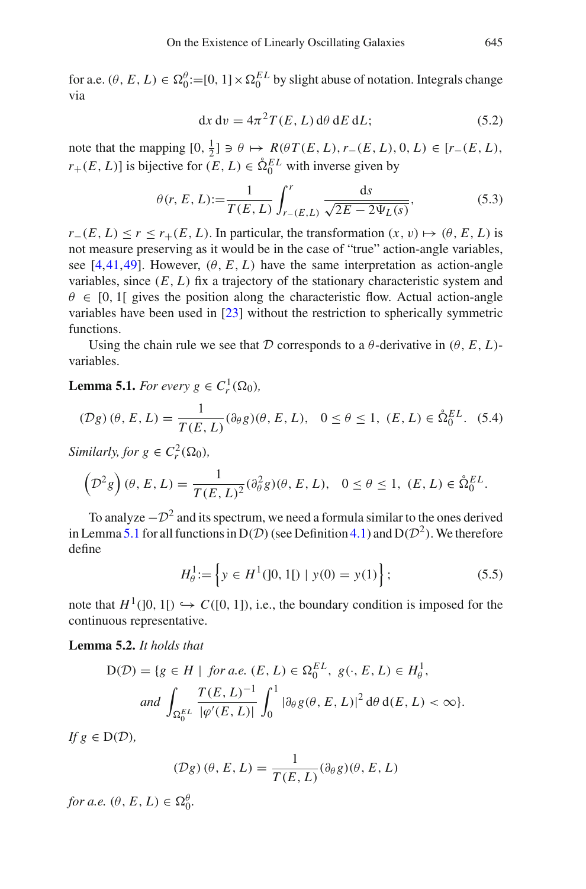for a.e.  $(\theta, E, L) \in \Omega_0^{\theta} := [0, 1] \times \Omega_0^{EL}$  by slight abuse of notation. Integrals change via

$$
dx dv = 4\pi^2 T(E, L) d\theta dE dL;
$$
 (5.2)

note that the mapping  $[0, \frac{1}{2}] \ni \theta \mapsto R(\theta T(E, L), r_{-}(E, L), 0, L) \in [r_{-}(E, L),$  $r_+(E, L)$ ] is bijective for  $(E, L) \in \mathring{\Omega}_0^{EL}$  with inverse given by

$$
\theta(r, E, L) := \frac{1}{T(E, L)} \int_{r_{-}(E, L)}^{r} \frac{ds}{\sqrt{2E - 2\Psi_L(s)}},
$$
(5.3)

 $r_-(E, L) \le r \le r_+(E, L)$ . In particular, the transformation  $(x, v) \mapsto (\theta, E, L)$  is not measure preserving as it would be in the case of "true" action-angle variables, see [\[4,](#page-82-5)[41,](#page-84-12)[49\]](#page-84-13). However,  $(\theta, E, L)$  have the same interpretation as action-angle variables, since  $(E, L)$  fix a trajectory of the stationary characteristic system and  $\theta \in [0, 1]$  gives the position along the characteristic flow. Actual action-angle variables have been used in [\[23](#page-83-5)] without the restriction to spherically symmetric functions.

<span id="page-34-0"></span>Using the chain rule we see that *D* corresponds to a  $\theta$ -derivative in  $(\theta, E, L)$ variables.

**Lemma 5.1.** *For every*  $g \in C_r^1(\Omega_0)$ *,* 

$$
(\mathcal{D}g)(\theta, E, L) = \frac{1}{T(E, L)} (\partial_{\theta}g)(\theta, E, L), \quad 0 \le \theta \le 1, \ (E, L) \in \mathring{\Omega}_0^{EL}. \tag{5.4}
$$

*Similarly, for*  $g \in C_r^2(\Omega_0)$ *,* 

$$
\left(\mathcal{D}^2 g\right)(\theta, E, L) = \frac{1}{T(E, L)^2} (\partial_{\theta}^2 g)(\theta, E, L), \quad 0 \le \theta \le 1, \ (E, L) \in \mathring{\Omega}_0^{EL}.
$$

To analyze  $-D^2$  and its spectrum, we need a formula similar to the ones derived in Lemma [5.1](#page-34-0) for all functions in  $D(D)$  (see Definition [4.1\)](#page-28-1) and  $D(D^2)$ . We therefore define

$$
H_0^1 := \left\{ y \in H^1(]0, 1[) \mid y(0) = y(1) \right\};\tag{5.5}
$$

<span id="page-34-1"></span>note that  $H^1([0, 1]) \hookrightarrow C([0, 1])$ , i.e., the boundary condition is imposed for the continuous representative.

**Lemma 5.2.** *It holds that*

$$
D(\mathcal{D}) = \{ g \in H \mid \text{ for a.e. } (E, L) \in \Omega_0^{EL}, \ g(\cdot, E, L) \in H_\theta^1,
$$
  
and 
$$
\int_{\Omega_0^{EL}} \frac{T(E, L)^{-1}}{|\varphi'(E, L)|} \int_0^1 |\partial_\theta g(\theta, E, L)|^2 d\theta d(E, L) < \infty \}.
$$

*If*  $g \in D(D)$ *,* 

$$
(\mathcal{D}g)(\theta, E, L) = \frac{1}{T(E, L)}(\partial_{\theta}g)(\theta, E, L)
$$

*for a.e.*  $(\theta, E, L) \in \Omega_0^{\theta}$ .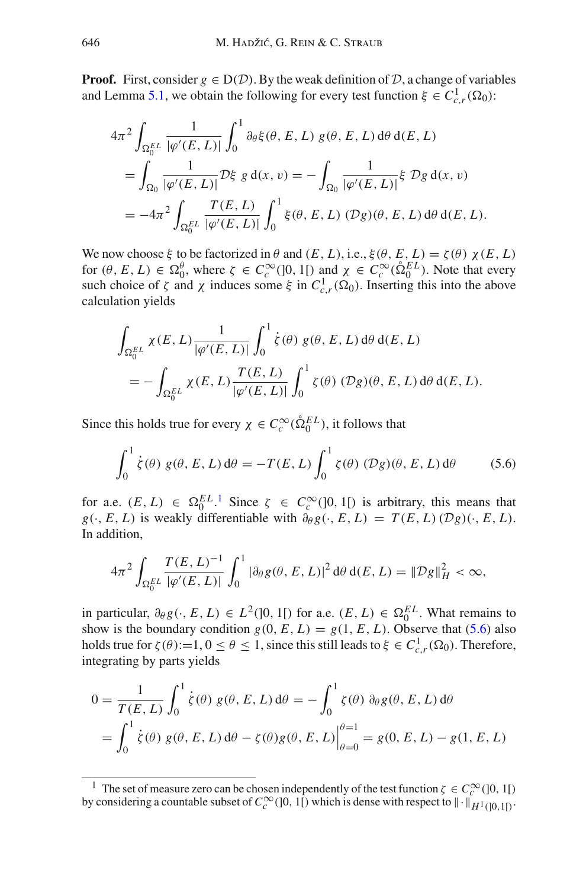**Proof.** First, consider  $g \in D(D)$ . By the weak definition of D, a change of variables and Lemma [5.1,](#page-34-0) we obtain the following for every test function  $\xi \in C_{c,r}^1(\Omega_0)$ :

$$
4\pi^2 \int_{\Omega_0^E} \frac{1}{|\varphi'(E, L)|} \int_0^1 \partial_\theta \xi(\theta, E, L) g(\theta, E, L) d\theta d(E, L)
$$
  
= 
$$
\int_{\Omega_0} \frac{1}{|\varphi'(E, L)|} \mathcal{D}\xi g d(x, v) = - \int_{\Omega_0} \frac{1}{|\varphi'(E, L)|} \xi \mathcal{D}g d(x, v)
$$
  
= 
$$
-4\pi^2 \int_{\Omega_0^E} \frac{T(E, L)}{|\varphi'(E, L)|} \int_0^1 \xi(\theta, E, L) (\mathcal{D}g)(\theta, E, L) d\theta d(E, L).
$$

We now choose  $\xi$  to be factorized in  $\theta$  and  $(E, L)$ , i.e.,  $\xi(\theta, E, L) = \zeta(\theta) \chi(E, L)$ for  $(\theta, E, L) \in \Omega_0^{\theta}$ , where  $\zeta \in C_c^{\infty}(0, 1)$  and  $\chi \in C_c^{\infty}(\hat{\Omega}_0^{EL})$ . Note that every such choice of  $\zeta$  and  $\chi$  induces some  $\xi$  in  $C_{c,r}^1(\Omega_0)$ . Inserting this into the above calculation yields

$$
\int_{\Omega_0^{EL}} \chi(E, L) \frac{1}{|\varphi'(E, L)|} \int_0^1 \dot{\zeta}(\theta) g(\theta, E, L) d\theta d(E, L)
$$
  
= 
$$
- \int_{\Omega_0^{EL}} \chi(E, L) \frac{T(E, L)}{|\varphi'(E, L)|} \int_0^1 \zeta(\theta) (\mathcal{D}g)(\theta, E, L) d\theta d(E, L).
$$

Since this holds true for every  $\chi \in C_c^{\infty}(\hat{\Omega}_0^{EL})$ , it follows that

<span id="page-35-1"></span>
$$
\int_0^1 \dot{\zeta}(\theta) g(\theta, E, L) d\theta = -T(E, L) \int_0^1 \zeta(\theta) (\mathcal{D}g)(\theta, E, L) d\theta
$$
 (5.6)

for a.e.  $(E, L) \in \Omega_0^{EL}$ . Since  $\zeta \in C_c^{\infty}(0, 1]$  $\zeta \in C_c^{\infty}(0, 1]$  $\zeta \in C_c^{\infty}(0, 1]$  is arbitrary, this means that  $g(\cdot, E, L)$  is weakly differentiable with  $\partial_{\theta} g(\cdot, E, L) = T(E, L) (\mathcal{D} g)(\cdot, E, L)$ . In addition,

$$
4\pi^2 \int_{\Omega_0^{EL}} \frac{T(E, L)^{-1}}{|\varphi'(E, L)|} \int_0^1 |\partial_\theta g(\theta, E, L)|^2 d\theta d(E, L) = ||\mathcal{D}g||_H^2 < \infty,
$$

in particular,  $\partial_{\theta} g(\cdot, E, L) \in L^2(]0, 1[)$  for a.e.  $(E, L) \in \Omega_0^{EL}$ . What remains to show is the boundary condition  $g(0, E, L) = g(1, E, L)$ . Observe that [\(5.6\)](#page-35-1) also holds true for  $\zeta(\theta) := 1, 0 \le \theta \le 1$ , since this still leads to  $\xi \in C^1_{c,r}(\Omega_0)$ . Therefore, integrating by parts yields

$$
0 = \frac{1}{T(E, L)} \int_0^1 \dot{\zeta}(\theta) g(\theta, E, L) d\theta = - \int_0^1 \zeta(\theta) \partial_{\theta} g(\theta, E, L) d\theta
$$
  
= 
$$
\int_0^1 \dot{\zeta}(\theta) g(\theta, E, L) d\theta - \zeta(\theta) g(\theta, E, L) \Big|_{\theta=0}^{\theta=1} = g(0, E, L) - g(1, E, L)
$$

<span id="page-35-0"></span><sup>&</sup>lt;sup>1</sup> The set of measure zero can be chosen independently of the test function  $\zeta \in C_c^{\infty}(]0, 1[)$ by considering a countable subset of  $C_c^{\infty}(]0, 1[)$  which is dense with respect to  $\|\cdot\|_{H^1(]0, 1[)}$ .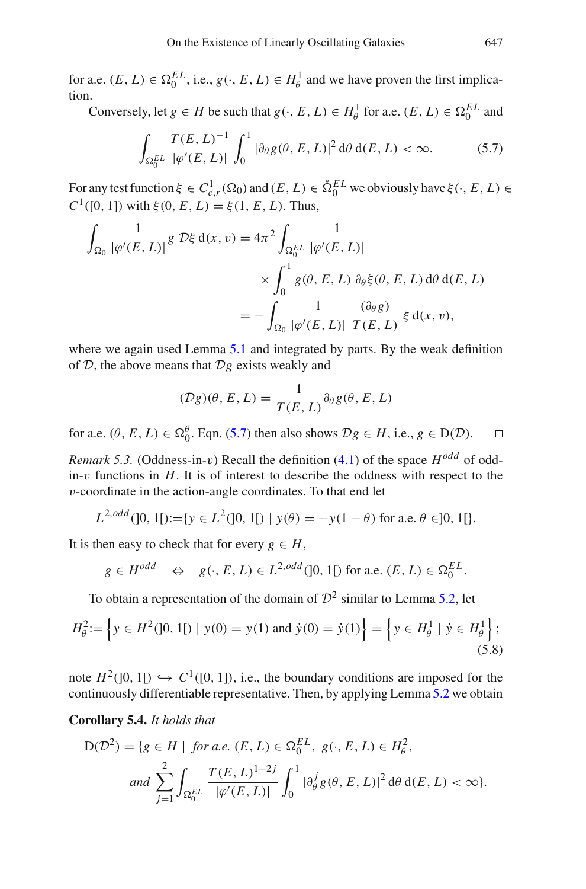for a.e.  $(E, L) \in \Omega_0^{EL}$ , i.e.,  $g(\cdot, E, L) \in H^1_\theta$  and we have proven the first implication.

Conversely, let  $g \in H$  be such that  $g(\cdot, E, L) \in H^1_\theta$  for a.e.  $(E, L) \in \Omega_0^{EL}$  and

<span id="page-36-0"></span>
$$
\int_{\Omega_0^{EL}} \frac{T(E, L)^{-1}}{|\varphi'(E, L)|} \int_0^1 |\partial_\theta g(\theta, E, L)|^2 d\theta d(E, L) < \infty.
$$
 (5.7)

For any test function  $\xi \in C_{c,r}^1(\Omega_0)$  and  $(E, L) \in \mathring{\Omega}_0^{EL}$  we obviously have  $\xi(\cdot, E, L) \in$ *C*<sup>1</sup>([0, 1]) with  $\xi$ (0, *E*, *L*) =  $\xi$ (1, *E*, *L*). Thus,

$$
\int_{\Omega_0} \frac{1}{|\varphi'(E, L)|} g \, \mathcal{D}\xi \, \mathrm{d}(x, v) = 4\pi^2 \int_{\Omega_0^{EL}} \frac{1}{|\varphi'(E, L)|} \times \int_0^1 g(\theta, E, L) \, \partial_\theta \xi(\theta, E, L) \, \mathrm{d}\theta \, \mathrm{d}(E, L)
$$
\n
$$
= - \int_{\Omega_0} \frac{1}{|\varphi'(E, L)|} \, \frac{(\partial_\theta g)}{T(E, L)} \, \xi \, \mathrm{d}(x, v),
$$

where we again used Lemma [5.1](#page-34-0) and integrated by parts. By the weak definition of *D*, the above means that *Dg* exists weakly and

$$
(\mathcal{D}g)(\theta, E, L) = \frac{1}{T(E, L)} \partial_{\theta} g(\theta, E, L)
$$

for a.e.  $(\theta, E, L) \in \Omega_0^{\theta}$ . Eqn. [\(5.7\)](#page-36-0) then also shows  $\mathcal{D}g \in H$ , i.e.,  $g \in D(\mathcal{D})$ .  $\Box$ 

*Remark 5.3.* (Oddness-in-v) Recall the definition  $(4.1)$  of the space  $H^{odd}$  of oddin-v functions in  $H$ . It is of interest to describe the oddness with respect to the v-coordinate in the action-angle coordinates. To that end let

$$
L^{2,odd}(]0,1[):=[y \in L^{2}(]0,1[) \mid y(\theta)=-y(1-\theta) \text{ for a.e. } \theta \in ]0,1[].
$$

It is then easy to check that for every  $g \in H$ ,

<span id="page-36-2"></span>
$$
g \in H^{odd} \iff g(\cdot, E, L) \in L^{2,odd}(]0, 1[)
$$
 for a.e.  $(E, L) \in \Omega_0^{EL}$ .

To obtain a representation of the domain of  $\mathcal{D}^2$  similar to Lemma [5.2,](#page-34-1) let

$$
H_{\theta}^{2} := \left\{ y \in H^{2}(]0, 1[) \mid y(0) = y(1) \text{ and } \dot{y}(0) = \dot{y}(1) \right\} = \left\{ y \in H_{\theta}^{1} \mid \dot{y} \in H_{\theta}^{1} \right\};
$$
\n(5.8)

<span id="page-36-1"></span>note  $H^2([0, 1]) \hookrightarrow C^1([0, 1])$ , i.e., the boundary conditions are imposed for the continuously differentiable representative. Then, by applying Lemma [5.2](#page-34-1) we obtain

**Corollary 5.4.** *It holds that*

$$
D(\mathcal{D}^2) = \{ g \in H \mid \text{ for a.e. } (E, L) \in \Omega_0^{EL}, \ g(\cdot, E, L) \in H_\theta^2, \nand \sum_{j=1}^2 \int_{\Omega_0^{EL}} \frac{T(E, L)^{1-2j}}{|\varphi'(E, L)|} \int_0^1 |\partial_\theta^j g(\theta, E, L)|^2 d\theta d(E, L) < \infty \}.
$$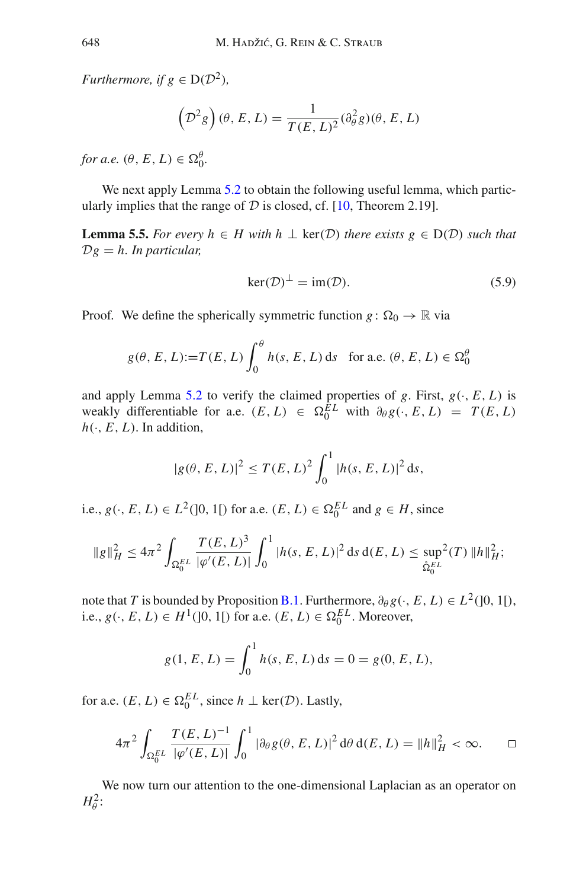*Furthermore, if*  $g \in D(D^2)$ *,* 

$$
\left( \mathcal{D}^2 g \right) (\theta, E, L) = \frac{1}{T(E, L)^2} (\partial_\theta^2 g) (\theta, E, L)
$$

*for a.e.*  $(\theta, E, L) \in \Omega_0^{\theta}$ .

We next apply Lemma [5.2](#page-34-1) to obtain the following useful lemma, which particularly implies that the range of  $D$  is closed, cf. [\[10,](#page-83-0) Theorem 2.19].

**Lemma 5.5.** *For every*  $h$  ∈ *H* with  $h$  ⊥ ker(*D*) *there exists*  $g$  ∈ D(*D*) *such that Dg* = *h. In particular,*

<span id="page-37-1"></span>
$$
\ker(\mathcal{D})^{\perp} = \text{im}(\mathcal{D}).\tag{5.9}
$$

Proof. We define the spherically symmetric function  $g: \Omega_0 \to \mathbb{R}$  via

$$
g(\theta, E, L) := T(E, L) \int_0^{\theta} h(s, E, L) \, ds \quad \text{for a.e. } (\theta, E, L) \in \Omega_0^{\theta}
$$

and apply Lemma [5.2](#page-34-1) to verify the claimed properties of  $g$ . First,  $g(\cdot, E, L)$  is weakly differentiable for a.e.  $(E, L) \in \Omega_0^{EL}$  with  $\partial_{\theta} g(\cdot, E, L) = T(E, L)$  $h(\cdot, E, L)$ . In addition,

$$
|g(\theta, E, L)|^2 \le T(E, L)^2 \int_0^1 |h(s, E, L)|^2 ds,
$$

i.e., *g*( $\cdot$ , *E*, *L*) ∈ *L*<sup>2</sup>(]0, 1[) for a.e. (*E*, *L*) ∈  $\Omega_0^{EL}$  and *g* ∈ *H*, since

$$
\|g\|_H^2 \le 4\pi^2 \int_{\Omega_0^{EL}} \frac{T(E, L)^3}{|\varphi'(E, L)|} \int_0^1 |h(s, E, L)|^2 \, ds \, d(E, L) \le \sup_{\hat{\Omega}_0^{EL}} 2(T) \|h\|_H^2;
$$

note that *T* is bounded by Proposition [B.1.](#page-77-0) Furthermore,  $\partial_{\theta} g(\cdot, E, L) \in L^2([0, 1])$ , i.e., *g*( $\cdot$ , *E*, *L*) ∈ *H*<sup>1</sup>([0, 1[) for a.e. (*E*, *L*) ∈  $\Omega_0^{EL}$ . Moreover,

$$
g(1, E, L) = \int_0^1 h(s, E, L) \, ds = 0 = g(0, E, L),
$$

for a.e.  $(E, L) \in \Omega_0^{EL}$ , since  $h \perp \text{ker}(\mathcal{D})$ . Lastly,

$$
4\pi^2 \int_{\Omega_0^{EL}} \frac{T(E, L)^{-1}}{|\varphi'(E, L)|} \int_0^1 |\partial_\theta g(\theta, E, L)|^2 d\theta d(E, L) = ||h||_H^2 < \infty.
$$

<span id="page-37-0"></span>We now turn our attention to the one-dimensional Laplacian as an operator on  $H^2_\theta$ :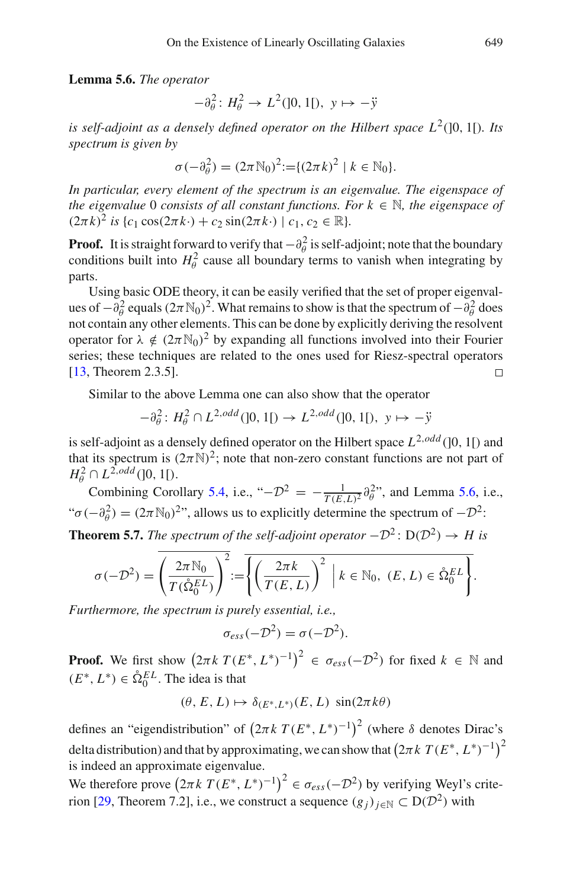**Lemma 5.6.** *The operator*

$$
-\partial_{\theta}^{2} : H_{\theta}^{2} \to L^{2}(]0, 1[), y \mapsto -\ddot{y}
$$

*is self-adjoint as a densely defined operator on the Hilbert space*  $L^2(0, 1)$ *. Its spectrum is given by*

$$
\sigma(-\partial_{\theta}^{2}) = (2\pi N_{0})^{2} := \{(2\pi k)^{2} \mid k \in N_{0}\}.
$$

*In particular, every element of the spectrum is an eigenvalue. The eigenspace of the eigenvalue* 0 *consists of all constant functions. For*  $k \in \mathbb{N}$ *, the eigenspace of*  $(2\pi k)^2$  *is*  $\{c_1 \cos(2\pi k) + c_2 \sin(2\pi k) \mid c_1, c_2 \in \mathbb{R}\}.$ 

**Proof.** It is straight forward to verify that  $-\partial_{\theta}^{2}$  is self-adjoint; note that the boundary conditions built into  $H^2_\theta$  cause all boundary terms to vanish when integrating by parts.

Using basic ODE theory, it can be easily verified that the set of proper eigenvalues of  $-\partial_{\theta}^2$  equals  $(2\pi N_0)^2$ . What remains to show is that the spectrum of  $-\partial_{\theta}^2$  does not contain any other elements. This can be done by explicitly deriving the resolvent operator for  $\lambda \notin (2\pi N_0)^2$  by expanding all functions involved into their Fourier series; these techniques are related to the ones used for Riesz-spectral operators [\[13,](#page-83-1) Theorem 2.3.5].  $\Box$ 

Similar to the above Lemma one can also show that the operator

$$
-\partial_{\theta}^{2}: H_{\theta}^{2} \cap L^{2,odd}(]0,1[) \rightarrow L^{2,odd}(]0,1[), y \mapsto -\ddot{y}
$$

is self-adjoint as a densely defined operator on the Hilbert space  $L^{2,odd}([0, 1])$  and that its spectrum is  $(2\pi N)^2$ ; note that non-zero constant functions are not part of  $H^2_{\theta} \cap L^{2,odd}([0,1])$ .

Combining Corollary [5.4,](#page-36-1) i.e., " $-D^2 = -\frac{1}{T(E,L)^2} \partial_{\theta}^2$ ", and Lemma [5.6,](#page-37-0) i.e., " $\sigma(-\partial_{\theta}^{2}) = (2\pi N_{0})^{2}$ ", allows us to explicitly determine the spectrum of  $-\mathcal{D}^{2}$ :

<span id="page-38-0"></span>**Theorem 5.7.** *The spectrum of the self-adjoint operator*  $-D^2$ :  $D(D^2) \rightarrow H$  *is* 

$$
\sigma(-\mathcal{D}^2) = \left(\frac{2\pi \mathbb{N}_0}{T(\hat{\Omega}_0^{EL})}\right)^2 := \overline{\left\{\left(\frac{2\pi k}{T(E, L)}\right)^2 \middle| k \in \mathbb{N}_0, (E, L) \in \hat{\Omega}_0^{EL}\right\}}.
$$

*Furthermore, the spectrum is purely essential, i.e.,*

$$
\sigma_{ess}(-\mathcal{D}^2) = \sigma(-\mathcal{D}^2).
$$

**Proof.** We first show  $(2\pi k \ T(E^*, L^*)^{-1})^2 \in \sigma_{ess}(-\mathcal{D}^2)$  for fixed  $k \in \mathbb{N}$  and  $(E^*, L^*) \in \mathring{\Omega}_0^{EL}$ . The idea is that

$$
(\theta, E, L) \mapsto \delta_{(E^*, L^*)}(E, L) \, \sin(2\pi k\theta)
$$

defines an "eigendistribution" of 2π*k T* (*E*∗, *L*∗)−<sup>1</sup> <sup>2</sup> (where δ denotes Dirac's delta distribution) and that by approximating, we can show that  $(2\pi k \ T(E^*, L^*)^{-1})^2$ is indeed an approximate eigenvalue.

We therefore prove  $(2\pi k \ T(E^*, L^*)^{-1})^2 \in \sigma_{ess}(-\mathcal{D}^2)$  by verifying Weyl's crite-rion [\[29](#page-83-2), Theorem 7.2], i.e., we construct a sequence  $(g_j)_{j \in \mathbb{N}} \subset D(\mathcal{D}^2)$  with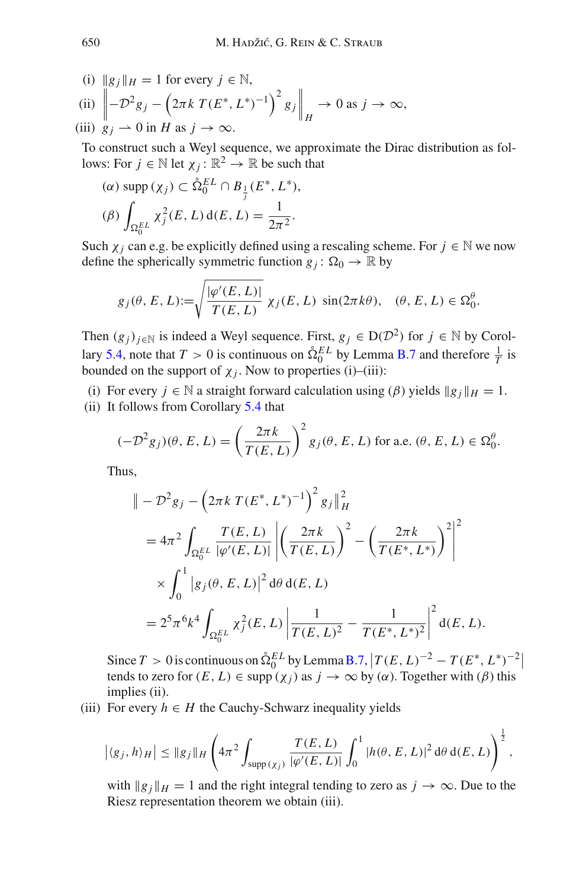(i) 
$$
||g_j||_H = 1
$$
 for every  $j \in \mathbb{N}$ ,  
\n(ii)  $\left\| -D^2 g_j - \left( 2\pi k \ T(E^*, L^*)^{-1} \right)^2 g_j \right\|_H \to 0$  as  $j \to \infty$ ,  
\n(iii)  $g_j \to 0$  in H as  $j \to \infty$ .

To construct such a Weyl sequence, we approximate the Dirac distribution as follows: For  $j \in \mathbb{N}$  let  $\chi_j : \mathbb{R}^2 \to \mathbb{R}$  be such that

(α) supp (χ*j*) <sup>⊂</sup> ˚ *E L* <sup>0</sup> ∩ *B*<sup>1</sup> *j* (*E*∗, *L*∗), (β) - *E L* 0 χ2 *<sup>j</sup>* (*E*, *<sup>L</sup>*) <sup>d</sup>(*E*, *<sup>L</sup>*) <sup>=</sup> <sup>1</sup> <sup>2</sup>π<sup>2</sup> .

Such  $\chi_i$  can e.g. be explicitly defined using a rescaling scheme. For  $j \in \mathbb{N}$  we now define the spherically symmetric function  $g_j$ :  $\Omega_0 \to \mathbb{R}$  by

$$
g_j(\theta, E, L) := \sqrt{\frac{|\varphi'(E, L)|}{T(E, L)}} \chi_j(E, L) \sin(2\pi k\theta), \quad (\theta, E, L) \in \Omega_0^{\theta}.
$$

Then  $(g_j)_{j \in \mathbb{N}}$  is indeed a Weyl sequence. First,  $g_j \in D(\mathcal{D}^2)$  for  $j \in \mathbb{N}$  by Corol-lary [5.4,](#page-36-1) note that  $T > 0$  is continuous on  $\hat{\Omega}_0^{EL}$  by Lemma [B.7](#page-82-0) and therefore  $\frac{1}{T}$  is bounded on the support of  $\chi_j$ . Now to properties (i)–(iii):

(i) For every  $j \in \mathbb{N}$  a straight forward calculation using ( $\beta$ ) yields  $||g_j||_H = 1$ .

(ii) It follows from Corollary [5.4](#page-36-1) that

$$
(-\mathcal{D}^2 g_j)(\theta, E, L) = \left(\frac{2\pi k}{T(E, L)}\right)^2 g_j(\theta, E, L) \text{ for a.e. } (\theta, E, L) \in \Omega_0^{\theta}.
$$

Thus,

$$
\| -\mathcal{D}^2 g_j - \left(2\pi k \, T(E^*, L^*)^{-1}\right)^2 g_j \|_H^2
$$
  
=  $4\pi^2 \int_{\Omega_0^{EL}} \frac{T(E, L)}{|\varphi'(E, L)|} \left| \left(\frac{2\pi k}{T(E, L)}\right)^2 - \left(\frac{2\pi k}{T(E^*, L^*)}\right)^2 \right|^2$   
 $\times \int_0^1 |g_j(\theta, E, L)|^2 d\theta d(E, L)$   
=  $2^5 \pi^6 k^4 \int_{\Omega_0^{EL}} \chi_j^2(E, L) \left| \frac{1}{T(E, L)^2} - \frac{1}{T(E^*, L^*)^2} \right|^2 d(E, L).$ 

 $\text{Since } T > 0 \text{ is continuous on } \mathring{\Omega}_0^{EL} \text{ by Lemma B.7, } |T(E, L)^{-2} - T(E^*, L^*)^{-2}|$  $\text{Since } T > 0 \text{ is continuous on } \mathring{\Omega}_0^{EL} \text{ by Lemma B.7, } |T(E, L)^{-2} - T(E^*, L^*)^{-2}|$  $\text{Since } T > 0 \text{ is continuous on } \mathring{\Omega}_0^{EL} \text{ by Lemma B.7, } |T(E, L)^{-2} - T(E^*, L^*)^{-2}|$ tends to zero for  $(E, L) \in \text{supp}(\chi_i)$  as  $j \to \infty$  by  $(\alpha)$ . Together with  $(\beta)$  this implies (ii).

(iii) For every  $h \in H$  the Cauchy-Schwarz inequality yields

$$
\left|\langle g_j, h \rangle_H\right| \leq \|g_j\|_H \left(4\pi^2 \int_{\text{supp}(\chi_j)} \frac{T(E, L)}{|\varphi'(E, L)|} \int_0^1 |h(\theta, E, L)|^2 d\theta d(E, L)\right)^{\frac{1}{2}},
$$

with  $\|g_i\|_H = 1$  and the right integral tending to zero as  $j \to \infty$ . Due to the Riesz representation theorem we obtain (iii).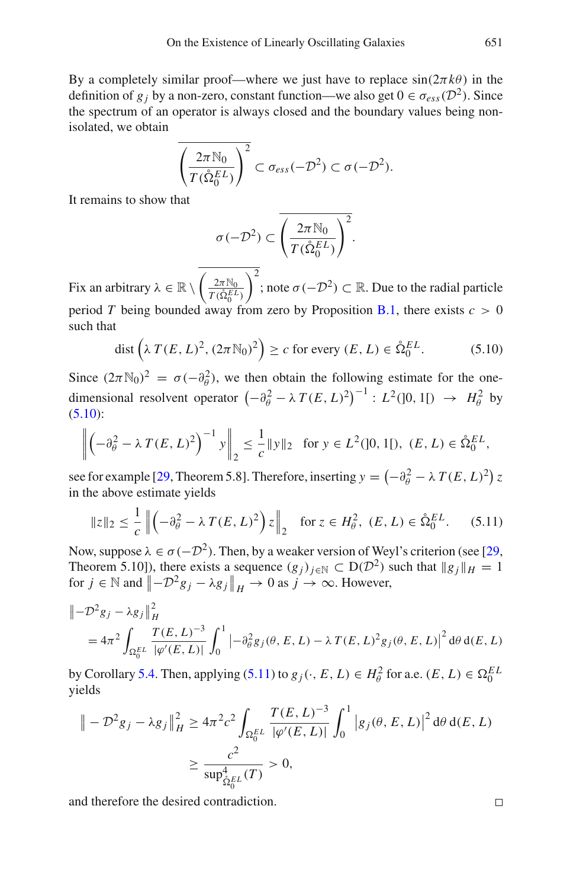By a completely similar proof—where we just have to replace  $sin(2\pi k\theta)$  in the definition of  $g_j$  by a non-zero, constant function—we also get  $0 \in \sigma_{ess}(\mathcal{D}^2)$ . Since the spectrum of an operator is always closed and the boundary values being nonisolated, we obtain

$$
\overline{\left(\frac{2\pi\mathbb{N}_0}{T(\mathring{\Omega}_0^{EL})}\right)^2} \subset \sigma_{ess}(-\mathcal{D}^2) \subset \sigma(-\mathcal{D}^2).
$$

It remains to show that

<span id="page-40-0"></span>
$$
\sigma(-\mathcal{D}^2) \subset \overline{\left(\frac{2\pi \mathbb{N}_0}{T(\mathring{\Omega}_0^{EL})}\right)^2}.
$$

Fix an arbitrary  $\lambda \in \mathbb{R} \setminus \left( \frac{2\pi \mathbb{N}_0}{T(\hat{\Omega}_0^{EL})} \right)$  $T(\mathring{\Omega}_0^{EL})$  $\int$ <sup>2</sup>; note *σ* (−*D*<sup>2</sup>) ⊂ ℝ. Due to the radial particle period *T* being bounded away from zero by Proposition [B.1,](#page-77-0) there exists  $c > 0$ such that

$$
\text{dist}\left(\lambda \, T(E, L)^2, (2\pi \mathbb{N}_0)^2\right) \ge c \text{ for every } (E, L) \in \mathring{\Omega}_0^{EL}.\tag{5.10}
$$

Since  $(2\pi N_0)^2 = \sigma(-\partial_\theta^2)$ , we then obtain the following estimate for the onedimensional resolvent operator  $(-\partial_{\theta}^{2} - \lambda T(E, L)^{2})^{-1}$ :  $L^{2}(]0, 1[) \rightarrow H_{\theta}^{2}$  by  $(5.10):$  $(5.10):$ 

$$
\left\| \left( -\partial_{\theta}^{2} - \lambda T(E, L)^{2} \right)^{-1} y \right\|_{2} \le \frac{1}{c} \| y \|_{2} \text{ for } y \in L^{2}(]0, 1[), (E, L) \in \mathring{\Omega}_{0}^{EL},
$$

see for example [\[29,](#page-83-2) Theorem 5.8]. Therefore, inserting  $y = \left(-\partial_{\theta}^{2} - \lambda T(E, L)^{2}\right)z$ in the above estimate yields

$$
\|z\|_2 \le \frac{1}{c} \left\| \left( -\partial_\theta^2 - \lambda \, T(E, L)^2 \right) z \right\|_2 \quad \text{for } z \in H_\theta^2, \ (E, L) \in \mathring{\Omega}_0^{EL}.\tag{5.11}
$$

Now, suppose  $\lambda \in \sigma(-\mathcal{D}^2)$ . Then, by a weaker version of Weyl's criterion (see [\[29,](#page-83-2) Theorem 5.10]), there exists a sequence  $(g_j)_{j \in \mathbb{N}} \subset D(D^2)$  such that  $||g_j||_H = 1$ for  $j \in \mathbb{N}$  and  $\left\| -\mathcal{D}^2 g_j - \lambda g_j \right\|_H \to 0$  as  $j \to \infty$ . However,

$$
\| -\mathcal{D}^2 g_j - \lambda g_j \|_H^2
$$
  
=  $4\pi^2 \int_{\Omega_0^{EL}} \frac{T(E, L)^{-3}}{|\varphi'(E, L)|} \int_0^1 \left| -\partial_\theta^2 g_j(\theta, E, L) - \lambda T(E, L)^2 g_j(\theta, E, L) \right|^2 d\theta d(E, L)$ 

by Corollary [5.4.](#page-36-1) Then, applying  $(5.11)$  to  $g_j(\cdot, E, L) \in H^2_\theta$  for a.e.  $(E, L) \in \Omega_0^{EL}$ yields

$$
\| -\mathcal{D}^2 g_j - \lambda g_j \|_{H}^2 \ge 4\pi^2 c^2 \int_{\Omega_0^{EL}} \frac{T(E, L)^{-3}}{|\varphi'(E, L)|} \int_0^1 |g_j(\theta, E, L)|^2 d\theta d(E, L)
$$
  

$$
\ge \frac{c^2}{\sup_{\Omega_0^L}^4(T)} > 0,
$$

and therefore the desired contradiction.

<span id="page-40-1"></span> $\Box$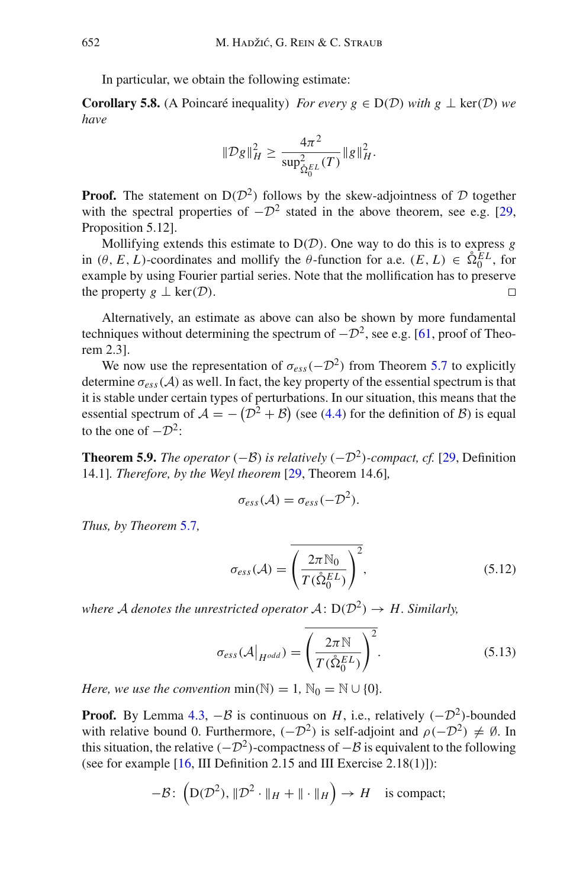In particular, we obtain the following estimate:

**Corollary 5.8.** (A Poincaré inequality) *For every g*  $\in$  D(*D*) *with g*  $\perp$  ker(*D*) *we have*

<span id="page-41-0"></span>
$$
\|\mathcal{D}g\|_{H}^{2} \geq \frac{4\pi^{2}}{\sup_{\hat{\Omega}_{0}^{EL}}^{2}(T)}\|g\|_{H}^{2}.
$$

**Proof.** The statement on  $D(D^2)$  follows by the skew-adjointness of *D* together with the spectral properties of  $-\mathcal{D}^2$  stated in the above theorem, see e.g. [\[29,](#page-83-2) Proposition 5.12].

Mollifying extends this estimate to D(*D*). One way to do this is to express *g* in  $(\theta, E, L)$ -coordinates and mollify the  $\theta$ -function for a.e.  $(E, L) \in \hat{\Omega}_0^{EL}$ , for example by using Fourier partial series. Note that the mollification has to preserve the property  $g \perp \text{ker}(\mathcal{D})$ .  $\Box$ 

Alternatively, an estimate as above can also be shown by more fundamental techniques without determining the spectrum of  $-D^2$ , see e.g. [\[61,](#page-85-0) proof of Theorem 2.3].

We now use the representation of  $\sigma_{\text{ess}}(-\mathcal{D}^2)$  from Theorem [5.7](#page-38-0) to explicitly determine  $\sigma_{ess}(\mathcal{A})$  as well. In fact, the key property of the essential spectrum is that it is stable under certain types of perturbations. In our situation, this means that the essential spectrum of  $A = -(D^2 + B)$  (see [\(4.4\)](#page-29-0) for the definition of *B*) is equal to the one of  $-\mathcal{D}^2$ :

<span id="page-41-3"></span>**Theorem 5.9.** *The operator* (−*B*) *is relatively* (−*D*<sup>2</sup>)*-compact, cf.* [\[29](#page-83-2), Definition 14.1]*. Therefore, by the Weyl theorem* [\[29](#page-83-2), Theorem 14.6]*,*

$$
\sigma_{ess}(\mathcal{A})=\sigma_{ess}(-\mathcal{D}^2).
$$

*Thus, by Theorem* [5.7](#page-38-0)*,*

<span id="page-41-1"></span>
$$
\sigma_{ess}(\mathcal{A}) = \overline{\left(\frac{2\pi \mathbb{N}_0}{T(\mathring{\Omega}_0^{EL})}\right)^2},\tag{5.12}
$$

*where A denotes the unrestricted operator*  $A: D(D^2) \rightarrow H$ *. Similarly,* 

<span id="page-41-2"></span>
$$
\sigma_{ess}(\mathcal{A}\big|_{H^{odd}}) = \left(\frac{2\pi N}{T(\hat{\Omega}_0^{EL})}\right)^2.
$$
\n(5.13)

*Here, we use the convention* min( $\mathbb{N}$ ) = 1,  $\mathbb{N}_0 = \mathbb{N} \cup \{0\}$ *.* 

**Proof.** By Lemma [4.3,](#page-29-1)  $-\beta$  is continuous on *H*, i.e., relatively  $(-D^2)$ -bounded with relative bound 0. Furthermore,  $(-\mathcal{D}^2)$  is self-adjoint and  $\rho(-\mathcal{D}^2) \neq \emptyset$ . In this situation, the relative  $(-D^2)$ -compactness of  $-\beta$  is equivalent to the following (see for example  $[16, III]$  $[16, III]$  Definition 2.15 and III Exercise 2.18(1)]):

$$
-\mathcal{B}\colon \left(\mathrm{D}(\mathcal{D}^2), \|\mathcal{D}^2\cdot\|_H + \|\cdot\|_H\right) \to H \quad \text{is compact};
$$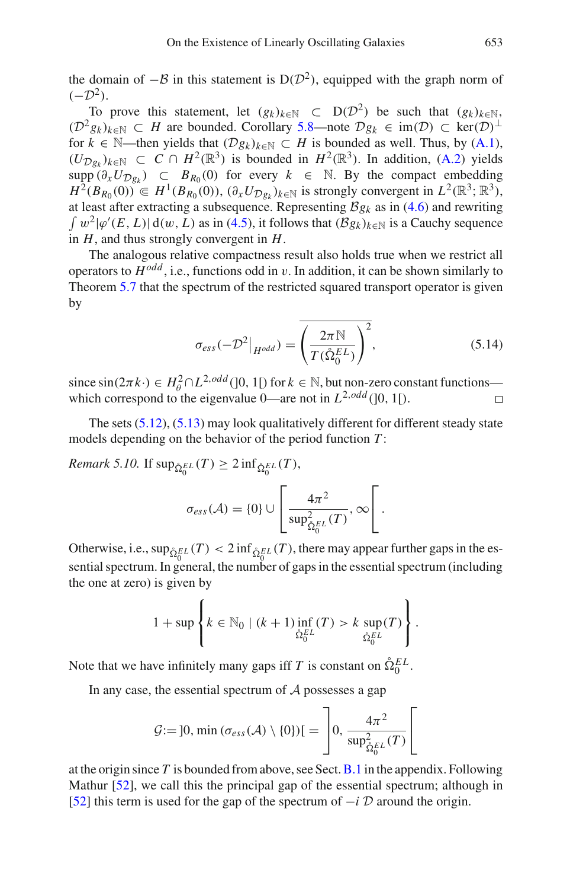the domain of  $-\beta$  in this statement is D( $\mathcal{D}^2$ ), equipped with the graph norm of  $(-\mathcal{D}^2)$ .

To prove this statement, let  $(g_k)_{k \in \mathbb{N}}$  ⊂ D( $\mathcal{D}^2$ ) be such that  $(g_k)_{k \in \mathbb{N}}$ ,  $(D^2 g_k)_{k \in \mathbb{N}}$  ⊂ *H* are bounded. Corollary [5.8—](#page-41-0)note  $Dg_k$  ∈ im(*D*) ⊂ ker(*D*)<sup>⊥</sup> for *k* ∈ N—then yields that  $(\mathcal{D}g_k)_{k \in \mathbb{N}} \subset H$  is bounded as well. Thus, by [\(A.1\)](#page-1-0),  $(U_{\mathcal{D}_{\mathcal{P}_k}})_{k \in \mathbb{N}}$  ⊂ *C* ∩ *H*<sup>2</sup>( $\mathbb{R}^3$ ) is bounded in *H*<sup>2</sup>( $\mathbb{R}^3$ ). In addition, [\(A.2\)](#page-76-0) yields supp  $(\partial_x U_{\mathcal{D}g_k}) \subset B_{R_0}(0)$  for every  $k \in \mathbb{N}$ . By the compact embedding *H*<sup>2</sup>(*B<sub>R<sub>0</sub>*</sub>(0)) ∈ *H*<sup>1</sup>(*B<sub>R<sub>0</sub>*</sub>(0)),  $(\partial_x U_{\mathcal{D}_{g_k}})_{k \in \mathbb{N}}$  is strongly convergent in  $L^2(\mathbb{R}^3; \mathbb{R}^3)$ , at least after extracting a subsequence. Representing  $\mathcal{B}g_k$  as in [\(4.6\)](#page-30-0) and rewriting  $\int w^2 |\varphi'(E, L)| d(w, L)$  as in [\(4.5\)](#page-29-2), it follows that  $(\mathcal{B}g_k)_{k \in \mathbb{N}}$  is a Cauchy sequence in *H*, and thus strongly convergent in *H*.

The analogous relative compactness result also holds true when we restrict all operators to  $H^{odd}$ , i.e., functions odd in v. In addition, it can be shown similarly to Theorem [5.7](#page-38-0) that the spectrum of the restricted squared transport operator is given by

$$
\sigma_{ess}(-\mathcal{D}^2|_{H^{odd}}) = \overline{\left(\frac{2\pi N}{T(\mathring{\Omega}_0^{EL})}\right)^2},\tag{5.14}
$$

since  $\sin(2\pi k \cdot) \in H_0^2 \cap L^{2,odd}([0, 1])$  for  $k \in \mathbb{N}$ , but non-zero constant functions which correspond to the eigenvalue  $0$ —are not in  $L^{2,odd}$  (10, 11).

<span id="page-42-0"></span>The sets [\(5.12\)](#page-41-1), [\(5.13\)](#page-41-2) may look qualitatively different for different steady state models depending on the behavior of the period function *T* :

 $\mathit{Remark 5.10}.$  If  $\sup_{\hat{\Omega}_0^{EL}}(T) \geq 2 \inf_{\hat{\Omega}_0^{EL}}(T)$ ,

$$
\sigma_{ess}(\mathcal{A}) = \{0\} \cup \left[\frac{4\pi^2}{\sup_{\hat{\Omega}_0^{EL}}^2(T)}, \infty\right].
$$

Otherwise, i.e.,  $\sup_{\hat{\Omega}_0^{EL}}(T) < 2 \inf_{\hat{\Omega}_0^{EL}}(T)$ , there may appear further gaps in the essential spectrum. In general, the number of gaps in the essential spectrum (including the one at zero) is given by

$$
1 + \sup \left\{ k \in \mathbb{N}_0 \mid (k+1) \inf_{\hat{\Omega}_0^{EL}}(T) > k \sup_{\hat{\Omega}_0^{EL}}(T) \right\}.
$$

Note that we have infinitely many gaps iff *T* is constant on  $\hat{\Omega}_0^{EL}$ .

In any case, the essential spectrum of *A* possesses a gap

$$
\mathcal{G} := [0, \min(\sigma_{ess}(\mathcal{A}) \setminus \{0\})] = \left[0, \frac{4\pi^2}{\sup_{\hat{\Omega}_0^E}^2(\mathcal{I})}\right]
$$

at the origin since *T* is bounded from above, see Sect.[B.1](#page-11-0) in the appendix. Following Mathur [\[52](#page-84-0)], we call this the principal gap of the essential spectrum; although in [\[52\]](#page-84-0) this term is used for the gap of the spectrum of −*i D* around the origin.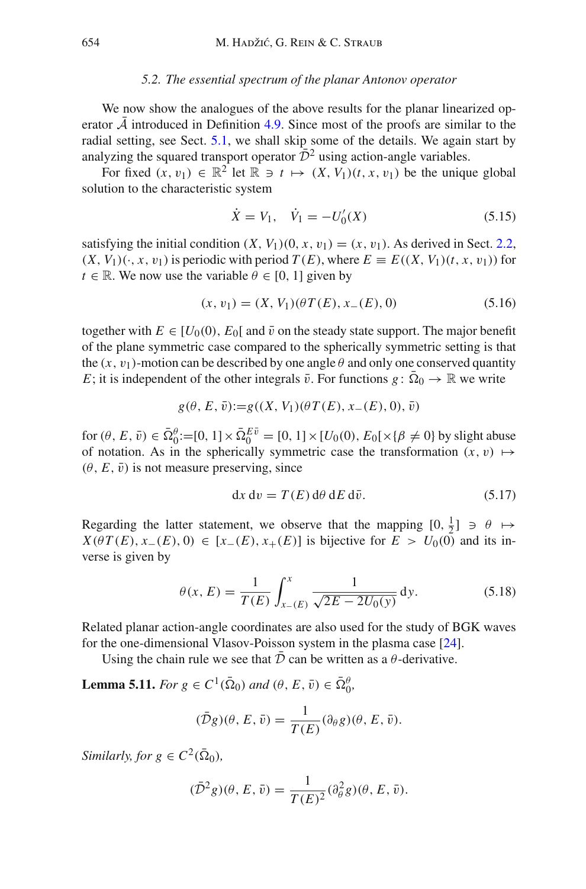#### *5.2. The essential spectrum of the planar Antonov operator*

<span id="page-43-0"></span>We now show the analogues of the above results for the planar linearized operator  $\overline{A}$  introduced in Definition [4.9.](#page-33-0) Since most of the proofs are similar to the radial setting, see Sect. [5.1,](#page-33-1) we shall skip some of the details. We again start by analyzing the squared transport operator  $\overline{D}^2$  using action-angle variables.

For fixed  $(x, v_1) \in \mathbb{R}^2$  let  $\mathbb{R} \ni t \mapsto (X, V_1)(t, x, v_1)$  be the unique global solution to the characteristic system

$$
\dot{X} = V_1, \quad \dot{V}_1 = -U'_0(X) \tag{5.15}
$$

satisfying the initial condition  $(X, V_1)(0, x, v_1) = (x, v_1)$ . As derived in Sect. [2.2,](#page-14-0)  $(X, V_1)(\cdot, x, v_1)$  is periodic with period  $T(E)$ , where  $E = E((X, V_1)(t, x, v_1))$  for  $t \in \mathbb{R}$ . We now use the variable  $\theta \in [0, 1]$  given by

$$
(x, v_1) = (X, V_1)(\theta T(E), x_{-}(E), 0)
$$
\n(5.16)

together with  $E \in [U_0(0), E_0[$  and  $\bar{v}$  on the steady state support. The major benefit of the plane symmetric case compared to the spherically symmetric setting is that the  $(x, y_1)$ -motion can be described by one angle  $\theta$  and only one conserved quantity *E*; it is independent of the other integrals  $\bar{v}$ . For functions  $g: \bar{\Omega}_0 \to \mathbb{R}$  we write

$$
g(\theta, E, \bar{v}) := g((X, V_1)(\theta T(E), x_{-}(E), 0), \bar{v})
$$

for  $(\theta, E, \bar{v}) \in \bar{\Omega}_0^{\theta} := [0, 1] \times \bar{\Omega}_0^{E\bar{v}} = [0, 1] \times [U_0(0), E_0[\times {\{\beta \neq 0\}}]$  by slight abuse of notation. As in the spherically symmetric case the transformation  $(x, v) \mapsto$  $(\theta, E, \bar{v})$  is not measure preserving, since

<span id="page-43-1"></span>
$$
dx dv = T(E) d\theta dE d\bar{v}.
$$
 (5.17)

Regarding the latter statement, we observe that the mapping  $[0, \frac{1}{2}] \ni \theta \mapsto$  $X(\theta T(E), x_-(E), 0) \in [x_-(E), x_+(E)]$  is bijective for  $E > U_0(0)$  and its inverse is given by

$$
\theta(x, E) = \frac{1}{T(E)} \int_{x_{-}(E)}^{x} \frac{1}{\sqrt{2E - 2U_0(y)}} dy.
$$
 (5.18)

Related planar action-angle coordinates are also used for the study of BGK waves for the one-dimensional Vlasov-Poisson system in the plasma case [\[24\]](#page-83-4).

Using the chain rule we see that  $\overline{D}$  can be written as a  $\theta$ -derivative.

**Lemma 5.11.** *For*  $g \in C^1(\bar{\Omega}_0)$  *and*  $(\theta, E, \bar{v}) \in \bar{\Omega}_0^{\theta}$ *,* 

$$
(\bar{\mathcal{D}}g)(\theta, E, \bar{v}) = \frac{1}{T(E)}(\partial_{\theta}g)(\theta, E, \bar{v}).
$$

*Similarly, for*  $g \in C^2(\overline{Q}_0)$ *,* 

$$
(\bar{\mathcal{D}}^2 g)(\theta, E, \bar{v}) = \frac{1}{T(E)^2} (\partial_{\theta}^2 g)(\theta, E, \bar{v}).
$$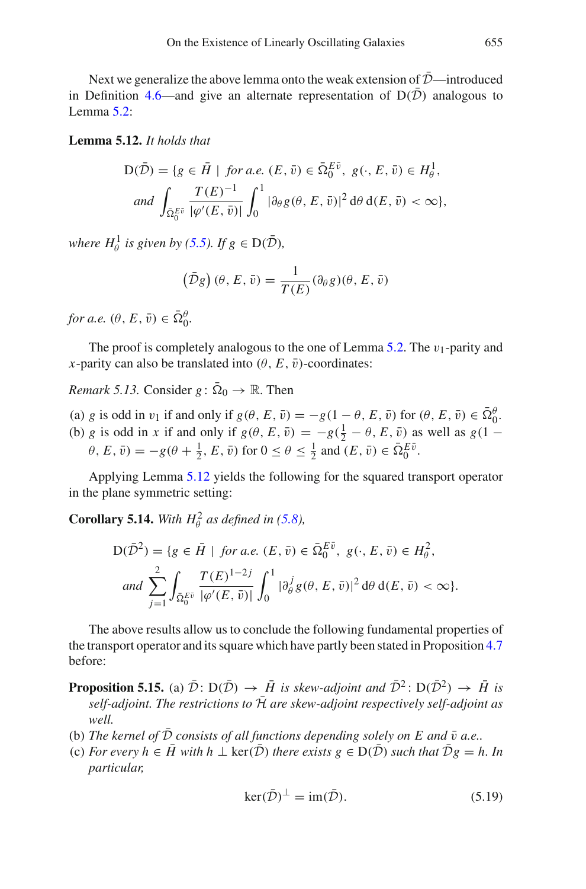<span id="page-44-0"></span>Next we generalize the above lemma onto the weak extension of  $D$ —introduced in Definition [4.6—](#page-31-0)and give an alternate representation of  $D(D)$  analogous to Lemma [5.2:](#page-34-1)

# **Lemma 5.12.** *It holds that*

$$
D(\bar{\mathcal{D}}) = \{ g \in \bar{H} \mid \text{ for a.e. } (E, \bar{v}) \in \bar{\Omega}_0^{E\bar{v}}, g(\cdot, E, \bar{v}) \in H^1_{\theta},
$$
  
and 
$$
\int_{\bar{\Omega}_0^{E\bar{v}}} \frac{T(E)^{-1}}{|\varphi'(E, \bar{v})|} \int_0^1 |\partial_{\theta} g(\theta, E, \bar{v})|^2 d\theta d(E, \bar{v}) < \infty \},
$$

*where*  $H^1_\theta$  *is given by* [\(5.5\)](#page-34-2)*. If*  $g \in D(\overline{D})$ *,* 

$$
(\bar{\mathcal{D}}g)(\theta, E, \bar{v}) = \frac{1}{T(E)}(\partial_{\theta}g)(\theta, E, \bar{v})
$$

*for a.e.*  $(\theta, E, \bar{v}) \in \bar{\Omega}_0^{\theta}$ .

The proof is completely analogous to the one of Lemma [5.2.](#page-34-1) The  $v_1$ -parity and *x*-parity can also be translated into  $(\theta, E, \bar{v})$ -coordinates:

*Remark 5.13.* Consider  $g: \overline{\Omega}_0 \to \mathbb{R}$ . Then

- (a) *g* is odd in  $v_1$  if and only if  $g(\theta, E, \bar{v}) = -g(1 \theta, E, \bar{v})$  for  $(\theta, E, \bar{v}) \in \bar{\Omega}_0^{\theta}$ .
- (b) *g* is odd in *x* if and only if  $g(\theta, E, \bar{v}) = -g(\frac{1}{2} \theta, E, \bar{v})$  as well as  $g(1 \theta)$  $\theta, E, \bar{v}$ ) =  $-g(\theta + \frac{1}{2}, E, \bar{v})$  for  $0 \le \theta \le \frac{1}{2}$  and  $(E, \bar{v}) \in \bar{\Omega}_0^{E\bar{v}}$ .

Applying Lemma [5.12](#page-44-0) yields the following for the squared transport operator in the plane symmetric setting:

**Corollary 5.14.** *With*  $H^2_\theta$  *as defined in* [\(5.8\)](#page-36-2)*,* 

<span id="page-44-1"></span>
$$
D(\bar{\mathcal{D}}^2) = \{ g \in \bar{H} \mid \text{ for a.e. } (E, \bar{v}) \in \bar{\Omega}_0^{E\bar{v}}, \ g(\cdot, E, \bar{v}) \in H^2_{\theta}, \nand \sum_{j=1}^2 \int_{\bar{\Omega}_0^{E\bar{v}}} \frac{T(E)^{1-2j}}{|\varphi'(E, \bar{v})|} \int_0^1 |\partial_{\theta}^j g(\theta, E, \bar{v})|^2 d\theta d(E, \bar{v}) < \infty \}.
$$

The above results allow us to conclude the following fundamental properties of the transport operator and its square which have partly been stated in Proposition [4.7](#page-31-1) before:

**Proposition 5.15.** (a)  $\bar{\mathcal{D}}$ :  $D(\bar{\mathcal{D}}) \rightarrow \bar{H}$  is skew-adjoint and  $\bar{\mathcal{D}}^2$ :  $D(\bar{\mathcal{D}}^2) \rightarrow \bar{H}$  is *self-adjoint. The restrictions to*  $\bar{\mathcal{H}}$  *are skew-adjoint respectively self-adjoint as well.*

- (b) The kernel of  $\bar{\mathcal{D}}$  consists of all functions depending solely on E and  $\bar{v}$  a.e..
- (c) *For every h*  $\in \bar{H}$  *with h*  $\perp$  ker( $\bar{\mathcal{D}}$ ) *there exists*  $g \in D(\bar{\mathcal{D}})$  *such that*  $\bar{\mathcal{D}}g = h$ *. In particular,*

$$
\ker(\bar{\mathcal{D}})^{\perp} = \text{im}(\bar{\mathcal{D}}). \tag{5.19}
$$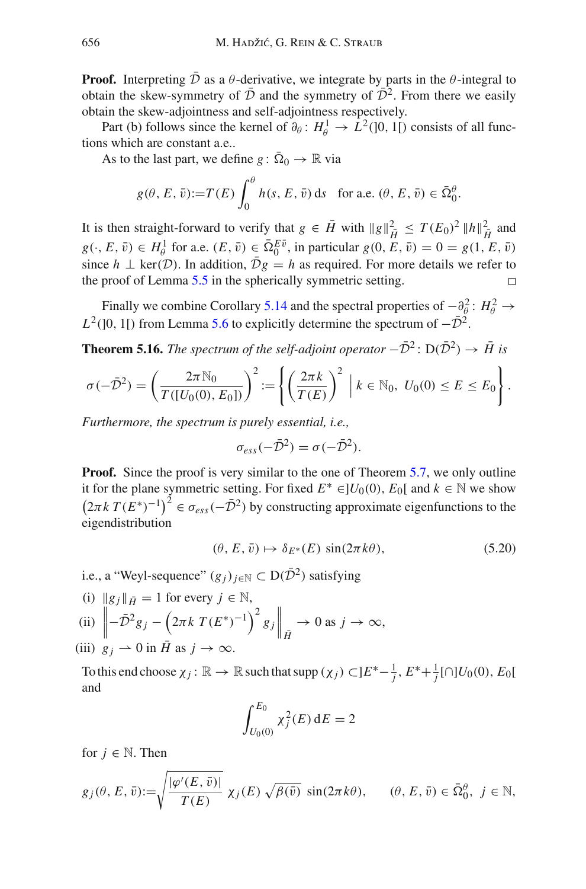**Proof.** Interpreting  $D$  as a  $\theta$ -derivative, we integrate by parts in the  $\theta$ -integral to obtain the skew-symmetry of  $\bar{\mathcal{D}}$  and the symmetry of  $\bar{\mathcal{D}}^2$ . From there we easily obtain the skew-adjointness and self-adjointness respectively.

Part (b) follows since the kernel of  $\partial_{\theta} : H_{\theta}^{1} \to L^{2}(]0, 1[)$  consists of all functions which are constant a.e..

As to the last part, we define  $g: \overline{\Omega}_0 \to \mathbb{R}$  via

$$
g(\theta, E, \bar{v}) := T(E) \int_0^{\theta} h(s, E, \bar{v}) \, \mathrm{d}s \quad \text{for a.e. } (\theta, E, \bar{v}) \in \bar{\Omega}_0^{\theta}.
$$

It is then straight-forward to verify that  $g \in \overline{H}$  with  $||g||_{\overline{H}}^2 \leq T(E_0)^2 ||h||_{\overline{H}}^2$  and  $g(\cdot, E, \bar{v}) \in H_{\theta}^1$  for a.e.  $(E, \bar{v}) \in \bar{\Omega}_0^{E\bar{v}}$ , in particular  $g(0, E, \bar{v}) = 0 = g(1, E, \bar{v})$ since *h*  $\perp$  ker(*D*). In addition,  $\overline{D}g = h$  as required. For more details we refer to the proof of Lemma 5.5 in the spherically symmetric setting. the proof of Lemma [5.5](#page-37-1) in the spherically symmetric setting.

Finally we combine Corollary [5.14](#page-44-1) and the spectral properties of  $-\frac{\partial^2}{\partial \theta}$ :  $H^2_{\theta} \rightarrow$  $L^2$ ([0, 1[) from Lemma [5.6](#page-37-0) to explicitly determine the spectrum of  $-\bar{\mathcal{D}}^2$ .

<span id="page-45-0"></span>**Theorem 5.16.** *The spectrum of the self-adjoint operator*  $-\bar{\mathcal{D}}^2$ :  $D(\bar{\mathcal{D}}^2) \rightarrow \bar{H}$  *is* 

$$
\sigma(-\bar{\mathcal{D}}^2) = \left(\frac{2\pi \mathbb{N}_0}{T([U_0(0), E_0])}\right)^2 := \left\{ \left(\frac{2\pi k}{T(E)}\right)^2 \middle| k \in \mathbb{N}_0, U_0(0) \le E \le E_0 \right\}.
$$

*Furthermore, the spectrum is purely essential, i.e.,*

$$
\sigma_{ess}(-\bar{\mathcal{D}}^2) = \sigma(-\bar{\mathcal{D}}^2).
$$

**Proof.** Since the proof is very similar to the one of Theorem [5.7,](#page-38-0) we only outline it for the plane symmetric setting. For fixed  $E^* ∈ ]U_0(0), E_0[$  and  $k ∈ ℕ$  we show  $(2\pi k T(E^*)^{-1})^2 \in \sigma_{ess}(-\bar{\mathcal{D}}^2)$  by constructing approximate eigenfunctions to the eigendistribution

$$
(\theta, E, \bar{v}) \mapsto \delta_{E^*}(E) \sin(2\pi k\theta), \tag{5.20}
$$

i.e., a "Weyl-sequence"  $(g_i)_{i \in \mathbb{N}} \subset D(\overline{D}^2)$  satisfying

(i)  $\|g_j\|_{\bar{H}} = 1$  for every  $j \in \mathbb{N}$ ,

$$
\text{(ii)} \quad \left\| -\bar{\mathcal{D}}^2 g_j - \left( 2\pi k \ T(E^*)^{-1} \right)^2 g_j \right\|_{\bar{H}} \to 0 \text{ as } j \to \infty,
$$

(iii)  $g_j \rightharpoonup 0$  in *H* as  $j \rightharpoonup \infty$ .

To this end choose  $\chi_j : \mathbb{R} \to \mathbb{R}$  such that supp  $(\chi_j) \subset ]E^* - \frac{1}{j}, E^* + \frac{1}{j}[\cap]U_0(0), E_0[$ and

$$
\int_{U_0(0)}^{E_0} \chi_j^2(E) \, \mathrm{d}E = 2
$$

for  $j \in \mathbb{N}$ . Then

$$
g_j(\theta, E, \bar{v}) := \sqrt{\frac{|\varphi'(E, \bar{v})|}{T(E)}} \chi_j(E) \sqrt{\beta(\bar{v})} \sin(2\pi k\theta), \qquad (\theta, E, \bar{v}) \in \bar{\Omega}_0^{\theta}, \ j \in \mathbb{N},
$$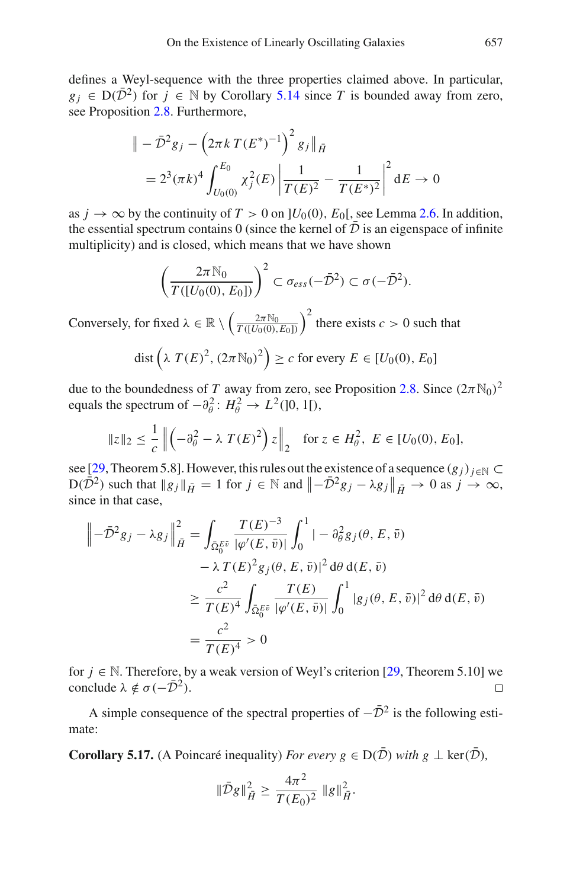defines a Weyl-sequence with the three properties claimed above. In particular,  $g_j \in D(\bar{D}^2)$  for  $j \in \mathbb{N}$  by Corollary [5.14](#page-44-1) since *T* is bounded away from zero, see Proposition [2.8.](#page-19-0) Furthermore,

$$
\| - \bar{\mathcal{D}}^2 g_j - \left( 2\pi k \, T(E^*)^{-1} \right)^2 g_j \|_{\bar{H}}
$$
  
=  $2^3 (\pi k)^4 \int_{U_0(0)}^{E_0} \chi_j^2(E) \left| \frac{1}{T(E)^2} - \frac{1}{T(E^*)^2} \right|^2 dE \to 0$ 

as  $j \to \infty$  by the continuity of  $T > 0$  on  $]U_0(0), E_0[$ , see Lemma [2.6.](#page-18-0) In addition, the essential spectrum contains 0 (since the kernel of  $\bar{\mathcal{D}}$  is an eigenspace of infinite multiplicity) and is closed, which means that we have shown

$$
\left(\frac{2\pi\mathbb{N}_0}{T([U_0(0),E_0])}\right)^2\subset\sigma_{ess}(-\bar{\mathcal{D}}^2)\subset\sigma(-\bar{\mathcal{D}}^2).
$$

Conversely, for fixed  $\lambda \in \mathbb{R} \setminus \left( \frac{2\pi N_0}{T(\lbrace U_0(0), \rbrace)} \right)$  $T([U_0(0),E_0])$  $\int_0^2$  there exists  $c > 0$  such that

$$
\text{dist}\left(\lambda \ T(E)^2, (2\pi \mathbb{N}_0)^2\right) \ge c \text{ for every } E \in [U_0(0), E_0]
$$

due to the boundedness of *T* away from zero, see Proposition [2.8.](#page-19-0) Since  $(2\pi N_0)^2$ equals the spectrum of  $-\partial_{\theta}^{2}$ :  $H_{\theta}^{2} \rightarrow L^{2}(]0, 1[$ ),

$$
\|z\|_2 \le \frac{1}{c} \left\| \left( -\partial_\theta^2 - \lambda \ T(E)^2 \right) z \right\|_2 \quad \text{for } z \in H_\theta^2, \ E \in [U_0(0), E_0],
$$

see [\[29,](#page-83-2) Theorem 5.8]. However, this rules out the existence of a sequence  $(g_i)_{i\in\mathbb{N}}\subset$  $D(\bar{D}^2)$  such that  $\|g_j\|_{\bar{H}} = 1$  for  $j \in \mathbb{N}$  and  $\left\|-\bar{D}^2 g_j - \lambda g_j\right\|_{\bar{H}} \to 0$  as  $j \to \infty$ , since in that case,

$$
\begin{aligned}\n\left\| -\bar{\mathcal{D}}^2 g_j - \lambda g_j \right\|_{\tilde{H}}^2 &= \int_{\tilde{\Omega}_0^{E\bar{v}}} \frac{T(E)^{-3}}{|\varphi'(E,\bar{v})|} \int_0^1 | -\partial_{\theta}^2 g_j(\theta, E, \bar{v}) \\
&\quad - \lambda \, T(E)^2 g_j(\theta, E, \bar{v})|^2 \, \mathrm{d}\theta \, \mathrm{d}(E, \bar{v}) \\
&\geq \frac{c^2}{T(E)^4} \int_{\tilde{\Omega}_0^{E\bar{v}}} \frac{T(E)}{|\varphi'(E, \bar{v})|} \int_0^1 |g_j(\theta, E, \bar{v})|^2 \, \mathrm{d}\theta \, \mathrm{d}(E, \bar{v}) \\
&= \frac{c^2}{T(E)^4} > 0\n\end{aligned}
$$

for *j* ∈ N. Therefore, by a weak version of Weyl's criterion [\[29](#page-83-2), Theorem 5.10] we conclude  $\lambda \notin \sigma(-\overline{D}^2)$ . conclude  $\lambda \notin \sigma(-\bar{\mathcal{D}}^2)$ .

<span id="page-46-0"></span>A simple consequence of the spectral properties of  $-\bar{\mathcal{D}}^2$  is the following estimate:

**Corollary 5.17.** (A Poincaré inequality) *For every g*  $\in$  D( $\overline{D}$ ) *with g*  $\perp$  ker( $\overline{D}$ )*,* 

$$
\|\bar{\mathcal{D}}g\|_{\bar{H}}^2 \ge \frac{4\pi^2}{T(E_0)^2} \|g\|_{\bar{H}}^2.
$$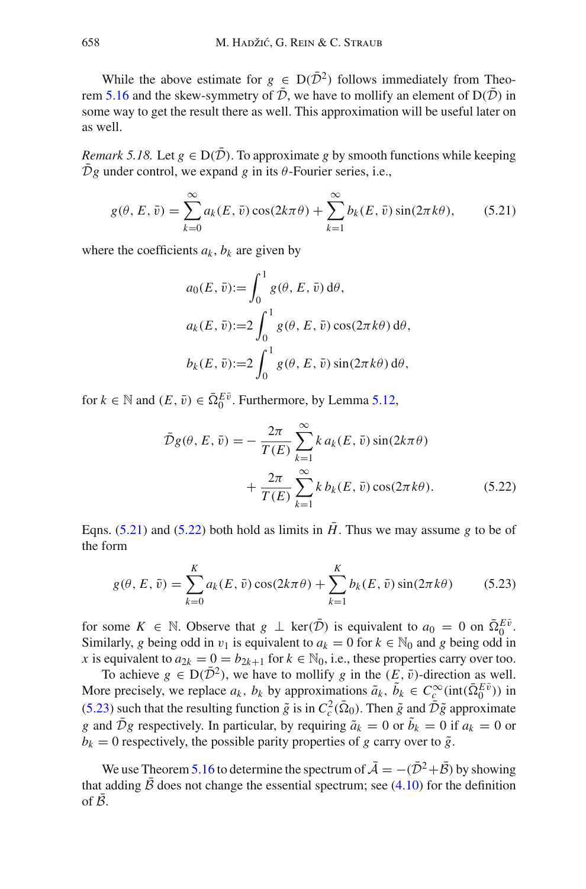While the above estimate for  $g \in D(\overline{D}^2)$  follows immediately from Theo-rem [5.16](#page-45-0) and the skew-symmetry of  $\bar{\mathcal{D}}$ , we have to mollify an element of  $D(\bar{\mathcal{D}})$  in some way to get the result there as well. This approximation will be useful later on as well.

<span id="page-47-3"></span>*Remark 5.18.* Let  $g \in D(\overline{D})$ . To approximate g by smooth functions while keeping  $\overline{\mathcal{D}}g$  under control, we expand *g* in its  $\theta$ -Fourier series, i.e.,

$$
g(\theta, E, \bar{v}) = \sum_{k=0}^{\infty} a_k(E, \bar{v}) \cos(2k\pi\theta) + \sum_{k=1}^{\infty} b_k(E, \bar{v}) \sin(2\pi k\theta),
$$
 (5.21)

where the coefficients  $a_k$ ,  $b_k$  are given by

<span id="page-47-0"></span>
$$
a_0(E, \bar{v}) := \int_0^1 g(\theta, E, \bar{v}) d\theta,
$$
  
\n
$$
a_k(E, \bar{v}) := 2 \int_0^1 g(\theta, E, \bar{v}) \cos(2\pi k\theta) d\theta,
$$
  
\n
$$
b_k(E, \bar{v}) := 2 \int_0^1 g(\theta, E, \bar{v}) \sin(2\pi k\theta) d\theta,
$$

for  $k \in \mathbb{N}$  and  $(E, \bar{v}) \in \bar{\Omega}_0^{E\bar{v}}$ . Furthermore, by Lemma [5.12,](#page-44-0)

<span id="page-47-2"></span><span id="page-47-1"></span>
$$
\bar{\mathcal{D}}g(\theta, E, \bar{v}) = -\frac{2\pi}{T(E)} \sum_{k=1}^{\infty} k a_k(E, \bar{v}) \sin(2k\pi\theta)
$$

$$
+ \frac{2\pi}{T(E)} \sum_{k=1}^{\infty} k b_k(E, \bar{v}) \cos(2\pi k\theta). \tag{5.22}
$$

Eqns. [\(5.21\)](#page-47-0) and [\(5.22\)](#page-47-1) both hold as limits in  $\bar{H}$ . Thus we may assume g to be of the form

$$
g(\theta, E, \bar{v}) = \sum_{k=0}^{K} a_k(E, \bar{v}) \cos(2k\pi\theta) + \sum_{k=1}^{K} b_k(E, \bar{v}) \sin(2\pi k\theta)
$$
 (5.23)

for some  $K \in \mathbb{N}$ . Observe that  $g \perp \ker(\overline{\mathcal{D}})$  is equivalent to  $a_0 = 0$  on  $\overline{\Omega}_0^{E\overline{v}}$ . Similarly, *g* being odd in  $v_1$  is equivalent to  $a_k = 0$  for  $k \in \mathbb{N}_0$  and *g* being odd in *x* is equivalent to  $a_{2k} = 0 = b_{2k+1}$  for  $k \in \mathbb{N}_0$ , i.e., these properties carry over too.

To achieve  $g \in D(\bar{D}^2)$ , we have to mollify g in the  $(E, \bar{v})$ -direction as well. More precisely, we replace  $a_k$ ,  $b_k$  by approximations  $\tilde{a}_k$ ,  $\tilde{b}_k \in C_c^{\infty}(\text{int}(\bar{\Omega}_0^{E\bar{v}}))$  in [\(5.23\)](#page-47-2) such that the resulting function  $\tilde{g}$  is in  $C_c^2(\bar{\Omega}_0)$ . Then  $\tilde{g}$  and  $\bar{\mathcal{D}}\tilde{g}$  approximate *g* and *Dg* respectively. In particular, by requiring  $\tilde{a}_k = 0$  or  $b_k = 0$  if  $a_k = 0$  or  $b_k = 0$  respectively, the possible parity properties of *g* carry over to  $\tilde{g}$ .

<span id="page-47-4"></span>We use Theorem [5.16](#page-45-0) to determine the spectrum of  $\overline{A} = -(\overline{D}^2 + \overline{B})$  by showing that adding  $\beta$  does not change the essential spectrum; see [\(4.10\)](#page-32-0) for the definition of  $\beta$ .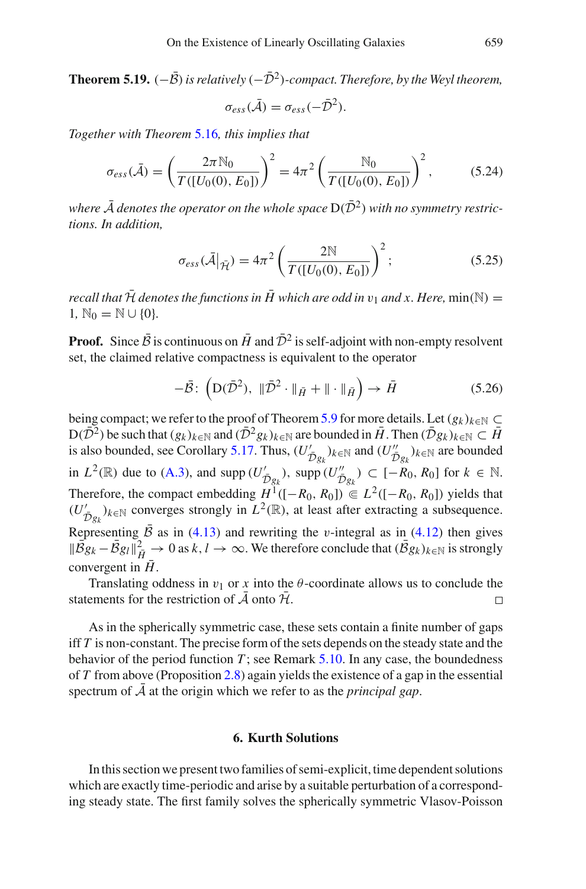**Theorem 5.19.**  $(-\bar{B})$  *is relatively*  $(-\bar{D}^2)$ *-compact. Therefore, by the Weyl theorem,* 

<span id="page-48-0"></span>
$$
\sigma_{ess}(\bar{\mathcal{A}})=\sigma_{ess}(-\bar{\mathcal{D}}^2).
$$

*Together with Theorem* [5.16](#page-45-0)*, this implies that*

$$
\sigma_{ess}(\bar{\mathcal{A}}) = \left(\frac{2\pi \mathbb{N}_0}{T([U_0(0), E_0])}\right)^2 = 4\pi^2 \left(\frac{\mathbb{N}_0}{T([U_0(0), E_0])}\right)^2, \quad (5.24)
$$

where  $\bar{\mathcal{A}}$  *denotes the operator on the whole space*  $D(\bar{\mathcal{D}}^2)$  *with no symmetry restrictions. In addition,*

$$
\sigma_{ess}(\bar{\mathcal{A}}|_{\bar{\mathcal{H}}}) = 4\pi^2 \left( \frac{2N}{T([U_0(0), E_0])} \right)^2; \tag{5.25}
$$

*recall that*  $\bar{\mathcal{H}}$  *denotes the functions in*  $\bar{H}$  which are odd in  $v_1$  and x. Here, min(N) = 1,  $\mathbb{N}_0 = \mathbb{N} \cup \{0\}.$ 

**Proof.** Since  $\bar{\beta}$  is continuous on  $\bar{H}$  and  $\bar{\mathcal{D}}^2$  is self-adjoint with non-empty resolvent set, the claimed relative compactness is equivalent to the operator

$$
-\bar{\mathcal{B}}\colon \left(\mathcal{D}(\bar{\mathcal{D}}^2), \ \|\bar{\mathcal{D}}^2 \cdot\|_{\bar{H}} + \|\cdot\|_{\bar{H}}\right) \to \bar{H} \tag{5.26}
$$

being compact; we refer to the proof of Theorem [5.9](#page-41-3) for more details. Let  $(g_k)_{k \in \mathbb{N}} \subset$  $D(\bar{D}^2)$  be such that  $(g_k)_{k\in\mathbb{N}}$  and  $(\bar{D}^2 g_k)_{k\in\mathbb{N}}$  are bounded in  $\bar{H}$ . Then  $(\bar{D}g_k)_{k\in\mathbb{N}}\subset\bar{H}$ is also bounded, see Corollary [5.17.](#page-46-0) Thus,  $(U'_{\tilde{D}g_k})_{k \in \mathbb{N}}$  and  $(U''_{\tilde{D}g_k})_{k \in \mathbb{N}}$  are bounded in *L*<sup>2</sup>(ℝ) due to [\(A.3\)](#page-77-1), and supp  $(U'_{\bar{D}g_k})$ , supp  $(U''_{\bar{D}g_k})$  ⊂ [−*R*<sub>0</sub>, *R*<sub>0</sub>] for *k* ∈ N. Therefore, the compact embedding  $H^1([-R_0, R_0]) \subseteq L^2([-R_0, R_0])$  yields that  $(U'_{\bar{\mathcal{D}}g_k})_{k\in\mathbb{N}}$  converges strongly in  $L^2(\mathbb{R})$ , at least after extracting a subsequence.  $\mathcal{D}$ g<sub>k</sub> Representing *B* as in [\(4.13\)](#page-32-1) and rewriting the *v*-integral as in [\(4.12\)](#page-32-2) then gives  $\|\bar{B}g_k - \bar{B}g_l\|_{\bar{H}}^2 \to 0$  as  $k, l \to \infty$ . We therefore conclude that  $(\bar{B}g_k)_{k \in \mathbb{N}}$  is strongly convergent in  $H$ .

Translating oddness in  $v_1$  or x into the  $\theta$ -coordinate allows us to conclude the statements for the restriction of  $\overline{A}$  onto  $\overline{\mathcal{H}}$ .  $\Box$ 

As in the spherically symmetric case, these sets contain a finite number of gaps iff *T* is non-constant. The precise form of the sets depends on the steady state and the behavior of the period function  $T$ ; see Remark  $5.10$ . In any case, the boundedness of *T* from above (Proposition [2.8\)](#page-19-0) again yields the existence of a gap in the essential spectrum of  $\overline{A}$  at the origin which we refer to as the *principal gap*.

## **6. Kurth Solutions**

In this section we present two families of semi-explicit, time dependent solutions which are exactly time-periodic and arise by a suitable perturbation of a corresponding steady state. The first family solves the spherically symmetric Vlasov-Poisson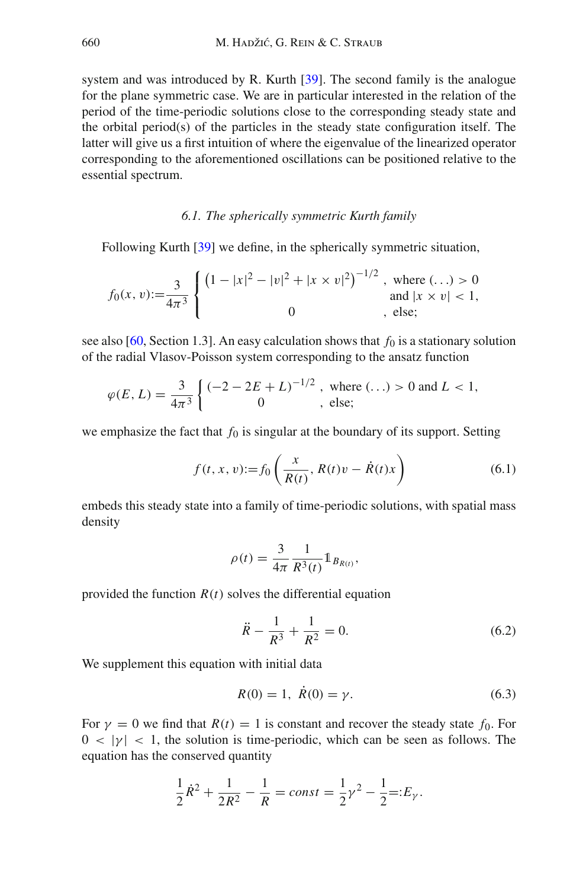system and was introduced by R. Kurth [\[39\]](#page-84-1). The second family is the analogue for the plane symmetric case. We are in particular interested in the relation of the period of the time-periodic solutions close to the corresponding steady state and the orbital period(s) of the particles in the steady state configuration itself. The latter will give us a first intuition of where the eigenvalue of the linearized operator corresponding to the aforementioned oscillations can be positioned relative to the essential spectrum.

#### *6.1. The spherically symmetric Kurth family*

Following Kurth [\[39](#page-84-1)] we define, in the spherically symmetric situation,

$$
f_0(x, v) := \frac{3}{4\pi^3} \begin{cases} \left(1 - |x|^2 - |v|^2 + |x \times v|^2\right)^{-1/2}, & \text{where } (\ldots) > 0\\ 0 & \text{and } |x \times v| < 1, \end{cases}
$$

see also [\[60](#page-84-2), Section 1.3]. An easy calculation shows that  $f_0$  is a stationary solution of the radial Vlasov-Poisson system corresponding to the ansatz function

$$
\varphi(E, L) = \frac{3}{4\pi^3} \begin{cases} (-2 - 2E + L)^{-1/2} , \text{ where } (\ldots) > 0 \text{ and } L < 1, \\ 0 , \text{ else;} \end{cases}
$$

we emphasize the fact that  $f_0$  is singular at the boundary of its support. Setting

$$
f(t, x, v) := f_0\left(\frac{x}{R(t)}, R(t)v - \dot{R}(t)x\right)
$$
 (6.1)

embeds this steady state into a family of time-periodic solutions, with spatial mass density

$$
\rho(t) = \frac{3}{4\pi} \frac{1}{R^3(t)} \mathbb{1}_{B_{R(t)}},
$$

provided the function  $R(t)$  solves the differential equation

<span id="page-49-0"></span>
$$
\ddot{R} - \frac{1}{R^3} + \frac{1}{R^2} = 0.
$$
\n(6.2)

We supplement this equation with initial data

<span id="page-49-1"></span>
$$
R(0) = 1, \ \dot{R}(0) = \gamma. \tag{6.3}
$$

For  $\gamma = 0$  we find that  $R(t) = 1$  is constant and recover the steady state  $f_0$ . For  $0 < |y| < 1$ , the solution is time-periodic, which can be seen as follows. The equation has the conserved quantity

$$
\frac{1}{2}\dot{R}^2 + \frac{1}{2R^2} - \frac{1}{R} = const = \frac{1}{2}\gamma^2 - \frac{1}{2} =: E_{\gamma}.
$$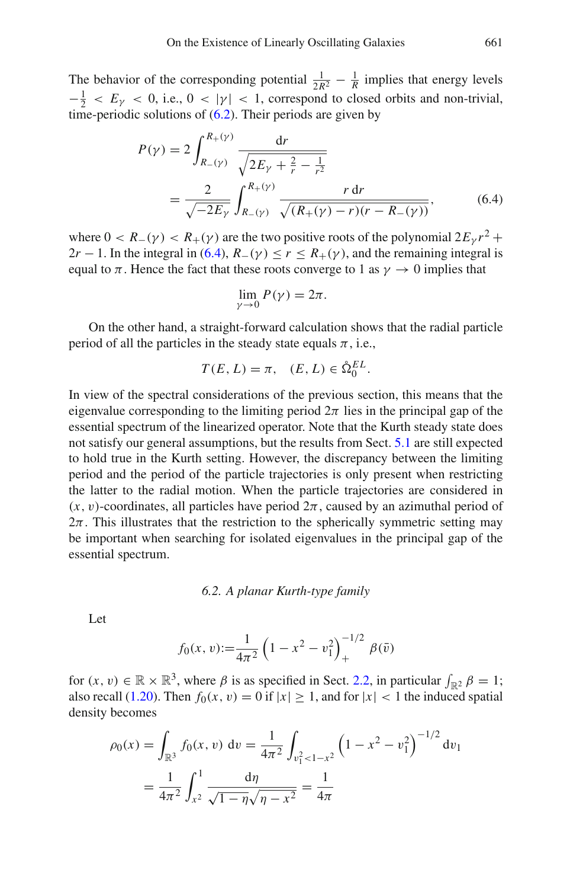The behavior of the corresponding potential  $\frac{1}{2R^2} - \frac{1}{R}$  implies that energy levels  $-\frac{1}{2} < E_{\gamma} < 0$ , i.e.,  $0 < |\gamma| < 1$ , correspond to closed orbits and non-trivial, time-periodic solutions of  $(6.2)$ . Their periods are given by

$$
P(\gamma) = 2 \int_{R_{-}(\gamma)}^{R_{+}(\gamma)} \frac{dr}{\sqrt{2E_{\gamma} + \frac{2}{r} - \frac{1}{r^{2}}}}
$$
  
= 
$$
\frac{2}{\sqrt{-2E_{\gamma}}} \int_{R_{-}(\gamma)}^{R_{+}(\gamma)} \frac{r dr}{\sqrt{(R_{+}(\gamma) - r)(r - R_{-}(\gamma))}},
$$
(6.4)

where  $0 < R_-(\gamma) < R_+(\gamma)$  are the two positive roots of the polynomial  $2E_\gamma r^2 +$  $2r - 1$ . In the integral in [\(6.4\)](#page-50-0),  $R_-(\gamma) \le r \le R_+(\gamma)$ , and the remaining integral is equal to  $\pi$ . Hence the fact that these roots converge to 1 as  $\gamma \to 0$  implies that

<span id="page-50-0"></span>
$$
\lim_{\gamma \to 0} P(\gamma) = 2\pi.
$$

On the other hand, a straight-forward calculation shows that the radial particle period of all the particles in the steady state equals  $\pi$ , i.e.,

$$
T(E, L) = \pi, \quad (E, L) \in \mathring{\Omega}_0^{EL}.
$$

In view of the spectral considerations of the previous section, this means that the eigenvalue corresponding to the limiting period  $2\pi$  lies in the principal gap of the essential spectrum of the linearized operator. Note that the Kurth steady state does not satisfy our general assumptions, but the results from Sect. [5.1](#page-33-1) are still expected to hold true in the Kurth setting. However, the discrepancy between the limiting period and the period of the particle trajectories is only present when restricting the latter to the radial motion. When the particle trajectories are considered in  $(x, v)$ -coordinates, all particles have period  $2\pi$ , caused by an azimuthal period of  $2\pi$ . This illustrates that the restriction to the spherically symmetric setting may be important when searching for isolated eigenvalues in the principal gap of the essential spectrum.

#### *6.2. A planar Kurth-type family*

Let

$$
f_0(x, v) := \frac{1}{4\pi^2} \left( 1 - x^2 - v_1^2 \right)_+^{-1/2} \beta(\bar{v})
$$

for  $(x, v) \in \mathbb{R} \times \mathbb{R}^3$ , where  $\beta$  is as specified in Sect. [2.2,](#page-14-0) in particular  $\int_{\mathbb{R}^2} \beta = 1$ ; also recall [\(1.20\)](#page-4-0). Then  $f_0(x, v) = 0$  if  $|x| \ge 1$ , and for  $|x| < 1$  the induced spatial density becomes

$$
\rho_0(x) = \int_{\mathbb{R}^3} f_0(x, v) dv = \frac{1}{4\pi^2} \int_{v_1^2 < 1 - x^2} \left( 1 - x^2 - v_1^2 \right)^{-1/2} dv_1
$$
\n
$$
= \frac{1}{4\pi^2} \int_{x^2}^1 \frac{d\eta}{\sqrt{1 - \eta} \sqrt{\eta - x^2}} = \frac{1}{4\pi}
$$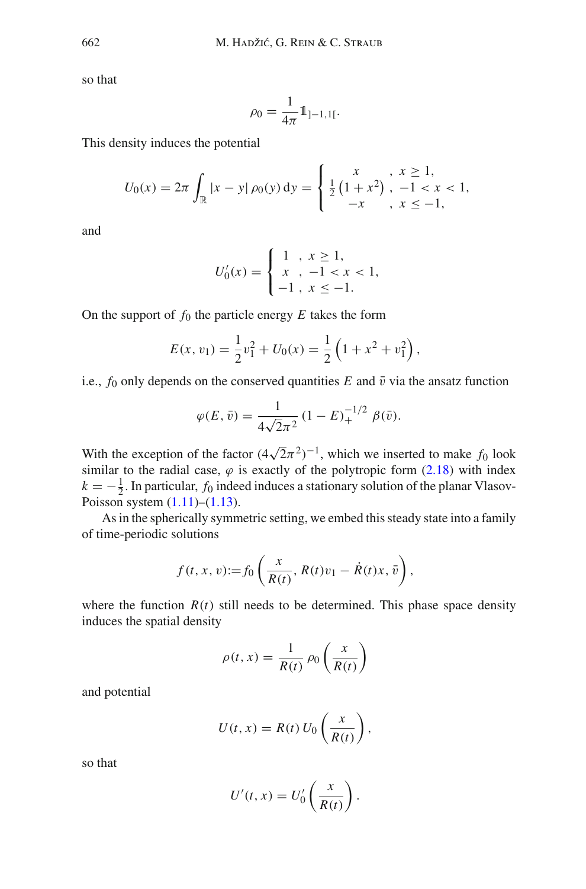so that

$$
\rho_0 = \frac{1}{4\pi} 1_{]-1,1[}.
$$

This density induces the potential

$$
U_0(x) = 2\pi \int_{\mathbb{R}} |x - y| \rho_0(y) dy = \begin{cases} x, & x \ge 1, \\ \frac{1}{2} (1 + x^2), & -1 < x < 1, \\ -x, & x \le -1, \end{cases}
$$

and

$$
U'_0(x) = \begin{cases} 1, & x \ge 1, \\ x, & -1 < x < 1, \\ -1, & x \le -1. \end{cases}
$$

On the support of  $f_0$  the particle energy  $E$  takes the form

$$
E(x, v_1) = \frac{1}{2}v_1^2 + U_0(x) = \frac{1}{2}\left(1 + x^2 + v_1^2\right),
$$

i.e.,  $f_0$  only depends on the conserved quantities  $E$  and  $\bar{v}$  via the ansatz function

$$
\varphi(E,\bar{v}) = \frac{1}{4\sqrt{2}\pi^2} (1 - E)^{-1/2} \beta(\bar{v}).
$$

With the exception of the factor  $(4\sqrt{2}\pi^2)^{-1}$ , which we inserted to make  $f_0$  look similar to the radial case,  $\varphi$  is exactly of the polytropic form [\(2.18\)](#page-15-0) with index  $k = -\frac{1}{2}$ . In particular, *f*<sub>0</sub> indeed induces a stationary solution of the planar Vlasov-Poisson system  $(1.11)$ – $(1.13)$ .

As in the spherically symmetric setting, we embed this steady state into a family of time-periodic solutions

$$
f(t, x, v) := f_0\left(\frac{x}{R(t)}, R(t)v_1 - \dot{R}(t)x, \bar{v}\right),
$$

where the function  $R(t)$  still needs to be determined. This phase space density induces the spatial density

$$
\rho(t,x) = \frac{1}{R(t)} \rho_0 \left(\frac{x}{R(t)}\right)
$$

and potential

$$
U(t, x) = R(t) U_0 \left(\frac{x}{R(t)}\right),
$$

so that

$$
U'(t, x) = U'_0\left(\frac{x}{R(t)}\right).
$$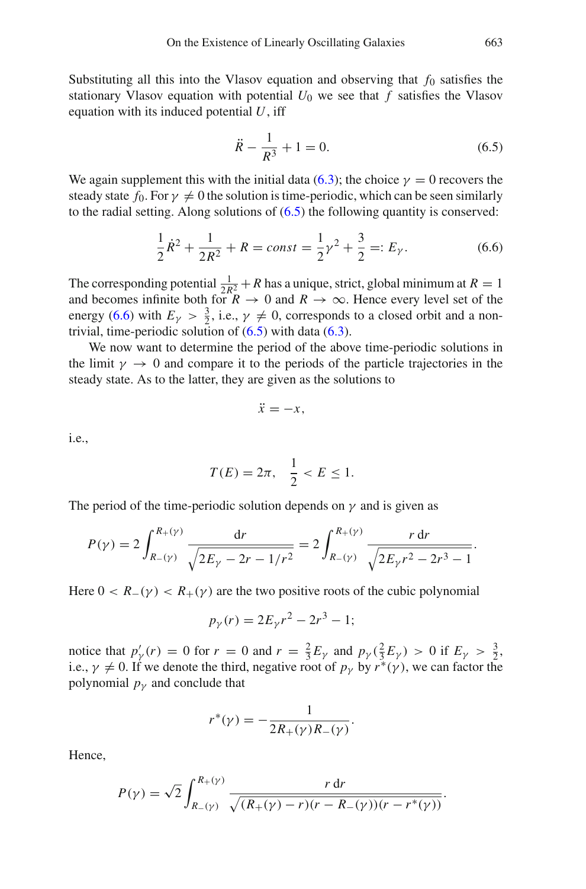Substituting all this into the Vlasov equation and observing that  $f_0$  satisfies the stationary Vlasov equation with potential  $U_0$  we see that  $f$  satisfies the Vlasov equation with its induced potential *U*, iff

<span id="page-52-0"></span>
$$
\ddot{R} - \frac{1}{R^3} + 1 = 0.
$$
\n(6.5)

We again supplement this with the initial data [\(6.3\)](#page-49-1); the choice  $\gamma = 0$  recovers the steady state  $f_0$ . For  $\gamma \neq 0$  the solution is time-periodic, which can be seen similarly to the radial setting. Along solutions of  $(6.5)$  the following quantity is conserved:

<span id="page-52-1"></span>
$$
\frac{1}{2}\dot{R}^2 + \frac{1}{2R^2} + R = const = \frac{1}{2}\gamma^2 + \frac{3}{2} =: E_\gamma.
$$
 (6.6)

The corresponding potential  $\frac{1}{2R_1^2} + R$  has a unique, strict, global minimum at  $R = 1$ and becomes infinite both for  $R \to 0$  and  $R \to \infty$ . Hence every level set of the energy [\(6.6\)](#page-52-1) with  $E_{\gamma} > \frac{3}{2}$ , i.e.,  $\gamma \neq 0$ , corresponds to a closed orbit and a nontrivial, time-periodic solution of  $(6.5)$  with data  $(6.3)$ .

We now want to determine the period of the above time-periodic solutions in the limit  $\gamma \to 0$  and compare it to the periods of the particle trajectories in the steady state. As to the latter, they are given as the solutions to

$$
\ddot{x}=-x,
$$

i.e.,

$$
T(E) = 2\pi, \quad \frac{1}{2} < E \le 1.
$$

The period of the time-periodic solution depends on  $\gamma$  and is given as

$$
P(\gamma) = 2 \int_{R_{-}(\gamma)}^{R_{+}(\gamma)} \frac{\mathrm{d}r}{\sqrt{2E_{\gamma} - 2r - 1/r^{2}}} = 2 \int_{R_{-}(\gamma)}^{R_{+}(\gamma)} \frac{r \,\mathrm{d}r}{\sqrt{2E_{\gamma}r^{2} - 2r^{3} - 1}}.
$$

Here  $0 < R_-(\gamma) < R_+(\gamma)$  are the two positive roots of the cubic polynomial

$$
p_{\gamma}(r) = 2E_{\gamma}r^2 - 2r^3 - 1;
$$

notice that  $p'_\gamma(r) = 0$  for  $r = 0$  and  $r = \frac{2}{3}E_\gamma$  and  $p_\gamma(\frac{2}{3}E_\gamma) > 0$  if  $E_\gamma > \frac{3}{2}$ , i.e.,  $\gamma \neq 0$ . If we denote the third, negative root of  $p_{\gamma}$  by  $r^*(\gamma)$ , we can factor the polynomial  $p<sub>y</sub>$  and conclude that

$$
r^*(\gamma) = -\frac{1}{2R_+(\gamma)R_-(\gamma)}.
$$

Hence,

$$
P(\gamma) = \sqrt{2} \int_{R_{-}(\gamma)}^{R_{+}(\gamma)} \frac{r dr}{\sqrt{(R_{+}(\gamma) - r)(r - R_{-}(\gamma))(r - r^{*}(\gamma))}}.
$$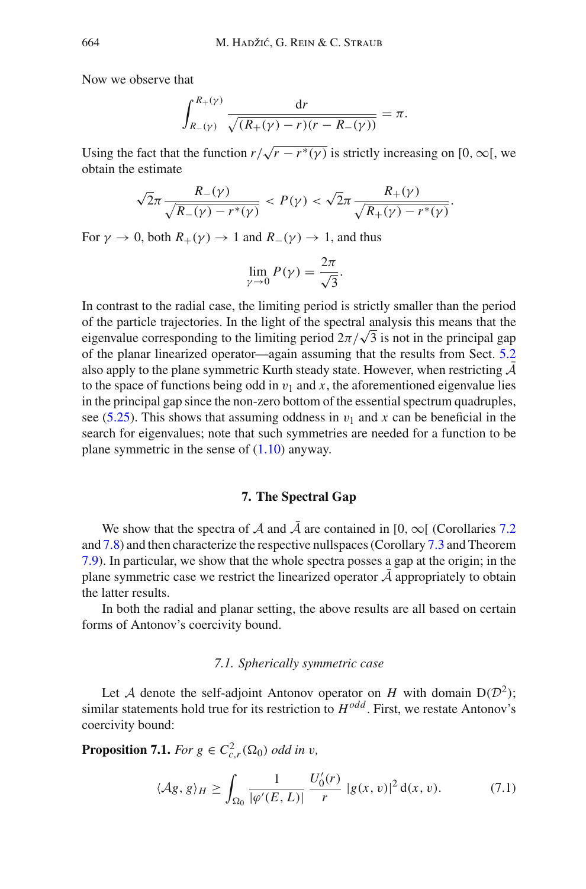Now we observe that

$$
\int_{R_{-}(\gamma)}^{R_{+}(\gamma)} \frac{\mathrm{d}r}{\sqrt{(R_{+}(\gamma) - r)(r - R_{-}(\gamma))}} = \pi.
$$

Using the fact that the function  $r/\sqrt{r-r^*(\gamma)}$  is strictly increasing on [0, ∞[, we obtain the estimate

$$
\sqrt{2}\pi \frac{R_{-}(\gamma)}{\sqrt{R_{-}(\gamma)-r^{*}(\gamma)}} < P(\gamma) < \sqrt{2}\pi \frac{R_{+}(\gamma)}{\sqrt{R_{+}(\gamma)-r^{*}(\gamma)}}.
$$

For  $\gamma \to 0$ , both  $R_+(\gamma) \to 1$  and  $R_-(\gamma) \to 1$ , and thus

$$
\lim_{\gamma \to 0} P(\gamma) = \frac{2\pi}{\sqrt{3}}.
$$

In contrast to the radial case, the limiting period is strictly smaller than the period of the particle trajectories. In the light of the spectral analysis this means that the eigenvalue corresponding to the limiting period  $2\pi/\sqrt{3}$  is not in the principal gap of the planar linearized operator—again assuming that the results from Sect. [5.2](#page-43-0) also apply to the plane symmetric Kurth steady state. However, when restricting  $\overline{\mathcal{A}}$ to the space of functions being odd in  $v_1$  and x, the aforementioned eigenvalue lies in the principal gap since the non-zero bottom of the essential spectrum quadruples, see [\(5.25\)](#page-48-0). This shows that assuming oddness in  $v_1$  and x can be beneficial in the search for eigenvalues; note that such symmetries are needed for a function to be plane symmetric in the sense of  $(1.10)$  anyway.

## **7. The Spectral Gap**

We show that the spectra of *A* and  $\overline{A}$  are contained in [0,  $\infty$ ] (Corollaries [7.2](#page-54-0) and [7.8\)](#page-58-0) and then characterize the respective nullspaces (Corollary [7.3](#page-54-1) and Theorem [7.9\)](#page-58-1). In particular, we show that the whole spectra posses a gap at the origin; in the plane symmetric case we restrict the linearized operator  $A$  appropriately to obtain the latter results.

In both the radial and planar setting, the above results are all based on certain forms of Antonov's coercivity bound.

### <span id="page-53-0"></span>*7.1. Spherically symmetric case*

Let *A* denote the self-adjoint Antonov operator on *H* with domain  $D(D^2)$ ; similar statements hold true for its restriction to *Hodd* . First, we restate Antonov's coercivity bound:

**Proposition 7.1.** *For*  $g \in C^2_{c,r}(\Omega_0)$  *odd in v*,

<span id="page-53-1"></span>
$$
\langle \mathcal{A}g, g \rangle_H \ge \int_{\Omega_0} \frac{1}{|\varphi'(E, L)|} \frac{U'_0(r)}{r} |g(x, v)|^2 d(x, v). \tag{7.1}
$$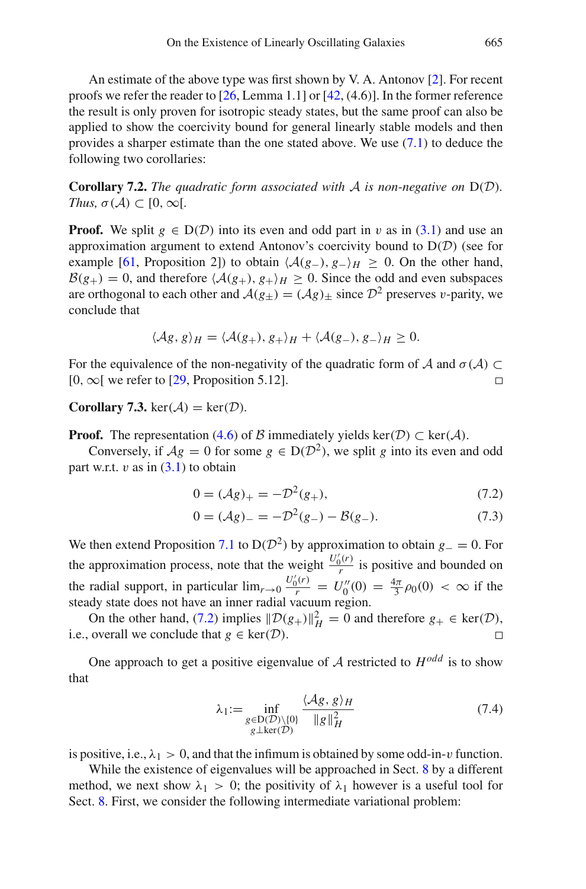An estimate of the above type was first shown by V. A. Antonov [\[2](#page-82-1)]. For recent proofs we refer the reader to [\[26](#page-83-5), Lemma 1.1] or [\[42,](#page-84-3) (4.6)]. In the former reference the result is only proven for isotropic steady states, but the same proof can also be applied to show the coercivity bound for general linearly stable models and then provides a sharper estimate than the one stated above. We use  $(7.1)$  to deduce the following two corollaries:

<span id="page-54-0"></span>**Corollary 7.2.** *The quadratic form associated with A is non-negative on* D(*D*)*. Thus,*  $\sigma(A) \subset [0, \infty)$ .

**Proof.** We split  $g \in D(\mathcal{D})$  into its even and odd part in v as in [\(3.1\)](#page-20-0) and use an approximation argument to extend Antonov's coercivity bound to D(*D*) (see for example [\[61](#page-85-0), Proposition 2]) to obtain  $\langle A(g_-), g_-\rangle_H \geq 0$ . On the other hand,  $B(g_{+}) = 0$ , and therefore  $\langle A(g_{+}), g_{+} \rangle_{H} \ge 0$ . Since the odd and even subspaces are orthogonal to each other and  $A(g_{+}) = (Ag)_{+}$  since  $\mathcal{D}^{2}$  preserves v-parity, we conclude that

$$
\langle \mathcal{A}g, g \rangle_H = \langle \mathcal{A}(g_+), g_+ \rangle_H + \langle \mathcal{A}(g_-), g_- \rangle_H \ge 0.
$$

For the equivalence of the non-negativity of the quadratic form of *A* and  $\sigma(A) \subset [0, \infty)$  we refer to [29, Proposition 5.12]. [0,  $\infty$ [ we refer to [\[29,](#page-83-2) Proposition 5.12].

<span id="page-54-1"></span>**Corollary 7.3.** ker( $A$ ) = ker( $D$ ).

**Proof.** The representation [\(4.6\)](#page-30-0) of *B* immediately yields ker(*D*) ⊂ ker(*A*).

Conversely, if  $Ag = 0$  for some  $g \in D(D^2)$ , we split *g* into its even and odd part w.r.t.  $v$  as in  $(3.1)$  to obtain

<span id="page-54-2"></span>
$$
0 = (\mathcal{A}\mathcal{g})_+ = -\mathcal{D}^2(\mathcal{g}_+),\tag{7.2}
$$

$$
0 = (\mathcal{A}\mathcal{g})_{-} = -\mathcal{D}^{2}(\mathcal{g}_{-}) - \mathcal{B}(\mathcal{g}_{-}). \tag{7.3}
$$

We then extend Proposition [7.1](#page-53-1) to D( $D^2$ ) by approximation to obtain  $g_-=0$ . For the approximation process, note that the weight  $\frac{U_0'(r)}{r}$  is positive and bounded on the radial support, in particular  $\lim_{r\to 0} \frac{U_0'(r)}{r} = U_0''(0) = \frac{4\pi}{3} \rho_0(0) < \infty$  if the steady state does not have an inner radial vacuum region.

On the other hand, [\(7.2\)](#page-54-2) implies  $\|\mathcal{D}(g_+) \|_H^2 = 0$  and therefore  $g_+ \in \text{ker}(\mathcal{D})$ , i.e., overall we conclude that  $g \in \text{ker}(\mathcal{D})$ .

One approach to get a positive eigenvalue of  $A$  restricted to  $H^{odd}$  is to show that

<span id="page-54-4"></span>
$$
\lambda_1 := \inf_{\substack{g \in \mathcal{D}(\mathcal{D}) \setminus \{0\} \\ g \perp \ker(\mathcal{D})}} \frac{\langle \mathcal{A}g, g \rangle_H}{\|g\|_H^2}
$$
(7.4)

is positive, i.e.,  $\lambda_1 > 0$ , and that the infimum is obtained by some odd-in-*v* function.

<span id="page-54-3"></span>While the existence of eigenvalues will be approached in Sect. [8](#page-59-0) by a different method, we next show  $\lambda_1 > 0$ ; the positivity of  $\lambda_1$  however is a useful tool for Sect. [8.](#page-59-0) First, we consider the following intermediate variational problem: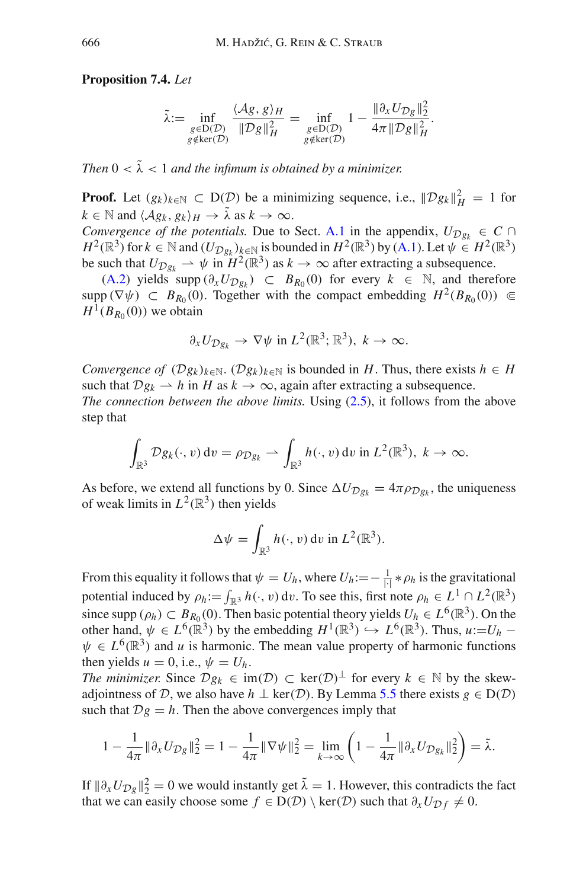## **Proposition 7.4.** *Let*

$$
\tilde{\lambda} := \inf_{\substack{g \in D(\mathcal{D}) \\ g \notin \ker(\mathcal{D})}} \frac{\langle \mathcal{A}g, g \rangle_H}{\|\mathcal{D}g\|_H^2} = \inf_{\substack{g \in D(\mathcal{D}) \\ g \notin \ker(\mathcal{D})}} 1 - \frac{\|\partial_x U_{\mathcal{D}g}\|_2^2}{4\pi \|\mathcal{D}g\|_H^2}.
$$

*Then*  $0 < \tilde{\lambda} < 1$  *and the infimum is obtained by a minimizer.* 

**Proof.** Let  $(g_k)_{k \in \mathbb{N}} \subset D(\mathcal{D})$  be a minimizing sequence, i.e.,  $\|\mathcal{D}g_k\|_H^2 = 1$  for  $k \in \mathbb{N}$  and  $\langle Ag_k, g_k \rangle_H \to \tilde{\lambda}$  as  $k \to \infty$ .

*Convergence of the potentials.* Due to Sect. [A.1](#page-1-1) in the appendix,  $U_{\mathcal{D}g_k} \in \mathcal{C} \cap \mathcal{D}$  $H^2(\mathbb{R}^3)$  for  $k \in \mathbb{N}$  and  $(U_{\mathcal{D}g_k})_{k \in \mathbb{N}}$  is bounded in  $H^2(\mathbb{R}^3)$  by [\(A.1\)](#page-1-0). Let  $\psi \in H^2(\mathbb{R}^3)$ be such that  $U_{\mathcal{D}_{R_k}} \to \psi$  in  $H^2(\mathbb{R}^3)$  as  $k \to \infty$  after extracting a subsequence.

[\(A.2\)](#page-76-0) yields supp  $(\partial_x U_{\mathcal{D}g_k})$  ⊂  $B_{R_0}(0)$  for every  $k \in \mathbb{N}$ , and therefore supp ( $\nabla \psi$ )  $\subset B_{R_0}(0)$ . Together with the compact embedding  $H^2(B_{R_0}(0)) \subseteq$  $H^1(B_{R_0}(0))$  we obtain

$$
\partial_x U_{\mathcal{D}_{g_k}} \to \nabla \psi \text{ in } L^2(\mathbb{R}^3; \mathbb{R}^3), k \to \infty.
$$

*Convergence of*  $(\mathcal{D}g_k)_{k\in\mathbb{N}}$ .  $(\mathcal{D}g_k)_{k\in\mathbb{N}}$  is bounded in *H*. Thus, there exists  $h \in H$ such that  $Dg_k \rightharpoonup h$  in *H* as  $k \to \infty$ , again after extracting a subsequence.

*The connection between the above limits.* Using [\(2.5\)](#page-12-0), it follows from the above step that

$$
\int_{\mathbb{R}^3} \mathcal{D}g_k(\cdot, v) dv = \rho_{\mathcal{D}g_k} \rightharpoonup \int_{\mathbb{R}^3} h(\cdot, v) dv \text{ in } L^2(\mathbb{R}^3), k \to \infty.
$$

As before, we extend all functions by 0. Since  $\Delta U_{\mathcal{D}g_k} = 4\pi \rho_{\mathcal{D}g_k}$ , the uniqueness of weak limits in  $L^2(\mathbb{R}^3)$  then yields

$$
\Delta \psi = \int_{\mathbb{R}^3} h(\cdot, v) \, \mathrm{d}v \, \mathrm{in} \, L^2(\mathbb{R}^3).
$$

From this equality it follows that  $\psi = U_h$ , where  $U_h := -\frac{1}{| \cdot |} * \rho_h$  is the gravitational potential induced by  $\rho_h := \int_{\mathbb{R}^3} h(\cdot, v) dv$ . To see this, first note  $\rho_h \in L^1 \cap L^2(\mathbb{R}^3)$ since supp ( $\rho_h$ ) ⊂  $B_{R_0}(0)$ . Then basic potential theory yields  $U_h \in L^6(\mathbb{R}^3)$ . On the other hand,  $\psi \in L^{6}(\mathbb{R}^{3})$  by the embedding  $H^{1}(\mathbb{R}^{3}) \hookrightarrow L^{6}(\mathbb{R}^{3})$ . Thus,  $u:=U_{h}$  −  $\psi \in L^{6}(\mathbb{R}^{3})$  and *u* is harmonic. The mean value property of harmonic functions then yields  $u = 0$ , i.e.,  $\psi = U_h$ .

*The minimizer.* Since  $Dg_k \in \text{im}(\mathcal{D}) \subset \text{ker}(\mathcal{D})^{\perp}$  for every  $k \in \mathbb{N}$  by the skewadjointness of *D*, we also have  $h \perp \text{ker}(\mathcal{D})$ . By Lemma [5.5](#page-37-1) there exists  $g \in D(\mathcal{D})$ such that  $Dg = h$ . Then the above convergences imply that

$$
1 - \frac{1}{4\pi} \|\partial_x U_{\mathcal{D}_{\mathcal{S}}} \|_2^2 = 1 - \frac{1}{4\pi} \|\nabla \psi \|_2^2 = \lim_{k \to \infty} \left( 1 - \frac{1}{4\pi} \|\partial_x U_{\mathcal{D}_{\mathcal{S}_k}} \|_2^2 \right) = \tilde{\lambda}.
$$

If  $\|\partial_x U_{\mathcal{D} g}\|_2^2 = 0$  we would instantly get  $\tilde{\lambda} = 1$ . However, this contradicts the fact that we can easily choose some  $f \in D(D) \setminus \text{ker}(D)$  such that  $\partial_x U_{\mathcal{D}f} \neq 0$ .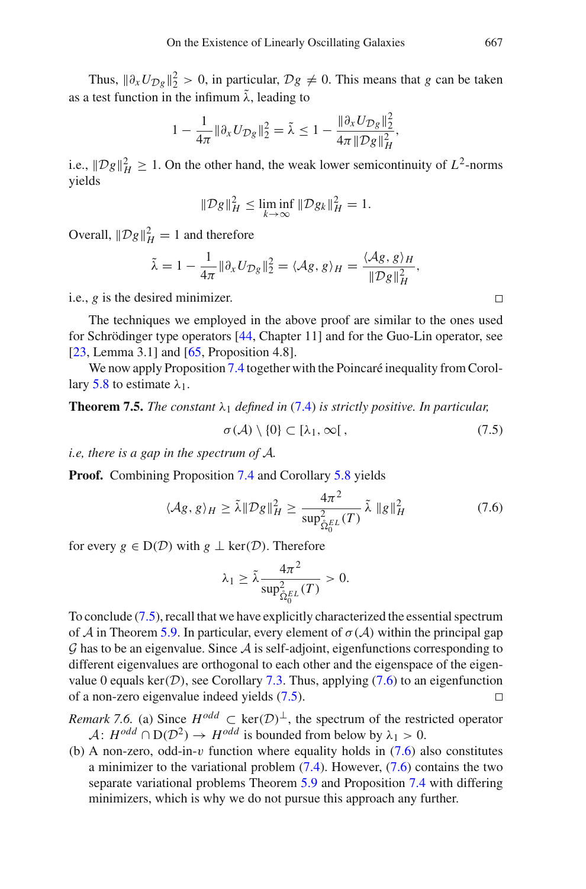Thus,  $\|\partial_x U_{\mathcal{D}_g}\|_2^2 > 0$ , in particular,  $\mathcal{D}_g \neq 0$ . This means that *g* can be taken as a test function in the infimum  $\tilde{\lambda}$ , leading to

$$
1 - \frac{1}{4\pi} \|\partial_x U_{\mathcal{D}_{\mathcal{S}}} \|_2^2 = \tilde{\lambda} \le 1 - \frac{\|\partial_x U_{\mathcal{D}_{\mathcal{S}}} \|_2^2}{4\pi \|\mathcal{D}_{\mathcal{S}}\|_H^2},
$$

i.e.,  $||Dg||_H^2 \ge 1$ . On the other hand, the weak lower semicontinuity of  $L^2$ -norms yields

$$
\|\mathcal{D}g\|_H^2 \le \liminf_{k \to \infty} \|\mathcal{D}g_k\|_H^2 = 1.
$$

Overall,  $\|\mathcal{D}g\|_H^2 = 1$  and therefore

$$
\tilde{\lambda} = 1 - \frac{1}{4\pi} \|\partial_x U_{\mathcal{D}_S}\|_2^2 = \langle \mathcal{A}_S, g \rangle_H = \frac{\langle \mathcal{A}_S, g \rangle_H}{\|\mathcal{D}_S\|_H^2},
$$

i.e., *g* is the desired minimizer.

The techniques we employed in the above proof are similar to the ones used for Schrödinger type operators [\[44](#page-84-4), Chapter 11] and for the Guo-Lin operator, see [\[23,](#page-83-6) Lemma 3.1] and [\[65](#page-85-1), Proposition 4.8].

<span id="page-56-2"></span>We now apply Proposition [7.4](#page-54-3) together with the Poincaré inequality from Corol-lary [5.8](#page-41-0) to estimate  $\lambda_1$ .

**Theorem 7.5.** *The constant*  $\lambda_1$  *defined in* [\(7.4\)](#page-54-4) *is strictly positive. In particular,* 

$$
\sigma(\mathcal{A}) \setminus \{0\} \subset [\lambda_1, \infty[, \tag{7.5}
$$

*i.e, there is a gap in the spectrum of A.*

**Proof.** Combining Proposition [7.4](#page-54-3) and Corollary [5.8](#page-41-0) yields

$$
\langle \mathcal{A}g, g \rangle_H \ge \tilde{\lambda} \|\mathcal{D}g\|_H^2 \ge \frac{4\pi^2}{\sup_{\hat{\Omega}_0^E}^2(T)} \tilde{\lambda} \|g\|_H^2
$$
 (7.6)

for every  $g \in D(D)$  with  $g \perp \text{ker}(D)$ . Therefore

$$
\lambda_1 \geq \tilde{\lambda} \frac{4\pi^2}{\sup_{\hat{\Omega}_0^{EL}}(T)} > 0.
$$

To conclude [\(7.5\)](#page-56-0), recall that we have explicitly characterized the essential spectrum of *A* in Theorem [5.9.](#page-41-3) In particular, every element of  $\sigma(\mathcal{A})$  within the principal gap *G* has to be an eigenvalue. Since *A* is self-adjoint, eigenfunctions corresponding to different eigenvalues are orthogonal to each other and the eigenspace of the eigenvalue 0 equals ker(*D*), see Corollary [7.3.](#page-54-1) Thus, applying [\(7.6\)](#page-56-1) to an eigenfunction of a non-zero eigenvalue indeed vields (7.5). of a non-zero eigenvalue indeed yields [\(7.5\)](#page-56-0).

<span id="page-56-3"></span>*Remark 7.6.* (a) Since  $H^{odd} \subset \text{ker}(D)^{\perp}$ , the spectrum of the restricted operator  $A: H^{odd} \cap D(D^2) \rightarrow H^{odd}$  is bounded from below by  $\lambda_1 > 0$ .

(b) A non-zero, odd-in-v function where equality holds in  $(7.6)$  also constitutes a minimizer to the variational problem  $(7.4)$ . However,  $(7.6)$  contains the two separate variational problems Theorem [5.9](#page-41-3) and Proposition [7.4](#page-54-3) with differing minimizers, which is why we do not pursue this approach any further.

<span id="page-56-1"></span><span id="page-56-0"></span> $\Box$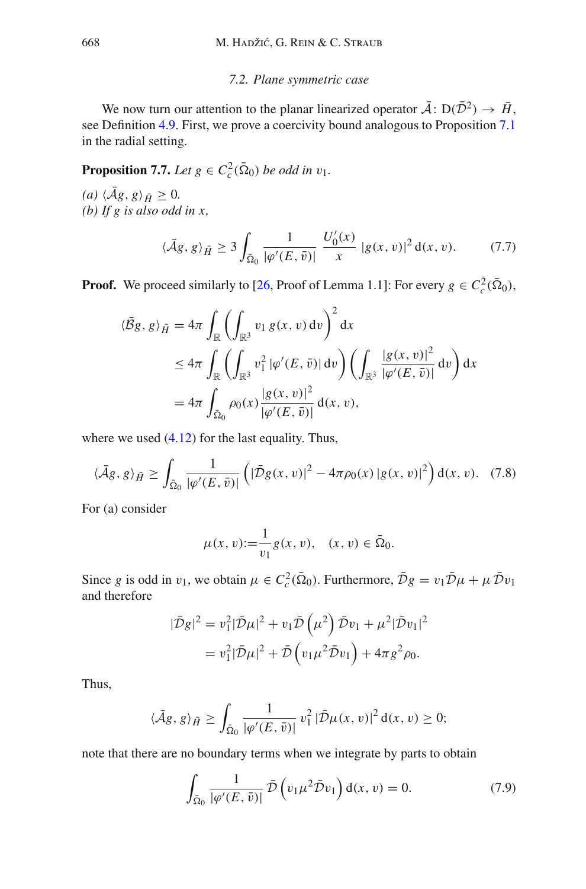## <span id="page-57-2"></span>*7.2. Plane symmetric case*

We now turn our attention to the planar linearized operator  $\overline{A}$ :  $D(\overline{D}^2) \rightarrow \overline{H}$ , see Definition [4.9.](#page-33-0) First, we prove a coercivity bound analogous to Proposition [7.1](#page-53-1) in the radial setting.

<span id="page-57-1"></span>**Proposition 7.7.** *Let*  $g \in C_c^2(\bar{\Omega}_0)$  *be odd in*  $v_1$ *.* 

 $\langle Ag, g \rangle_{\bar{H}} \geq 0.$ *(b) If g is also odd in x,*

$$
\langle \bar{A}g, g \rangle_{\bar{H}} \ge 3 \int_{\bar{\Omega}_0} \frac{1}{|\varphi'(E, \bar{v})|} \frac{U'_0(x)}{x} |g(x, v)|^2 d(x, v). \tag{7.7}
$$

**Proof.** We proceed similarly to [\[26,](#page-83-5) Proof of Lemma 1.1]: For every  $g \in C_c^2(\bar{\Omega}_0)$ ,

$$
\langle \bar{B}g, g \rangle_{\bar{H}} = 4\pi \int_{\mathbb{R}} \left( \int_{\mathbb{R}^3} v_1 g(x, v) dv \right)^2 dx
$$
  
\n
$$
\leq 4\pi \int_{\mathbb{R}} \left( \int_{\mathbb{R}^3} v_1^2 |\varphi'(E, \bar{v})| dv \right) \left( \int_{\mathbb{R}^3} \frac{|g(x, v)|^2}{|\varphi'(E, \bar{v})|} dv \right) dx
$$
  
\n
$$
= 4\pi \int_{\bar{\Omega}_0} \rho_0(x) \frac{|g(x, v)|^2}{|\varphi'(E, \bar{v})|} d(x, v),
$$

where we used  $(4.12)$  for the last equality. Thus,

$$
\langle \bar{A}g, g \rangle_{\bar{H}} \ge \int_{\bar{\Omega}_0} \frac{1}{|\varphi'(E, \bar{v})|} \left( |\bar{D}g(x, v)|^2 - 4\pi \rho_0(x) |g(x, v)|^2 \right) d(x, v). \tag{7.8}
$$

For (a) consider

$$
\mu(x, v) := \frac{1}{v_1} g(x, v), \quad (x, v) \in \overline{\Omega}_0.
$$

Since *g* is odd in  $v_1$ , we obtain  $\mu \in C_c^2(\bar{\Omega}_0)$ . Furthermore,  $\bar{\mathcal{D}}g = v_1 \bar{\mathcal{D}}\mu + \mu \bar{\mathcal{D}}v_1$ and therefore

$$
|\bar{\mathcal{D}}g|^{2} = v_{1}^{2}|\bar{\mathcal{D}}\mu|^{2} + v_{1}\bar{\mathcal{D}}\left(\mu^{2}\right)\bar{\mathcal{D}}v_{1} + \mu^{2}|\bar{\mathcal{D}}v_{1}|^{2}
$$

$$
= v_{1}^{2}|\bar{\mathcal{D}}\mu|^{2} + \bar{\mathcal{D}}\left(v_{1}\mu^{2}\bar{\mathcal{D}}v_{1}\right) + 4\pi g^{2}\rho_{0}.
$$

Thus,

$$
\langle \bar{A}g, g \rangle_{\bar{H}} \ge \int_{\bar{\Omega}_0} \frac{1}{|\varphi'(E, \bar{v})|} v_1^2 |\bar{\mathcal{D}}\mu(x, v)|^2 d(x, v) \ge 0;
$$

note that there are no boundary terms when we integrate by parts to obtain

<span id="page-57-0"></span>
$$
\int_{\tilde{\Omega}_0} \frac{1}{|\varphi'(E,\bar{v})|} \,\bar{\mathcal{D}}\left(v_1 \mu^2 \bar{\mathcal{D}} v_1\right) \mathrm{d}(x,v) = 0. \tag{7.9}
$$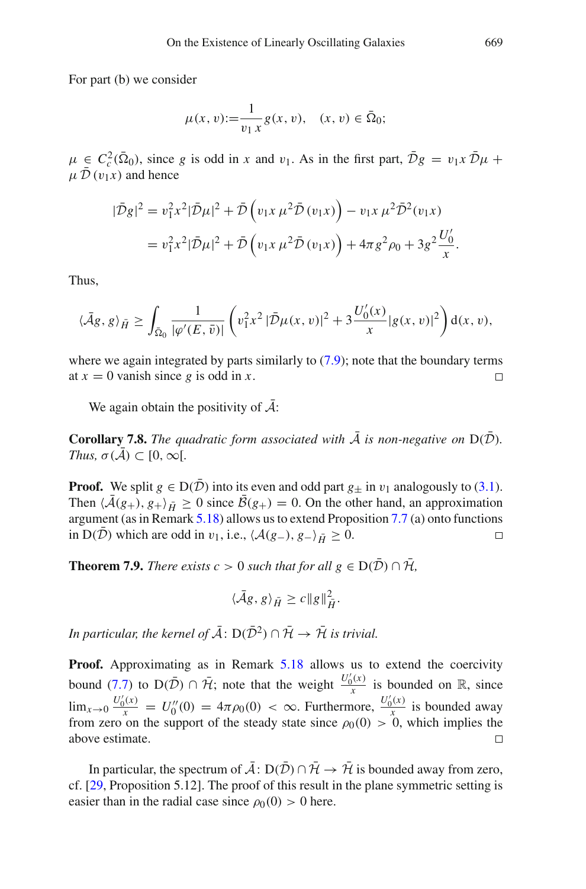For part (b) we consider

$$
\mu(x, v) := \frac{1}{v_1 x} g(x, v), \quad (x, v) \in \overline{\Omega}_0;
$$

 $\mu \in C_c^2(\overline{\Omega}_0)$ , since *g* is odd in *x* and  $v_1$ . As in the first part,  $\overline{D}g = v_1x \overline{D}\mu + \overline{D}g$  $\mu \bar{\mathcal{D}}(v_1x)$  and hence

$$
|\bar{D}g|^{2} = v_{1}^{2}x^{2}|\bar{D}\mu|^{2} + \bar{D}\left(v_{1}x \mu^{2}\bar{D}(v_{1}x)\right) - v_{1}x \mu^{2}\bar{D}^{2}(v_{1}x)
$$

$$
= v_{1}^{2}x^{2}|\bar{D}\mu|^{2} + \bar{D}\left(v_{1}x \mu^{2}\bar{D}(v_{1}x)\right) + 4\pi g^{2}\rho_{0} + 3g^{2}\frac{U_{0}'}{x}.
$$

Thus,

$$
\langle \bar{A}g, g \rangle_{\bar{H}} \ge \int_{\bar{\Omega}_0} \frac{1}{|\varphi'(E, \bar{v})|} \left( v_1^2 x^2 \left| \bar{\mathcal{D}} \mu(x, v) \right|^2 + 3 \frac{U_0'(x)}{x} |g(x, v)|^2 \right) d(x, v),
$$

where we again integrated by parts similarly to  $(7.9)$ ; note that the boundary terms at  $x = 0$  vanish since g is odd in x.  $\Box$ 

<span id="page-58-0"></span>We again obtain the positivity of  $A$ :

**Corollary 7.8.** *The quadratic form associated with*  $\bar{\mathcal{A}}$  *is non-negative on*  $D(\bar{\mathcal{D}})$ *. Thus,*  $\sigma(\bar{\mathcal{A}}) \subset [0, \infty)$ .

**Proof.** We split  $g \in D(\overline{D})$  into its even and odd part  $g_{+}$  in  $v_1$  analogously to [\(3.1\)](#page-20-0). Then  $\langle A(g_+), g_+ \rangle_{\bar{H}} \geq 0$  since  $B(g_+) = 0$ . On the other hand, an approximation argument (as in Remark [5.18\)](#page-47-3) allows us to extend Proposition [7.7](#page-57-1) (a) onto functions in D(*D*) which are odd in  $v_1$ , i.e.,  $\langle A(g_-,), g_-\rangle_{\bar{H}} \geq 0$ .  $\Box$ 

<span id="page-58-1"></span>**Theorem 7.9.** *There exists c* > 0 *such that for all*  $g \in D(\overline{D}) \cap \overline{H}$ ,

$$
\langle \bar{A}g, g \rangle_{\bar{H}} \ge c \|g\|_{\bar{H}}^2.
$$

*In particular, the kernel of*  $\overline{A}$ :  $D(\overline{D}^2) \cap \overline{H} \rightarrow \overline{H}$  *is trivial.* 

**Proof.** Approximating as in Remark [5.18](#page-47-3) allows us to extend the coercivity bound [\(7.7\)](#page-57-2) to  $D(\bar{\mathcal{D}}) \cap \bar{\mathcal{H}}$ ; note that the weight  $\frac{U_0'(x)}{x}$  is bounded on R, since  $\lim_{x\to 0} \frac{U'_0(x)}{x} = U''_0(0) = 4\pi \rho_0(0) < \infty$ . Furthermore,  $\frac{U'_0(x)}{x}$  is bounded away from zero on the support of the steady state since  $\rho_0(0) > 0$ , which implies the above estimate.  $\Box$ 

In particular, the spectrum of  $\overline{A}$ :  $D(\overline{D}) \cap \overline{H} \to \overline{H}$  is bounded away from zero, cf. [\[29](#page-83-2), Proposition 5.12]. The proof of this result in the plane symmetric setting is easier than in the radial case since  $\rho_0(0) > 0$  here.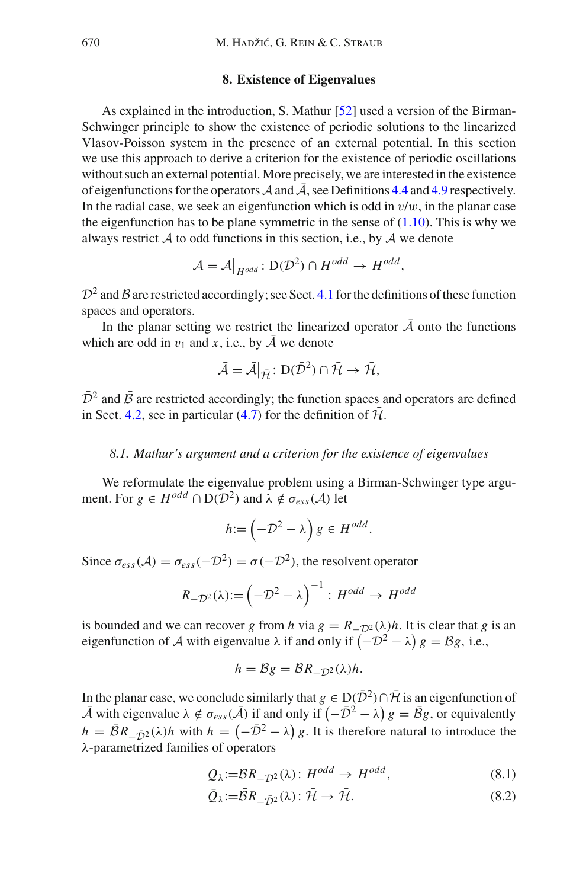## **8. Existence of Eigenvalues**

<span id="page-59-0"></span>As explained in the introduction, S. Mathur [\[52](#page-84-0)] used a version of the Birman-Schwinger principle to show the existence of periodic solutions to the linearized Vlasov-Poisson system in the presence of an external potential. In this section we use this approach to derive a criterion for the existence of periodic oscillations without such an external potential. More precisely, we are interested in the existence of eigenfunctions for the operators  $\mathcal A$  and  $\bar{\mathcal A}$ , see Definitions [4.4](#page-30-1) and [4.9](#page-33-0) respectively. In the radial case, we seek an eigenfunction which is odd in  $v/w$ , in the planar case the eigenfunction has to be plane symmetric in the sense of  $(1.10)$ . This is why we always restrict *A* to odd functions in this section, i.e., by *A* we denote

$$
\mathcal{A} = \mathcal{A}\big|_{H^{odd}} : D(\mathcal{D}^2) \cap H^{odd} \to H^{odd},
$$

 $D^2$  and *B* are restricted accordingly; see Sect. [4.1](#page-27-0) for the definitions of these function spaces and operators.

In the planar setting we restrict the linearized operator  $\overline{A}$  onto the functions which are odd in  $v_1$  and x, i.e., by A we denote

$$
\bar{\mathcal{A}} = \bar{\mathcal{A}}|_{\bar{\mathcal{H}}} \colon \mathrm{D}(\bar{\mathcal{D}}^2) \cap \bar{\mathcal{H}} \to \bar{\mathcal{H}},
$$

 $\bar{\mathcal{D}}^2$  and  $\bar{\mathcal{B}}$  are restricted accordingly; the function spaces and operators are defined in Sect. [4.2,](#page-30-2) see in particular [\(4.7\)](#page-31-2) for the definition of  $\bar{\mathcal{H}}$ .

## *8.1. Mathur's argument and a criterion for the existence of eigenvalues*

We reformulate the eigenvalue problem using a Birman-Schwinger type argument. For  $g \in H^{odd} \cap D(D^2)$  and  $\lambda \notin \sigma_{ess}(\mathcal{A})$  let

$$
h:=\left(-\mathcal{D}^2-\lambda\right)g\in H^{odd}.
$$

Since  $\sigma_{ess}(\mathcal{A}) = \sigma_{ess}(-\mathcal{D}^2) = \sigma(-\mathcal{D}^2)$ , the resolvent operator

$$
R_{-\mathcal{D}^2}(\lambda) := \left(-\mathcal{D}^2 - \lambda\right)^{-1} : H^{odd} \to H^{odd}
$$

is bounded and we can recover *g* from *h* via  $g = R_{D^2}(\lambda)h$ . It is clear that *g* is an eigenfunction of *A* with eigenvalue  $\lambda$  if and only if  $(-D^2 - \lambda)g = Bg$ , i.e.,

$$
h = \mathcal{B}g = \mathcal{B}R_{-\mathcal{D}^2}(\lambda)h.
$$

In the planar case, we conclude similarly that  $g \in D(\overline{D}^2) \cap \overline{H}$  is an eigenfunction of  $\overline{A}$  with eigenvalue  $\lambda \notin \sigma_{ess}(\overline{A})$  if and only if  $\left(-\overline{D}^2 - \lambda\right)g = \overline{B}g$ , or equivalently  $h = \overline{\mathcal{B}}R_{-\overline{\mathcal{D}}^2}(\lambda)h$  with  $h = (-\overline{\mathcal{D}}^2 - \lambda)g$ . It is therefore natural to introduce the λ-parametrized families of operators

$$
Q_{\lambda} := BR_{-\mathcal{D}^2}(\lambda) : H^{odd} \to H^{odd}, \tag{8.1}
$$

$$
\bar{Q}_{\lambda} := \bar{B}R_{-\bar{D}^2}(\lambda): \bar{\mathcal{H}} \to \bar{\mathcal{H}}.
$$
\n(8.2)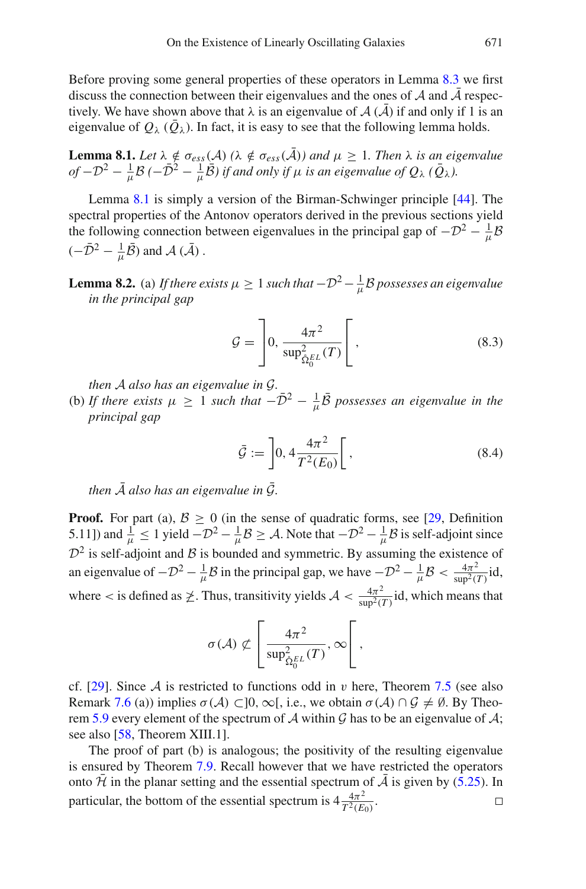Before proving some general properties of these operators in Lemma [8.3](#page-61-0) we first discuss the connection between their eigenvalues and the ones of  $A$  and  $A$  respectively. We have shown above that  $\lambda$  is an eigenvalue of  $\mathcal{A}(\bar{\mathcal{A}})$  if and only if 1 is an eigenvalue of  $Q_{\lambda}$  ( $Q_{\lambda}$ ). In fact, it is easy to see that the following lemma holds.

<span id="page-60-0"></span>**Lemma 8.1.** *Let*  $\lambda \notin \sigma_{ess}(A)$  ( $\lambda \notin \sigma_{ess}(A)$ ) and  $\mu \geq 1$ . Then  $\lambda$  is an eigenvalue  $of -D^2 - \frac{1}{\mu}B$  *(*− $\bar{D}^2 - \frac{1}{\mu}\bar{B}$ ) if and only if  $\mu$  is an eigenvalue of  $Q_\lambda$  ( $\bar{Q}_\lambda$ ).

Lemma [8.1](#page-60-0) is simply a version of the Birman-Schwinger principle [\[44\]](#page-84-4). The spectral properties of the Antonov operators derived in the previous sections yield the following connection between eigenvalues in the principal gap of  $-D^2 - \frac{1}{\mu}B$  $(-\bar{\mathcal{D}}^2 - \frac{1}{\mu}\bar{\mathcal{B}})$  and  $\mathcal{A}(\bar{\mathcal{A}})$ .

<span id="page-60-3"></span>**Lemma 8.2.** (a) *If there exists*  $\mu \geq 1$  *such that*  $-D^2 - \frac{1}{\mu}B$  possesses an eigenvalue *in the principal gap*

<span id="page-60-1"></span>
$$
\mathcal{G} = \left[ 0, \frac{4\pi^2}{\sup_{\hat{\Omega}_0^{EL}}^2(T)} \right],
$$
\n(8.3)

*then A also has an eigenvalue in G.*

(b) *If there exists*  $\mu \geq 1$  *such that*  $-\bar{D}^2 - \frac{1}{\mu} \bar{B}$  possesses an eigenvalue in the *principal gap*

<span id="page-60-2"></span>
$$
\bar{\mathcal{G}} := \left] 0, 4 \frac{4\pi^2}{T^2(E_0)} \right[ , \tag{8.4}
$$

*then*  $\overline{A}$  *also has an eigenvalue in*  $\overline{G}$ *.* 

**Proof.** For part (a),  $B \ge 0$  (in the sense of quadratic forms, see [\[29](#page-83-2), Definition 5.11]) and  $\frac{1}{\mu} \le 1$  yield  $-\mathcal{D}^2 - \frac{1}{\mu} \mathcal{B} \ge \mathcal{A}$ . Note that  $-\mathcal{D}^2 - \frac{1}{\mu} \mathcal{B}$  is self-adjoint since  $D^2$  is self-adjoint and *B* is bounded and symmetric. By assuming the existence of an eigenvalue of  $-D^2 - \frac{1}{\mu}B$  in the principal gap, we have  $-D^2 - \frac{1}{\mu}B < \frac{4\pi^2}{\sup^2(T)}$ id, where  $\lt$  is defined as  $\ngeq$ . Thus, transitivity yields  $\mathcal{A} \lt \frac{4\pi^2}{\sup^2(T)}$  id, which means that

$$
\sigma(\mathcal{A}) \not\subset \left[\frac{4\pi^2}{\sup_{\hat{\Omega}_0^E}^2(T)}, \infty\right[,
$$

cf. [\[29](#page-83-2)]. Since A is restricted to functions odd in v here, Theorem [7.5](#page-56-2) (see also Remark [7.6](#page-56-3) (a)) implies  $\sigma(A) \subset ]0, \infty[$ , i.e., we obtain  $\sigma(A) \cap G \neq \emptyset$ . By Theo-rem [5.9](#page-41-3) every element of the spectrum of A within  $G$  has to be an eigenvalue of  $A$ ; see also [\[58,](#page-84-5) Theorem XIII.1].

The proof of part (b) is analogous; the positivity of the resulting eigenvalue is ensured by Theorem [7.9.](#page-58-1) Recall however that we have restricted the operators onto  $\bar{\mathcal{H}}$  in the planar setting and the essential spectrum of  $\bar{\mathcal{A}}$  is given by [\(5.25\)](#page-48-0). In particular, the bottom of the essential spectrum is  $4\frac{4\pi^2}{T^2(E_0)}$ .  $\Box$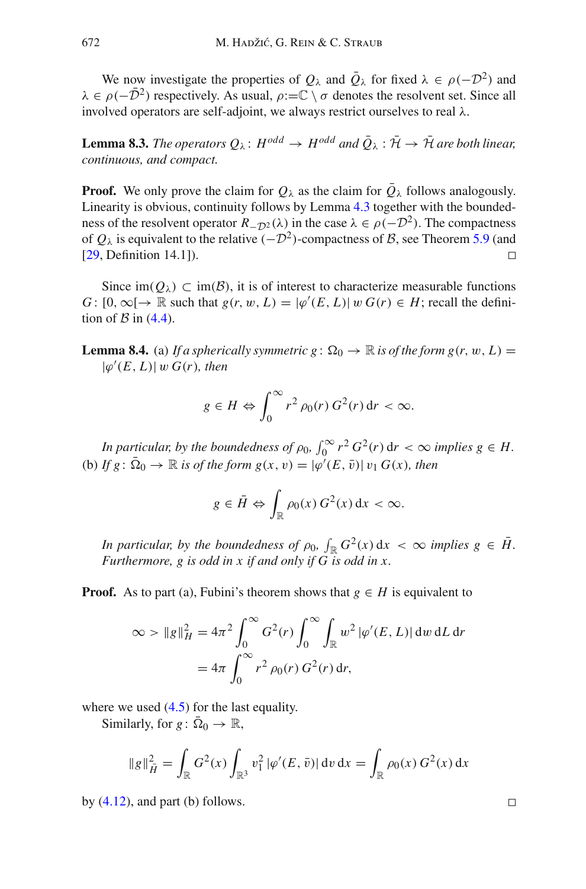We now investigate the properties of  $Q_{\lambda}$  and  $\overline{Q}_{\lambda}$  for fixed  $\lambda \in \rho(-\mathcal{D}^2)$  and  $\lambda \in \rho(-\bar{\mathcal{D}}^2)$  respectively. As usual,  $\rho:=\mathbb{C} \setminus \sigma$  denotes the resolvent set. Since all involved operators are self-adjoint, we always restrict ourselves to real λ.

<span id="page-61-0"></span>**Lemma 8.3.** *The operators*  $Q_{\lambda}$ :  $H^{odd} \rightarrow H^{odd}$  and  $\overline{Q}_{\lambda}$  :  $\overline{\mathcal{H}} \rightarrow \overline{\mathcal{H}}$  are both linear, *continuous, and compact.*

**Proof.** We only prove the claim for  $Q_\lambda$  as the claim for  $\overline{Q}_\lambda$  follows analogously. Linearity is obvious, continuity follows by Lemma [4.3](#page-29-1) together with the boundedness of the resolvent operator  $R_{-D^2}(\lambda)$  in the case  $\lambda \in \rho(-D^2)$ . The compactness of  $Q_{\lambda}$  is equivalent to the relative  $(-D^2)$ -compactness of *B*, see Theorem [5.9](#page-41-3) (and [29. Definition 14.11). [\[29,](#page-83-2) Definition 14.1]).

<span id="page-61-1"></span>Since  $\text{im}(Q_\lambda) \subset \text{im}(\mathcal{B})$ , it is of interest to characterize measurable functions *G* :  $[0, \infty) \rightarrow \mathbb{R}$  such that  $g(r, w, L) = |\varphi'(E, L)| w G(r) \in H$ ; recall the definition of  $\beta$  in [\(4.4\)](#page-29-0).

**Lemma 8.4.** (a) If a spherically symmetric  $g: \Omega_0 \to \mathbb{R}$  is of the form  $g(r, w, L) =$  $|\varphi'(E, L)|$  w  $G(r)$ *, then* 

$$
g \in H \Leftrightarrow \int_0^\infty r^2 \, \rho_0(r) \, G^2(r) \, \mathrm{d}r < \infty.
$$

*In particular, by the boundedness of*  $\rho_0$ ,  $\int_0^\infty r^2 G^2(r) dr < \infty$  *implies*  $g \in H$ . (b) *If g*:  $\overline{\Omega}_0 \to \mathbb{R}$  *is of the form g*(*x*, *v*) =  $|\varphi'(E, \overline{v})| v_1 G(x)$ *, then* 

$$
g \in \overline{H} \Leftrightarrow \int_{\mathbb{R}} \rho_0(x) G^2(x) dx < \infty.
$$

*In particular, by the boundedness of*  $\rho_0$ ,  $\int_{\mathbb{R}} G^2(x) dx < \infty$  *implies*  $g \in \overline{H}$ . *Furthermore, g is odd in x if and only if G is odd in x.*

**Proof.** As to part (a), Fubini's theorem shows that  $g \in H$  is equivalent to

$$
\infty > \|g\|_{H}^{2} = 4\pi^{2} \int_{0}^{\infty} G^{2}(r) \int_{0}^{\infty} \int_{\mathbb{R}} w^{2} |\varphi'(E, L)| \, dw \, dL \, dr
$$

$$
= 4\pi \int_{0}^{\infty} r^{2} \rho_{0}(r) G^{2}(r) \, dr,
$$

where we used  $(4.5)$  for the last equality.

Similarly, for  $g: \overline{\Omega}_0 \to \mathbb{R}$ ,

$$
\|g\|_{\tilde{H}}^2 = \int_{\mathbb{R}} G^2(x) \int_{\mathbb{R}^3} v_1^2 |\varphi'(E, \bar{v})| dv dx = \int_{\mathbb{R}} \rho_0(x) G^2(x) dx
$$

by  $(4.12)$ , and part (b) follows.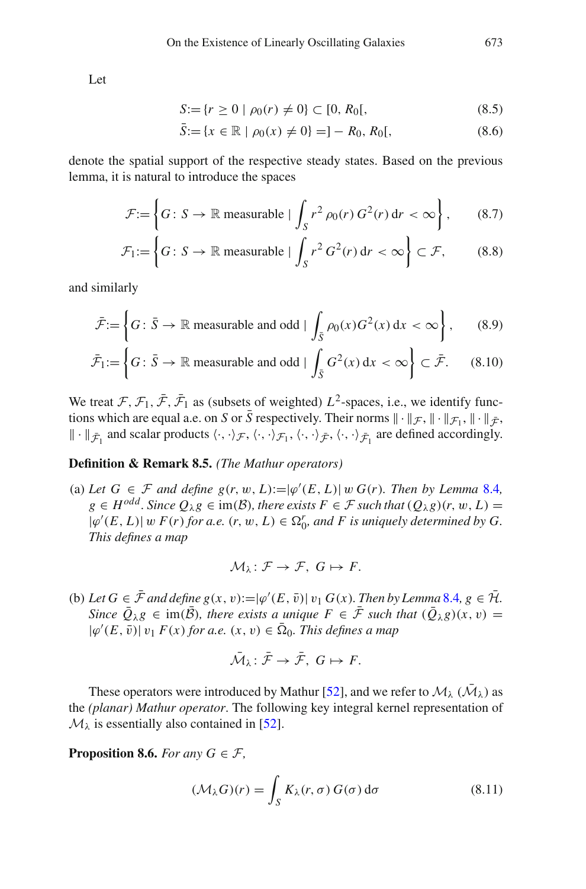Let

$$
S := \{ r \ge 0 \mid \rho_0(r) \ne 0 \} \subset [0, R_0[, \tag{8.5}
$$

$$
\bar{S} := \{ x \in \mathbb{R} \mid \rho_0(x) \neq 0 \} = ] - R_0, R_0[, \tag{8.6}
$$

denote the spatial support of the respective steady states. Based on the previous lemma, it is natural to introduce the spaces

$$
\mathcal{F} := \left\{ G \colon S \to \mathbb{R} \text{ measurable} \mid \int_{S} r^2 \rho_0(r) G^2(r) \, \mathrm{d}r < \infty \right\},\qquad(8.7)
$$

$$
\mathcal{F}_1 := \left\{ G \colon S \to \mathbb{R} \text{ measurable} \mid \int_S r^2 G^2(r) \, dr < \infty \right\} \subset \mathcal{F},\qquad(8.8)
$$

and similarly

$$
\bar{\mathcal{F}} := \left\{ G \colon \bar{S} \to \mathbb{R} \text{ measurable and odd} \mid \int_{\bar{S}} \rho_0(x) G^2(x) \, \mathrm{d}x < \infty \right\},\qquad(8.9)
$$

$$
\bar{\mathcal{F}}_1 := \left\{ G \colon \bar{S} \to \mathbb{R} \text{ measurable and odd} \mid \int_{\bar{S}} G^2(x) \, \mathrm{d}x < \infty \right\} \subset \bar{\mathcal{F}}. \tag{8.10}
$$

We treat  $\mathcal{F}, \mathcal{F}_1, \bar{\mathcal{F}}, \bar{\mathcal{F}}_1$  as (subsets of weighted)  $L^2$ -spaces, i.e., we identify functions which are equal a.e. on *S* or  $\bar{S}$  respectively. Their norms  $\|\cdot\|_{\mathcal{F}}, \|\cdot\|_{\mathcal{F}}, \|\cdot\|_{\bar{\mathcal{F}}},$  $\|\cdot\|_{\bar{\mathcal{F}}_1}$  and scalar products  $\langle \cdot, \cdot \rangle_{\mathcal{F}}, \langle \cdot, \cdot \rangle_{\mathcal{F}_1}, \langle \cdot, \cdot \rangle_{\bar{\mathcal{F}}}, \langle \cdot, \cdot \rangle_{\bar{\mathcal{F}}_1}$  are defined accordingly.

## <span id="page-62-2"></span>**Definition & Remark 8.5.** *(The Mathur operators)*

(a) Let  $G \in \mathcal{F}$  and define  $g(r, w, L) := |\varphi'(E, L)| w G(r)$ . Then by Lemma [8.4](#page-61-1)*,*  $g \in H^{odd}$ . Since  $Q_\lambda g \in \text{im}(\mathcal{B})$ , there exists  $F \in \mathcal{F}$  such that  $(Q_\lambda g)(r, w, L) =$  $|\varphi'(E, L)|$  w  $F(r)$  for a.e.  $(r, w, L) \in \Omega_0^r$ , and F is uniquely determined by G. *This defines a map*

$$
\mathcal{M}_{\lambda} \colon \mathcal{F} \to \mathcal{F}, \ G \mapsto F.
$$

(b) Let  $G \in \mathcal{F}$  and define  $g(x, v) := |\varphi'(E, \bar{v})| v_1 G(x)$ . Then by Lemma [8.4](#page-61-1),  $g \in \mathcal{H}$ . *Since*  $\overline{Q}_{\lambda}g \in \text{im}(\overline{B})$ *, there exists a unique*  $F \in \overline{\mathcal{F}}$  *such that*  $(\overline{Q}_{\lambda}g)(x, v) =$  $|\varphi'(E, \bar{v})|$   $v_1$  *F*(*x*) *for a.e.* (*x*, *v*)  $\in \Omega_0$ *. This defines a map* 

<span id="page-62-0"></span>
$$
\bar{\mathcal{M}}_{\lambda} \colon \bar{\mathcal{F}} \to \bar{\mathcal{F}}, \ G \mapsto F.
$$

These operators were introduced by Mathur [\[52\]](#page-84-0), and we refer to  $\mathcal{M}_{\lambda}$  ( $\bar{\mathcal{M}}_{\lambda}$ ) as the *(planar) Mathur operator*. The following key integral kernel representation of  $M_{\lambda}$  is essentially also contained in [\[52\]](#page-84-0).

<span id="page-62-1"></span>**Proposition 8.6.** *For any*  $G \in \mathcal{F}$ *,* 

$$
(\mathcal{M}_{\lambda}G)(r) = \int_{S} K_{\lambda}(r,\sigma) G(\sigma) d\sigma
$$
 (8.11)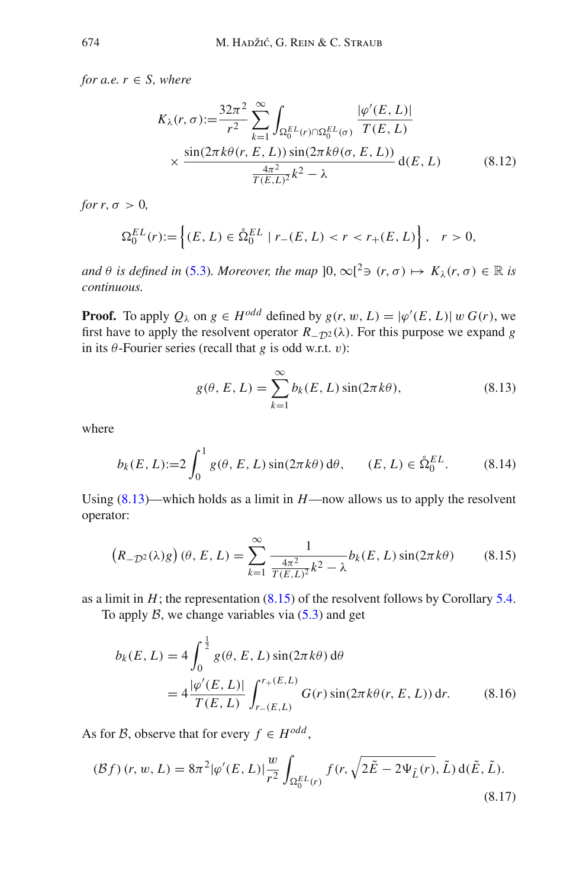*for a.e.*  $r \in S$ *, where* 

<span id="page-63-4"></span>
$$
K_{\lambda}(r,\sigma) := \frac{32\pi^2}{r^2} \sum_{k=1}^{\infty} \int_{\Omega_0^{EL}(r) \cap \Omega_0^{EL}(\sigma)} \frac{|\varphi'(E,L)|}{T(E,L)}
$$
  
 
$$
\times \frac{\sin(2\pi k\theta(r,E,L)) \sin(2\pi k\theta(\sigma,E,L))}{\frac{4\pi^2}{T(E,L)^2}k^2 - \lambda} d(E,L)
$$
(8.12)

*for*  $r, \sigma > 0$ *,* 

$$
\Omega_0^{EL}(r) := \left\{ (E, L) \in \mathring{\Omega}_0^{EL} \mid r_-(E, L) < r < r_+(E, L) \right\}, \quad r > 0,
$$

*and*  $\theta$  *is defined in* [\(5.3\)](#page-34-3)*. Moreover, the map*  $[0, \infty)^2$   $\Rightarrow$   $(r, \sigma) \mapsto K_\lambda(r, \sigma) \in \mathbb{R}$  *is continuous.*

**Proof.** To apply  $Q_\lambda$  on  $g \in H^{odd}$  defined by  $g(r, w, L) = |\varphi'(E, L)| w G(r)$ , we first have to apply the resolvent operator  $R_{\text{-}D^2}(\lambda)$ . For this purpose we expand *g* in its  $\theta$ -Fourier series (recall that *g* is odd w.r.t. *v*):

<span id="page-63-1"></span><span id="page-63-0"></span>
$$
g(\theta, E, L) = \sum_{k=1}^{\infty} b_k(E, L) \sin(2\pi k\theta),
$$
 (8.13)

where

$$
b_k(E, L) := 2 \int_0^1 g(\theta, E, L) \sin(2\pi k \theta) d\theta, \qquad (E, L) \in \mathring{\Omega}_0^{EL}.
$$
 (8.14)

Using  $(8.13)$ —which holds as a limit in  $H$ —now allows us to apply the resolvent operator:

$$
(R_{-D^2}(\lambda)g)(\theta, E, L) = \sum_{k=1}^{\infty} \frac{1}{\frac{4\pi^2}{T(E, L)^2}k^2 - \lambda} b_k(E, L) \sin(2\pi k\theta)
$$
(8.15)

as a limit in  $H$ ; the representation  $(8.15)$  of the resolvent follows by Corollary [5.4.](#page-36-1)

To apply  $\beta$ , we change variables via  $(5.3)$  and get

<span id="page-63-3"></span>
$$
b_k(E, L) = 4 \int_0^{\frac{1}{2}} g(\theta, E, L) \sin(2\pi k\theta) d\theta
$$
  
=  $4 \frac{|\varphi'(E, L)|}{T(E, L)} \int_{r_{-}(E, L)}^{r_{+}(E, L)} G(r) \sin(2\pi k\theta(r, E, L)) dr.$  (8.16)

As for *B*, observe that for every  $f \in H^{odd}$ ,

<span id="page-63-2"></span>
$$
(\mathcal{B}f)(r, w, L) = 8\pi^2 |\varphi'(E, L)| \frac{w}{r^2} \int_{\Omega_0^{EL}(r)} f(r, \sqrt{2\tilde{E} - 2\Psi_{\tilde{L}}(r)}, \tilde{L}) d(\tilde{E}, \tilde{L}).
$$
\n(8.17)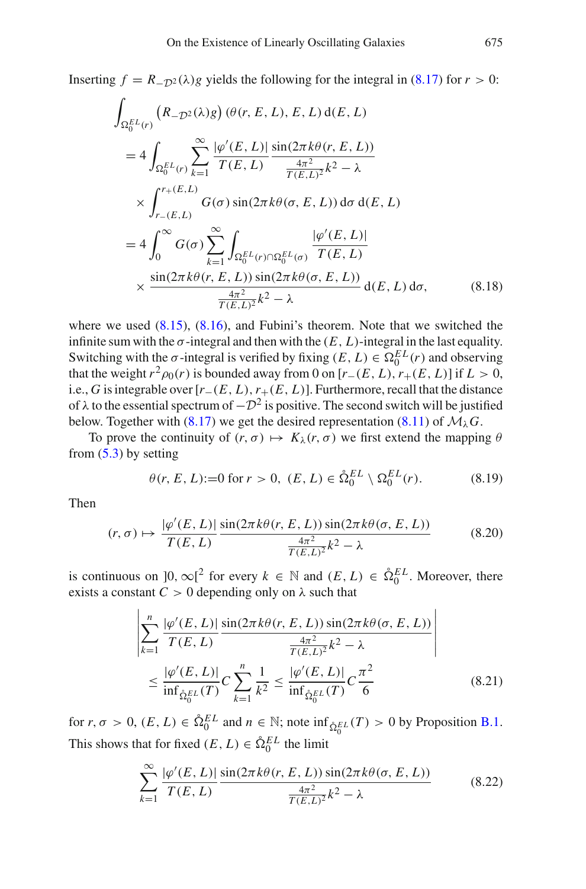Inserting  $f = R_{-\mathcal{D}^2}(\lambda)g$  yields the following for the integral in [\(8.17\)](#page-63-2) for  $r > 0$ :

$$
\int_{\Omega_0^{EL}(r)} (R_{-D^2}(\lambda)g) (\theta(r, E, L), E, L) d(E, L)
$$
\n
$$
= 4 \int_{\Omega_0^{EL}(r)} \sum_{k=1}^{\infty} \frac{|\varphi'(E, L)|}{T(E, L)} \frac{\sin(2\pi k\theta(r, E, L))}{\frac{4\pi^2}{T(E, L)^2} k^2 - \lambda}
$$
\n
$$
\times \int_{r_{-}(E, L)}^{r_{+}(E, L)} G(\sigma) \sin(2\pi k\theta(\sigma, E, L)) d\sigma d(E, L)
$$
\n
$$
= 4 \int_0^{\infty} G(\sigma) \sum_{k=1}^{\infty} \int_{\Omega_0^{EL}(r) \cap \Omega_0^{EL}(\sigma)} \frac{|\varphi'(E, L)|}{T(E, L)}
$$
\n
$$
\times \frac{\sin(2\pi k\theta(r, E, L)) \sin(2\pi k\theta(\sigma, E, L))}{\frac{4\pi^2}{T(E, L)^2} k^2 - \lambda} d(E, L) d\sigma, \qquad (8.18)
$$

where we used  $(8.15)$ ,  $(8.16)$ , and Fubini's theorem. Note that we switched the infinite sum with the  $\sigma$ -integral and then with the  $(E, L)$ -integral in the last equality. Switching with the  $\sigma$ -integral is verified by fixing  $(E, L) \in \Omega_0^{EL}(r)$  and observing that the weight  $r^2 \rho_0(r)$  is bounded away from 0 on  $[r_-(E, L), r_+(E, L)]$  if  $L > 0$ , i.e., *G* is integrable over  $[r_-(E, L), r_+(E, L)]$ . Furthermore, recall that the distance of  $\lambda$  to the essential spectrum of  $-\mathcal{D}^2$  is positive. The second switch will be justified below. Together with [\(8.17\)](#page-63-2) we get the desired representation [\(8.11\)](#page-62-0) of  $\mathcal{M}_{\lambda}$ *G*.

To prove the continuity of  $(r, \sigma) \mapsto K_{\lambda}(r, \sigma)$  we first extend the mapping  $\theta$ from  $(5.3)$  by setting

$$
\theta(r, E, L) := 0
$$
 for  $r > 0$ ,  $(E, L) \in \mathring{\Omega}_0^{EL} \setminus \Omega_0^{EL}(r)$ . (8.19)

Then

$$
(r, \sigma) \mapsto \frac{|\varphi'(E, L)|}{T(E, L)} \frac{\sin(2\pi k\theta(r, E, L)) \sin(2\pi k\theta(\sigma, E, L))}{\frac{4\pi^2}{T(E, L)^2} k^2 - \lambda}
$$
(8.20)

is continuous on  $]0, \infty[^2$  for every  $k \in \mathbb{N}$  and  $(E, L) \in \mathring{\Omega}_0^{EL}$ . Moreover, there exists a constant  $C > 0$  depending only on  $\lambda$  such that

<span id="page-64-1"></span>
$$
\left| \sum_{k=1}^{n} \frac{|\varphi'(E, L)|}{T(E, L)} \frac{\sin(2\pi k\theta(r, E, L)) \sin(2\pi k\theta(\sigma, E, L))}{\frac{4\pi^2}{T(E, L)^2} k^2 - \lambda} \right|
$$
  

$$
\leq \frac{|\varphi'(E, L)|}{\inf_{\hat{\Omega}_0^{EL}}(T)} C \sum_{k=1}^{n} \frac{1}{k^2} \leq \frac{|\varphi'(E, L)|}{\inf_{\hat{\Omega}_0^{EL}}(T)} C \frac{\pi^2}{6}
$$
(8.21)

for  $r, \sigma > 0$ ,  $(E, L) \in \hat{\Omega}_0^{EL}$  and  $n \in \mathbb{N}$ ; note  $\inf_{\hat{\Omega}_0^{EL}}(T) > 0$  by Proposition [B.1.](#page-77-0) This shows that for fixed  $(E, L) \in \mathring{\Omega}_0^{EL}$  the limit

<span id="page-64-0"></span>
$$
\sum_{k=1}^{\infty} \frac{|\varphi'(E, L)|}{T(E, L)} \frac{\sin(2\pi k\theta(r, E, L)) \sin(2\pi k\theta(\sigma, E, L))}{\frac{4\pi^2}{T(E, L)^2} k^2 - \lambda}
$$
(8.22)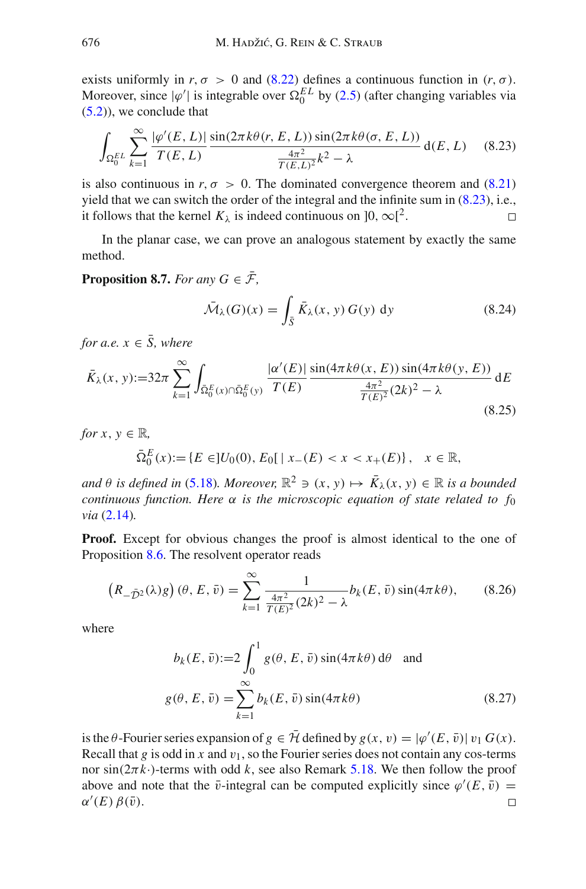exists uniformly in  $r, \sigma > 0$  and [\(8.22\)](#page-64-0) defines a continuous function in  $(r, \sigma)$ . Moreover, since  $|\varphi'|$  is integrable over  $\Omega_0^{EL}$  by [\(2.5\)](#page-12-0) (after changing variables via  $(5.2)$ , we conclude that

$$
\int_{\Omega_0^{EL}} \sum_{k=1}^{\infty} \frac{|\varphi'(E, L)|}{T(E, L)} \frac{\sin(2\pi k\theta(r, E, L)) \sin(2\pi k\theta(\sigma, E, L))}{\frac{4\pi^2}{T(E, L)^2} k^2 - \lambda} d(E, L) \quad (8.23)
$$

is also continuous in  $r, \sigma > 0$ . The dominated convergence theorem and [\(8.21\)](#page-64-1) yield that we can switch the order of the integral and the infinite sum in [\(8.23\)](#page-65-0), i.e., it follows that the kernel  $K_{\lambda}$  is indeed continuous on  $]0, \infty[^2$ .  $\Box$ 

<span id="page-65-3"></span>In the planar case, we can prove an analogous statement by exactly the same method.

**Proposition 8.7.** *For any*  $G \in \overline{\mathcal{F}}$ ,

<span id="page-65-2"></span><span id="page-65-1"></span><span id="page-65-0"></span>
$$
\bar{\mathcal{M}}_{\lambda}(G)(x) = \int_{\bar{S}} \bar{K}_{\lambda}(x, y) G(y) dy
$$
\n(8.24)

*for a.e.*  $x \in \overline{S}$ *, where* 

$$
\bar{K}_{\lambda}(x, y) := 32\pi \sum_{k=1}^{\infty} \int_{\bar{\Omega}_{0}^{E}(x) \cap \bar{\Omega}_{0}^{E}(y)} \frac{|\alpha'(E)|}{T(E)} \frac{\sin(4\pi k \theta(x, E)) \sin(4\pi k \theta(y, E))}{\frac{4\pi^{2}}{T(E)^{2}} (2k)^{2} - \lambda} dE
$$
\n(8.25)

*for*  $x, y \in \mathbb{R}$ *,* 

$$
\bar{\Omega}_0^E(x) := \{ E \in ]U_0(0), E_0[ \mid x_-(E) < x < x_+(E) \}, \quad x \in \mathbb{R},
$$

*and*  $\theta$  *is defined in* [\(5.18\)](#page-43-1)*. Moreover,*  $\mathbb{R}^2 \ni (x, y) \mapsto \overline{K}_\lambda(x, y) \in \mathbb{R}$  *is a bounded continuous function. Here* α *is the microscopic equation of state related to f*<sup>0</sup> *via* [\(2.14\)](#page-14-1)*.*

**Proof.** Except for obvious changes the proof is almost identical to the one of Proposition [8.6.](#page-62-1) The resolvent operator reads

$$
(R_{-\bar{D}^2}(\lambda)g)(\theta, E, \bar{v}) = \sum_{k=1}^{\infty} \frac{1}{\frac{4\pi^2}{T(E)^2}(2k)^2 - \lambda} b_k(E, \bar{v}) \sin(4\pi k\theta), \qquad (8.26)
$$

where

$$
b_k(E, \bar{v}) := 2 \int_0^1 g(\theta, E, \bar{v}) \sin(4\pi k\theta) d\theta \text{ and}
$$
  

$$
g(\theta, E, \bar{v}) = \sum_{k=1}^{\infty} b_k(E, \bar{v}) \sin(4\pi k\theta)
$$
 (8.27)

is the  $\theta$ -Fourier series expansion of  $g \in \mathcal{H}$  defined by  $g(x, v) = |\varphi'(E, \bar{v})| v_1 G(x)$ . Recall that  $g$  is odd in  $x$  and  $v_1$ , so the Fourier series does not contain any cos-terms nor  $sin(2\pi k \cdot)$ -terms with odd *k*, see also Remark [5.18.](#page-47-3) We then follow the proof above and note that the  $\bar{v}$ -integral can be computed explicitly since  $\varphi'(E, \bar{v}) =$  $\alpha'(E) \beta(\bar{v}).$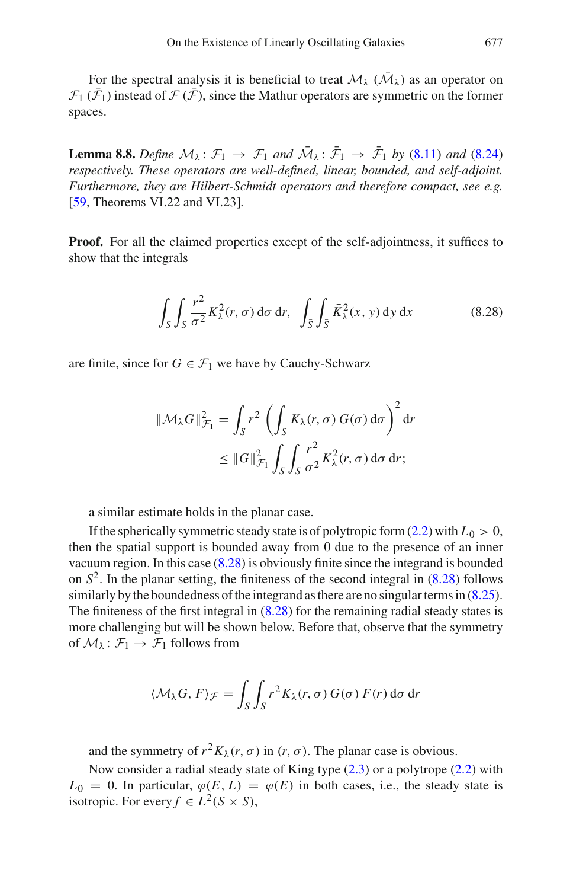<span id="page-66-1"></span>For the spectral analysis it is beneficial to treat  $\mathcal{M}_{\lambda}$  ( $\overline{\mathcal{M}}_{\lambda}$ ) as an operator on  $\mathcal{F}_1(\mathcal{F}_1)$  instead of  $\mathcal{F}(\mathcal{F})$ , since the Mathur operators are symmetric on the former spaces.

**Lemma 8.8.** *Define*  $M_{\lambda}$ :  $\mathcal{F}_1 \rightarrow \mathcal{F}_1$  *and*  $M_{\lambda}$ :  $\mathcal{F}_1 \rightarrow \mathcal{F}_1$  *by* [\(8.11\)](#page-62-0) *and* [\(8.24\)](#page-65-1) *respectively. These operators are well-defined, linear, bounded, and self-adjoint. Furthermore, they are Hilbert-Schmidt operators and therefore compact, see e.g.* [\[59,](#page-84-6) Theorems VI.22 and VI.23]*.*

**Proof.** For all the claimed properties except of the self-adjointness, it suffices to show that the integrals

<span id="page-66-0"></span>
$$
\int_{S} \int_{S} \frac{r^2}{\sigma^2} K_{\lambda}^2(r, \sigma) d\sigma dr, \quad \int_{\bar{S}} \int_{\bar{S}} \bar{K}_{\lambda}^2(x, y) dy dx \tag{8.28}
$$

are finite, since for  $G \in \mathcal{F}_1$  we have by Cauchy-Schwarz

$$
\|\mathcal{M}_{\lambda}G\|_{\mathcal{F}_1}^2 = \int_S r^2 \left( \int_S K_{\lambda}(r,\sigma) G(\sigma) d\sigma \right)^2 dr
$$
  

$$
\leq \|G\|_{\mathcal{F}_1}^2 \int_S \int_S \frac{r^2}{\sigma^2} K_{\lambda}^2(r,\sigma) d\sigma dr;
$$

a similar estimate holds in the planar case.

If the spherically symmetric steady state is of polytropic form  $(2.2)$  with  $L_0 > 0$ , then the spatial support is bounded away from 0 due to the presence of an inner vacuum region. In this case [\(8.28\)](#page-66-0) is obviously finite since the integrand is bounded on  $S<sup>2</sup>$ . In the planar setting, the finiteness of the second integral in  $(8.28)$  follows similarly by the boundedness of the integrand as there are no singular terms in  $(8.25)$ . The finiteness of the first integral in [\(8.28\)](#page-66-0) for the remaining radial steady states is more challenging but will be shown below. Before that, observe that the symmetry of  $M_{\lambda} : \mathcal{F}_1 \to \mathcal{F}_1$  follows from

$$
\langle \mathcal{M}_{\lambda} G, F \rangle_{\mathcal{F}} = \int_{S} \int_{S} r^{2} K_{\lambda}(r, \sigma) G(\sigma) F(r) d\sigma dr
$$

and the symmetry of  $r^2 K_\lambda(r, \sigma)$  in  $(r, \sigma)$ . The planar case is obvious.

Now consider a radial steady state of King type  $(2.3)$  or a polytrope  $(2.2)$  with  $L_0 = 0$ . In particular,  $\varphi(E, L) = \varphi(E)$  in both cases, i.e., the steady state is isotropic. For every  $f \in L^2(S \times S)$ ,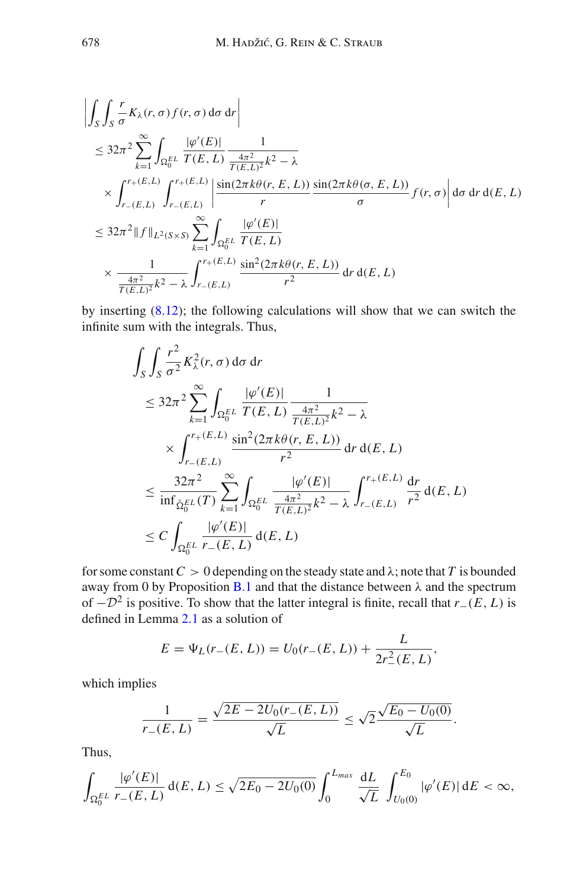$$
\begin{split}\n&\left|\int_{S} \int_{S} \frac{r}{\sigma} K_{\lambda}(r, \sigma) f(r, \sigma) \, d\sigma \, dr\right| \\
&\leq 32\pi^{2} \sum_{k=1}^{\infty} \int_{\Omega_{0}^{EL}} \frac{|\varphi'(E)|}{T(E, L)} \frac{1}{\frac{4\pi^{2}}{T(E, L)^{2}} k^{2} - \lambda \\
&\times \int_{r_{-}(E, L)}^{r_{+}(E, L)} \int_{r_{-}(E, L)}^{r_{+}(E, L)} \left|\frac{\sin(2\pi k\theta(r, E, L))}{r} \frac{\sin(2\pi k\theta(\sigma, E, L))}{\sigma} f(r, \sigma)\right| d\sigma \, dr \, d(E, L) \\
&\leq 32\pi^{2} \|f\|_{L^{2}(S \times S)} \sum_{k=1}^{\infty} \int_{\Omega_{0}^{EL}} \frac{|\varphi'(E)|}{T(E, L)} \\
&\times \frac{1}{\frac{4\pi^{2}}{T(E, L)^{2}} k^{2} - \lambda} \int_{r_{-}(E, L)}^{r_{+}(E, L)} \frac{\sin^{2}(2\pi k\theta(r, E, L))}{r^{2}} \, dr \, d(E, L)\n\end{split}
$$

by inserting [\(8.12\)](#page-63-4); the following calculations will show that we can switch the infinite sum with the integrals. Thus,

$$
\int_{S} \int_{S} \frac{r^{2}}{\sigma^{2}} K_{\lambda}^{2}(r, \sigma) d\sigma dr
$$
\n
$$
\leq 32\pi^{2} \sum_{k=1}^{\infty} \int_{\Omega_{0}^{EL}} \frac{|\varphi'(E)|}{T(E, L)} \frac{1}{\frac{4\pi^{2}}{T(E, L)^{2}} k^{2} - \lambda}
$$
\n
$$
\times \int_{r_{-}(E, L)}^{r_{+}(E, L)} \frac{\sin^{2}(2\pi k\theta(r, E, L))}{r^{2}} dr d(E, L)
$$
\n
$$
\leq \frac{32\pi^{2}}{\inf_{\hat{\Omega}_{0}^{EL}}(T)} \sum_{k=1}^{\infty} \int_{\Omega_{0}^{EL}} \frac{|\varphi'(E)|}{\frac{4\pi^{2}}{T(E, L)^{2}} k^{2} - \lambda} \int_{r_{-}(E, L)}^{r_{+}(E, L)} \frac{dr}{r^{2}} d(E, L)
$$
\n
$$
\leq C \int_{\Omega_{0}^{EL}} \frac{|\varphi'(E)|}{r_{-}(E, L)} d(E, L)
$$

for some constant  $C > 0$  depending on the steady state and  $\lambda$ ; note that *T* is bounded away from 0 by Proposition [B.1](#page-77-0) and that the distance between  $\lambda$  and the spectrum of  $-\mathcal{D}^2$  is positive. To show that the latter integral is finite, recall that *r*−(*E*, *L*) is defined in Lemma [2.1](#page-13-0) as a solution of

$$
E = \Psi_L(r_-(E, L)) = U_0(r_-(E, L)) + \frac{L}{2r_-(E, L)},
$$

which implies

$$
\frac{1}{r_{-}(E,L)} = \frac{\sqrt{2E - 2U_0(r_{-}(E,L))}}{\sqrt{L}} \le \sqrt{2} \frac{\sqrt{E_0 - U_0(0)}}{\sqrt{L}}.
$$

Thus,

$$
\int_{\Omega_0^{EL}} \frac{|\varphi'(E)|}{r_{-}(E,L)} d(E,L) \leq \sqrt{2E_0 - 2U_0(0)} \int_0^{L_{max}} \frac{dL}{\sqrt{L}} \int_{U_0(0)}^{E_0} |\varphi'(E)| dE < \infty,
$$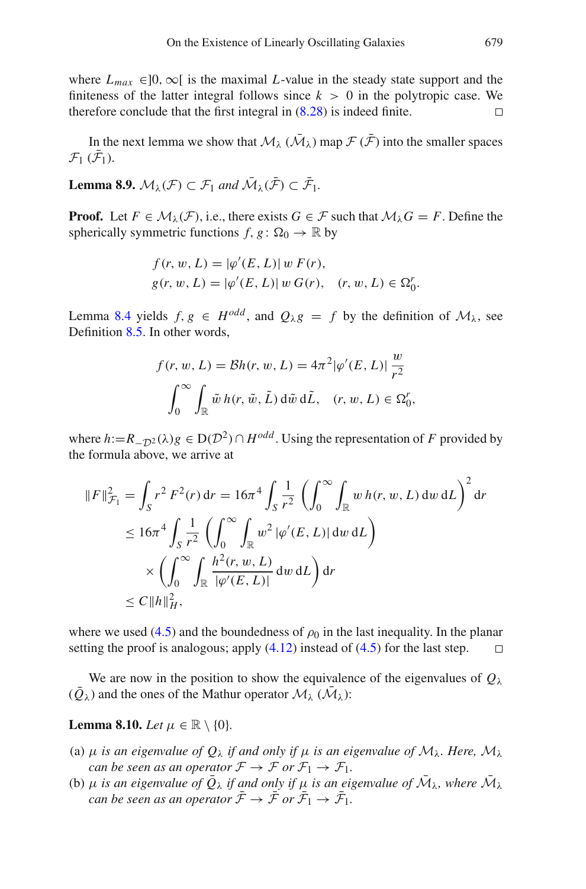where  $L_{max} \in ]0, \infty[$  is the maximal *L*-value in the steady state support and the finiteness of the latter integral follows since  $k > 0$  in the polytropic case. We therefore conclude that the first integral in [\(8.28\)](#page-66-0) is indeed finite.  $\Box$ 

<span id="page-68-0"></span>In the next lemma we show that  $\mathcal{M}_{\lambda}$  ( $\bar{\mathcal{M}}_{\lambda}$ ) map  $\mathcal{F}(\bar{\mathcal{F}})$  into the smaller spaces  $\mathcal{F}_1$  ( $\mathcal{F}_1$ ).

**Lemma 8.9.**  $M_{\lambda}(\mathcal{F}) \subset \mathcal{F}_1$  and  $M_{\lambda}(\mathcal{F}) \subset \mathcal{F}_1$ .

**Proof.** Let  $F \in \mathcal{M}_{\lambda}(\mathcal{F})$ , i.e., there exists  $G \in \mathcal{F}$  such that  $\mathcal{M}_{\lambda}G = F$ . Define the spherically symmetric functions  $f, g: \Omega_0 \to \mathbb{R}$  by

$$
f(r, w, L) = |\varphi'(E, L)| w F(r),
$$
  
 
$$
g(r, w, L) = |\varphi'(E, L)| w G(r), (r, w, L) \in \Omega_0^r.
$$

Lemma [8.4](#page-61-1) yields  $f, g \in H^{odd}$ , and  $Q_{\lambda}g = f$  by the definition of  $\mathcal{M}_{\lambda}$ , see Definition [8.5.](#page-62-2) In other words,

$$
f(r, w, L) = Bh(r, w, L) = 4\pi^2 |\varphi'(E, L)| \frac{w}{r^2}
$$

$$
\int_0^\infty \int_{\mathbb{R}} \tilde{w} h(r, \tilde{w}, \tilde{L}) d\tilde{w} d\tilde{L}, \quad (r, w, L) \in \Omega_0^r,
$$

where  $h:=R_{\Omega}(\lambda)g \in D(\mathcal{D}^2) \cap H^{odd}$ . Using the representation of *F* provided by the formula above, we arrive at

$$
||F||_{\mathcal{F}_1}^2 = \int_S r^2 F^2(r) dr = 16\pi^4 \int_S \frac{1}{r^2} \left( \int_0^\infty \int_{\mathbb{R}} w h(r, w, L) dw dL \right)^2 dr
$$
  
\n
$$
\leq 16\pi^4 \int_S \frac{1}{r^2} \left( \int_0^\infty \int_{\mathbb{R}} w^2 |\varphi'(E, L)| dw dL \right)
$$
  
\n
$$
\times \left( \int_0^\infty \int_{\mathbb{R}} \frac{h^2(r, w, L)}{|\varphi'(E, L)|} dw dL \right) dr
$$
  
\n
$$
\leq C ||h||_H^2,
$$

where we used [\(4.5\)](#page-29-2) and the boundedness of  $\rho_0$  in the last inequality. In the planar setting the proof is analogous; apply  $(4.12)$  instead of  $(4.5)$  for the last step.  $\Box$ 

<span id="page-68-1"></span>We are now in the position to show the equivalence of the eigenvalues of  $Q_{\lambda}$  $(\bar{Q}_{\lambda})$  and the ones of the Mathur operator  $\mathcal{M}_{\lambda}$  ( $\bar{\mathcal{M}}_{\lambda}$ ):

# **Lemma 8.10.** *Let*  $\mu \in \mathbb{R} \setminus \{0\}$ *.*

- (a)  $\mu$  *is an eigenvalue of*  $Q_{\lambda}$  *if and only if*  $\mu$  *is an eigenvalue of*  $M_{\lambda}$ *. Here,*  $M_{\lambda}$ *can be seen as an operator*  $\mathcal{F} \to \mathcal{F}$  *or*  $\mathcal{F}_1 \to \mathcal{F}_1$ *.*
- (b)  $\mu$  *is an eigenvalue of*  $\overline{Q}_{\lambda}$  *if and only if*  $\mu$  *is an eigenvalue of*  $\overline{M}_{\lambda}$ *, where*  $\overline{M}_{\lambda}$ *can be seen as an operator*  $\mathcal{F} \to \mathcal{F}$  *or*  $\mathcal{F}_1 \to \mathcal{F}_1$ *.*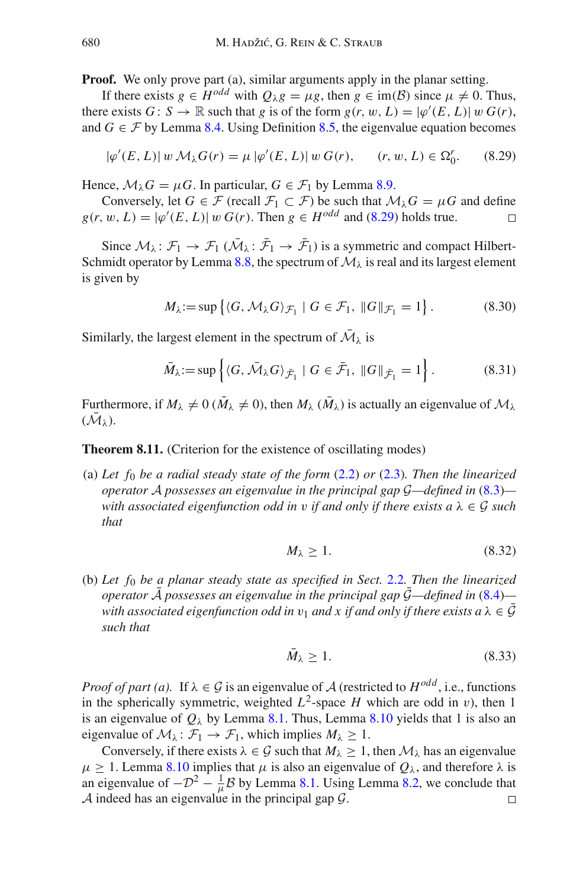**Proof.** We only prove part (a), similar arguments apply in the planar setting.

If there exists  $g \in H^{odd}$  with  $Q_{\lambda}g = \mu g$ , then  $g \in \text{im}(\mathcal{B})$  since  $\mu \neq 0$ . Thus, there exists  $G : S \to \mathbb{R}$  such that *g* is of the form  $g(r, w, L) = |\varphi'(E, L)| w G(r)$ , and  $G \in \mathcal{F}$  by Lemma [8.4.](#page-61-1) Using Definition [8.5,](#page-62-2) the eigenvalue equation becomes

$$
|\varphi'(E, L)| w \, \mathcal{M}_{\lambda} G(r) = \mu \, |\varphi'(E, L)| \, w \, G(r), \qquad (r, w, L) \in \Omega_0^r. \tag{8.29}
$$

Hence,  $\mathcal{M}_{\lambda}G = \mu G$ . In particular,  $G \in \mathcal{F}_1$  by Lemma [8.9.](#page-68-0)

Conversely, let *G* ∈ *F* (recall  $F_1 \subset F$ ) be such that  $M_\lambda G = \mu G$  and define  $w, L$ ) =  $|\omega'(E, L)| w G(r)$ . Then  $g \in H^{odd}$  and (8.29) holds true.  $g(r, w, L) = |\varphi'(E, L)| w G(r)$ . Then  $g \in H^{odd}$  and [\(8.29\)](#page-69-0) holds true.

Since  $M_{\lambda}$ :  $\mathcal{F}_1 \rightarrow \mathcal{F}_1$  ( $M_{\lambda}$ :  $\mathcal{F}_1 \rightarrow \mathcal{F}_1$ ) is a symmetric and compact Hilbert-Schmidt operator by Lemma [8.8,](#page-66-1) the spectrum of  $M_{\lambda}$  is real and its largest element is given by

<span id="page-69-0"></span>
$$
M_{\lambda} := \sup \left\{ \langle G, \mathcal{M}_{\lambda} G \rangle_{\mathcal{F}_1} \mid G \in \mathcal{F}_1, \|G\|_{\mathcal{F}_1} = 1 \right\}.
$$
 (8.30)

Similarly, the largest element in the spectrum of  $\overline{\mathcal{M}}_{\lambda}$  is

$$
\bar{M}_{\lambda} := \sup \left\{ \langle G, \bar{\mathcal{M}}_{\lambda} G \rangle_{\bar{\mathcal{F}}_1} \mid G \in \bar{\mathcal{F}}_1, \|G\|_{\bar{\mathcal{F}}_1} = 1 \right\}.
$$
 (8.31)

<span id="page-69-1"></span>Furthermore, if  $M_{\lambda} \neq 0$  ( $\overline{M}_{\lambda} \neq 0$ ), then  $M_{\lambda}$  ( $\overline{M}_{\lambda}$ ) is actually an eigenvalue of  $M_{\lambda}$  $(M_{\lambda}).$ 

**Theorem 8.11.** (Criterion for the existence of oscillating modes)

(a) *Let f*<sup>0</sup> *be a radial steady state of the form* [\(2.2\)](#page-11-1) *or* [\(2.3\)](#page-11-2)*. Then the linearized operator A possesses an eigenvalue in the principal gap G—defined in* [\(8.3\)](#page-60-1) *with associated eigenfunction odd in* v *if and only if there exists a* λ ∈ *G such that*

<span id="page-69-2"></span>
$$
M_{\lambda} \ge 1. \tag{8.32}
$$

(b) *Let f*<sup>0</sup> *be a planar steady state as specified in Sect.* [2.2](#page-14-0)*. Then the linearized operator A* possesses an eigenvalue in the principal gap  $G$ —defined in  $(8.4)$  *with associated eigenfunction odd in*  $v_1$  *and x if and only if there exists a*  $\lambda \in \mathcal{G}$ *such that*

$$
\bar{M}_{\lambda} \ge 1. \tag{8.33}
$$

*Proof of part (a).* If  $\lambda \in \mathcal{G}$  is an eigenvalue of  $\mathcal{A}$  (restricted to  $H^{odd}$ , i.e., functions in the spherically symmetric, weighted  $L^2$ -space *H* which are odd in v), then 1 is an eigenvalue of  $Q_{\lambda}$  by Lemma [8.1.](#page-60-0) Thus, Lemma [8.10](#page-68-1) yields that 1 is also an eigenvalue of  $\mathcal{M}_{\lambda}$ :  $\mathcal{F}_1 \rightarrow \mathcal{F}_1$ , which implies  $M_{\lambda} \geq 1$ .

Conversely, if there exists  $\lambda \in \mathcal{G}$  such that  $M_{\lambda} \geq 1$ , then  $\mathcal{M}_{\lambda}$  has an eigenvalue  $\mu \geq 1$ . Lemma [8.10](#page-68-1) implies that  $\mu$  is also an eigenvalue of  $Q_{\lambda}$ , and therefore  $\lambda$  is an eigenvalue of  $-D^2 - \frac{1}{\mu}B$  by Lemma [8.1.](#page-60-0) Using Lemma [8.2,](#page-60-3) we conclude that *A* indeed has an eigenvalue in the principal gap  $G$ .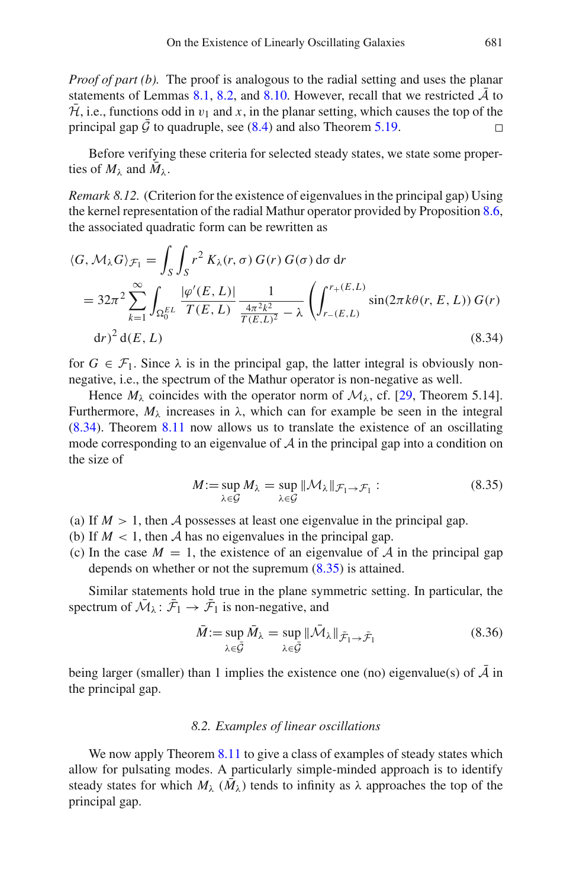*Proof of part (b).* The proof is analogous to the radial setting and uses the planar statements of Lemmas [8.1,](#page-60-0) [8.2,](#page-60-3) and [8.10.](#page-68-1) However, recall that we restricted  $A$  to  $\overline{\mathcal{H}}$ , i.e., functions odd in  $v_1$  and x, in the planar setting, which causes the top of the principal gap  $\bar{G}$  to quadruple, see [\(8.4\)](#page-60-2) and also Theorem [5.19.](#page-47-4)

Before verifying these criteria for selected steady states, we state some properties of  $M_{\lambda}$  and  $M_{\lambda}$ .

*Remark 8.12.* (Criterion for the existence of eigenvalues in the principal gap) Using the kernel representation of the radial Mathur operator provided by Proposition [8.6,](#page-62-1) the associated quadratic form can be rewritten as

$$
\langle G, \mathcal{M}_{\lambda} G \rangle_{\mathcal{F}_1} = \int_S \int_S r^2 K_{\lambda}(r, \sigma) G(r) G(\sigma) d\sigma dr
$$
  
=  $32\pi^2 \sum_{k=1}^{\infty} \int_{\Omega_0^{EL}} \frac{|\varphi'(E, L)|}{T(E, L)} \frac{1}{\frac{4\pi^2 k^2}{T(E, L)^2} - \lambda} \left( \int_{r_{-}(E, L)}^{r_{+}(E, L)} \sin(2\pi k \theta(r, E, L)) G(r) dr \right)^2 d(E, L)$  (8.34)

for  $G \in \mathcal{F}_1$ . Since  $\lambda$  is in the principal gap, the latter integral is obviously nonnegative, i.e., the spectrum of the Mathur operator is non-negative as well.

Hence  $M_{\lambda}$  coincides with the operator norm of  $M_{\lambda}$ , cf. [\[29](#page-83-2), Theorem 5.14]. Furthermore,  $M_{\lambda}$  increases in  $\lambda$ , which can for example be seen in the integral [\(8.34\)](#page-70-0). Theorem [8.11](#page-69-1) now allows us to translate the existence of an oscillating mode corresponding to an eigenvalue of *A* in the principal gap into a condition on the size of

<span id="page-70-1"></span><span id="page-70-0"></span>
$$
M := \sup_{\lambda \in \mathcal{G}} M_{\lambda} = \sup_{\lambda \in \mathcal{G}} ||\mathcal{M}_{\lambda}||_{\mathcal{F}_1 \to \mathcal{F}_1} : \tag{8.35}
$$

- (a) If  $M > 1$ , then A possesses at least one eigenvalue in the principal gap.
- (b) If  $M < 1$ , then A has no eigenvalues in the principal gap.
- (c) In the case  $M = 1$ , the existence of an eigenvalue of A in the principal gap depends on whether or not the supremum [\(8.35\)](#page-70-1) is attained.

Similar statements hold true in the plane symmetric setting. In particular, the spectrum of  $M_{\lambda}$ :  $\mathcal{F}_1 \rightarrow \mathcal{F}_1$  is non-negative, and

$$
\bar{M} := \sup_{\lambda \in \bar{\mathcal{G}}} \bar{M}_{\lambda} = \sup_{\lambda \in \bar{\mathcal{G}}} \|\bar{\mathcal{M}}_{\lambda}\|_{\bar{\mathcal{F}}_{1} \to \bar{\mathcal{F}}_{1}} \tag{8.36}
$$

being larger (smaller) than 1 implies the existence one (no) eigenvalue(s) of  $\overline{A}$  in the principal gap.

### *8.2. Examples of linear oscillations*

We now apply Theorem [8.11](#page-69-1) to give a class of examples of steady states which allow for pulsating modes. A particularly simple-minded approach is to identify steady states for which  $M_{\lambda}$  ( $M_{\lambda}$ ) tends to infinity as  $\lambda$  approaches the top of the principal gap.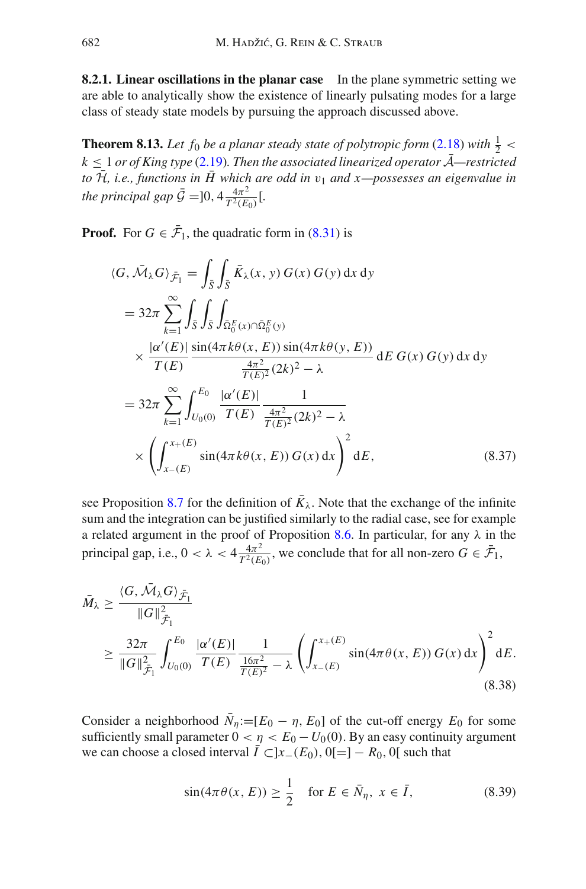**8.2.1. Linear oscillations in the planar case** In the plane symmetric setting we are able to analytically show the existence of linearly pulsating modes for a large class of steady state models by pursuing the approach discussed above.

**Theorem 8.13.** Let  $f_0$  be a planar steady state of polytropic form [\(2.18\)](#page-15-0) with  $\frac{1}{2}$  <  $k \leq 1$  *or of King type* [\(2.19\)](#page-15-1). Then the associated linearized operator  $\overline{A}$ —restricted *to*  $\bar{\mathcal{H}}$ , *i.e., functions in*  $\bar{H}$  which are odd in  $v_1$  and x—possesses an eigenvalue in *the principal gap*  $\bar{G} = ]0, 4\frac{4\pi^2}{T^2(E_0)}$  [*.* 

**Proof.** For  $G \in \mathcal{F}_1$ , the quadratic form in [\(8.31\)](#page-69-2) is

$$
\langle G, \bar{M}_{\lambda} G \rangle_{\bar{\mathcal{F}}_1} = \int_{\bar{S}} \int_{\bar{S}} \bar{K}_{\lambda}(x, y) G(x) G(y) dx dy
$$
  
\n
$$
= 32\pi \sum_{k=1}^{\infty} \int_{\bar{S}} \int_{\bar{S}} \int_{\bar{\Omega}_{0}^{E}(x) \cap \bar{\Omega}_{0}^{E}(y)} \times \frac{|\alpha'(E)|}{T(E)} \frac{\sin(4\pi k \theta(x, E)) \sin(4\pi k \theta(y, E))}{\frac{4\pi^{2}}{T(E)^{2}} (2k)^{2} - \lambda} dE G(x) G(y) dx dy
$$
  
\n
$$
= 32\pi \sum_{k=1}^{\infty} \int_{U_{0}(0)}^{E_{0}} \frac{|\alpha'(E)|}{T(E)} \frac{1}{\frac{4\pi^{2}}{T(E)^{2}} (2k)^{2} - \lambda}
$$
  
\n
$$
\times \left( \int_{x_{-}(E)}^{x_{+}(E)} \sin(4\pi k \theta(x, E)) G(x) dx \right)^{2} dE,
$$
 (8.37)

see Proposition [8.7](#page-65-3) for the definition of  $\bar{K}_{\lambda}$ . Note that the exchange of the infinite sum and the integration can be justified similarly to the radial case, see for example a related argument in the proof of Proposition [8.6.](#page-62-1) In particular, for any  $\lambda$  in the principal gap, i.e.,  $0 < \lambda < 4 \frac{4\pi^2}{T^2(E_0)}$ , we conclude that for all non-zero  $G \in \bar{\mathcal{F}}_1$ ,

$$
\bar{M}_{\lambda} \geq \frac{\langle G, \bar{\mathcal{M}}_{\lambda} G \rangle_{\bar{\mathcal{F}}_{1}}}{\|G\|_{\bar{\mathcal{F}}_{1}}^{2}} \leq \frac{32\pi}{\|G\|_{\bar{\mathcal{F}}_{1}}^{2}} \int_{U_{0}(0)}^{E_{0}} \frac{|\alpha'(E)|}{T(E)} \frac{1}{\frac{16\pi^{2}}{T(E)^{2}} - \lambda} \left( \int_{x_{-}(E)}^{x_{+}(E)} \sin(4\pi\theta(x, E)) G(x) dx \right)^{2} dE.
$$
\n(8.38)

Consider a neighborhood  $\bar{N}_n := [E_0 - \eta, E_0]$  of the cut-off energy  $E_0$  for some sufficiently small parameter  $0 < \eta < E_0 - U_0(0)$ . By an easy continuity argument we can choose a closed interval  $\overline{I} \subset ]x_{-}(E_0), 0[]=] - R_0, 0[$  such that

$$
\sin(4\pi\theta(x,E)) \ge \frac{1}{2} \quad \text{for } E \in \bar{N}_\eta, \ x \in \bar{I}, \tag{8.39}
$$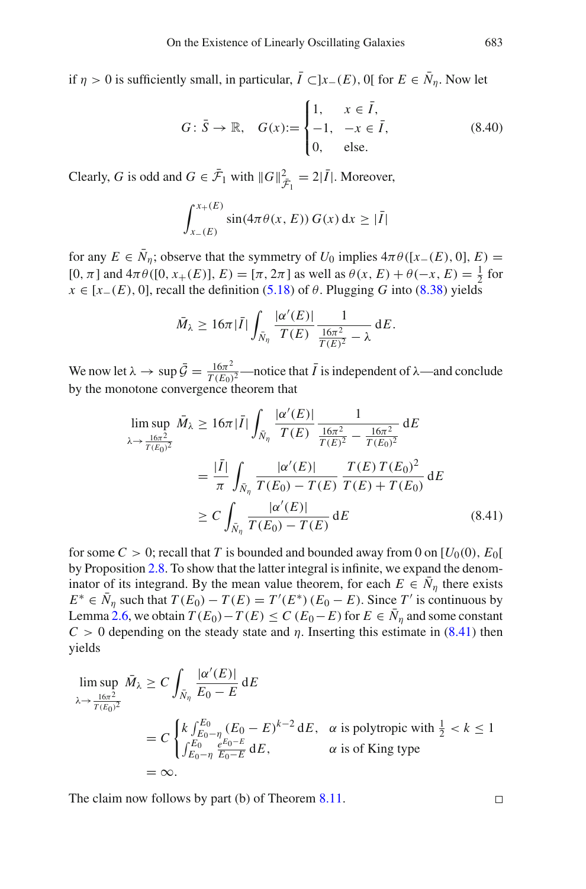if  $\eta > 0$  is sufficiently small, in particular,  $\overline{I} \subset ]x_-(E)$ , 0[ for  $E \in \overline{N}_{\eta}$ . Now let

$$
G: \bar{S} \to \mathbb{R}, \quad G(x) := \begin{cases} 1, & x \in \bar{I}, \\ -1, & -x \in \bar{I}, \\ 0, & \text{else.} \end{cases} \tag{8.40}
$$

Clearly, *G* is odd and  $G \in \overline{\mathcal{F}}_1$  with  $||G||_{\overline{\mathcal{F}}_1}^2 = 2|\overline{I}|$ . Moreover,

$$
\int_{x_{-}(E)}^{x_{+}(E)} \sin(4\pi \theta(x, E)) G(x) dx \geq |\bar{I}|
$$

for any  $E \in \overline{N}_n$ ; observe that the symmetry of  $U_0$  implies  $4\pi\theta([x-(E), 0], E)$ [0, π] and  $4πθ$  ([0, x<sub>+</sub>(*E*)], *E*) = [π, 2π] as well as  $θ(x, E) + θ(-x, E) = \frac{1}{2}$  for *x* ∈ [*x*−(*E*), 0], recall the definition [\(5.18\)](#page-43-0) of  $\theta$ . Plugging *G* into [\(8.38\)](#page-71-0) yields

$$
\bar{M}_{\lambda} \geq 16\pi |\bar{I}| \int_{\bar{N}_{\eta}} \frac{|\alpha'(E)|}{T(E)} \frac{1}{\frac{16\pi^2}{T(E)^2} - \lambda} dE.
$$

We now let  $\lambda \to \sup \bar{\mathcal{G}} = \frac{16\pi^2}{T(E_0)^2}$  —notice that  $\bar{I}$  is independent of  $\lambda$  —and conclude by the monotone convergence theorem that

$$
\limsup_{\lambda \to \frac{16\pi^2}{T(E_0)^2}} \bar{M}_{\lambda} \ge 16\pi |\bar{I}| \int_{\bar{N}_\eta} \frac{|\alpha'(E)|}{T(E)} \frac{1}{\frac{16\pi^2}{T(E)^2} - \frac{16\pi^2}{T(E_0)^2}} dE
$$
\n
$$
= \frac{|\bar{I}|}{\pi} \int_{\bar{N}_\eta} \frac{|\alpha'(E)|}{T(E_0) - T(E)} \frac{T(E) T(E_0)^2}{T(E) + T(E_0)} dE
$$
\n
$$
\ge C \int_{\bar{N}_\eta} \frac{|\alpha'(E)|}{T(E_0) - T(E)} dE \qquad (8.41)
$$

for some  $C > 0$ ; recall that T is bounded and bounded away from 0 on  $[U_0(0), E_0[$ by Proposition [2.8.](#page-19-0) To show that the latter integral is infinite, we expand the denominator of its integrand. By the mean value theorem, for each  $E \in \overline{N}_n$  there exists  $E^* \in N_\eta$  such that  $T(E_0) - T(E) = T'(E^*) (E_0 - E)$ . Since  $T'$  is continuous by Lemma [2.6,](#page-18-0) we obtain  $T(E_0) - T(E) \le C(E_0 - E)$  for  $E \in \overline{N}_\eta$  and some constant  $C > 0$  depending on the steady state and  $\eta$ . Inserting this estimate in [\(8.41\)](#page-72-0) then yields

$$
\limsup_{\lambda \to \frac{16\pi^2}{T(E_0)^2}} \bar{M}_{\lambda} \ge C \int_{\bar{N}_\eta} \frac{|\alpha'(E)|}{E_0 - E} dE
$$
\n
$$
= C \begin{cases} k \int_{E_0 - \eta}^{E_0} (E_0 - E)^{k-2} dE, & \text{a is polytropic with } \frac{1}{2} < k \le 1\\ \int_{E_0 - \eta}^{E_0} \frac{e^{E_0 - E}}{E_0 - E} dE, & \text{a is of King type} \end{cases}
$$
\n
$$
= \infty.
$$

The claim now follows by part (b) of Theorem [8.11.](#page-69-0)

<span id="page-72-0"></span> $\Box$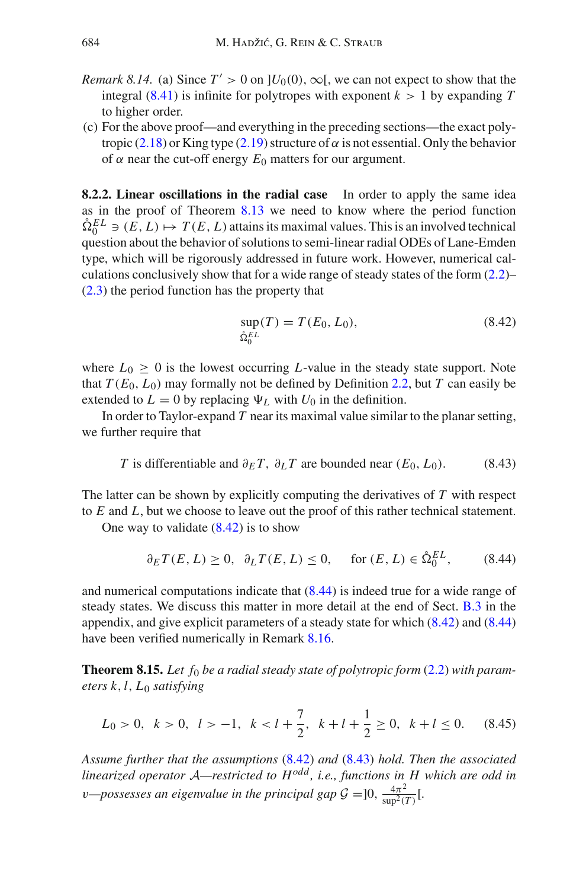- *Remark 8.14.* (a) Since  $T' > 0$  on  $]U_0(0), \infty[$ , we can not expect to show that the integral  $(8.41)$  is infinite for polytropes with exponent  $k > 1$  by expanding T to higher order.
- (c) For the above proof—and everything in the preceding sections—the exact poly-tropic [\(2.18\)](#page-15-0) or King type [\(2.19\)](#page-15-1) structure of  $\alpha$  is not essential. Only the behavior of  $\alpha$  near the cut-off energy  $E_0$  matters for our argument.

**8.2.2. Linear oscillations in the radial case** In order to apply the same idea as in the proof of Theorem [8.13](#page-71-1) we need to know where the period function  $\hat{\Omega}_0^{EL} \ni (E, L) \mapsto T(E, L)$  attains its maximal values. This is an involved technical question about the behavior of solutions to semi-linear radial ODEs of Lane-Emden type, which will be rigorously addressed in future work. However, numerical calculations conclusively show that for a wide range of steady states of the form [\(2.2\)](#page-11-0)– [\(2.3\)](#page-11-1) the period function has the property that

<span id="page-73-2"></span><span id="page-73-1"></span><span id="page-73-0"></span>
$$
\sup_{\hat{\Omega}_0^{EL}}(T) = T(E_0, L_0),\tag{8.42}
$$

where  $L_0 \geq 0$  is the lowest occurring *L*-value in the steady state support. Note that  $T(E_0, L_0)$  may formally not be defined by Definition [2.2,](#page-14-0) but *T* can easily be extended to  $L = 0$  by replacing  $\Psi_L$  with  $U_0$  in the definition.

In order to Taylor-expand *T* near its maximal value similar to the planar setting, we further require that

*T* is differentiable and 
$$
\partial_E T
$$
,  $\partial_L T$  are bounded near  $(E_0, L_0)$ . (8.43)

The latter can be shown by explicitly computing the derivatives of *T* with respect to *E* and *L*, but we choose to leave out the proof of this rather technical statement.

One way to validate  $(8.42)$  is to show

<span id="page-73-3"></span>
$$
\partial_E T(E, L) \ge 0, \quad \partial_L T(E, L) \le 0, \quad \text{for } (E, L) \in \mathring{\Omega}_0^{EL}, \tag{8.44}
$$

and numerical computations indicate that  $(8.44)$  is indeed true for a wide range of steady states. We discuss this matter in more detail at the end of Sect. [B.3](#page-82-0) in the appendix, and give explicit parameters of a steady state for which [\(8.42\)](#page-73-0) and [\(8.44\)](#page-73-1) have been verified numerically in Remark [8.16.](#page-75-0)

<span id="page-73-4"></span>**Theorem 8.15.** Let  $f_0$  be a radial steady state of polytropic form [\(2.2\)](#page-11-0) with param*eters k*,*l*, *L*<sup>0</sup> *satisfying*

$$
L_0 > 0, \quad k > 0, \quad l > -1, \quad k < l + \frac{7}{2}, \quad k + l + \frac{1}{2} \ge 0, \quad k + l \le 0. \tag{8.45}
$$

*Assume further that the assumptions* [\(8.42\)](#page-73-0) *and* [\(8.43\)](#page-73-2) *hold. Then the associated linearized operator <sup>A</sup>—restricted to Hodd , i.e., functions in H which are odd in v*—possesses an eigenvalue in the principal gap  $G = ]0, \frac{4\pi^2}{\sup^2(T)}[$ .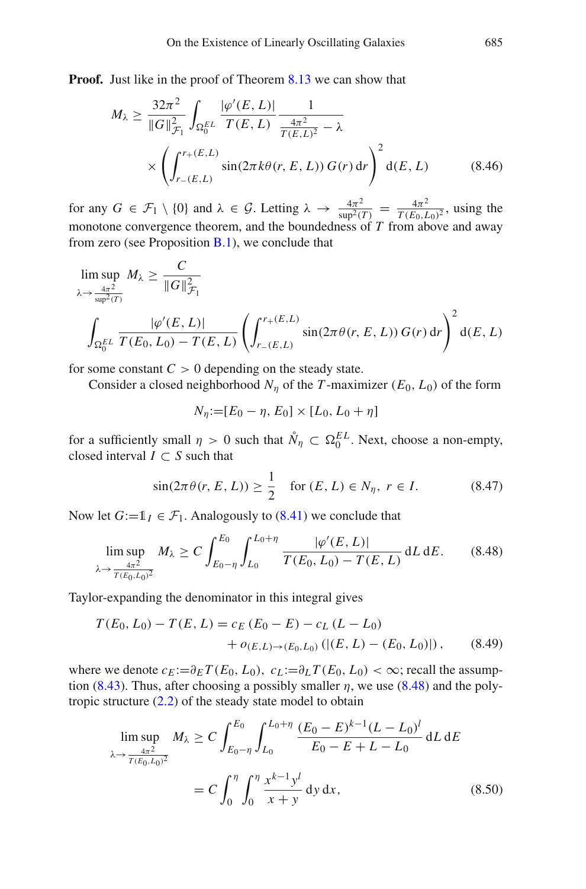**Proof.** Just like in the proof of Theorem [8.13](#page-71-1) we can show that

$$
M_{\lambda} \ge \frac{32\pi^2}{\|G\|_{\mathcal{F}_1}^2} \int_{\Omega_0^{EL}} \frac{|\varphi'(E, L)|}{T(E, L)} \frac{1}{\frac{4\pi^2}{T(E, L)^2} - \lambda}
$$
  
 
$$
\times \left( \int_{r_{-}(E, L)}^{r_{+}(E, L)} \sin(2\pi k \theta(r, E, L)) G(r) dr \right)^2 d(E, L)
$$
(8.46)

for any  $G \in \mathcal{F}_1 \setminus \{0\}$  and  $\lambda \in \mathcal{G}$ . Letting  $\lambda \to \frac{4\pi^2}{\sup^2(T)} = \frac{4\pi^2}{T(E_0, L_0)^2}$ , using the monotone convergence theorem, and the boundedness of *T* from above and away from zero (see Proposition  $B.1$ ), we conclude that

$$
\limsup_{\lambda \to \frac{4\pi^2}{\sup P^2(T)}} M_{\lambda} \ge \frac{C}{\|G\|_{\mathcal{F}_1}^2}
$$
\n
$$
\int_{\Omega_0^{EL}} \frac{|\varphi'(E, L)|}{T(E_0, L_0) - T(E, L)} \left( \int_{r_{-}(E, L)}^{r_{+}(E, L)} \sin(2\pi \theta(r, E, L)) G(r) dr \right)^2 d(E, L)
$$

for some constant  $C > 0$  depending on the steady state.

Consider a closed neighborhood  $N_n$  of the *T*-maximizer ( $E_0$ ,  $L_0$ ) of the form

<span id="page-74-0"></span>
$$
N_{\eta} := [E_0 - \eta, E_0] \times [L_0, L_0 + \eta]
$$

for a sufficiently small  $\eta > 0$  such that  $\mathring{N}_\eta \subset \Omega_0^{EL}$ . Next, choose a non-empty, closed interval  $I \subset S$  such that

$$
\sin(2\pi\theta(r, E, L)) \ge \frac{1}{2} \quad \text{for } (E, L) \in N_{\eta}, \ r \in I. \tag{8.47}
$$

Now let  $G:=1_I \in \mathcal{F}_1$ . Analogously to [\(8.41\)](#page-72-0) we conclude that

$$
\limsup_{\lambda \to \frac{4\pi^2}{T(E_0, L_0)^2}} M_{\lambda} \ge C \int_{E_0 - \eta}^{E_0} \int_{L_0}^{L_0 + \eta} \frac{|\varphi'(E, L)|}{T(E_0, L_0) - T(E, L)} dL dE.
$$
 (8.48)

Taylor-expanding the denominator in this integral gives

$$
T(E_0, L_0) - T(E, L) = c_E (E_0 - E) - c_L (L - L_0)
$$
  
+  $o_{(E, L) \to (E_0, L_0)} (|(E, L) - (E_0, L_0)|),$  (8.49)

where we denote  $c_E := \partial_E T(E_0, L_0)$ ,  $c_L := \partial_L T(E_0, L_0) < \infty$ ; recall the assump-tion [\(8.43\)](#page-73-2). Thus, after choosing a possibly smaller  $\eta$ , we use [\(8.48\)](#page-74-0) and the polytropic structure [\(2.2\)](#page-11-0) of the steady state model to obtain

$$
\limsup_{\lambda \to \frac{4\pi^2}{T(E_0, L_0)^2}} M_{\lambda} \ge C \int_{E_0 - \eta}^{E_0} \int_{L_0}^{L_0 + \eta} \frac{(E_0 - E)^{k-1} (L - L_0)^l}{E_0 - E + L - L_0} dL dE
$$
\n
$$
= C \int_0^{\eta} \int_0^{\eta} \frac{x^{k-1} y^l}{x + y} dy dx, \tag{8.50}
$$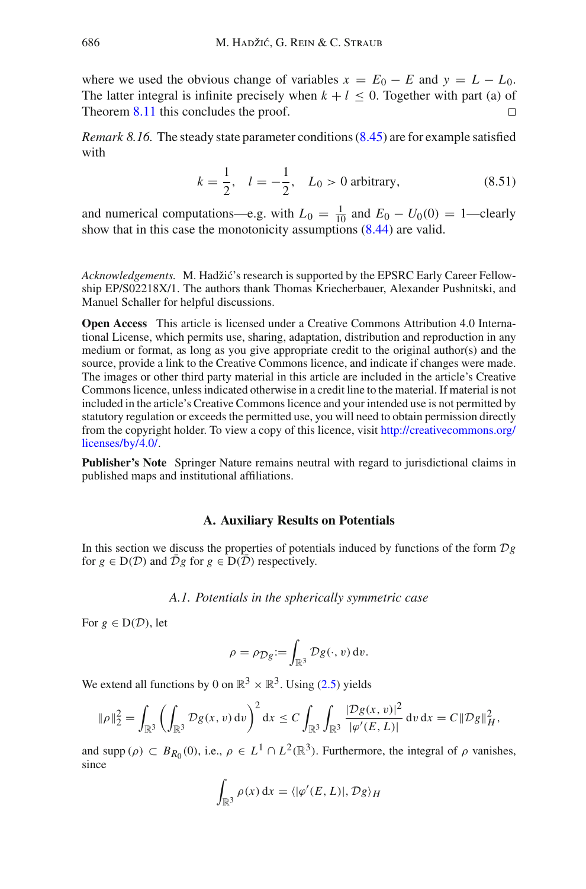where we used the obvious change of variables  $x = E_0 - E$  and  $y = L - L_0$ . The latter integral is infinite precisely when  $k + l \le 0$ . Together with part (a) of Theorem 8.11 this concludes the proof Theorem [8.11](#page-69-0) this concludes the proof.

<span id="page-75-0"></span>*Remark 8.16.* The steady state parameter conditions [\(8.45\)](#page-73-3) are for example satisfied with

$$
k = \frac{1}{2}, \quad l = -\frac{1}{2}, \quad L_0 > 0 \text{ arbitrary}, \tag{8.51}
$$

and numerical computations—e.g. with  $L_0 = \frac{1}{10}$  and  $E_0 - U_0(0) = 1$ —clearly show that in this case the monotonicity assumptions [\(8.44\)](#page-73-1) are valid.

Acknowledgements. M. Hadžić's research is supported by the EPSRC Early Career Fellowship EP/S02218X/1. The authors thank Thomas Kriecherbauer, Alexander Pushnitski, and Manuel Schaller for helpful discussions.

**Open Access** This article is licensed under a Creative Commons Attribution 4.0 International License, which permits use, sharing, adaptation, distribution and reproduction in any medium or format, as long as you give appropriate credit to the original author(s) and the source, provide a link to the Creative Commons licence, and indicate if changes were made. The images or other third party material in this article are included in the article's Creative Commons licence, unless indicated otherwise in a credit line to the material. If material is not included in the article's Creative Commons licence and your intended use is not permitted by statutory regulation or exceeds the permitted use, you will need to obtain permission directly from the copyright holder. To view a copy of this licence, visit [http://creativecommons.org/](http://creativecommons.org/licenses/by/4.0/) [licenses/by/4.0/.](http://creativecommons.org/licenses/by/4.0/)

**Publisher's Note** Springer Nature remains neutral with regard to jurisdictional claims in published maps and institutional affiliations.

### **A. Auxiliary Results on Potentials**

In this section we discuss the properties of potentials induced by functions of the form *Dg* for  $g \in D(D)$  and  $\overline{D}g$  for  $g \in D(\overline{D})$  respectively.

*A.1. Potentials in the spherically symmetric case*

For  $g \in D(\mathcal{D})$ , let

$$
\rho = \rho_{\mathcal{D}g} := \int_{\mathbb{R}^3} \mathcal{D}g(\cdot, v) \, dv.
$$

We extend all functions by 0 on  $\mathbb{R}^3 \times \mathbb{R}^3$ . Using [\(2.5\)](#page-12-0) yields

$$
\|\rho\|_2^2 = \int_{\mathbb{R}^3} \left( \int_{\mathbb{R}^3} \mathcal{D}g(x, v) dv \right)^2 dx \le C \int_{\mathbb{R}^3} \int_{\mathbb{R}^3} \frac{|\mathcal{D}g(x, v)|^2}{|\varphi'(E, L)|} dv dx = C \|\mathcal{D}g\|_H^2,
$$

and supp ( $\rho$ )  $\subset B_{R_0}(0)$ , i.e.,  $\rho \in L^1 \cap L^2(\mathbb{R}^3)$ . Furthermore, the integral of  $\rho$  vanishes, since

$$
\int_{\mathbb{R}^3} \rho(x) dx = \langle |\varphi'(E, L)|, \mathcal{D}g \rangle_H
$$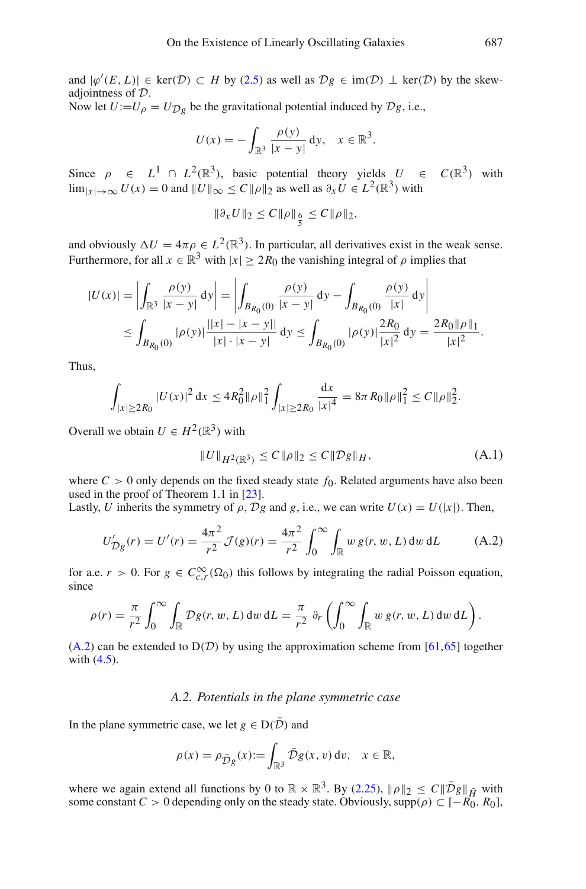and  $|\varphi'(E, L)| \in \text{ker}(\mathcal{D}) \subset H$  by [\(2.5\)](#page-12-0) as well as  $\mathcal{D}g \in \text{im}(\mathcal{D}) \perp \text{ker}(\mathcal{D})$  by the skewadjointness of *D*.

Now let  $U:=U_{\rho} = U_{\mathcal{D}\rho}$  be the gravitational potential induced by  $\mathcal{D}g$ , i.e.,

$$
U(x) = -\int_{\mathbb{R}^3} \frac{\rho(y)}{|x - y|} dy, \quad x \in \mathbb{R}^3.
$$

Since  $\rho \in L^1 \cap L^2(\mathbb{R}^3)$ , basic potential theory yields  $U \in C(\mathbb{R}^3)$  with  $\lim_{|x| \to \infty} U(x) = 0$  and  $||U||_{\infty} \leq C ||\rho||_2$  as well as  $\partial_x U \in L^2(\mathbb{R}^3)$  with

 $\|\partial_x U\|_2 \leq C \|\rho\|_{\frac{6}{5}} \leq C \|\rho\|_2,$ 

and obviously  $\Delta U = 4\pi \rho \in L^2(\mathbb{R}^3)$ . In particular, all derivatives exist in the weak sense. Furthermore, for all  $x \in \mathbb{R}^3$  with  $|x| \geq 2R_0$  the vanishing integral of  $\rho$  implies that

$$
|U(x)| = \left| \int_{\mathbb{R}^3} \frac{\rho(y)}{|x - y|} dy \right| = \left| \int_{B_{R_0}(0)} \frac{\rho(y)}{|x - y|} dy - \int_{B_{R_0}(0)} \frac{\rho(y)}{|x|} dy \right|
$$
  

$$
\leq \int_{B_{R_0}(0)} |\rho(y)| \frac{||x| - |x - y||}{|x| \cdot |x - y|} dy \leq \int_{B_{R_0}(0)} |\rho(y)| \frac{2R_0}{|x|^2} dy = \frac{2R_0 ||\rho||_1}{|x|^2}.
$$

Thus,

$$
\int_{|x|\geq 2R_0} |U(x)|^2 dx \leq 4R_0^2 \|\rho\|_1^2 \int_{|x|\geq 2R_0} \frac{dx}{|x|^4} = 8\pi R_0 \|\rho\|_1^2 \leq C \|\rho\|_2^2.
$$

Overall we obtain  $U \in H^2(\mathbb{R}^3)$  with

<span id="page-76-0"></span>
$$
||U||_{H^{2}(\mathbb{R}^{3})} \leq C||\rho||_{2} \leq C||\mathcal{D}g||_{H}, \tag{A.1}
$$

where  $C > 0$  only depends on the fixed steady state  $f_0$ . Related arguments have also been used in the proof of Theorem 1.1 in [\[23](#page-83-0)].

Lastly, *U* inherits the symmetry of  $\rho$ ,  $\mathcal{D}g$  and  $g$ , i.e., we can write  $U(x) = U(|x|)$ . Then,

$$
U'_{Dg}(r) = U'(r) = \frac{4\pi^2}{r^2} \mathcal{J}(g)(r) = \frac{4\pi^2}{r^2} \int_0^\infty \int_{\mathbb{R}} w g(r, w, L) \, dw \, dL \tag{A.2}
$$

for a.e.  $r > 0$ . For  $g \in C_{c,r}^{\infty}(\Omega_0)$  this follows by integrating the radial Poisson equation, since

$$
\rho(r) = \frac{\pi}{r^2} \int_0^\infty \int_{\mathbb{R}} \mathcal{D}g(r, w, L) \, dw \, dL = \frac{\pi}{r^2} \partial_r \left( \int_0^\infty \int_{\mathbb{R}} w g(r, w, L) \, dw \, dL \right).
$$

 $(A.2)$  can be extended to  $D(D)$  by using the approximation scheme from [\[61](#page-85-0)[,65](#page-85-1)] together with [\(4.5\)](#page-29-0).

# *A.2. Potentials in the plane symmetric case*

In the plane symmetric case, we let  $g \in D(\overline{\mathcal{D}})$  and

$$
\rho(x) = \rho_{\bar{D}g}(x) := \int_{\mathbb{R}^3} \bar{\mathcal{D}}g(x, v) dv, \quad x \in \mathbb{R},
$$

where we again extend all functions by 0 to  $\mathbb{R} \times \mathbb{R}^3$ . By [\(2.25\)](#page-17-0),  $\|\rho\|_2 \leq C \|\bar{\mathcal{D}}g\|_{\bar{H}}$  with some constant  $C > 0$  depending only on the steady state. Obviously, supp( $\rho$ )  $\subset [-R_0, R_0]$ ,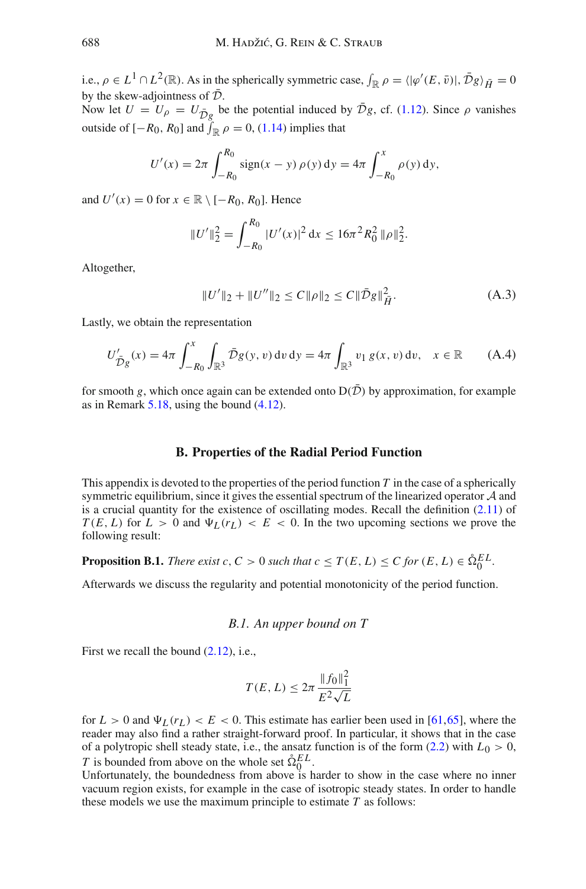i.e.,  $\rho \in L^1 \cap L^2(\mathbb{R})$ . As in the spherically symmetric case,  $\int_{\mathbb{R}} \rho = \langle |\varphi'(E, \bar{v})|, \bar{D}g \rangle_{\bar{H}} = 0$ by the skew-adjointness of  $\bar{\mathcal{D}}$ .

Now let  $U = U_{\rho} = U_{\bar{D}g}$  be the potential induced by  $\bar{\mathcal{D}}g$ , cf. [\(1.12\)](#page-3-0). Since  $\rho$  vanishes outside of  $[-R_0, R_0]$  and  $\int_{\mathbb{R}} \rho = 0$ , [\(1.14\)](#page-3-1) implies that

$$
U'(x) = 2\pi \int_{-R_0}^{R_0} \text{sign}(x - y) \, \rho(y) \, \mathrm{d}y = 4\pi \int_{-R_0}^{x} \rho(y) \, \mathrm{d}y,
$$

and  $U'(x) = 0$  for  $x \in \mathbb{R} \setminus [-R_0, R_0]$ . Hence

$$
||U'||_2^2 = \int_{-R_0}^{R_0} |U'(x)|^2 dx \le 16\pi^2 R_0^2 ||\rho||_2^2.
$$

Altogether,

$$
||U'||_2 + ||U''||_2 \le C||\rho||_2 \le C||\bar{\mathcal{D}}g||_{\bar{H}}^2.
$$
 (A.3)

Lastly, we obtain the representation

$$
U'_{\bar{\mathcal{D}}g}(x) = 4\pi \int_{-R_0}^{x} \int_{\mathbb{R}^3} \bar{\mathcal{D}}g(y, v) dv dy = 4\pi \int_{\mathbb{R}^3} v_1 g(x, v) dv, \quad x \in \mathbb{R}
$$
 (A.4)

for smooth *g*, which once again can be extended onto  $D(\overline{D})$  by approximation, for example as in Remark [5.18,](#page-47-0) using the bound [\(4.12\)](#page-32-0).

#### <span id="page-77-0"></span>**B. Properties of the Radial Period Function**

This appendix is devoted to the properties of the period function *T* in the case of a spherically symmetric equilibrium, since it gives the essential spectrum of the linearized operator *A* and is a crucial quantity for the existence of oscillating modes. Recall the definition [\(2.11\)](#page-14-1) of  $T(E, L)$  for  $L > 0$  and  $\Psi_L(r_L) < E < 0$ . In the two upcoming sections we prove the following result:

**Proposition B.1.** *There exist c*,  $C > 0$  *such that c*  $\leq T(E, L) \leq C$  *for*  $(E, L) \in \mathring{\Omega}_0^{EL}$ *.* 

Afterwards we discuss the regularity and potential monotonicity of the period function.

*B.1. An upper bound on T*

First we recall the bound  $(2.12)$ , i.e.,

$$
T(E, L) \le 2\pi \frac{\|f_0\|_1^2}{E^2\sqrt{L}}
$$

for  $L > 0$  and  $\Psi_L(r_L) < E < 0$ . This estimate has earlier been used in [\[61,](#page-85-0)[65\]](#page-85-1), where the reader may also find a rather straight-forward proof. In particular, it shows that in the case of a polytropic shell steady state, i.e., the ansatz function is of the form  $(2.2)$  with  $L_0 > 0$ , *T* is bounded from above on the whole set  $\hat{\Omega}_0^{EL}$ .

Unfortunately, the boundedness from above is harder to show in the case where no inner vacuum region exists, for example in the case of isotropic steady states. In order to handle these models we use the maximum principle to estimate *T* as follows: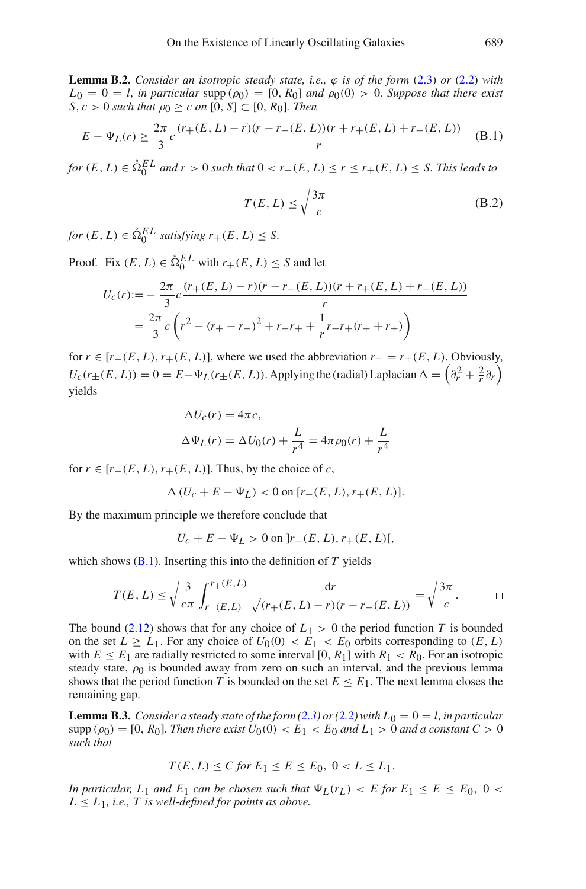**Lemma B.2.** *Consider an isotropic steady state, i.e.,*  $\varphi$  *is of the form* [\(2.3\)](#page-11-1) *or* [\(2.2\)](#page-11-0) *with*  $L_0 = 0 = l$ , in particular supp  $(\rho_0) = [0, R_0]$  and  $\rho_0(0) > 0$ *. Suppose that there exist S*, *c* > 0 *such that*  $ρ_0 ≥ c$  *on* [0, *S*] ⊂ [0, *R*<sub>0</sub>]*. Then* 

$$
E - \Psi_L(r) \ge \frac{2\pi}{3}c \frac{(r_+(E, L) - r)(r - r_-(E, L))(r + r_+(E, L) + r_-(E, L))}{r}
$$
 (B.1)

*for*  $(E, L) \in \hat{\Omega}_0^{EL}$  *and*  $r > 0$  *such that*  $0 < r$   $- (E, L) \le r \le r$   $+ (E, L) \le S$ . *This leads to* 

$$
T(E, L) \le \sqrt{\frac{3\pi}{c}} \tag{B.2}
$$

 $f \circ r \in E, L$ )  $\in \mathring{\Omega}_0^{EL}$  *satisfying*  $r_+(E, L) \leq S$ .

Proof. Fix  $(E, L) \in \hat{\Omega}_0^{EL}$  with  $r_+(E, L) \leq S$  and let

$$
U_c(r) := -\frac{2\pi}{3}c\frac{(r_+(E,L) - r)(r - r_-(E,L))(r + r_+(E,L) + r_-(E,L))}{r}
$$
  
=  $\frac{2\pi}{3}c\left(r^2 - (r_+ - r_-)^2 + r_-r_+ + \frac{1}{r}r_-r_+(r_+ + r_+)\right)$ 

for  $r \in [r_{-}(E, L), r_{+}(E, L)]$ , where we used the abbreviation  $r_{+} = r_{+}(E, L)$ . Obviously,  $U_c(r_\pm(E, L)) = 0 = E - \Psi_L(r_\pm(E, L))$ . Applying the (radial) Laplacian  $\Delta = \left(\partial_r^2 + \frac{2}{r}\partial_r\right)$ yields

$$
\Delta U_c(r) = 4\pi c,
$$
  

$$
\Delta \Psi_L(r) = \Delta U_0(r) + \frac{L}{r^4} = 4\pi \rho_0(r) + \frac{L}{r^4}
$$

for  $r \in [r_-(E, L), r_+(E, L)]$ . Thus, by the choice of *c*,

 $\Delta (U_c + E - \Psi_I) < 0$  on  $[r_-(E, L), r_+(E, L)].$ 

By the maximum principle we therefore conclude that

$$
U_c + E - \Psi_L > 0 \text{ on } ]r_{-}(E, L), r_{+}(E, L)[,
$$

which shows  $(B.1)$ . Inserting this into the definition of  $T$  yields

$$
T(E, L) \le \sqrt{\frac{3}{c\pi}} \int_{r_{-}(E, L)}^{r_{+}(E, L)} \frac{dr}{\sqrt{(r_{+}(E, L) - r)(r - r_{-}(E, L))}} = \sqrt{\frac{3\pi}{c}}.
$$

The bound [\(2.12\)](#page-14-2) shows that for any choice of  $L_1 > 0$  the period function *T* is bounded on the set  $L \geq L_1$ . For any choice of  $U_0(0) < E_1 < E_0$  orbits corresponding to  $(E, L)$ with  $E \le E_1$  are radially restricted to some interval [0,  $R_1$ ] with  $R_1 < R_0$ . For an isotropic steady state,  $\rho_0$  is bounded away from zero on such an interval, and the previous lemma shows that the period function *T* is bounded on the set  $E \leq E_1$ . The next lemma closes the remaining gap.

**Lemma B.3.** *Consider a steady state of the form [\(2.3\)](#page-11-1) or [\(2.2\)](#page-11-0) with*  $L_0 = 0 = l$ *, in particular*  $\text{supp } (\rho_0) = [0, R_0]$ *. Then there exist*  $U_0(0) < E_1 < E_0$  *and*  $L_1 > 0$  *and a constant*  $C > 0$ *such that*

$$
T(E, L) \le C \text{ for } E_1 \le E \le E_0, \ 0 < L \le L_1.
$$

*In particular,*  $L_1$  *and*  $E_1$  *can be chosen such that*  $\Psi_L(r_L) < E$  *for*  $E_1 \le E \le E_0$ , 0  $L \leq L_1$ , *i.e.*, *T is well-defined for points as above.*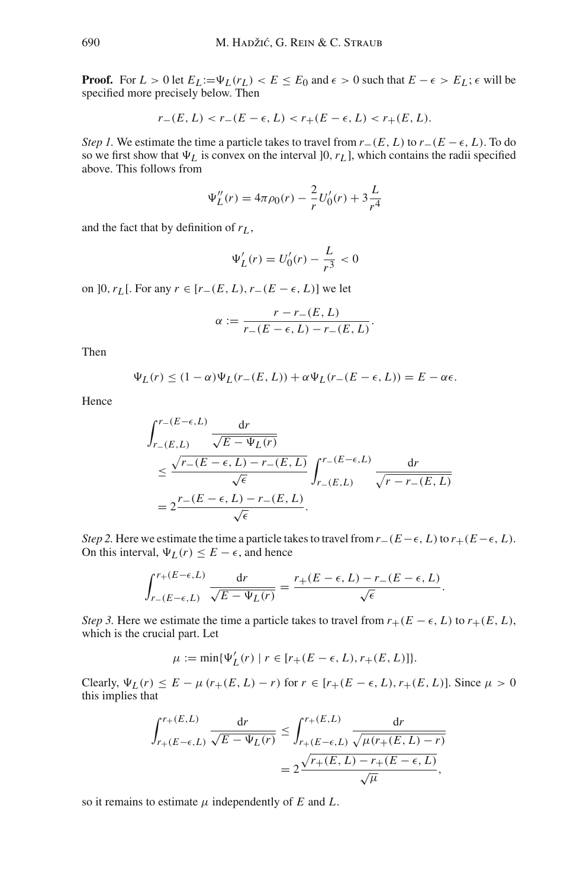**Proof.** For  $L > 0$  let  $E_L := \Psi_L(r_L) < E \leq E_0$  and  $\epsilon > 0$  such that  $E - \epsilon > E_L$ ;  $\epsilon$  will be specified more precisely below. Then

$$
r_{-}(E, L) < r_{-}(E - \epsilon, L) < r_{+}(E - \epsilon, L) < r_{+}(E, L).
$$

*Step 1.* We estimate the time a particle takes to travel from  $r_-(E, L)$  to  $r_-(E - \epsilon, L)$ . To do so we first show that  $\Psi_L$  is convex on the interval [0,  $r_L$ ], which contains the radii specified above. This follows from

$$
\Psi_L''(r) = 4\pi \rho_0(r) - \frac{2}{r}U_0'(r) + 3\frac{L}{r^4}
$$

and the fact that by definition of  $r<sub>L</sub>$ ,

$$
\Psi_L'(r) = U_0'(r) - \frac{L}{r^3} < 0
$$

on  $]0, r_L[$ . For any  $r ∈ [r_-(E, L), r_-(E − ε, L)]$  we let

$$
\alpha := \frac{r - r_{-}(E, L)}{r_{-}(E - \epsilon, L) - r_{-}(E, L)}.
$$

Then

$$
\Psi_L(r) \le (1 - \alpha)\Psi_L(r - (E, L)) + \alpha\Psi_L(r - (E - \epsilon, L)) = E - \alpha\epsilon.
$$

Hence

$$
\int_{r_{-}(E,L)}^{r_{-}(E-\epsilon,L)} \frac{dr}{\sqrt{E-\Psi_L(r)}}
$$
\n
$$
\leq \frac{\sqrt{r_{-}(E-\epsilon,L)-r_{-}(E,L)}}{\sqrt{\epsilon}} \int_{r_{-}(E,L)}^{r_{-}(E-\epsilon,L)} \frac{dr}{\sqrt{r-r_{-}(E,L)}}
$$
\n
$$
= 2 \frac{r_{-}(E-\epsilon,L)-r_{-}(E,L)}{\sqrt{\epsilon}}.
$$

*Step 2.* Here we estimate the time a particle takes to travel from  $r_-(E-\epsilon, L)$  to  $r_+(E-\epsilon, L)$ . On this interval,  $\Psi_L(r) \leq E - \epsilon$ , and hence

$$
\int_{r_{-}(E-\epsilon,L)}^{r_{+}(E-\epsilon,L)} \frac{\mathrm{d}r}{\sqrt{E-\Psi_L(r)}} = \frac{r_{+}(E-\epsilon,L)-r_{-}(E-\epsilon,L)}{\sqrt{\epsilon}}.
$$

*Step 3.* Here we estimate the time a particle takes to travel from  $r+(E-\epsilon, L)$  to  $r+(E, L)$ , which is the crucial part. Let

$$
\mu := \min{\{\Psi'_{L}(r) \mid r \in [r_{+}(E - \epsilon, L), r_{+}(E, L)]\}}.
$$

Clearly,  $\Psi_L(r) \leq E - \mu (r_+(E, L) - r)$  for  $r \in [r_+(E - \epsilon, L), r_+(E, L)]$ . Since  $\mu > 0$ this implies that

$$
\int_{r_{+}(E-\epsilon,L)}^{r_{+}(E,L)} \frac{dr}{\sqrt{E-\Psi_L(r)}} \le \int_{r_{+}(E-\epsilon,L)}^{r_{+}(E,L)} \frac{dr}{\sqrt{\mu(r_{+}(E,L)-r)}}
$$

$$
= 2\frac{\sqrt{r_{+}(E,L)-r_{+}(E-\epsilon,L)}}{\sqrt{\mu}},
$$

so it remains to estimate  $\mu$  independently of  $E$  and  $L$ .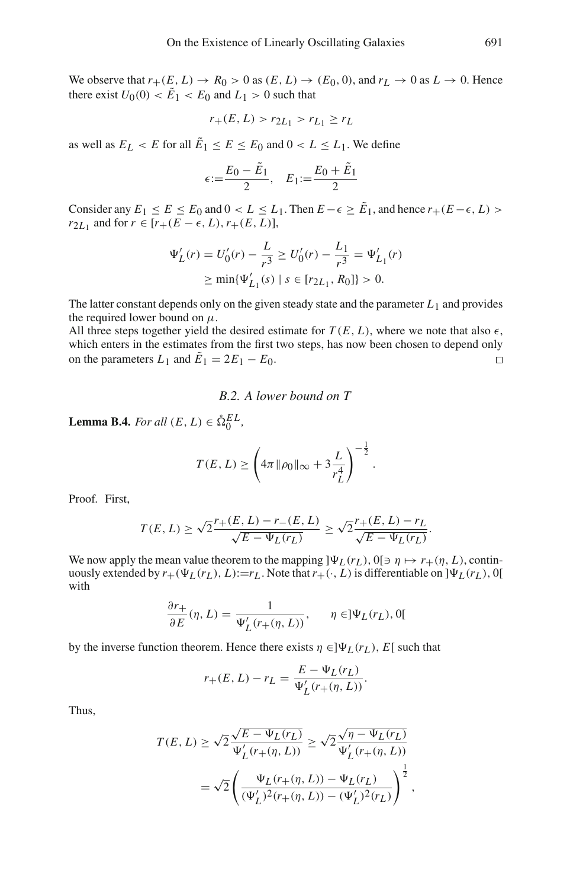We observe that  $r_+(E, L) \to R_0 > 0$  as  $(E, L) \to (E_0, 0)$ , and  $r_L \to 0$  as  $L \to 0$ . Hence there exist  $U_0(0) < \tilde{E}_1 < E_0$  and  $L_1 > 0$  such that

$$
r_{+}(E, L) > r_{2L_1} > r_{L_1} \ge r_L
$$

as well as  $E_L < E$  for all  $\tilde{E}_1 \le E \le E_0$  and  $0 < L \le L_1$ . We define

$$
\epsilon := \frac{E_0 - \tilde{E}_1}{2}, \quad E_1 := \frac{E_0 + \tilde{E}_1}{2}
$$

Consider any  $E_1 \le E \le E_0$  and  $0 < L \le L_1$ . Then  $E - \epsilon \ge \tilde{E}_1$ , and hence  $r_+(E - \epsilon, L)$ *r*<sub>2*L*1</sub> and for  $r \in [r+(E-\epsilon, L), r+(E, L)]$ ,

$$
\Psi_L'(r) = U_0'(r) - \frac{L}{r^3} \ge U_0'(r) - \frac{L_1}{r^3} = \Psi_{L_1}'(r)
$$
  
\n
$$
\ge \min{\Psi_{L_1}'(s) \mid s \in [r_{2L_1}, R_0]} > 0.
$$

The latter constant depends only on the given steady state and the parameter *L*1 and provides the required lower bound on  $\mu$ .

All three steps together yield the desired estimate for  $T(E, L)$ , where we note that also  $\epsilon$ , which enters in the estimates from the first two steps, has now been chosen to depend only on the parameters  $L_1$  and  $\tilde{E}_1 = 2E_1 - E_0$ .  $\Box$ 

# *B.2. A lower bound on T*

**Lemma B.4.** *For all*  $(E, L) \in \mathring{\Omega}_0^{EL}$ *,* 

$$
T(E, L) \ge \left(4\pi \|\rho_0\|_{\infty} + 3\frac{L}{r_L^4}\right)^{-\frac{1}{2}}
$$

.

Proof*.* First,

$$
T(E, L) \ge \sqrt{2} \frac{r_{+}(E, L) - r_{-}(E, L)}{\sqrt{E - \Psi_L(r_L)}} \ge \sqrt{2} \frac{r_{+}(E, L) - r_L}{\sqrt{E - \Psi_L(r_L)}}.
$$

We now apply the mean value theorem to the mapping  $]\Psi_L(r_L)$ ,  $0[\ni \eta \mapsto r+(\eta, L)$ , continuously extended by  $r_+(\Psi_L(r_L), L) := r_L$ . Note that  $r_+(\cdot, L)$  is differentiable on  $]\Psi_L(r_L)$ , 0[ with

$$
\frac{\partial r_+}{\partial E}(\eta, L) = \frac{1}{\Psi'_L(r_+(\eta, L))}, \qquad \eta \in ]\Psi_L(r_L), 0[
$$

by the inverse function theorem. Hence there exists  $\eta \in ]\Psi_L(r_L), E[$  such that

$$
r_{+}(E, L) - r_{L} = \frac{E - \Psi_{L}(r_{L})}{\Psi'_{L}(r_{+}(\eta, L))}.
$$

Thus,

$$
T(E, L) \ge \sqrt{2} \frac{\sqrt{E - \Psi_L(r_L)}}{\Psi_L'(r_+(\eta, L))} \ge \sqrt{2} \frac{\sqrt{\eta - \Psi_L(r_L)}}{\Psi_L'(r_+(\eta, L))}
$$
  
=  $\sqrt{2} \left( \frac{\Psi_L(r_+(\eta, L)) - \Psi_L(r_L)}{(\Psi_L')^2(r_+(\eta, L)) - (\Psi_L')^2(r_L)} \right)^{\frac{1}{2}},$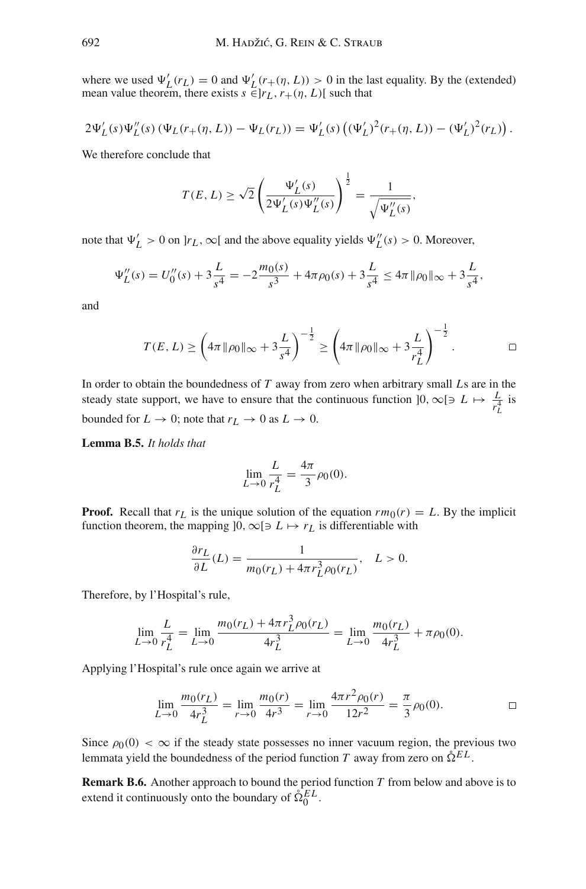where we used  $\Psi'_{L}(r_L) = 0$  and  $\Psi'_{L}(r_{+}(\eta, L)) > 0$  in the last equality. By the (extended) mean value theorem, there exists  $s \in [r_L, r+(\eta, L)]$  such that

$$
2\Psi'_{L}(s)\Psi''_{L}(s) (\Psi_{L}(r_{+}(\eta, L)) - \Psi_{L}(r_{L})) = \Psi'_{L}(s) ((\Psi'_{L})^{2}(r_{+}(\eta, L)) - (\Psi'_{L})^{2}(r_{L})) .
$$

We therefore conclude that

$$
T(E, L) \ge \sqrt{2} \left( \frac{\Psi_L'(s)}{2\Psi_L'(s)\Psi_L''(s)} \right)^{\frac{1}{2}} = \frac{1}{\sqrt{\Psi_L''(s)}},
$$

note that  $\Psi'_{L} > 0$  on  $]r_{L}$ ,  $\infty[$  and the above equality yields  $\Psi''_{L}(s) > 0$ . Moreover,

$$
\Psi_L''(s) = U_0''(s) + 3\frac{L}{s^4} = -2\frac{m_0(s)}{s^3} + 4\pi\rho_0(s) + 3\frac{L}{s^4} \le 4\pi \|\rho_0\|_{\infty} + 3\frac{L}{s^4},
$$

and

$$
T(E, L) \ge \left(4\pi \|\rho_0\|_{\infty} + 3\frac{L}{s^4}\right)^{-\frac{1}{2}} \ge \left(4\pi \|\rho_0\|_{\infty} + 3\frac{L}{r_L^4}\right)^{-\frac{1}{2}}.
$$

In order to obtain the boundedness of *T* away from zero when arbitrary small *L*s are in the steady state support, we have to ensure that the continuous function  $]0, \infty[ \ni L \mapsto \frac{L}{r_L^4}$  is bounded for  $L \to 0$ ; note that  $r_L \to 0$  as  $L \to 0$ .

**Lemma B.5.** *It holds that*

$$
\lim_{L \to 0} \frac{L}{r_L^4} = \frac{4\pi}{3} \rho_0(0).
$$

**Proof.** Recall that  $r<sub>L</sub>$  is the unique solution of the equation  $rm_0(r) = L$ . By the implicit function theorem, the mapping  $]0, \infty[ \ni L \mapsto r_L$  is differentiable with

$$
\frac{\partial r_L}{\partial L}(L) = \frac{1}{m_0(r_L) + 4\pi r_L^3 \rho_0(r_L)}, \quad L > 0.
$$

Therefore, by l'Hospital's rule,

$$
\lim_{L \to 0} \frac{L}{r_L^4} = \lim_{L \to 0} \frac{m_0(r_L) + 4\pi r_L^3 \rho_0(r_L)}{4r_L^3} = \lim_{L \to 0} \frac{m_0(r_L)}{4r_L^3} + \pi \rho_0(0).
$$

Applying l'Hospital's rule once again we arrive at

$$
\lim_{L \to 0} \frac{m_0(r_L)}{4r_L^3} = \lim_{r \to 0} \frac{m_0(r)}{4r^3} = \lim_{r \to 0} \frac{4\pi r^2 \rho_0(r)}{12r^2} = \frac{\pi}{3} \rho_0(0).
$$

Since  $\rho_0(0) < \infty$  if the steady state possesses no inner vacuum region, the previous two lemmata yield the boundedness of the period function  $T$  away from zero on  $\hat{\Omega}^{EL}$ .

**Remark B.6.** Another approach to bound the period function *T* from below and above is to extend it continuously onto the boundary of  $\hat{\Omega}_0^{EL}$ .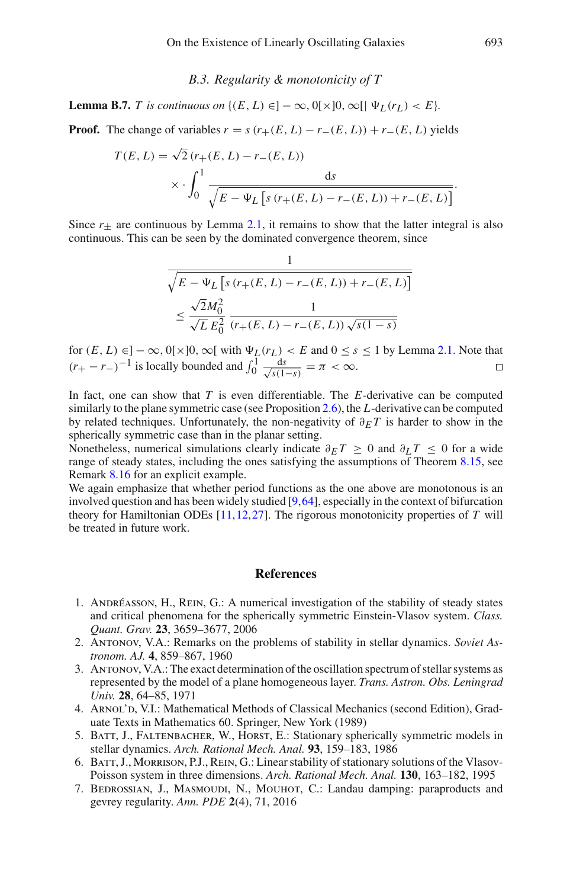### *B.3. Regularity & monotonicity of T*

<span id="page-82-0"></span>**Lemma B.7.** *T* is continuous on  $\{(E, L) \in ]-\infty, 0[\times]0, \infty[$   $\forall L(r_L) < E\}$ .

**Proof.** The change of variables  $r = s(r+(E, L) - r-(E, L)) + r-(E, L)$  yields

$$
T(E, L) = \sqrt{2} (r_{+}(E, L) - r_{-}(E, L))
$$
  
 
$$
\times \int_{0}^{1} \frac{ds}{\sqrt{E - \Psi_{L} \left[ s (r_{+}(E, L) - r_{-}(E, L)) + r_{-}(E, L) \right]}}.
$$

Since  $r_{\pm}$  are continuous by Lemma [2.1,](#page-13-0) it remains to show that the latter integral is also continuous. This can be seen by the dominated convergence theorem, since

$$
\frac{1}{\sqrt{E - \Psi_L \left[ s \left( r_+(E, L) - r_-(E, L) \right) + r_-(E, L) \right]}}
$$
  

$$
\leq \frac{\sqrt{2}M_0^2}{\sqrt{L} E_0^2} \frac{1}{\left( r_+(E, L) - r_-(E, L) \right) \sqrt{s(1 - s)}}
$$

for  $(E, L) \in ]-\infty, 0[\times]0, \infty[$  with  $\Psi_L(r_L) < E$  and  $0 \le s \le 1$  by Lemma [2.1.](#page-13-0) Note that  $(r_{+} - r_{-})^{-1}$  is locally bounded and  $\int_{0}^{1} \frac{ds}{\sqrt{s(1-s)}} = \pi < \infty$ .  $\Box$ 

In fact, one can show that *T* is even differentiable. The *E*-derivative can be computed similarly to the plane symmetric case (see Proposition [2.6\)](#page-18-0), the *L*-derivative can be computed by related techniques. Unfortunately, the non-negativity of  $\partial_F T$  is harder to show in the spherically symmetric case than in the planar setting.

Nonetheless, numerical simulations clearly indicate  $\partial_F T \ge 0$  and  $\partial_L T \le 0$  for a wide range of steady states, including the ones satisfying the assumptions of Theorem [8.15,](#page-73-4) see Remark [8.16](#page-75-0) for an explicit example.

We again emphasize that whether period functions as the one above are monotonous is an involved question and has been widely studied [\[9,](#page-83-1)[64\]](#page-85-2), especially in the context of bifurcation theory for Hamiltonian ODEs [\[11](#page-83-2)[,12](#page-83-3)[,27](#page-83-4)]. The rigorous monotonicity properties of *T* will be treated in future work.

### **References**

- 1. Andréasson, H., Rein, G.: A numerical investigation of the stability of steady states and critical phenomena for the spherically symmetric Einstein-Vlasov system. *Class. Quant. Grav.* **23**, 3659–3677, 2006
- 2. Antonov, V.A.: Remarks on the problems of stability in stellar dynamics. *Soviet Astronom. AJ.* **4**, 859–867, 1960
- 3. Antonov, V.A.: The exact determination of the oscillation spectrum of stellar systems as represented by the model of a plane homogeneous layer. *Trans. Astron. Obs. Leningrad Univ.* **28**, 64–85, 1971
- 4. ARNOL'D, V.I.: Mathematical Methods of Classical Mechanics (second Edition), Graduate Texts in Mathematics 60. Springer, New York (1989)
- 5. BATT, J., FALTENBACHER, W., HORST, E.: Stationary spherically symmetric models in stellar dynamics. *Arch. Rational Mech. Anal.* **93**, 159–183, 1986
- 6. Batt, J., Morrison, P.J., Rein, G.: Linear stability of stationary solutions of the Vlasov-Poisson system in three dimensions. *Arch. Rational Mech. Anal.* **130**, 163–182, 1995
- 7. BEDROSSIAN, J., MASMOUDI, N., MOUHOT, C.: Landau damping: paraproducts and gevrey regularity. *Ann. PDE* **2**(4), 71, 2016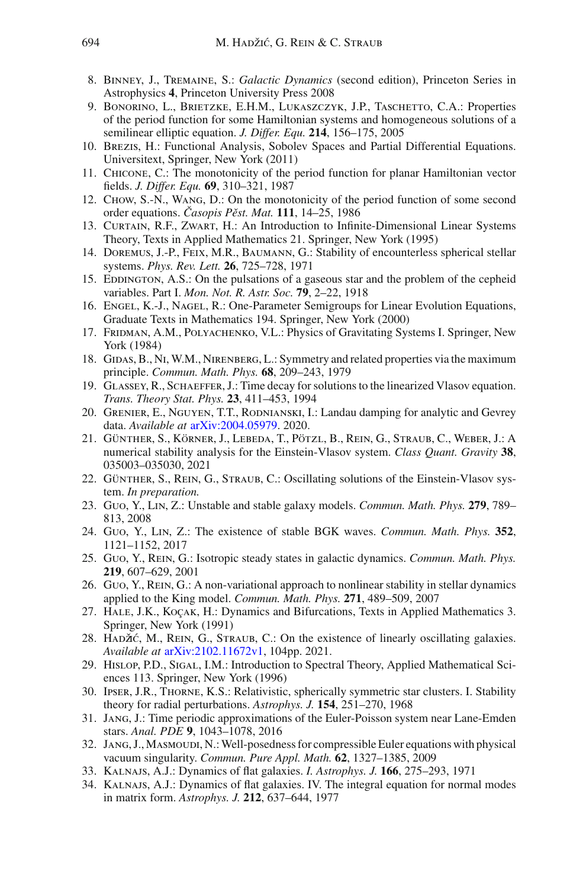- 8. Binney, J., Tremaine, S.: *Galactic Dynamics* (second edition), Princeton Series in Astrophysics **4**, Princeton University Press 2008
- <span id="page-83-1"></span>9. Bonorino, L., Brietzke, E.H.M., Lukaszczyk, J.P., Taschetto, C.A.: Properties of the period function for some Hamiltonian systems and homogeneous solutions of a semilinear elliptic equation. *J. Differ. Equ.* **214**, 156–175, 2005
- 10. Brezis, H.: Functional Analysis, Sobolev Spaces and Partial Differential Equations. Universitext, Springer, New York (2011)
- <span id="page-83-2"></span>11. Chicone, C.: The monotonicity of the period function for planar Hamiltonian vector fields. *J. Differ. Equ.* **69**, 310–321, 1987
- <span id="page-83-3"></span>12. Chow, S.-N., Wang, D.: On the monotonicity of the period function of some second order equations. *Casopis Pˇ ˇ est. Mat.* **111**, 14–25, 1986
- 13. Curtain, R.F., Zwart, H.: An Introduction to Infinite-Dimensional Linear Systems Theory, Texts in Applied Mathematics 21. Springer, New York (1995)
- 14. Doremus, J.-P., Feix, M.R., Baumann, G.: Stability of encounterless spherical stellar systems. *Phys. Rev. Lett.* **26**, 725–728, 1971
- 15. EDDINGTON, A.S.: On the pulsations of a gaseous star and the problem of the cepheid variables. Part I. *Mon. Not. R. Astr. Soc.* **79**, 2–22, 1918
- 16. Engel, K.-J., Nagel, R.: One-Parameter Semigroups for Linear Evolution Equations, Graduate Texts in Mathematics 194. Springer, New York (2000)
- 17. FRIDMAN, A.M., POLYACHENKO, V.L.: Physics of Gravitating Systems I. Springer, New York (1984)
- 18. Gidas, B., Ni, W.M., Nirenberg, L.: Symmetry and related properties via the maximum principle. *Commun. Math. Phys.* **68**, 209–243, 1979
- 19. Glassey, R., Schaeffer, J.: Time decay for solutions to the linearized Vlasov equation. *Trans. Theory Stat. Phys.* **23**, 411–453, 1994
- 20. Grenier, E., Nguyen, T.T., Rodnianski, I.: Landau damping for analytic and Gevrey data. *Available at* [arXiv:2004.05979.](http://arxiv.org/abs/2004.05979) 2020.
- 21. Günther, S., Körner, J., Lebeda, T., Pötzl, B., Rein, G., Straub, C., Weber, J.: A numerical stability analysis for the Einstein-Vlasov system. *Class Quant. Gravity* **38**, 035003–035030, 2021
- 22. Günther, S., Rein, G., Straub, C.: Oscillating solutions of the Einstein-Vlasov system. *In preparation.*
- <span id="page-83-0"></span>23. Guo, Y., Lin, Z.: Unstable and stable galaxy models. *Commun. Math. Phys.* **279**, 789– 813, 2008
- 24. Guo, Y., Lin, Z.: The existence of stable BGK waves. *Commun. Math. Phys.* **352**, 1121–1152, 2017
- 25. Guo, Y., Rein, G.: Isotropic steady states in galactic dynamics. *Commun. Math. Phys.* **219**, 607–629, 2001
- 26. Guo, Y., Rein, G.: A non-variational approach to nonlinear stability in stellar dynamics applied to the King model. *Commun. Math. Phys.* **271**, 489–509, 2007
- <span id="page-83-4"></span>27. Hale, J.K., Koçak, H.: Dynamics and Bifurcations, Texts in Applied Mathematics 3. Springer, New York (1991)
- 28. HADŽIĆ, M., REIN, G., STRAUB, C.: On the existence of linearly oscillating galaxies. *Available at* [arXiv:2102.11672v1,](http://arxiv.org/abs/2102.11672v1) 104pp. 2021.
- 29. Hislop, P.D., Sigal, I.M.: Introduction to Spectral Theory, Applied Mathematical Sciences 113. Springer, New York (1996)
- 30. Ipser, J.R., Thorne, K.S.: Relativistic, spherically symmetric star clusters. I. Stability theory for radial perturbations. *Astrophys. J.* **154**, 251–270, 1968
- 31. Jang, J.: Time periodic approximations of the Euler-Poisson system near Lane-Emden stars. *Anal. PDE* **9**, 1043–1078, 2016
- 32. Jang, J.,Masmoudi, N.:Well-posedness for compressible Euler equations with physical vacuum singularity. *Commun. Pure Appl. Math.* **62**, 1327–1385, 2009
- 33. Kalnajs, A.J.: Dynamics of flat galaxies. *I. Astrophys. J.* **166**, 275–293, 1971
- 34. Kalnajs, A.J.: Dynamics of flat galaxies. IV. The integral equation for normal modes in matrix form. *Astrophys. J.* **212**, 637–644, 1977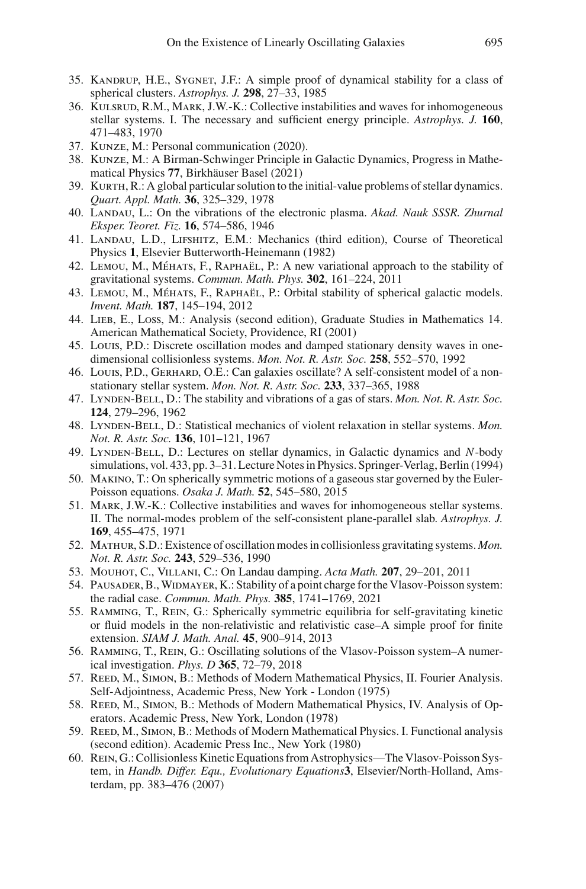- 35. Kandrup, H.E., Sygnet, J.F.: A simple proof of dynamical stability for a class of spherical clusters. *Astrophys. J.* **298**, 27–33, 1985
- 36. Kulsrud, R.M., Mark, J.W.-K.: Collective instabilities and waves for inhomogeneous stellar systems. I. The necessary and sufficient energy principle. *Astrophys. J.* **160**, 471–483, 1970
- 37. Kunze, M.: Personal communication (2020).
- 38. Kunze, M.: A Birman-Schwinger Principle in Galactic Dynamics, Progress in Mathematical Physics **77**, Birkhäuser Basel (2021)
- 39. KURTH, R.: A global particular solution to the initial-value problems of stellar dynamics. *Quart. Appl. Math.* **36**, 325–329, 1978
- 40. Landau, L.: On the vibrations of the electronic plasma. *Akad. Nauk SSSR. Zhurnal Eksper. Teoret. Fiz.* **16**, 574–586, 1946
- 41. Landau, L.D., Lifshitz, E.M.: Mechanics (third edition), Course of Theoretical Physics **1**, Elsevier Butterworth-Heinemann (1982)
- 42. Lemou, M., Méhats, F., Raphaël, P.: A new variational approach to the stability of gravitational systems. *Commun. Math. Phys.* **302**, 161–224, 2011
- 43. Lemou, M., Méhats, F., Raphaël, P.: Orbital stability of spherical galactic models. *Invent. Math.* **187**, 145–194, 2012
- 44. Lieb, E., Loss, M.: Analysis (second edition), Graduate Studies in Mathematics 14. American Mathematical Society, Providence, RI (2001)
- 45. Louis, P.D.: Discrete oscillation modes and damped stationary density waves in onedimensional collisionless systems. *Mon. Not. R. Astr. Soc.* **258**, 552–570, 1992
- 46. Louis, P.D., Gerhard, O.E.: Can galaxies oscillate? A self-consistent model of a nonstationary stellar system. *Mon. Not. R. Astr. Soc.* **233**, 337–365, 1988
- 47. Lynden-Bell, D.: The stability and vibrations of a gas of stars. *Mon. Not. R. Astr. Soc.* **124**, 279–296, 1962
- 48. Lynden-Bell, D.: Statistical mechanics of violent relaxation in stellar systems. *Mon. Not. R. Astr. Soc.* **136**, 101–121, 1967
- 49. Lynden-Bell, D.: Lectures on stellar dynamics, in Galactic dynamics and *N*-body simulations, vol. 433, pp. 3–31. Lecture Notes in Physics. Springer-Verlag, Berlin (1994)
- 50. Makino, T.: On spherically symmetric motions of a gaseous star governed by the Euler-Poisson equations. *Osaka J. Math.* **52**, 545–580, 2015
- 51. Mark, J.W.-K.: Collective instabilities and waves for inhomogeneous stellar systems. II. The normal-modes problem of the self-consistent plane-parallel slab. *Astrophys. J.* **169**, 455–475, 1971
- 52. Mathur, S.D.: Existence of oscillation modes in collisionless gravitating systems. *Mon. Not. R. Astr. Soc.* **243**, 529–536, 1990
- 53. Mouhot, C., Villani, C.: On Landau damping. *Acta Math.* **207**, 29–201, 2011
- 54. Pausader, B.,Widmayer, K.: Stability of a point charge for the Vlasov-Poisson system: the radial case. *Commun. Math. Phys.* **385**, 1741–1769, 2021
- 55. Ramming, T., Rein, G.: Spherically symmetric equilibria for self-gravitating kinetic or fluid models in the non-relativistic and relativistic case–A simple proof for finite extension. *SIAM J. Math. Anal.* **45**, 900–914, 2013
- 56. Ramming, T., Rein, G.: Oscillating solutions of the Vlasov-Poisson system–A numerical investigation. *Phys. D* **365**, 72–79, 2018
- 57. REED, M., SIMON, B.: Methods of Modern Mathematical Physics, II. Fourier Analysis. Self-Adjointness, Academic Press, New York - London (1975)
- 58. REED, M., SIMON, B.: Methods of Modern Mathematical Physics, IV. Analysis of Operators. Academic Press, New York, London (1978)
- 59. REED, M., SIMON, B.: Methods of Modern Mathematical Physics. I. Functional analysis (second edition). Academic Press Inc., New York (1980)
- 60. Rein, G.: Collisionless Kinetic Equations from Astrophysics—The Vlasov-Poisson System, in *Handb. Differ. Equ., Evolutionary Equations***3**, Elsevier/North-Holland, Amsterdam, pp. 383–476 (2007)